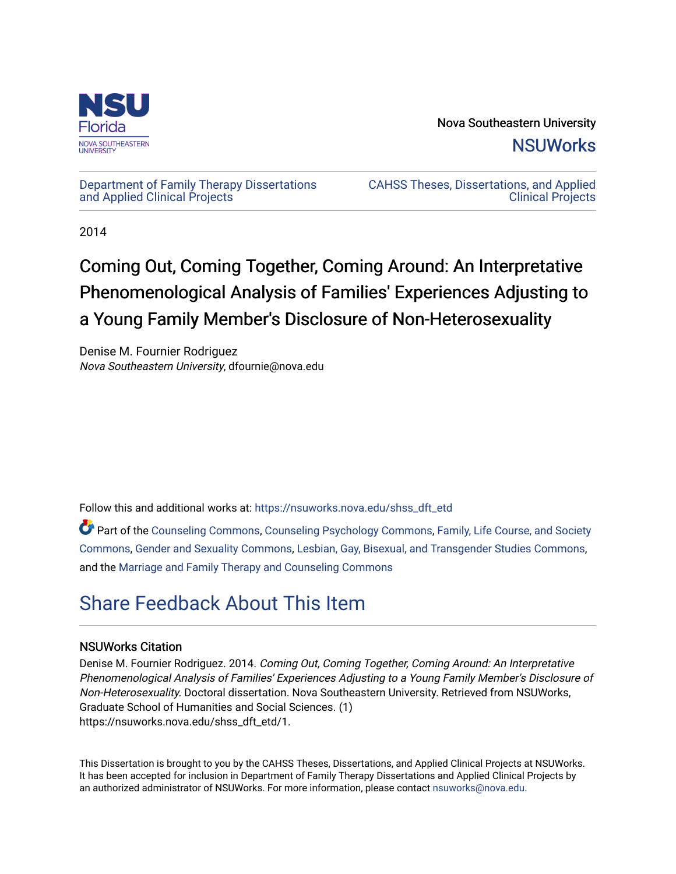

Nova Southeastern University **NSUWorks** 

[Department of Family Therapy Dissertations](https://nsuworks.nova.edu/shss_dft_etd) [and Applied Clinical Projects](https://nsuworks.nova.edu/shss_dft_etd)

[CAHSS Theses, Dissertations, and Applied](https://nsuworks.nova.edu/cahss_etd)  [Clinical Projects](https://nsuworks.nova.edu/cahss_etd) 

2014

# Coming Out, Coming Together, Coming Around: An Interpretative Phenomenological Analysis of Families' Experiences Adjusting to a Young Family Member's Disclosure of Non-Heterosexuality

Denise M. Fournier Rodriguez Nova Southeastern University, dfournie@nova.edu

Follow this and additional works at: [https://nsuworks.nova.edu/shss\\_dft\\_etd](https://nsuworks.nova.edu/shss_dft_etd?utm_source=nsuworks.nova.edu%2Fshss_dft_etd%2F1&utm_medium=PDF&utm_campaign=PDFCoverPages) 

Part of the [Counseling Commons,](http://network.bepress.com/hgg/discipline/1268?utm_source=nsuworks.nova.edu%2Fshss_dft_etd%2F1&utm_medium=PDF&utm_campaign=PDFCoverPages) [Counseling Psychology Commons,](http://network.bepress.com/hgg/discipline/1044?utm_source=nsuworks.nova.edu%2Fshss_dft_etd%2F1&utm_medium=PDF&utm_campaign=PDFCoverPages) [Family, Life Course, and Society](http://network.bepress.com/hgg/discipline/419?utm_source=nsuworks.nova.edu%2Fshss_dft_etd%2F1&utm_medium=PDF&utm_campaign=PDFCoverPages)  [Commons](http://network.bepress.com/hgg/discipline/419?utm_source=nsuworks.nova.edu%2Fshss_dft_etd%2F1&utm_medium=PDF&utm_campaign=PDFCoverPages), [Gender and Sexuality Commons,](http://network.bepress.com/hgg/discipline/420?utm_source=nsuworks.nova.edu%2Fshss_dft_etd%2F1&utm_medium=PDF&utm_campaign=PDFCoverPages) [Lesbian, Gay, Bisexual, and Transgender Studies Commons](http://network.bepress.com/hgg/discipline/560?utm_source=nsuworks.nova.edu%2Fshss_dft_etd%2F1&utm_medium=PDF&utm_campaign=PDFCoverPages), and the [Marriage and Family Therapy and Counseling Commons](http://network.bepress.com/hgg/discipline/715?utm_source=nsuworks.nova.edu%2Fshss_dft_etd%2F1&utm_medium=PDF&utm_campaign=PDFCoverPages) 

# [Share Feedback About This Item](http://nsuworks.nova.edu/user_survey.html)

# NSUWorks Citation

Denise M. Fournier Rodriguez. 2014. Coming Out, Coming Together, Coming Around: An Interpretative Phenomenological Analysis of Families' Experiences Adjusting to a Young Family Member's Disclosure of Non-Heterosexuality. Doctoral dissertation. Nova Southeastern University. Retrieved from NSUWorks, Graduate School of Humanities and Social Sciences. (1) https://nsuworks.nova.edu/shss\_dft\_etd/1.

This Dissertation is brought to you by the CAHSS Theses, Dissertations, and Applied Clinical Projects at NSUWorks. It has been accepted for inclusion in Department of Family Therapy Dissertations and Applied Clinical Projects by an authorized administrator of NSUWorks. For more information, please contact [nsuworks@nova.edu](mailto:nsuworks@nova.edu).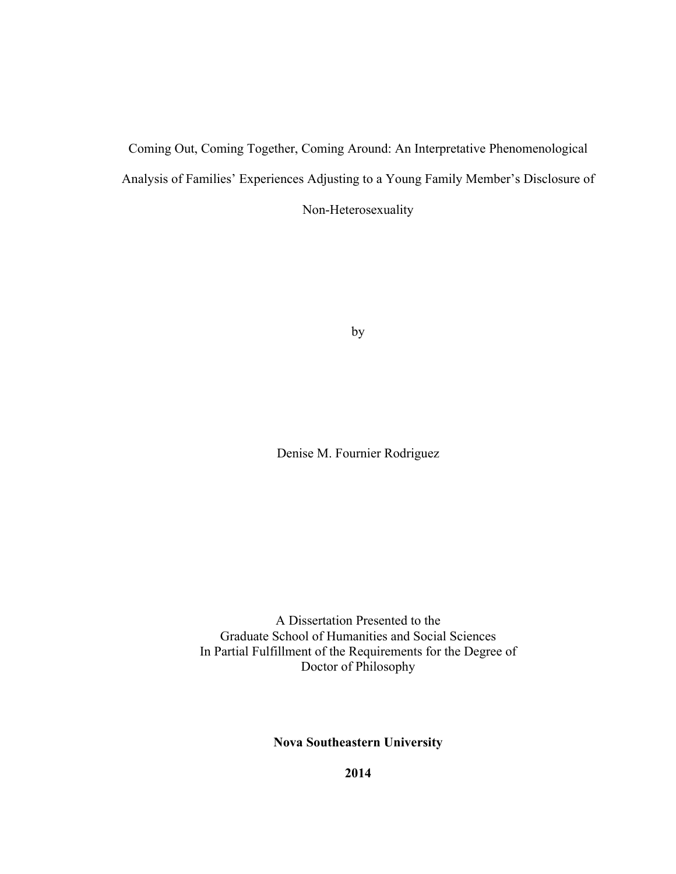Coming Out, Coming Together, Coming Around: An Interpretative Phenomenological Analysis of Families' Experiences Adjusting to a Young Family Member's Disclosure of

Non-Heterosexuality

by

Denise M. Fournier Rodriguez

A Dissertation Presented to the Graduate School of Humanities and Social Sciences In Partial Fulfillment of the Requirements for the Degree of Doctor of Philosophy

# **Nova Southeastern University**

**2014**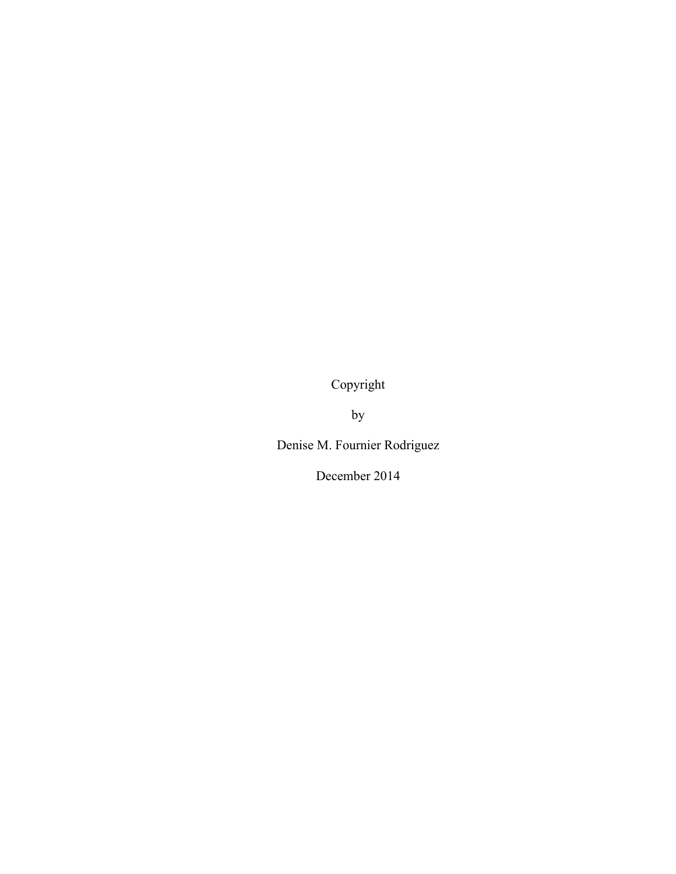Copyright

by

Denise M. Fournier Rodriguez

December 2014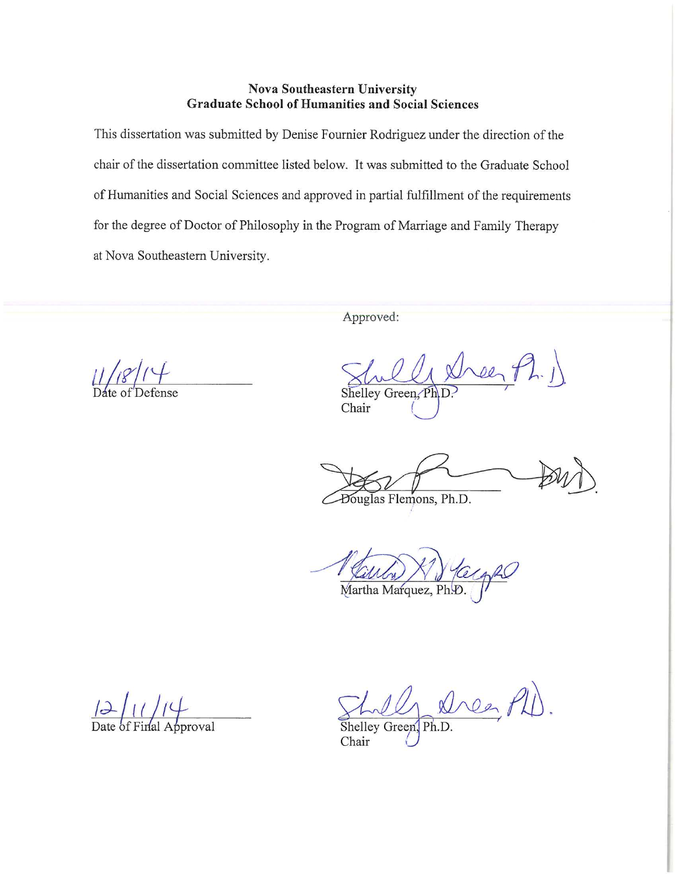# **Nova Southeastern University Graduate School of Humanities and Social Sciences**

This dissertation was submitted by Denise Fournier Rodriguez under the direction of the chair of the dissertation committee listed below. It was submitted to the Graduate School of Humanities and Social Sciences and approved in partial fulfillment of the requirements for the degree of Doctor of Philosophy in the Program of Marriage and Family Therapy at Nova Southeastern University.

Approved:

De

Shelley Green, Ph Chair

Douglas Flemons, Ph.D.

Martha Marquez, Ph.

Shelley Green, Ph.D.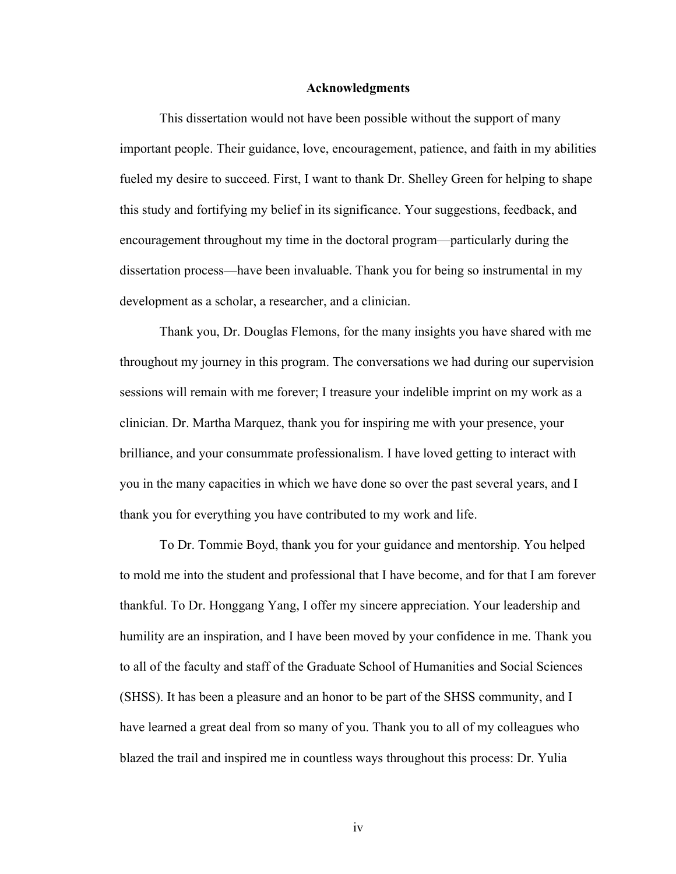#### **Acknowledgments**

This dissertation would not have been possible without the support of many important people. Their guidance, love, encouragement, patience, and faith in my abilities fueled my desire to succeed. First, I want to thank Dr. Shelley Green for helping to shape this study and fortifying my belief in its significance. Your suggestions, feedback, and encouragement throughout my time in the doctoral program—particularly during the dissertation process—have been invaluable. Thank you for being so instrumental in my development as a scholar, a researcher, and a clinician.

Thank you, Dr. Douglas Flemons, for the many insights you have shared with me throughout my journey in this program. The conversations we had during our supervision sessions will remain with me forever; I treasure your indelible imprint on my work as a clinician. Dr. Martha Marquez, thank you for inspiring me with your presence, your brilliance, and your consummate professionalism. I have loved getting to interact with you in the many capacities in which we have done so over the past several years, and I thank you for everything you have contributed to my work and life.

To Dr. Tommie Boyd, thank you for your guidance and mentorship. You helped to mold me into the student and professional that I have become, and for that I am forever thankful. To Dr. Honggang Yang, I offer my sincere appreciation. Your leadership and humility are an inspiration, and I have been moved by your confidence in me. Thank you to all of the faculty and staff of the Graduate School of Humanities and Social Sciences (SHSS). It has been a pleasure and an honor to be part of the SHSS community, and I have learned a great deal from so many of you. Thank you to all of my colleagues who blazed the trail and inspired me in countless ways throughout this process: Dr. Yulia

iv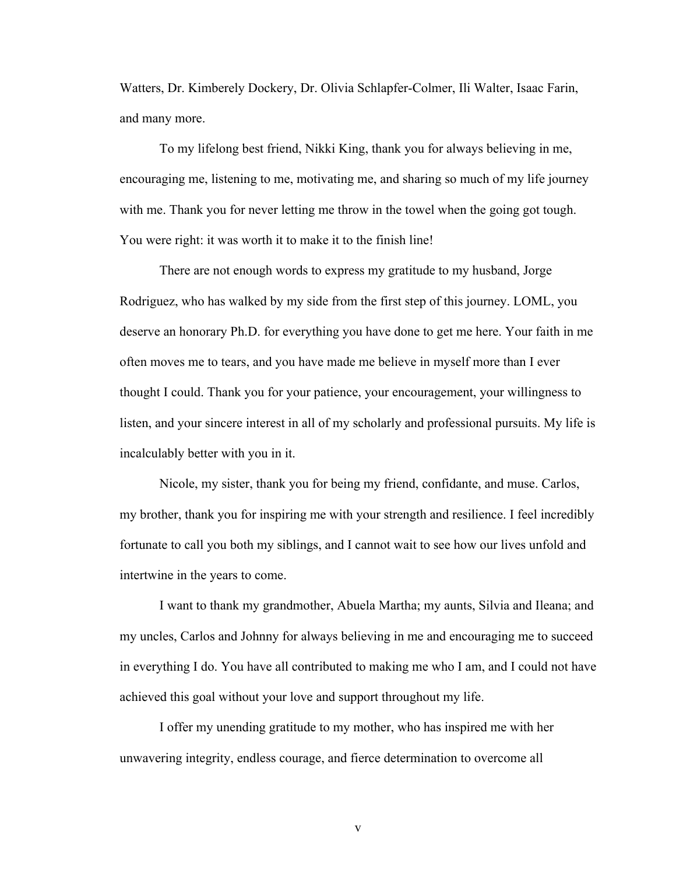Watters, Dr. Kimberely Dockery, Dr. Olivia Schlapfer-Colmer, Ili Walter, Isaac Farin, and many more.

To my lifelong best friend, Nikki King, thank you for always believing in me, encouraging me, listening to me, motivating me, and sharing so much of my life journey with me. Thank you for never letting me throw in the towel when the going got tough. You were right: it was worth it to make it to the finish line!

There are not enough words to express my gratitude to my husband, Jorge Rodriguez, who has walked by my side from the first step of this journey. LOML, you deserve an honorary Ph.D. for everything you have done to get me here. Your faith in me often moves me to tears, and you have made me believe in myself more than I ever thought I could. Thank you for your patience, your encouragement, your willingness to listen, and your sincere interest in all of my scholarly and professional pursuits. My life is incalculably better with you in it.

Nicole, my sister, thank you for being my friend, confidante, and muse. Carlos, my brother, thank you for inspiring me with your strength and resilience. I feel incredibly fortunate to call you both my siblings, and I cannot wait to see how our lives unfold and intertwine in the years to come.

I want to thank my grandmother, Abuela Martha; my aunts, Silvia and Ileana; and my uncles, Carlos and Johnny for always believing in me and encouraging me to succeed in everything I do. You have all contributed to making me who I am, and I could not have achieved this goal without your love and support throughout my life.

I offer my unending gratitude to my mother, who has inspired me with her unwavering integrity, endless courage, and fierce determination to overcome all

v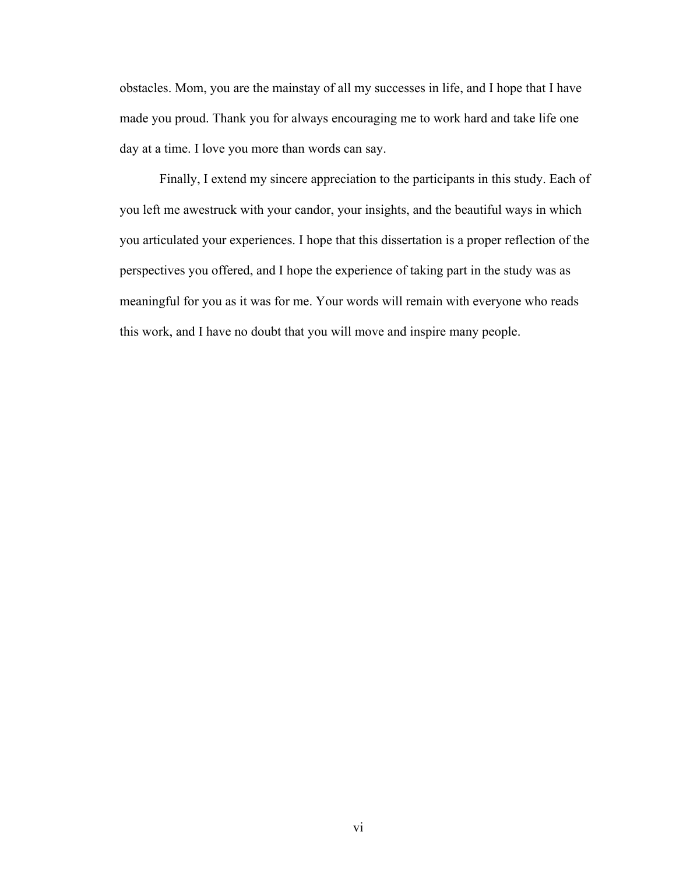obstacles. Mom, you are the mainstay of all my successes in life, and I hope that I have made you proud. Thank you for always encouraging me to work hard and take life one day at a time. I love you more than words can say.

Finally, I extend my sincere appreciation to the participants in this study. Each of you left me awestruck with your candor, your insights, and the beautiful ways in which you articulated your experiences. I hope that this dissertation is a proper reflection of the perspectives you offered, and I hope the experience of taking part in the study was as meaningful for you as it was for me. Your words will remain with everyone who reads this work, and I have no doubt that you will move and inspire many people.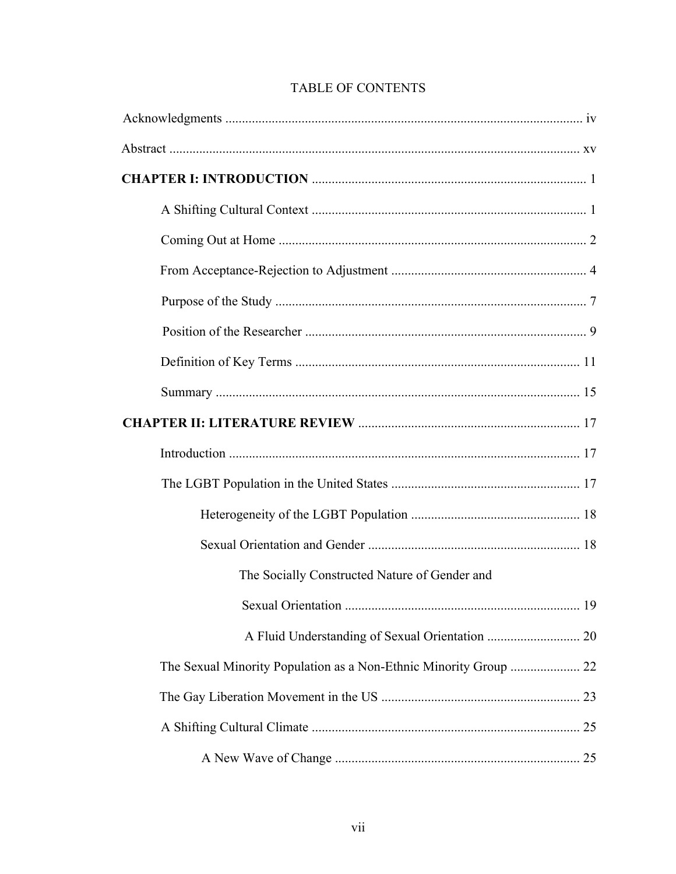| The Socially Constructed Nature of Gender and |     |
|-----------------------------------------------|-----|
|                                               | .19 |
|                                               |     |
|                                               |     |
|                                               |     |
|                                               |     |
|                                               |     |

# **TABLE OF CONTENTS**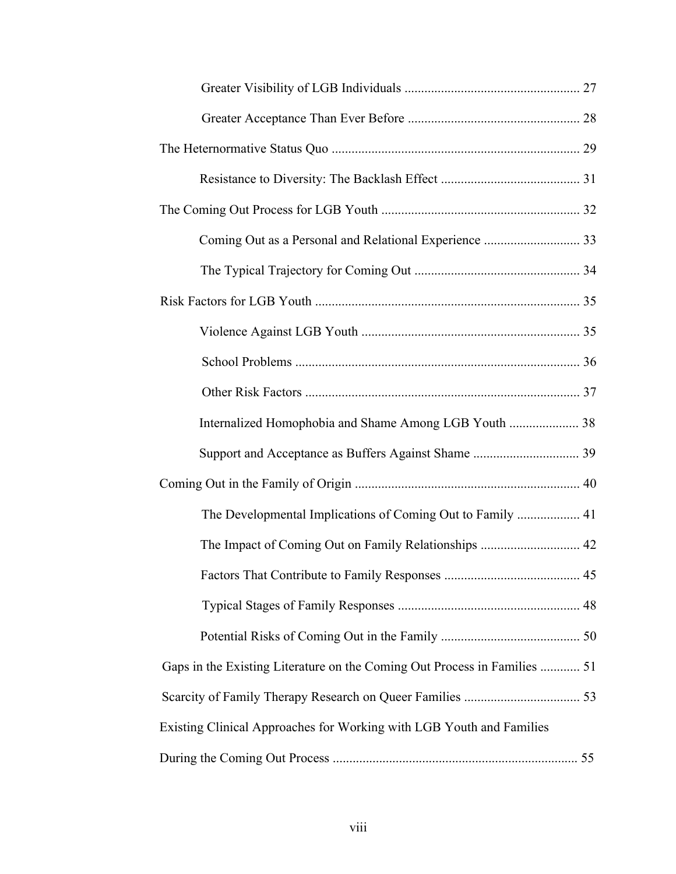| Internalized Homophobia and Shame Among LGB Youth  38                     |  |  |
|---------------------------------------------------------------------------|--|--|
|                                                                           |  |  |
|                                                                           |  |  |
| The Developmental Implications of Coming Out to Family  41                |  |  |
|                                                                           |  |  |
|                                                                           |  |  |
|                                                                           |  |  |
|                                                                           |  |  |
| Gaps in the Existing Literature on the Coming Out Process in Families  51 |  |  |
|                                                                           |  |  |
| Existing Clinical Approaches for Working with LGB Youth and Families      |  |  |
|                                                                           |  |  |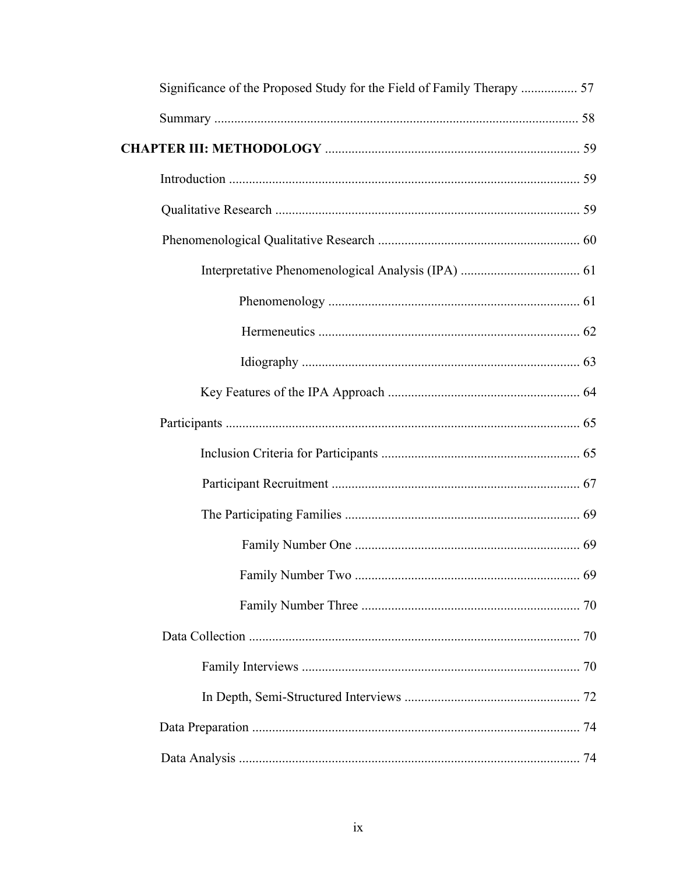| Significance of the Proposed Study for the Field of Family Therapy  57 |  |
|------------------------------------------------------------------------|--|
|                                                                        |  |
|                                                                        |  |
|                                                                        |  |
|                                                                        |  |
|                                                                        |  |
|                                                                        |  |
|                                                                        |  |
|                                                                        |  |
|                                                                        |  |
|                                                                        |  |
|                                                                        |  |
|                                                                        |  |
|                                                                        |  |
|                                                                        |  |
|                                                                        |  |
|                                                                        |  |
|                                                                        |  |
|                                                                        |  |
|                                                                        |  |
|                                                                        |  |
|                                                                        |  |
|                                                                        |  |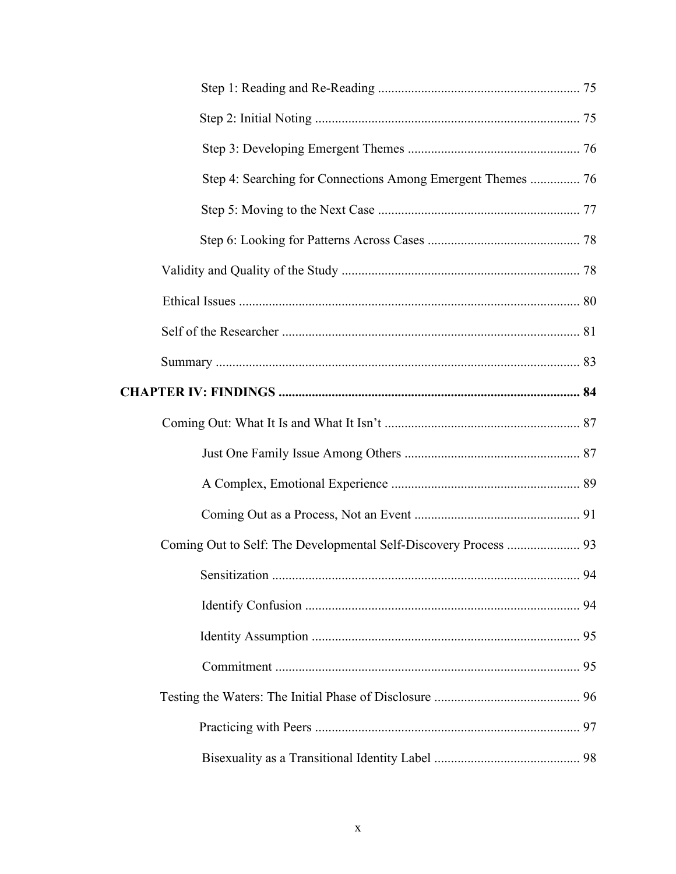| Step 4: Searching for Connections Among Emergent Themes  76 |  |
|-------------------------------------------------------------|--|
|                                                             |  |
|                                                             |  |
|                                                             |  |
|                                                             |  |
|                                                             |  |
|                                                             |  |
|                                                             |  |
|                                                             |  |
|                                                             |  |
|                                                             |  |
|                                                             |  |
|                                                             |  |
|                                                             |  |
|                                                             |  |
|                                                             |  |
|                                                             |  |
|                                                             |  |
|                                                             |  |
|                                                             |  |
|                                                             |  |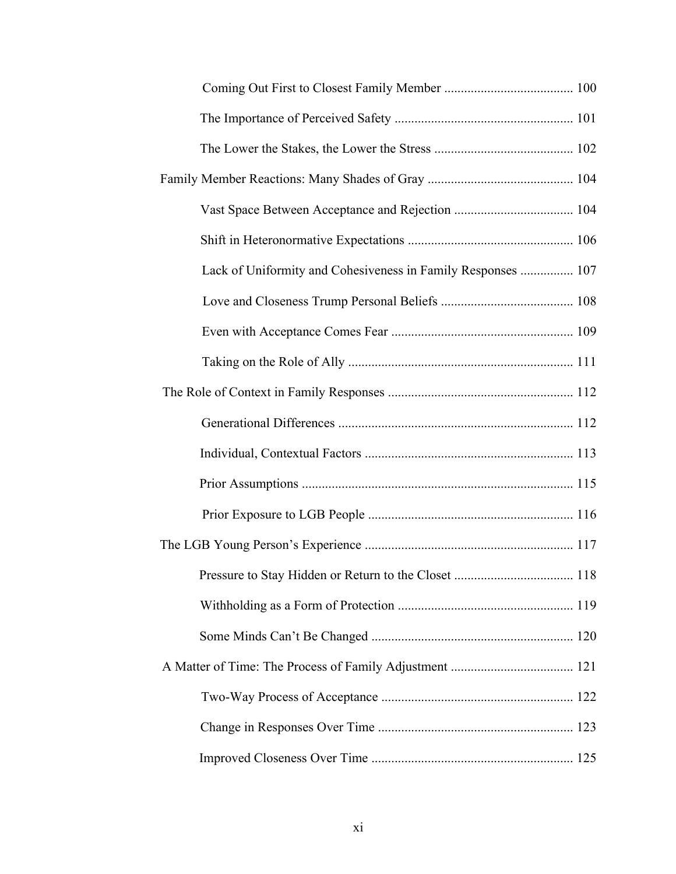| Lack of Uniformity and Cohesiveness in Family Responses  107 |
|--------------------------------------------------------------|
|                                                              |
|                                                              |
|                                                              |
|                                                              |
|                                                              |
|                                                              |
|                                                              |
|                                                              |
|                                                              |
|                                                              |
|                                                              |
|                                                              |
|                                                              |
|                                                              |
|                                                              |
|                                                              |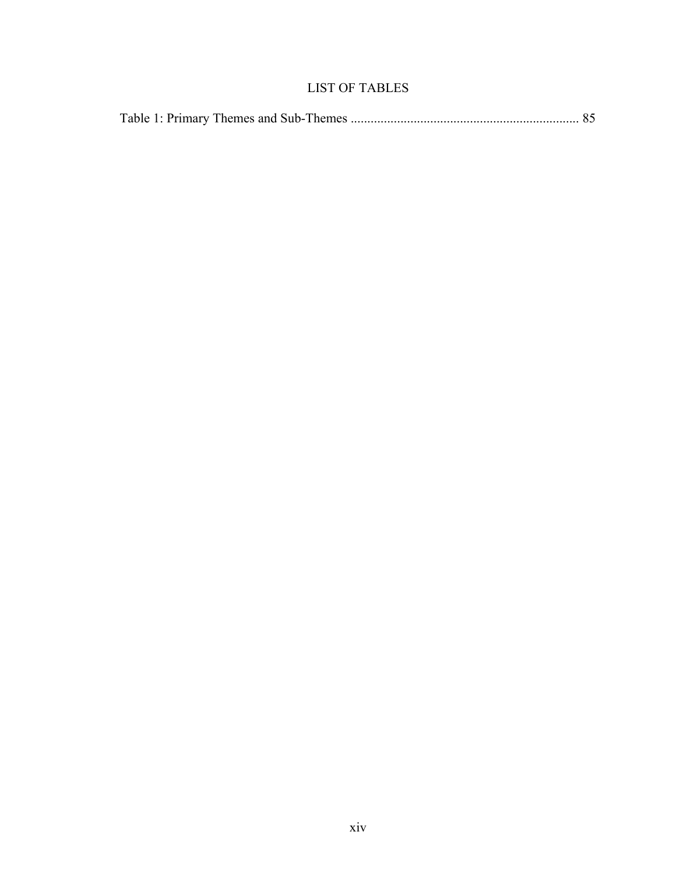# LIST OF TABLES

|--|--|--|--|--|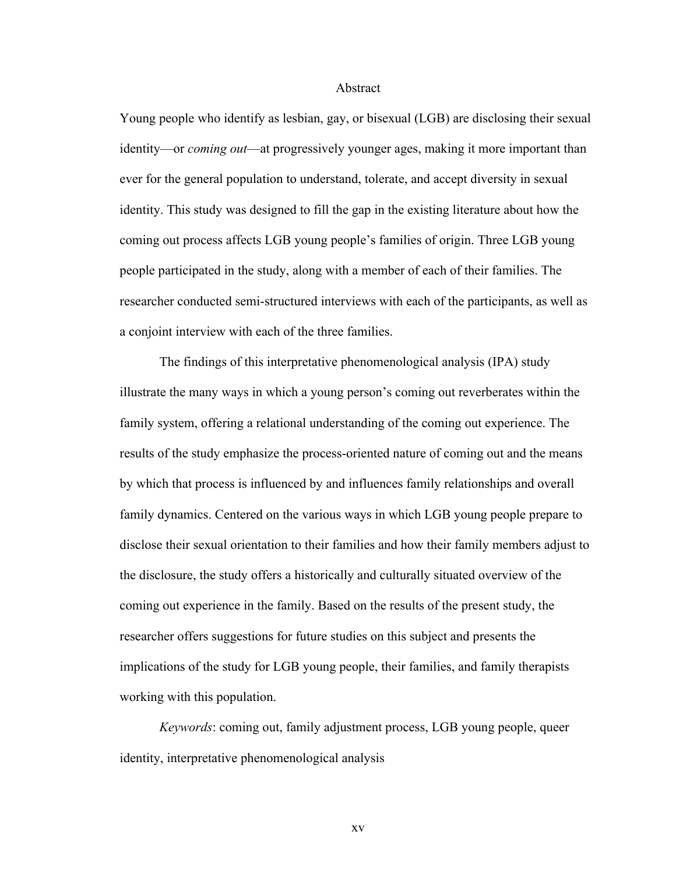#### Abstract

Young people who identify as lesbian, gay, or bisexual (LGB) are disclosing their sexual identity—or *coming out*—at progressively younger ages, making it more important than ever for the general population to understand, tolerate, and accept diversity in sexual identity. This study was designed to fill the gap in the existing literature about how the coming out process affects LGB young people's families of origin. Three LGB young people participated in the study, along with a member of each of their families. The researcher conducted semi-structured interviews with each of the participants, as well as a conjoint interview with each of the three families.

The findings of this interpretative phenomenological analysis (IPA) study illustrate the many ways in which a young person's coming out reverberates within the family system, offering a relational understanding of the coming out experience. The results of the study emphasize the process-oriented nature of coming out and the means by which that process is influenced by and influences family relationships and overall family dynamics. Centered on the various ways in which LGB young people prepare to disclose their sexual orientation to their families and how their family members adjust to the disclosure, the study offers a historically and culturally situated overview of the coming out experience in the family. Based on the results of the present study, the researcher offers suggestions for future studies on this subject and presents the implications of the study for LGB young people, their families, and family therapists working with this population.

*Keywords*: coming out, family adjustment process, LGB young people, queer identity, interpretative phenomenological analysis

xv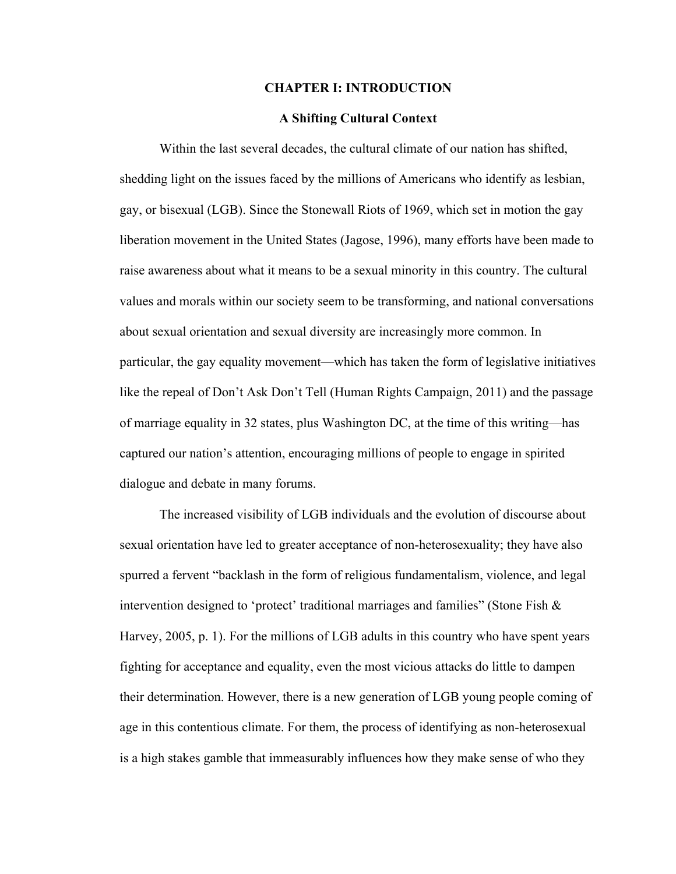## **CHAPTER I: INTRODUCTION**

# **A Shifting Cultural Context**

Within the last several decades, the cultural climate of our nation has shifted, shedding light on the issues faced by the millions of Americans who identify as lesbian, gay, or bisexual (LGB). Since the Stonewall Riots of 1969, which set in motion the gay liberation movement in the United States (Jagose, 1996), many efforts have been made to raise awareness about what it means to be a sexual minority in this country. The cultural values and morals within our society seem to be transforming, and national conversations about sexual orientation and sexual diversity are increasingly more common. In particular, the gay equality movement—which has taken the form of legislative initiatives like the repeal of Don't Ask Don't Tell (Human Rights Campaign, 2011) and the passage of marriage equality in 32 states, plus Washington DC, at the time of this writing—has captured our nation's attention, encouraging millions of people to engage in spirited dialogue and debate in many forums.

The increased visibility of LGB individuals and the evolution of discourse about sexual orientation have led to greater acceptance of non-heterosexuality; they have also spurred a fervent "backlash in the form of religious fundamentalism, violence, and legal intervention designed to 'protect' traditional marriages and families" (Stone Fish  $\&$ Harvey, 2005, p. 1). For the millions of LGB adults in this country who have spent years fighting for acceptance and equality, even the most vicious attacks do little to dampen their determination. However, there is a new generation of LGB young people coming of age in this contentious climate. For them, the process of identifying as non-heterosexual is a high stakes gamble that immeasurably influences how they make sense of who they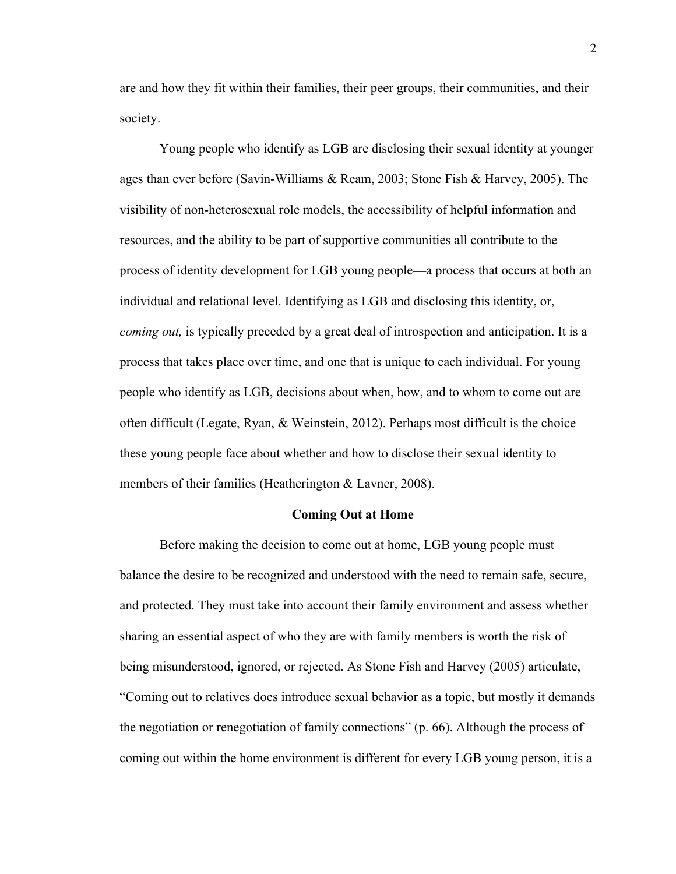are and how they fit within their families, their peer groups, their communities, and their society.

Young people who identify as LGB are disclosing their sexual identity at younger ages than ever before (Savin-Williams & Ream, 2003; Stone Fish & Harvey, 2005). The visibility of non-heterosexual role models, the accessibility of helpful information and resources, and the ability to be part of supportive communities all contribute to the process of identity development for LGB young people—a process that occurs at both an individual and relational level. Identifying as LGB and disclosing this identity, or, *coming out,* is typically preceded by a great deal of introspection and anticipation. It is a process that takes place over time, and one that is unique to each individual. For young people who identify as LGB, decisions about when, how, and to whom to come out are often difficult (Legate, Ryan, & Weinstein, 2012). Perhaps most difficult is the choice these young people face about whether and how to disclose their sexual identity to members of their families (Heatherington & Lavner, 2008).

#### **Coming Out at Home**

Before making the decision to come out at home, LGB young people must balance the desire to be recognized and understood with the need to remain safe, secure, and protected. They must take into account their family environment and assess whether sharing an essential aspect of who they are with family members is worth the risk of being misunderstood, ignored, or rejected. As Stone Fish and Harvey (2005) articulate, "Coming out to relatives does introduce sexual behavior as a topic, but mostly it demands the negotiation or renegotiation of family connections" (p. 66). Although the process of coming out within the home environment is different for every LGB young person, it is a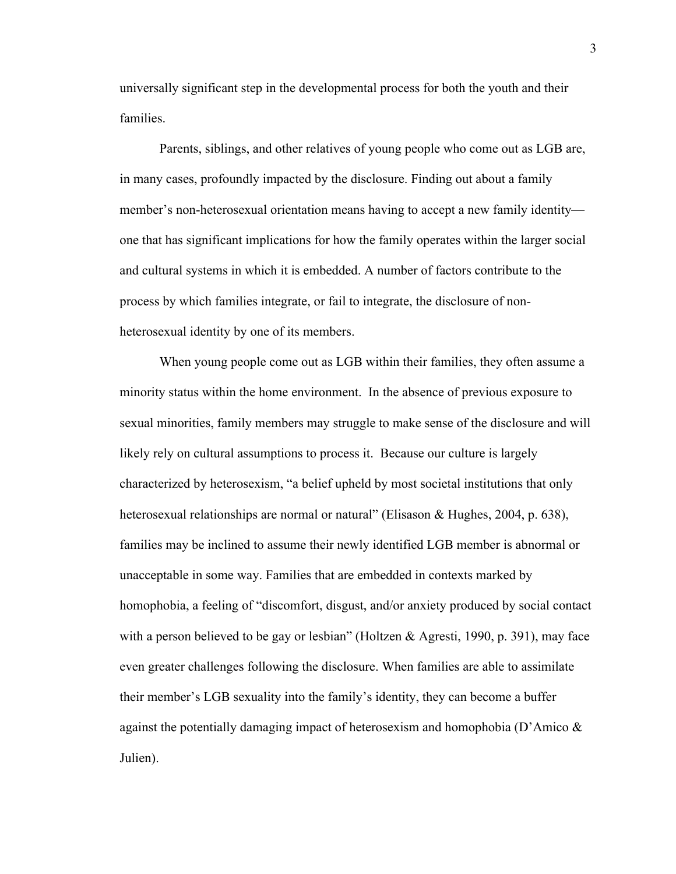universally significant step in the developmental process for both the youth and their families.

Parents, siblings, and other relatives of young people who come out as LGB are, in many cases, profoundly impacted by the disclosure. Finding out about a family member's non-heterosexual orientation means having to accept a new family identity one that has significant implications for how the family operates within the larger social and cultural systems in which it is embedded. A number of factors contribute to the process by which families integrate, or fail to integrate, the disclosure of nonheterosexual identity by one of its members.

When young people come out as LGB within their families, they often assume a minority status within the home environment. In the absence of previous exposure to sexual minorities, family members may struggle to make sense of the disclosure and will likely rely on cultural assumptions to process it. Because our culture is largely characterized by heterosexism, "a belief upheld by most societal institutions that only heterosexual relationships are normal or natural" (Elisason & Hughes, 2004, p. 638), families may be inclined to assume their newly identified LGB member is abnormal or unacceptable in some way. Families that are embedded in contexts marked by homophobia, a feeling of "discomfort, disgust, and/or anxiety produced by social contact with a person believed to be gay or lesbian" (Holtzen & Agresti, 1990, p. 391), may face even greater challenges following the disclosure. When families are able to assimilate their member's LGB sexuality into the family's identity, they can become a buffer against the potentially damaging impact of heterosexism and homophobia (D'Amico & Julien).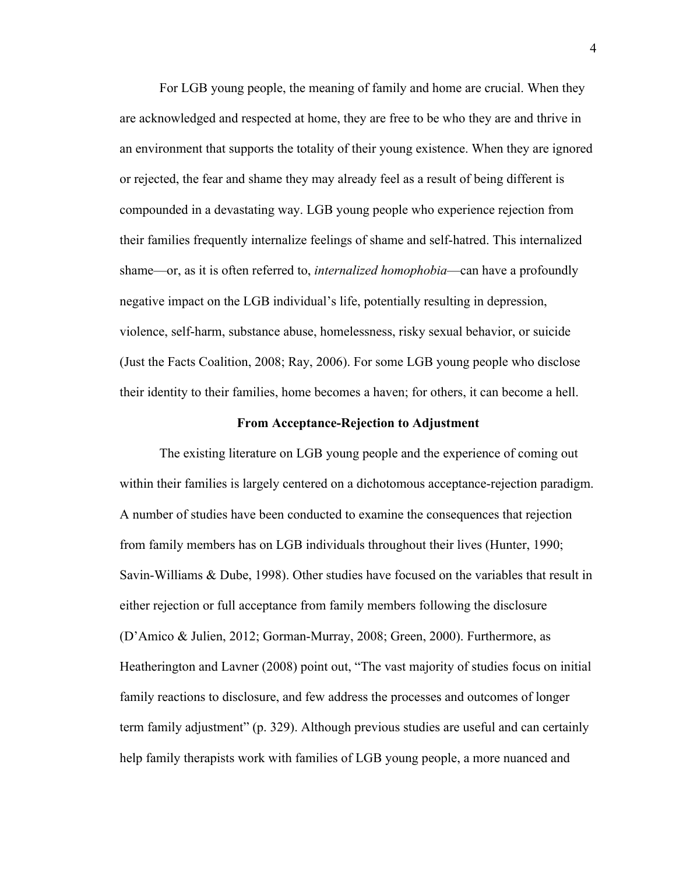For LGB young people, the meaning of family and home are crucial. When they are acknowledged and respected at home, they are free to be who they are and thrive in an environment that supports the totality of their young existence. When they are ignored or rejected, the fear and shame they may already feel as a result of being different is compounded in a devastating way. LGB young people who experience rejection from their families frequently internalize feelings of shame and self-hatred. This internalized shame—or, as it is often referred to, *internalized homophobia*—can have a profoundly negative impact on the LGB individual's life, potentially resulting in depression, violence, self-harm, substance abuse, homelessness, risky sexual behavior, or suicide (Just the Facts Coalition, 2008; Ray, 2006). For some LGB young people who disclose their identity to their families, home becomes a haven; for others, it can become a hell.

#### **From Acceptance-Rejection to Adjustment**

The existing literature on LGB young people and the experience of coming out within their families is largely centered on a dichotomous acceptance-rejection paradigm. A number of studies have been conducted to examine the consequences that rejection from family members has on LGB individuals throughout their lives (Hunter, 1990; Savin-Williams & Dube, 1998). Other studies have focused on the variables that result in either rejection or full acceptance from family members following the disclosure (D'Amico & Julien, 2012; Gorman-Murray, 2008; Green, 2000). Furthermore, as Heatherington and Lavner (2008) point out, "The vast majority of studies focus on initial family reactions to disclosure, and few address the processes and outcomes of longer term family adjustment" (p. 329). Although previous studies are useful and can certainly help family therapists work with families of LGB young people, a more nuanced and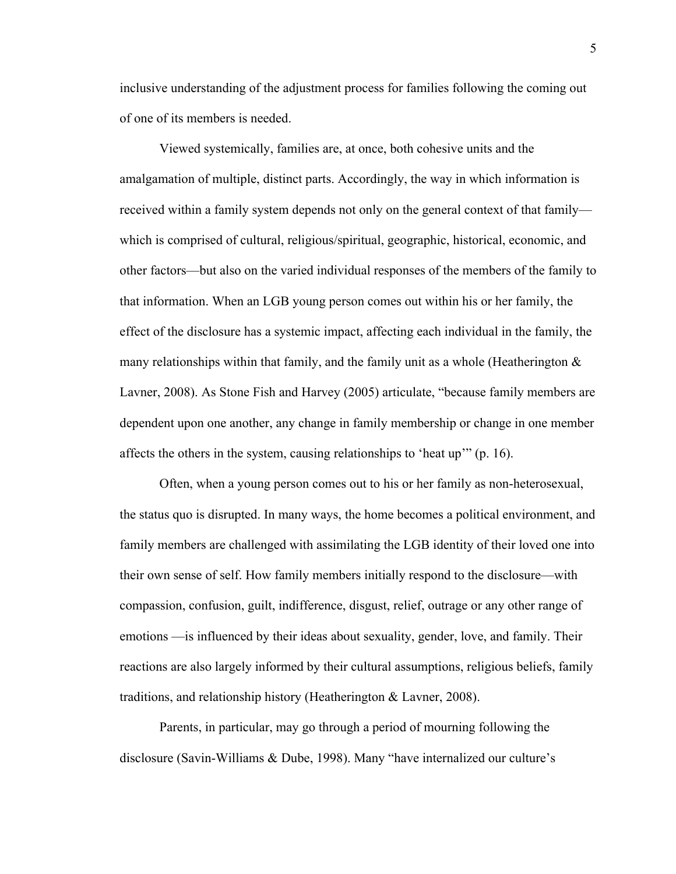inclusive understanding of the adjustment process for families following the coming out of one of its members is needed.

Viewed systemically, families are, at once, both cohesive units and the amalgamation of multiple, distinct parts. Accordingly, the way in which information is received within a family system depends not only on the general context of that family which is comprised of cultural, religious/spiritual, geographic, historical, economic, and other factors—but also on the varied individual responses of the members of the family to that information. When an LGB young person comes out within his or her family, the effect of the disclosure has a systemic impact, affecting each individual in the family, the many relationships within that family, and the family unit as a whole (Heatherington  $\&$ Lavner, 2008). As Stone Fish and Harvey (2005) articulate, "because family members are dependent upon one another, any change in family membership or change in one member affects the others in the system, causing relationships to 'heat up'" (p. 16).

Often, when a young person comes out to his or her family as non-heterosexual, the status quo is disrupted. In many ways, the home becomes a political environment, and family members are challenged with assimilating the LGB identity of their loved one into their own sense of self. How family members initially respond to the disclosure—with compassion, confusion, guilt, indifference, disgust, relief, outrage or any other range of emotions —is influenced by their ideas about sexuality, gender, love, and family. Their reactions are also largely informed by their cultural assumptions, religious beliefs, family traditions, and relationship history (Heatherington & Lavner, 2008).

Parents, in particular, may go through a period of mourning following the disclosure (Savin-Williams & Dube, 1998). Many "have internalized our culture's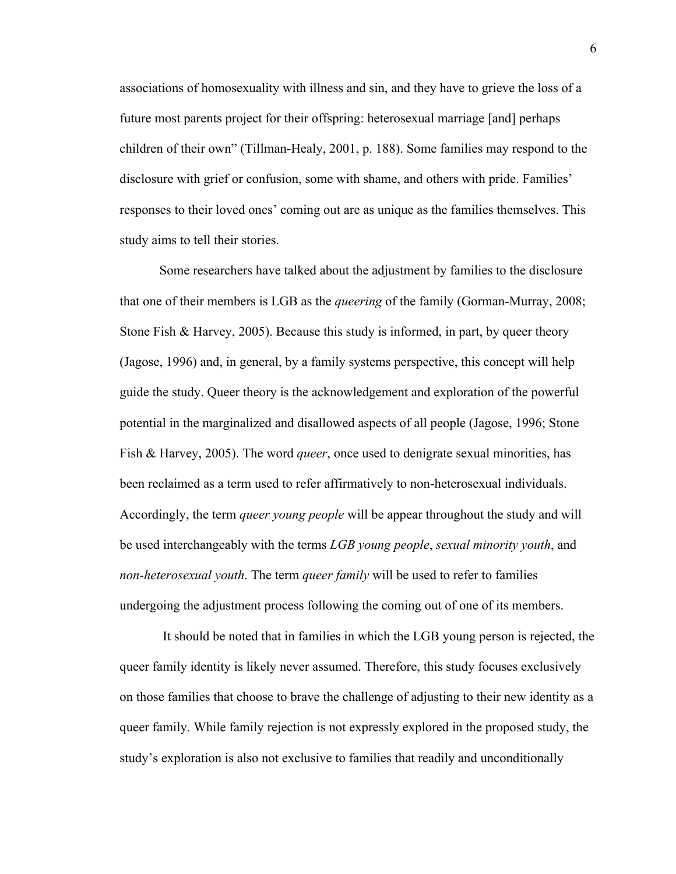associations of homosexuality with illness and sin, and they have to grieve the loss of a future most parents project for their offspring: heterosexual marriage [and] perhaps children of their own" (Tillman-Healy, 2001, p. 188). Some families may respond to the disclosure with grief or confusion, some with shame, and others with pride. Families' responses to their loved ones' coming out are as unique as the families themselves. This study aims to tell their stories.

Some researchers have talked about the adjustment by families to the disclosure that one of their members is LGB as the *queering* of the family (Gorman-Murray, 2008; Stone Fish  $\&$  Harvey, 2005). Because this study is informed, in part, by queer theory (Jagose, 1996) and, in general, by a family systems perspective, this concept will help guide the study. Queer theory is the acknowledgement and exploration of the powerful potential in the marginalized and disallowed aspects of all people (Jagose, 1996; Stone Fish & Harvey, 2005). The word *queer*, once used to denigrate sexual minorities, has been reclaimed as a term used to refer affirmatively to non-heterosexual individuals. Accordingly, the term *queer young people* will be appear throughout the study and will be used interchangeably with the terms *LGB young people*, *sexual minority youth*, and *non-heterosexual youth*. The term *queer family* will be used to refer to families undergoing the adjustment process following the coming out of one of its members.

It should be noted that in families in which the LGB young person is rejected, the queer family identity is likely never assumed. Therefore, this study focuses exclusively on those families that choose to brave the challenge of adjusting to their new identity as a queer family. While family rejection is not expressly explored in the proposed study, the study's exploration is also not exclusive to families that readily and unconditionally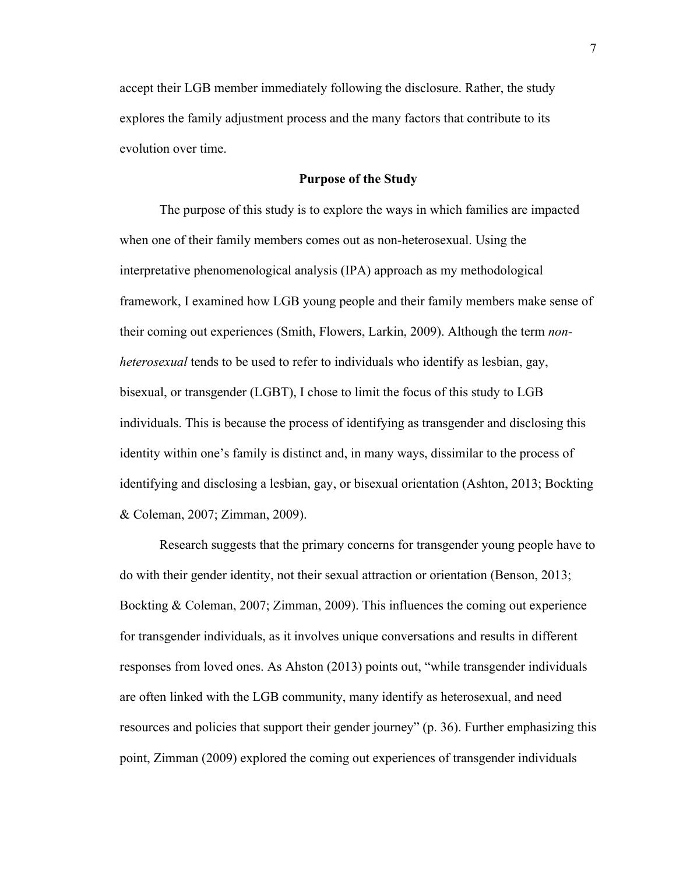accept their LGB member immediately following the disclosure. Rather, the study explores the family adjustment process and the many factors that contribute to its evolution over time.

## **Purpose of the Study**

The purpose of this study is to explore the ways in which families are impacted when one of their family members comes out as non-heterosexual. Using the interpretative phenomenological analysis (IPA) approach as my methodological framework, I examined how LGB young people and their family members make sense of their coming out experiences (Smith, Flowers, Larkin, 2009). Although the term *nonheterosexual* tends to be used to refer to individuals who identify as lesbian, gay, bisexual, or transgender (LGBT), I chose to limit the focus of this study to LGB individuals. This is because the process of identifying as transgender and disclosing this identity within one's family is distinct and, in many ways, dissimilar to the process of identifying and disclosing a lesbian, gay, or bisexual orientation (Ashton, 2013; Bockting & Coleman, 2007; Zimman, 2009).

Research suggests that the primary concerns for transgender young people have to do with their gender identity, not their sexual attraction or orientation (Benson, 2013; Bockting & Coleman, 2007; Zimman, 2009). This influences the coming out experience for transgender individuals, as it involves unique conversations and results in different responses from loved ones. As Ahston (2013) points out, "while transgender individuals are often linked with the LGB community, many identify as heterosexual, and need resources and policies that support their gender journey" (p. 36). Further emphasizing this point, Zimman (2009) explored the coming out experiences of transgender individuals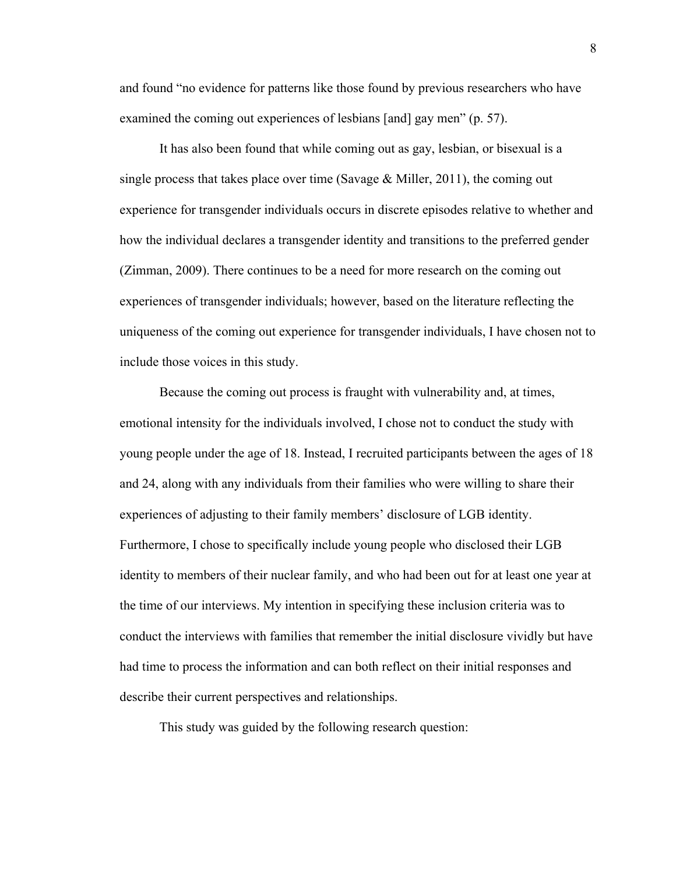and found "no evidence for patterns like those found by previous researchers who have examined the coming out experiences of lesbians [and] gay men" (p. 57).

It has also been found that while coming out as gay, lesbian, or bisexual is a single process that takes place over time (Savage  $\&$  Miller, 2011), the coming out experience for transgender individuals occurs in discrete episodes relative to whether and how the individual declares a transgender identity and transitions to the preferred gender (Zimman, 2009). There continues to be a need for more research on the coming out experiences of transgender individuals; however, based on the literature reflecting the uniqueness of the coming out experience for transgender individuals, I have chosen not to include those voices in this study.

Because the coming out process is fraught with vulnerability and, at times, emotional intensity for the individuals involved, I chose not to conduct the study with young people under the age of 18. Instead, I recruited participants between the ages of 18 and 24, along with any individuals from their families who were willing to share their experiences of adjusting to their family members' disclosure of LGB identity. Furthermore, I chose to specifically include young people who disclosed their LGB identity to members of their nuclear family, and who had been out for at least one year at the time of our interviews. My intention in specifying these inclusion criteria was to conduct the interviews with families that remember the initial disclosure vividly but have had time to process the information and can both reflect on their initial responses and describe their current perspectives and relationships.

This study was guided by the following research question: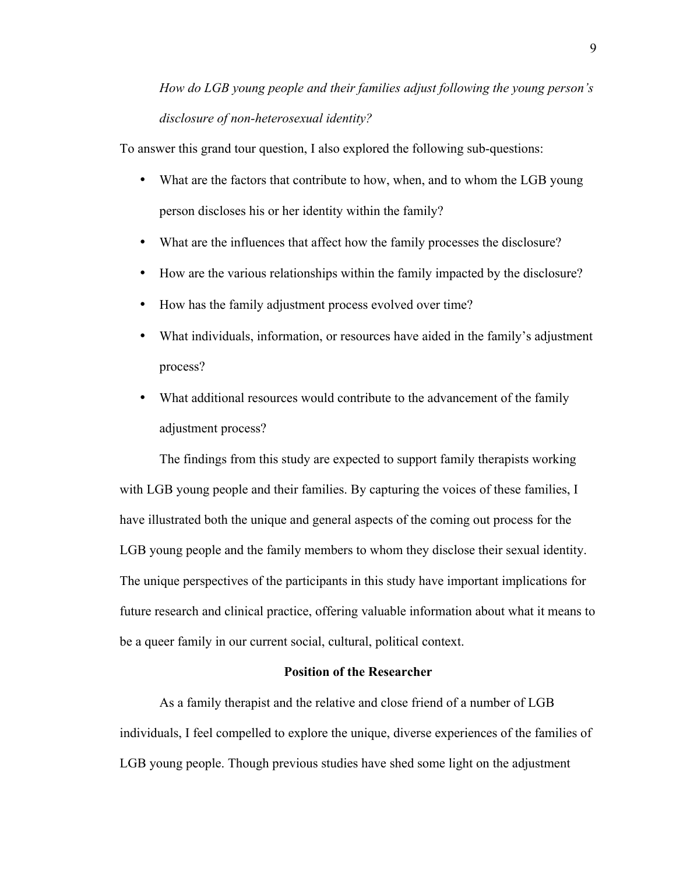*How do LGB young people and their families adjust following the young person's disclosure of non-heterosexual identity?* 

To answer this grand tour question, I also explored the following sub-questions:

- What are the factors that contribute to how, when, and to whom the LGB young person discloses his or her identity within the family?
- What are the influences that affect how the family processes the disclosure?
- How are the various relationships within the family impacted by the disclosure?
- How has the family adjustment process evolved over time?
- What individuals, information, or resources have aided in the family's adjustment process?
- What additional resources would contribute to the advancement of the family adjustment process?

The findings from this study are expected to support family therapists working with LGB young people and their families. By capturing the voices of these families, I have illustrated both the unique and general aspects of the coming out process for the LGB young people and the family members to whom they disclose their sexual identity. The unique perspectives of the participants in this study have important implications for future research and clinical practice, offering valuable information about what it means to be a queer family in our current social, cultural, political context.

# **Position of the Researcher**

As a family therapist and the relative and close friend of a number of LGB individuals, I feel compelled to explore the unique, diverse experiences of the families of LGB young people. Though previous studies have shed some light on the adjustment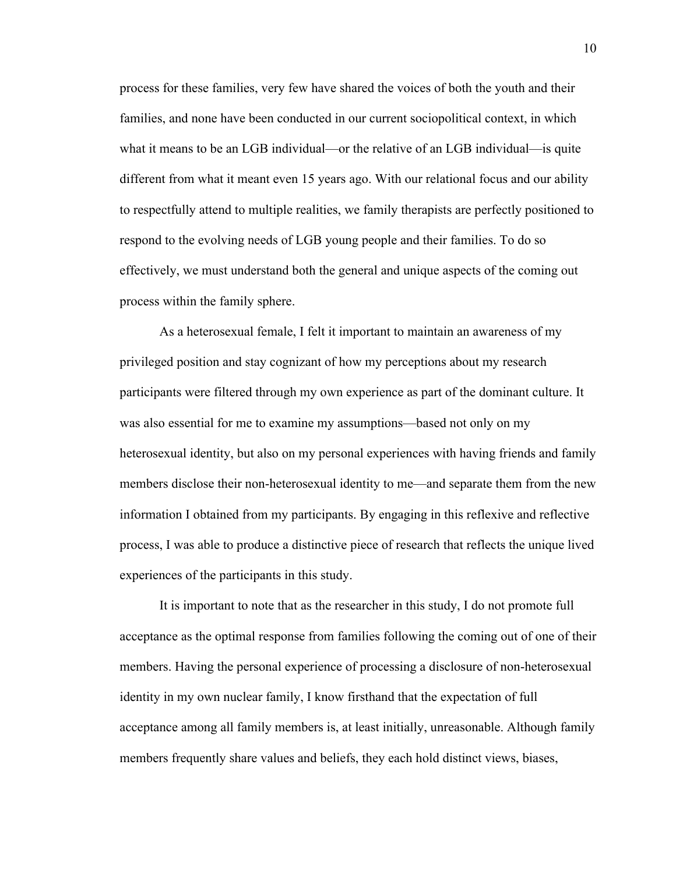process for these families, very few have shared the voices of both the youth and their families, and none have been conducted in our current sociopolitical context, in which what it means to be an LGB individual—or the relative of an LGB individual—is quite different from what it meant even 15 years ago. With our relational focus and our ability to respectfully attend to multiple realities, we family therapists are perfectly positioned to respond to the evolving needs of LGB young people and their families. To do so effectively, we must understand both the general and unique aspects of the coming out process within the family sphere.

As a heterosexual female, I felt it important to maintain an awareness of my privileged position and stay cognizant of how my perceptions about my research participants were filtered through my own experience as part of the dominant culture. It was also essential for me to examine my assumptions—based not only on my heterosexual identity, but also on my personal experiences with having friends and family members disclose their non-heterosexual identity to me—and separate them from the new information I obtained from my participants. By engaging in this reflexive and reflective process, I was able to produce a distinctive piece of research that reflects the unique lived experiences of the participants in this study.

It is important to note that as the researcher in this study, I do not promote full acceptance as the optimal response from families following the coming out of one of their members. Having the personal experience of processing a disclosure of non-heterosexual identity in my own nuclear family, I know firsthand that the expectation of full acceptance among all family members is, at least initially, unreasonable. Although family members frequently share values and beliefs, they each hold distinct views, biases,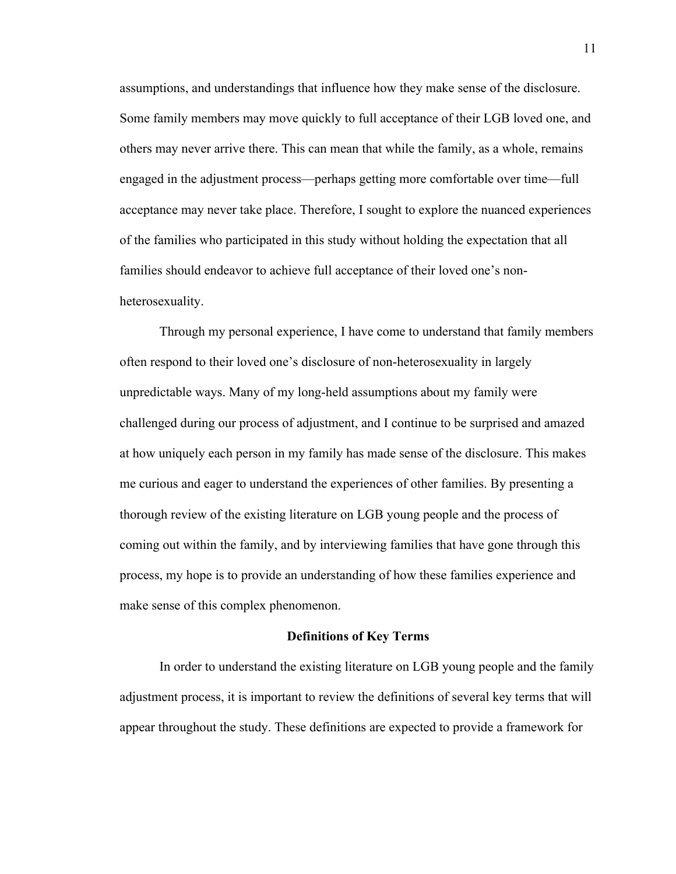assumptions, and understandings that influence how they make sense of the disclosure. Some family members may move quickly to full acceptance of their LGB loved one, and others may never arrive there. This can mean that while the family, as a whole, remains engaged in the adjustment process—perhaps getting more comfortable over time—full acceptance may never take place. Therefore, I sought to explore the nuanced experiences of the families who participated in this study without holding the expectation that all families should endeavor to achieve full acceptance of their loved one's nonheterosexuality.

Through my personal experience, I have come to understand that family members often respond to their loved one's disclosure of non-heterosexuality in largely unpredictable ways. Many of my long-held assumptions about my family were challenged during our process of adjustment, and I continue to be surprised and amazed at how uniquely each person in my family has made sense of the disclosure. This makes me curious and eager to understand the experiences of other families. By presenting a thorough review of the existing literature on LGB young people and the process of coming out within the family, and by interviewing families that have gone through this process, my hope is to provide an understanding of how these families experience and make sense of this complex phenomenon.

## **Definitions of Key Terms**

In order to understand the existing literature on LGB young people and the family adjustment process, it is important to review the definitions of several key terms that will appear throughout the study. These definitions are expected to provide a framework for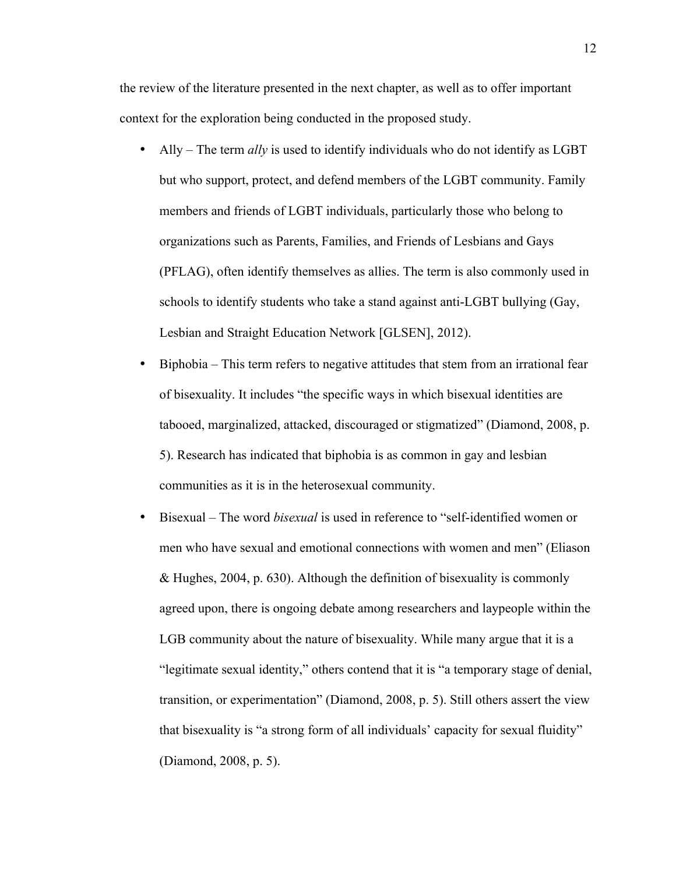the review of the literature presented in the next chapter, as well as to offer important context for the exploration being conducted in the proposed study.

- Ally The term *ally* is used to identify individuals who do not identify as LGBT but who support, protect, and defend members of the LGBT community. Family members and friends of LGBT individuals, particularly those who belong to organizations such as Parents, Families, and Friends of Lesbians and Gays (PFLAG), often identify themselves as allies. The term is also commonly used in schools to identify students who take a stand against anti-LGBT bullying (Gay, Lesbian and Straight Education Network [GLSEN], 2012).
- Biphobia This term refers to negative attitudes that stem from an irrational fear of bisexuality. It includes "the specific ways in which bisexual identities are tabooed, marginalized, attacked, discouraged or stigmatized" (Diamond, 2008, p. 5). Research has indicated that biphobia is as common in gay and lesbian communities as it is in the heterosexual community.
- Bisexual The word *bisexual* is used in reference to "self-identified women or men who have sexual and emotional connections with women and men" (Eliason & Hughes, 2004, p. 630). Although the definition of bisexuality is commonly agreed upon, there is ongoing debate among researchers and laypeople within the LGB community about the nature of bisexuality. While many argue that it is a "legitimate sexual identity," others contend that it is "a temporary stage of denial, transition, or experimentation" (Diamond, 2008, p. 5). Still others assert the view that bisexuality is "a strong form of all individuals' capacity for sexual fluidity" (Diamond, 2008, p. 5).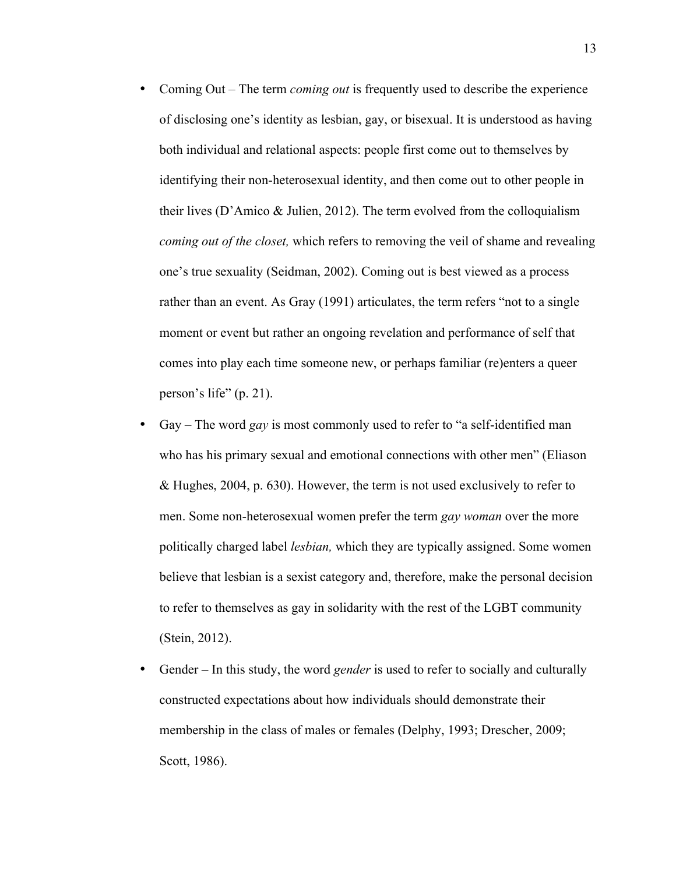- Coming Out The term *coming out* is frequently used to describe the experience of disclosing one's identity as lesbian, gay, or bisexual. It is understood as having both individual and relational aspects: people first come out to themselves by identifying their non-heterosexual identity, and then come out to other people in their lives (D'Amico & Julien, 2012). The term evolved from the colloquialism *coming out of the closet,* which refers to removing the veil of shame and revealing one's true sexuality (Seidman, 2002). Coming out is best viewed as a process rather than an event. As Gray (1991) articulates, the term refers "not to a single moment or event but rather an ongoing revelation and performance of self that comes into play each time someone new, or perhaps familiar (re)enters a queer person's life" (p. 21).
- Gay The word *gay* is most commonly used to refer to "a self-identified man who has his primary sexual and emotional connections with other men" (Eliason & Hughes, 2004, p. 630). However, the term is not used exclusively to refer to men. Some non-heterosexual women prefer the term *gay woman* over the more politically charged label *lesbian,* which they are typically assigned. Some women believe that lesbian is a sexist category and, therefore, make the personal decision to refer to themselves as gay in solidarity with the rest of the LGBT community (Stein, 2012).
- Gender In this study, the word *gender* is used to refer to socially and culturally constructed expectations about how individuals should demonstrate their membership in the class of males or females (Delphy, 1993; Drescher, 2009; Scott, 1986).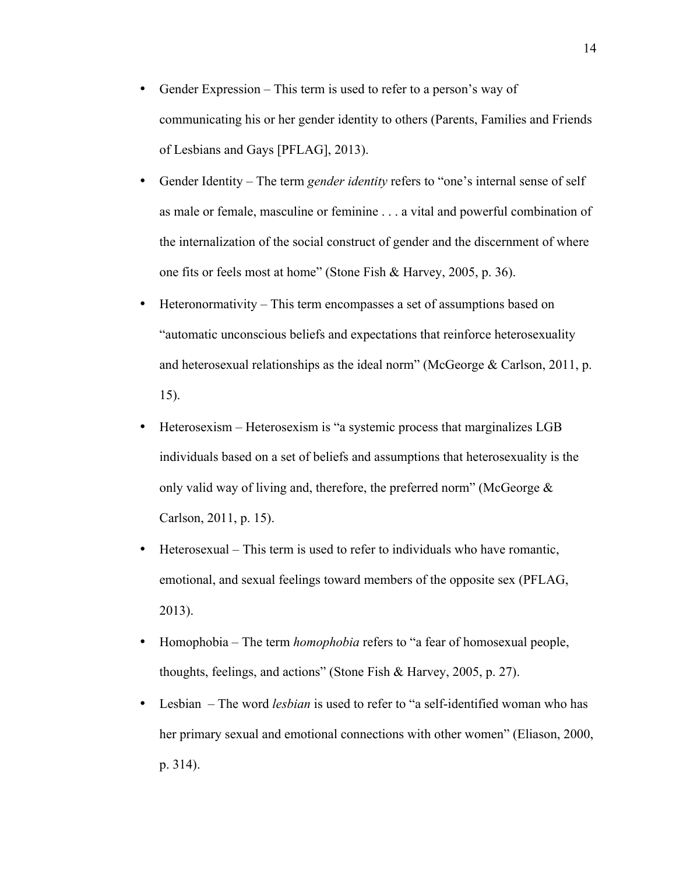- Gender Expression This term is used to refer to a person's way of communicating his or her gender identity to others (Parents, Families and Friends of Lesbians and Gays [PFLAG], 2013).
- Gender Identity The term *gender identity* refers to "one's internal sense of self as male or female, masculine or feminine . . . a vital and powerful combination of the internalization of the social construct of gender and the discernment of where one fits or feels most at home" (Stone Fish & Harvey, 2005, p. 36).
- Heteronormativity This term encompasses a set of assumptions based on "automatic unconscious beliefs and expectations that reinforce heterosexuality and heterosexual relationships as the ideal norm" (McGeorge & Carlson, 2011, p. 15).
- Heterosexism Heterosexism is "a systemic process that marginalizes LGB individuals based on a set of beliefs and assumptions that heterosexuality is the only valid way of living and, therefore, the preferred norm" (McGeorge  $\&$ Carlson, 2011, p. 15).
- Heterosexual This term is used to refer to individuals who have romantic, emotional, and sexual feelings toward members of the opposite sex (PFLAG, 2013).
- Homophobia The term *homophobia* refers to "a fear of homosexual people, thoughts, feelings, and actions" (Stone Fish & Harvey, 2005, p. 27).
- Lesbian The word *lesbian* is used to refer to "a self-identified woman who has her primary sexual and emotional connections with other women" (Eliason, 2000, p. 314).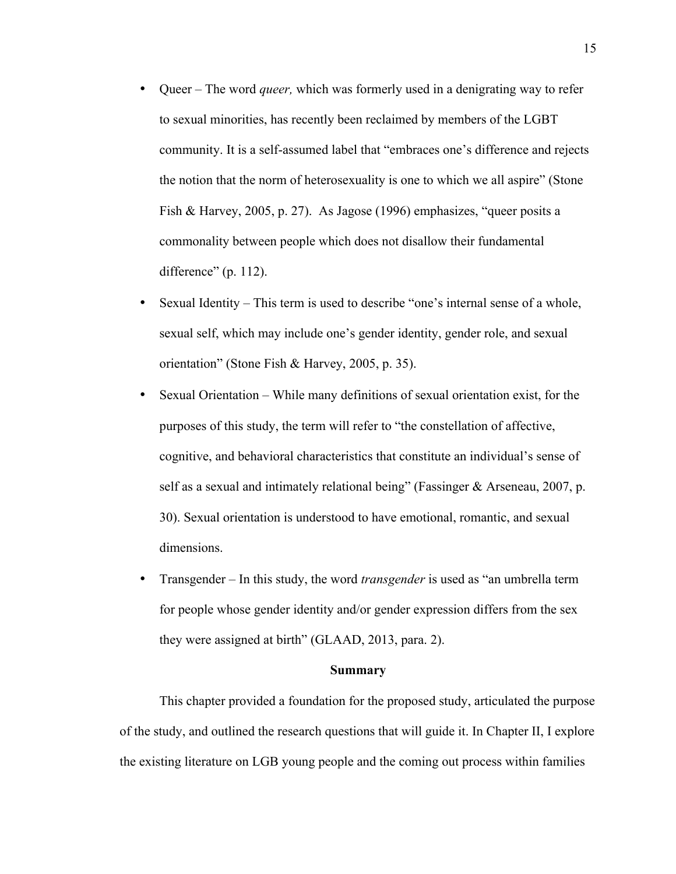- Queer The word *queer,* which was formerly used in a denigrating way to refer to sexual minorities, has recently been reclaimed by members of the LGBT community. It is a self-assumed label that "embraces one's difference and rejects the notion that the norm of heterosexuality is one to which we all aspire" (Stone Fish & Harvey, 2005, p. 27). As Jagose (1996) emphasizes, "queer posits a commonality between people which does not disallow their fundamental difference" (p. 112).
- Sexual Identity This term is used to describe "one's internal sense of a whole, sexual self, which may include one's gender identity, gender role, and sexual orientation" (Stone Fish & Harvey, 2005, p. 35).
- Sexual Orientation While many definitions of sexual orientation exist, for the purposes of this study, the term will refer to "the constellation of affective, cognitive, and behavioral characteristics that constitute an individual's sense of self as a sexual and intimately relational being" (Fassinger & Arseneau, 2007, p. 30). Sexual orientation is understood to have emotional, romantic, and sexual dimensions.
- Transgender In this study, the word *transgender* is used as "an umbrella term for people whose gender identity and/or gender expression differs from the sex they were assigned at birth" (GLAAD, 2013, para. 2).

#### **Summary**

This chapter provided a foundation for the proposed study, articulated the purpose of the study, and outlined the research questions that will guide it. In Chapter II, I explore the existing literature on LGB young people and the coming out process within families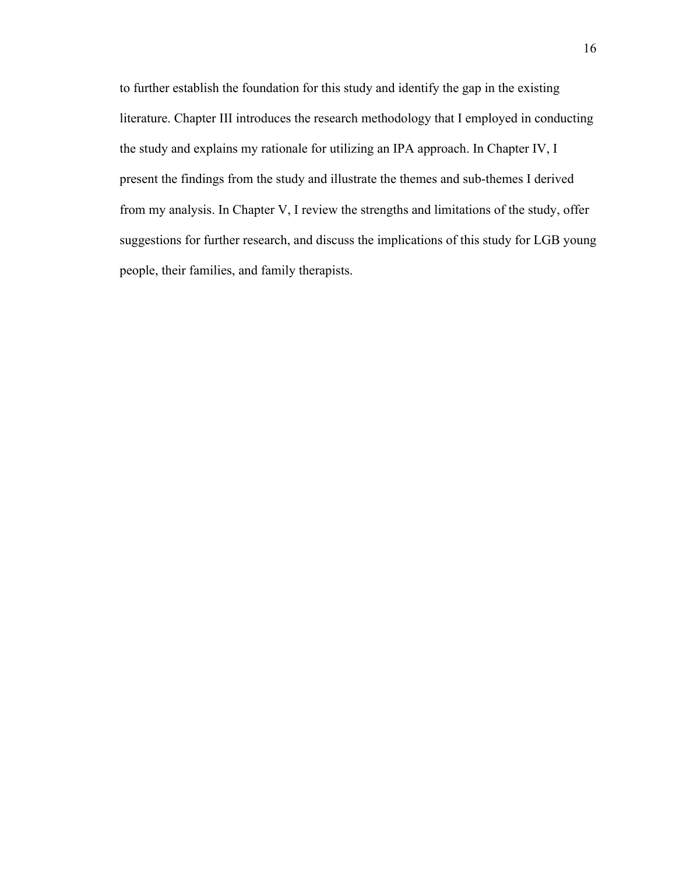to further establish the foundation for this study and identify the gap in the existing literature. Chapter III introduces the research methodology that I employed in conducting the study and explains my rationale for utilizing an IPA approach. In Chapter IV, I present the findings from the study and illustrate the themes and sub-themes I derived from my analysis. In Chapter V, I review the strengths and limitations of the study, offer suggestions for further research, and discuss the implications of this study for LGB young people, their families, and family therapists.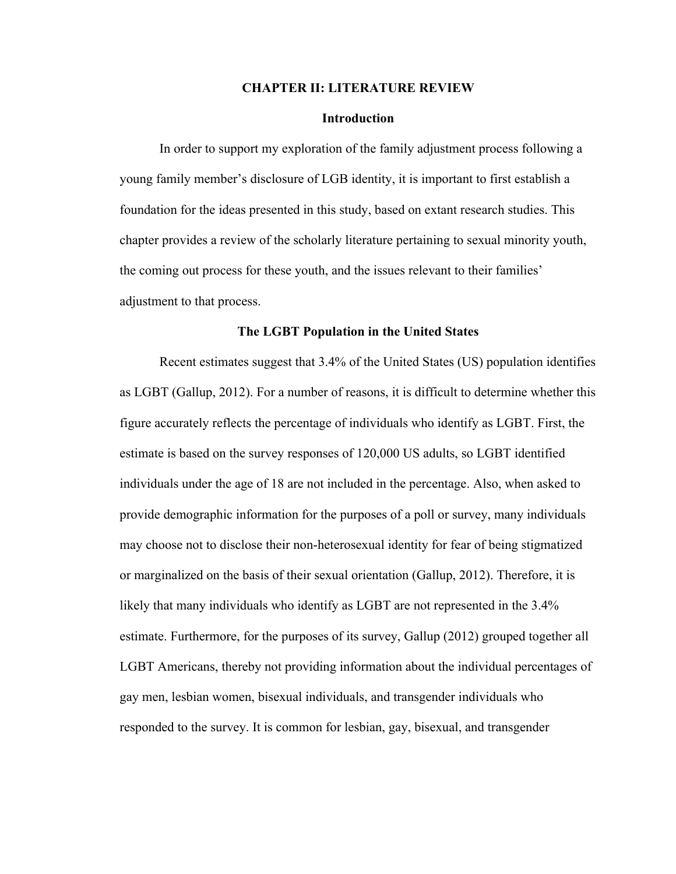#### **CHAPTER II: LITERATURE REVIEW**

## **Introduction**

In order to support my exploration of the family adjustment process following a young family member's disclosure of LGB identity, it is important to first establish a foundation for the ideas presented in this study, based on extant research studies. This chapter provides a review of the scholarly literature pertaining to sexual minority youth, the coming out process for these youth, and the issues relevant to their families' adjustment to that process.

#### **The LGBT Population in the United States**

Recent estimates suggest that 3.4% of the United States (US) population identifies as LGBT (Gallup, 2012). For a number of reasons, it is difficult to determine whether this figure accurately reflects the percentage of individuals who identify as LGBT. First, the estimate is based on the survey responses of 120,000 US adults, so LGBT identified individuals under the age of 18 are not included in the percentage. Also, when asked to provide demographic information for the purposes of a poll or survey, many individuals may choose not to disclose their non-heterosexual identity for fear of being stigmatized or marginalized on the basis of their sexual orientation (Gallup, 2012). Therefore, it is likely that many individuals who identify as LGBT are not represented in the 3.4% estimate. Furthermore, for the purposes of its survey, Gallup (2012) grouped together all LGBT Americans, thereby not providing information about the individual percentages of gay men, lesbian women, bisexual individuals, and transgender individuals who responded to the survey. It is common for lesbian, gay, bisexual, and transgender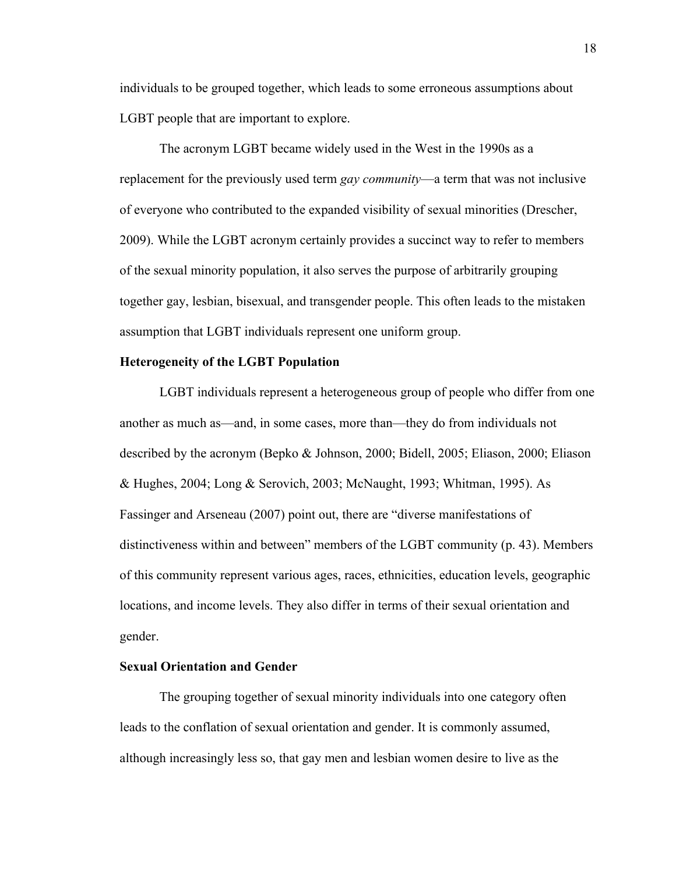individuals to be grouped together, which leads to some erroneous assumptions about LGBT people that are important to explore.

The acronym LGBT became widely used in the West in the 1990s as a replacement for the previously used term *gay community*—a term that was not inclusive of everyone who contributed to the expanded visibility of sexual minorities (Drescher, 2009). While the LGBT acronym certainly provides a succinct way to refer to members of the sexual minority population, it also serves the purpose of arbitrarily grouping together gay, lesbian, bisexual, and transgender people. This often leads to the mistaken assumption that LGBT individuals represent one uniform group.

# **Heterogeneity of the LGBT Population**

LGBT individuals represent a heterogeneous group of people who differ from one another as much as—and, in some cases, more than—they do from individuals not described by the acronym (Bepko & Johnson, 2000; Bidell, 2005; Eliason, 2000; Eliason & Hughes, 2004; Long & Serovich, 2003; McNaught, 1993; Whitman, 1995). As Fassinger and Arseneau (2007) point out, there are "diverse manifestations of distinctiveness within and between" members of the LGBT community (p. 43). Members of this community represent various ages, races, ethnicities, education levels, geographic locations, and income levels. They also differ in terms of their sexual orientation and gender.

# **Sexual Orientation and Gender**

The grouping together of sexual minority individuals into one category often leads to the conflation of sexual orientation and gender. It is commonly assumed, although increasingly less so, that gay men and lesbian women desire to live as the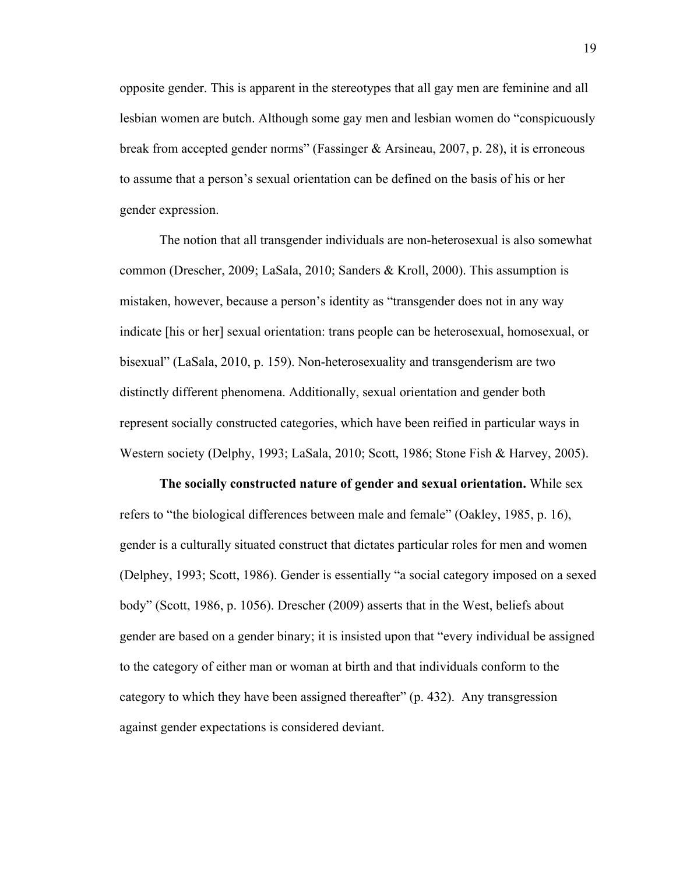opposite gender. This is apparent in the stereotypes that all gay men are feminine and all lesbian women are butch. Although some gay men and lesbian women do "conspicuously break from accepted gender norms" (Fassinger & Arsineau, 2007, p. 28), it is erroneous to assume that a person's sexual orientation can be defined on the basis of his or her gender expression.

The notion that all transgender individuals are non-heterosexual is also somewhat common (Drescher, 2009; LaSala, 2010; Sanders & Kroll, 2000). This assumption is mistaken, however, because a person's identity as "transgender does not in any way indicate [his or her] sexual orientation: trans people can be heterosexual, homosexual, or bisexual" (LaSala, 2010, p. 159). Non-heterosexuality and transgenderism are two distinctly different phenomena. Additionally, sexual orientation and gender both represent socially constructed categories, which have been reified in particular ways in Western society (Delphy, 1993; LaSala, 2010; Scott, 1986; Stone Fish & Harvey, 2005).

**The socially constructed nature of gender and sexual orientation.** While sex refers to "the biological differences between male and female" (Oakley, 1985, p. 16), gender is a culturally situated construct that dictates particular roles for men and women (Delphey, 1993; Scott, 1986). Gender is essentially "a social category imposed on a sexed body" (Scott, 1986, p. 1056). Drescher (2009) asserts that in the West, beliefs about gender are based on a gender binary; it is insisted upon that "every individual be assigned to the category of either man or woman at birth and that individuals conform to the category to which they have been assigned thereafter" (p. 432). Any transgression against gender expectations is considered deviant.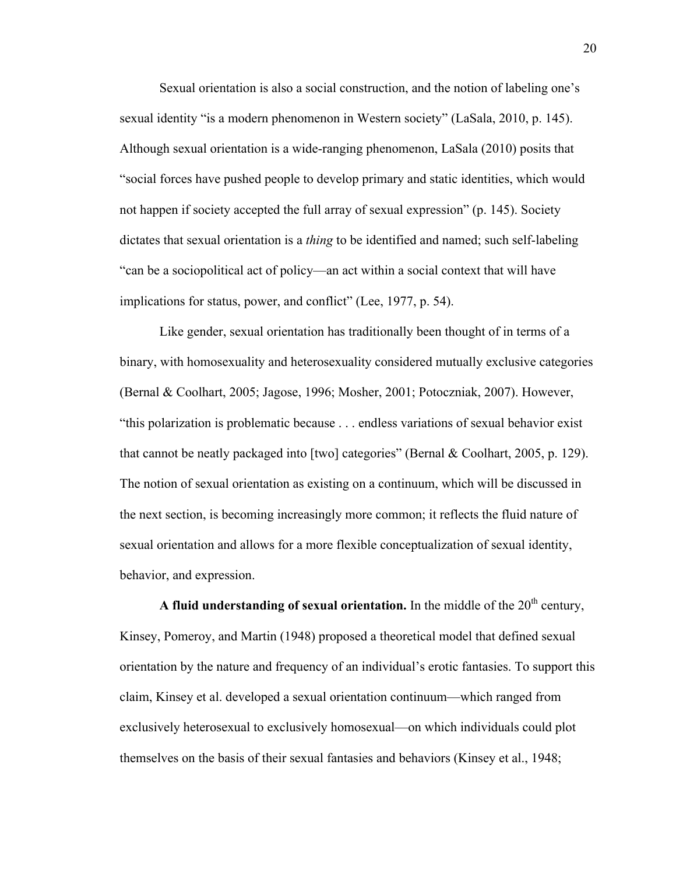Sexual orientation is also a social construction, and the notion of labeling one's sexual identity "is a modern phenomenon in Western society" (LaSala, 2010, p. 145). Although sexual orientation is a wide-ranging phenomenon, LaSala (2010) posits that "social forces have pushed people to develop primary and static identities, which would not happen if society accepted the full array of sexual expression" (p. 145). Society dictates that sexual orientation is a *thing* to be identified and named; such self-labeling "can be a sociopolitical act of policy—an act within a social context that will have implications for status, power, and conflict" (Lee, 1977, p. 54).

Like gender, sexual orientation has traditionally been thought of in terms of a binary, with homosexuality and heterosexuality considered mutually exclusive categories (Bernal & Coolhart, 2005; Jagose, 1996; Mosher, 2001; Potoczniak, 2007). However, "this polarization is problematic because . . . endless variations of sexual behavior exist that cannot be neatly packaged into [two] categories" (Bernal & Coolhart, 2005, p. 129). The notion of sexual orientation as existing on a continuum, which will be discussed in the next section, is becoming increasingly more common; it reflects the fluid nature of sexual orientation and allows for a more flexible conceptualization of sexual identity, behavior, and expression.

A fluid understanding of sexual orientation. In the middle of the  $20<sup>th</sup>$  century, Kinsey, Pomeroy, and Martin (1948) proposed a theoretical model that defined sexual orientation by the nature and frequency of an individual's erotic fantasies. To support this claim, Kinsey et al. developed a sexual orientation continuum—which ranged from exclusively heterosexual to exclusively homosexual—on which individuals could plot themselves on the basis of their sexual fantasies and behaviors (Kinsey et al., 1948;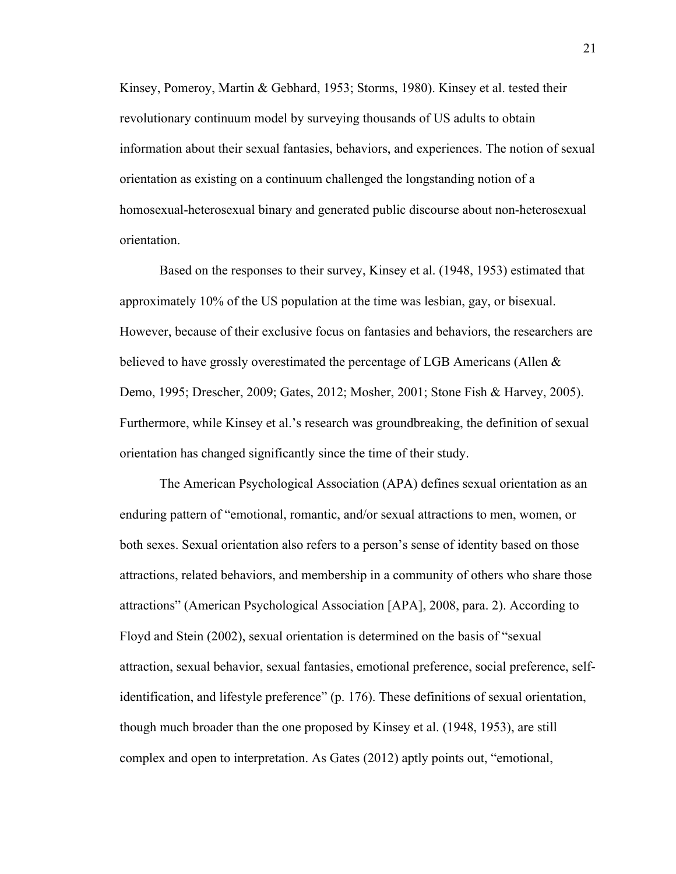Kinsey, Pomeroy, Martin & Gebhard, 1953; Storms, 1980). Kinsey et al. tested their revolutionary continuum model by surveying thousands of US adults to obtain information about their sexual fantasies, behaviors, and experiences. The notion of sexual orientation as existing on a continuum challenged the longstanding notion of a homosexual-heterosexual binary and generated public discourse about non-heterosexual orientation.

Based on the responses to their survey, Kinsey et al. (1948, 1953) estimated that approximately 10% of the US population at the time was lesbian, gay, or bisexual. However, because of their exclusive focus on fantasies and behaviors, the researchers are believed to have grossly overestimated the percentage of LGB Americans (Allen  $\&$ Demo, 1995; Drescher, 2009; Gates, 2012; Mosher, 2001; Stone Fish & Harvey, 2005). Furthermore, while Kinsey et al.'s research was groundbreaking, the definition of sexual orientation has changed significantly since the time of their study.

The American Psychological Association (APA) defines sexual orientation as an enduring pattern of "emotional, romantic, and/or sexual attractions to men, women, or both sexes. Sexual orientation also refers to a person's sense of identity based on those attractions, related behaviors, and membership in a community of others who share those attractions" (American Psychological Association [APA], 2008, para. 2). According to Floyd and Stein (2002), sexual orientation is determined on the basis of "sexual attraction, sexual behavior, sexual fantasies, emotional preference, social preference, selfidentification, and lifestyle preference" (p. 176). These definitions of sexual orientation, though much broader than the one proposed by Kinsey et al. (1948, 1953), are still complex and open to interpretation. As Gates (2012) aptly points out, "emotional,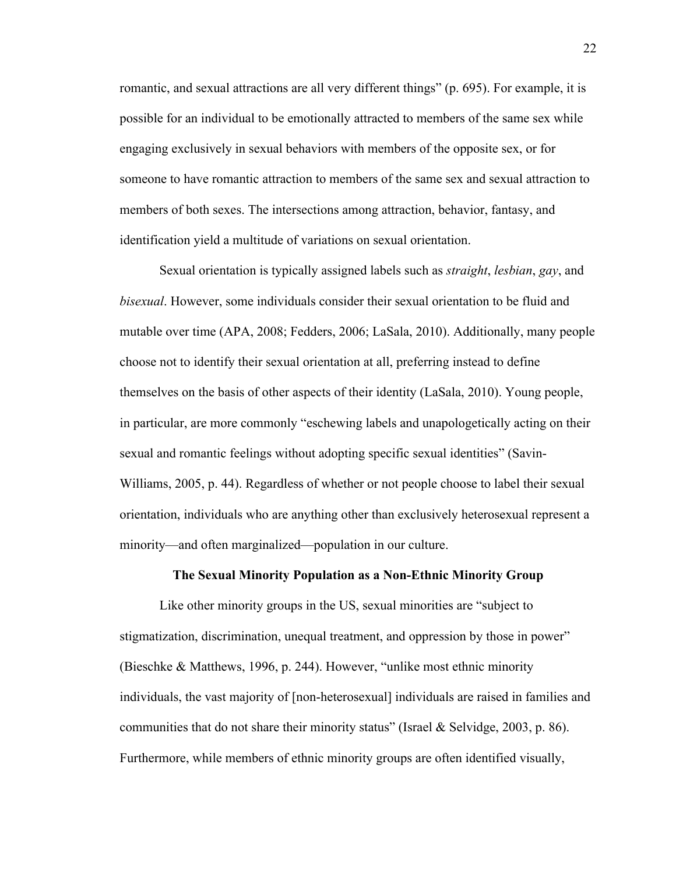romantic, and sexual attractions are all very different things" (p. 695). For example, it is possible for an individual to be emotionally attracted to members of the same sex while engaging exclusively in sexual behaviors with members of the opposite sex, or for someone to have romantic attraction to members of the same sex and sexual attraction to members of both sexes. The intersections among attraction, behavior, fantasy, and identification yield a multitude of variations on sexual orientation.

Sexual orientation is typically assigned labels such as *straight*, *lesbian*, *gay*, and *bisexual*. However, some individuals consider their sexual orientation to be fluid and mutable over time (APA, 2008; Fedders, 2006; LaSala, 2010). Additionally, many people choose not to identify their sexual orientation at all, preferring instead to define themselves on the basis of other aspects of their identity (LaSala, 2010). Young people, in particular, are more commonly "eschewing labels and unapologetically acting on their sexual and romantic feelings without adopting specific sexual identities" (Savin-Williams, 2005, p. 44). Regardless of whether or not people choose to label their sexual orientation, individuals who are anything other than exclusively heterosexual represent a minority—and often marginalized—population in our culture.

#### **The Sexual Minority Population as a Non-Ethnic Minority Group**

Like other minority groups in the US, sexual minorities are "subject to stigmatization, discrimination, unequal treatment, and oppression by those in power" (Bieschke & Matthews, 1996, p. 244). However, "unlike most ethnic minority individuals, the vast majority of [non-heterosexual] individuals are raised in families and communities that do not share their minority status" (Israel & Selvidge, 2003, p. 86). Furthermore, while members of ethnic minority groups are often identified visually,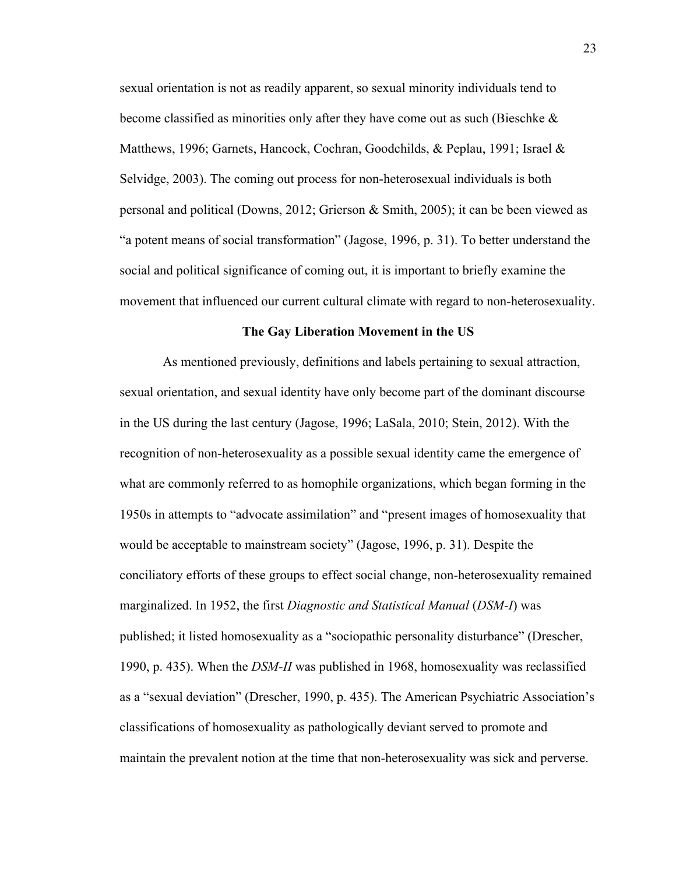sexual orientation is not as readily apparent, so sexual minority individuals tend to become classified as minorities only after they have come out as such (Bieschke  $\&$ Matthews, 1996; Garnets, Hancock, Cochran, Goodchilds, & Peplau, 1991; Israel & Selvidge, 2003). The coming out process for non-heterosexual individuals is both personal and political (Downs, 2012; Grierson & Smith, 2005); it can be been viewed as "a potent means of social transformation" (Jagose, 1996, p. 31). To better understand the social and political significance of coming out, it is important to briefly examine the movement that influenced our current cultural climate with regard to non-heterosexuality.

## **The Gay Liberation Movement in the US**

As mentioned previously, definitions and labels pertaining to sexual attraction, sexual orientation, and sexual identity have only become part of the dominant discourse in the US during the last century (Jagose, 1996; LaSala, 2010; Stein, 2012). With the recognition of non-heterosexuality as a possible sexual identity came the emergence of what are commonly referred to as homophile organizations, which began forming in the 1950s in attempts to "advocate assimilation" and "present images of homosexuality that would be acceptable to mainstream society" (Jagose, 1996, p. 31). Despite the conciliatory efforts of these groups to effect social change, non-heterosexuality remained marginalized. In 1952, the first *Diagnostic and Statistical Manual* (*DSM-I*) was published; it listed homosexuality as a "sociopathic personality disturbance" (Drescher, 1990, p. 435). When the *DSM-II* was published in 1968, homosexuality was reclassified as a "sexual deviation" (Drescher, 1990, p. 435). The American Psychiatric Association's classifications of homosexuality as pathologically deviant served to promote and maintain the prevalent notion at the time that non-heterosexuality was sick and perverse.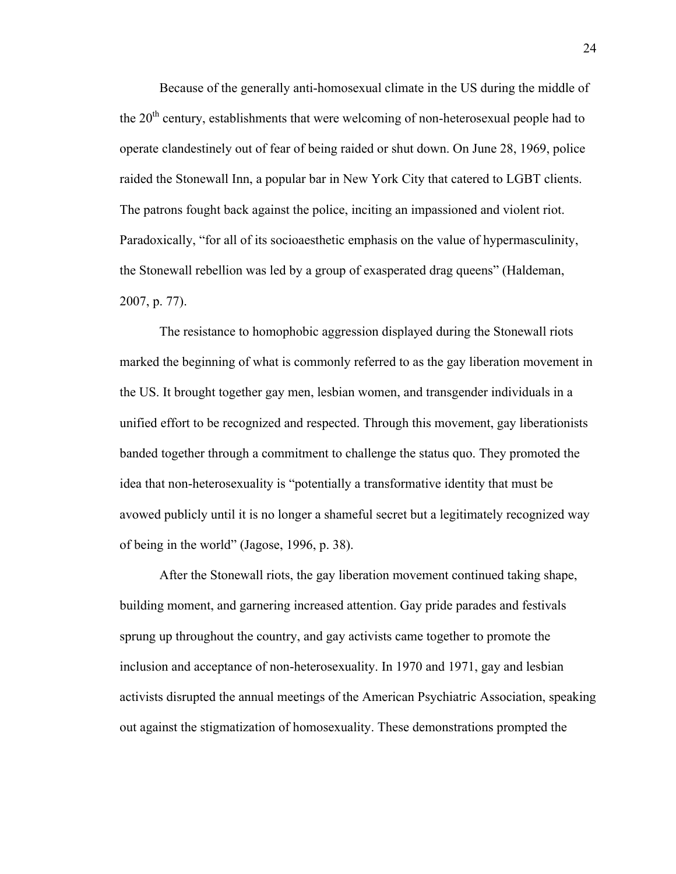Because of the generally anti-homosexual climate in the US during the middle of the  $20<sup>th</sup>$  century, establishments that were welcoming of non-heterosexual people had to operate clandestinely out of fear of being raided or shut down. On June 28, 1969, police raided the Stonewall Inn, a popular bar in New York City that catered to LGBT clients. The patrons fought back against the police, inciting an impassioned and violent riot. Paradoxically, "for all of its socioaesthetic emphasis on the value of hypermasculinity, the Stonewall rebellion was led by a group of exasperated drag queens" (Haldeman, 2007, p. 77).

The resistance to homophobic aggression displayed during the Stonewall riots marked the beginning of what is commonly referred to as the gay liberation movement in the US. It brought together gay men, lesbian women, and transgender individuals in a unified effort to be recognized and respected. Through this movement, gay liberationists banded together through a commitment to challenge the status quo. They promoted the idea that non-heterosexuality is "potentially a transformative identity that must be avowed publicly until it is no longer a shameful secret but a legitimately recognized way of being in the world" (Jagose, 1996, p. 38).

After the Stonewall riots, the gay liberation movement continued taking shape, building moment, and garnering increased attention. Gay pride parades and festivals sprung up throughout the country, and gay activists came together to promote the inclusion and acceptance of non-heterosexuality. In 1970 and 1971, gay and lesbian activists disrupted the annual meetings of the American Psychiatric Association, speaking out against the stigmatization of homosexuality. These demonstrations prompted the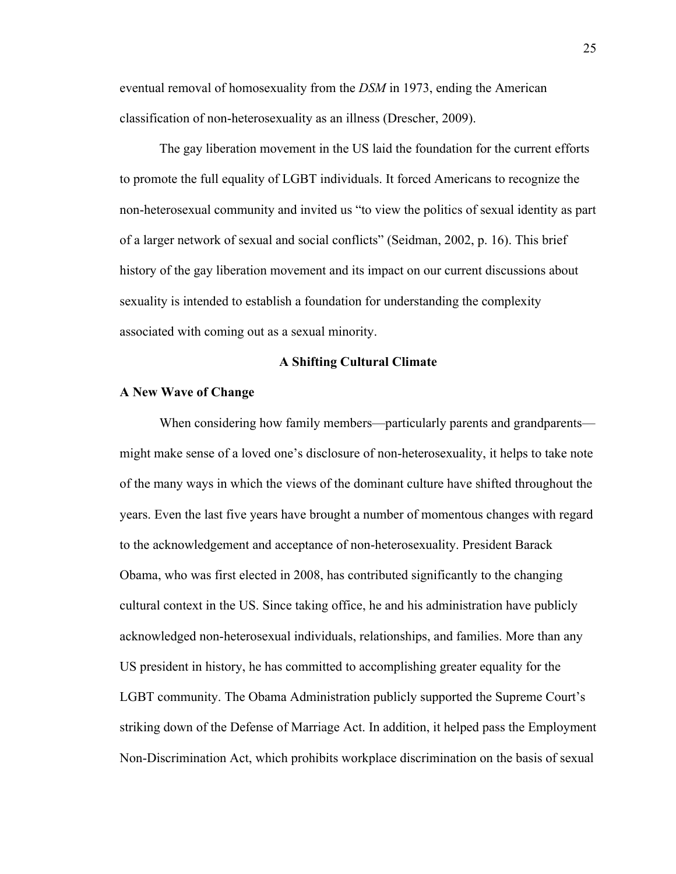eventual removal of homosexuality from the *DSM* in 1973, ending the American classification of non-heterosexuality as an illness (Drescher, 2009).

The gay liberation movement in the US laid the foundation for the current efforts to promote the full equality of LGBT individuals. It forced Americans to recognize the non-heterosexual community and invited us "to view the politics of sexual identity as part of a larger network of sexual and social conflicts" (Seidman, 2002, p. 16). This brief history of the gay liberation movement and its impact on our current discussions about sexuality is intended to establish a foundation for understanding the complexity associated with coming out as a sexual minority.

# **A Shifting Cultural Climate**

#### **A New Wave of Change**

When considering how family members—particularly parents and grandparents might make sense of a loved one's disclosure of non-heterosexuality, it helps to take note of the many ways in which the views of the dominant culture have shifted throughout the years. Even the last five years have brought a number of momentous changes with regard to the acknowledgement and acceptance of non-heterosexuality. President Barack Obama, who was first elected in 2008, has contributed significantly to the changing cultural context in the US. Since taking office, he and his administration have publicly acknowledged non-heterosexual individuals, relationships, and families. More than any US president in history, he has committed to accomplishing greater equality for the LGBT community. The Obama Administration publicly supported the Supreme Court's striking down of the Defense of Marriage Act. In addition, it helped pass the Employment Non-Discrimination Act, which prohibits workplace discrimination on the basis of sexual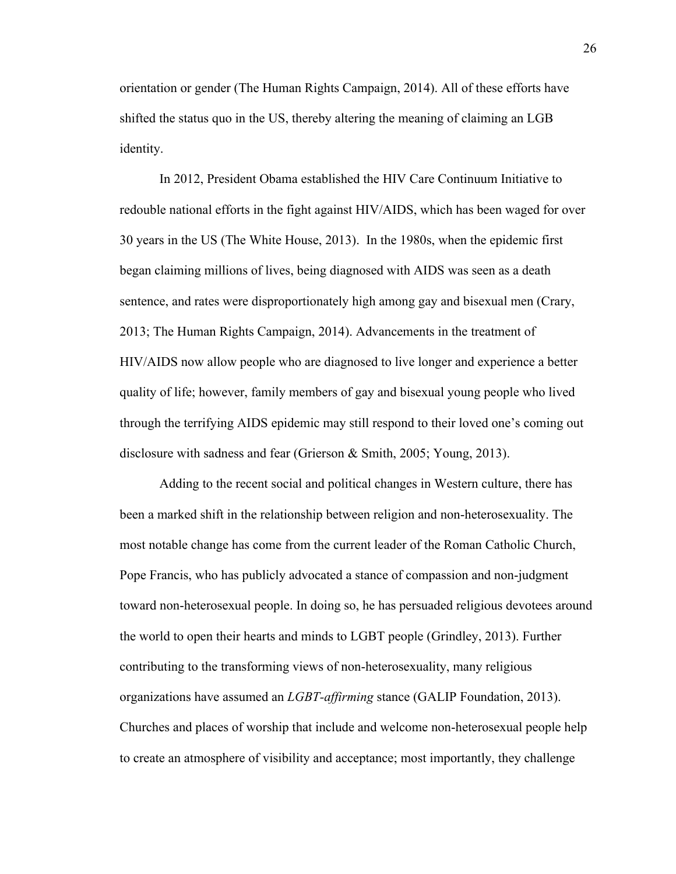orientation or gender (The Human Rights Campaign, 2014). All of these efforts have shifted the status quo in the US, thereby altering the meaning of claiming an LGB identity.

In 2012, President Obama established the HIV Care Continuum Initiative to redouble national efforts in the fight against HIV/AIDS, which has been waged for over 30 years in the US (The White House, 2013). In the 1980s, when the epidemic first began claiming millions of lives, being diagnosed with AIDS was seen as a death sentence, and rates were disproportionately high among gay and bisexual men (Crary, 2013; The Human Rights Campaign, 2014). Advancements in the treatment of HIV/AIDS now allow people who are diagnosed to live longer and experience a better quality of life; however, family members of gay and bisexual young people who lived through the terrifying AIDS epidemic may still respond to their loved one's coming out disclosure with sadness and fear (Grierson & Smith, 2005; Young, 2013).

Adding to the recent social and political changes in Western culture, there has been a marked shift in the relationship between religion and non-heterosexuality. The most notable change has come from the current leader of the Roman Catholic Church, Pope Francis, who has publicly advocated a stance of compassion and non-judgment toward non-heterosexual people. In doing so, he has persuaded religious devotees around the world to open their hearts and minds to LGBT people (Grindley, 2013). Further contributing to the transforming views of non-heterosexuality, many religious organizations have assumed an *LGBT-affirming* stance (GALIP Foundation, 2013). Churches and places of worship that include and welcome non-heterosexual people help to create an atmosphere of visibility and acceptance; most importantly, they challenge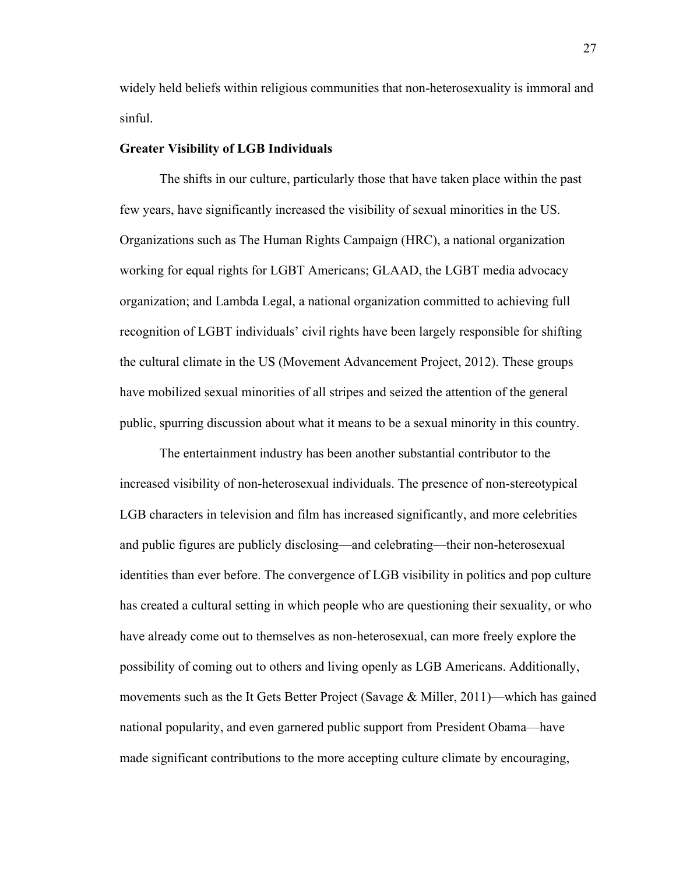widely held beliefs within religious communities that non-heterosexuality is immoral and sinful.

## **Greater Visibility of LGB Individuals**

The shifts in our culture, particularly those that have taken place within the past few years, have significantly increased the visibility of sexual minorities in the US. Organizations such as The Human Rights Campaign (HRC), a national organization working for equal rights for LGBT Americans; GLAAD, the LGBT media advocacy organization; and Lambda Legal, a national organization committed to achieving full recognition of LGBT individuals' civil rights have been largely responsible for shifting the cultural climate in the US (Movement Advancement Project, 2012). These groups have mobilized sexual minorities of all stripes and seized the attention of the general public, spurring discussion about what it means to be a sexual minority in this country.

The entertainment industry has been another substantial contributor to the increased visibility of non-heterosexual individuals. The presence of non-stereotypical LGB characters in television and film has increased significantly, and more celebrities and public figures are publicly disclosing—and celebrating—their non-heterosexual identities than ever before. The convergence of LGB visibility in politics and pop culture has created a cultural setting in which people who are questioning their sexuality, or who have already come out to themselves as non-heterosexual, can more freely explore the possibility of coming out to others and living openly as LGB Americans. Additionally, movements such as the It Gets Better Project (Savage & Miller, 2011)—which has gained national popularity, and even garnered public support from President Obama—have made significant contributions to the more accepting culture climate by encouraging,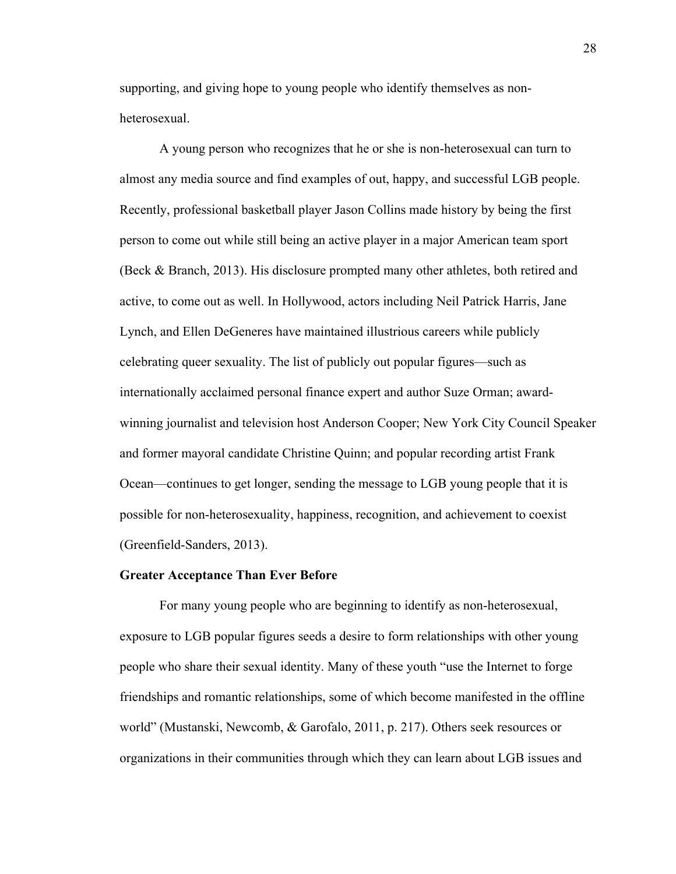supporting, and giving hope to young people who identify themselves as nonheterosexual.

A young person who recognizes that he or she is non-heterosexual can turn to almost any media source and find examples of out, happy, and successful LGB people. Recently, professional basketball player Jason Collins made history by being the first person to come out while still being an active player in a major American team sport (Beck & Branch, 2013). His disclosure prompted many other athletes, both retired and active, to come out as well. In Hollywood, actors including Neil Patrick Harris, Jane Lynch, and Ellen DeGeneres have maintained illustrious careers while publicly celebrating queer sexuality. The list of publicly out popular figures—such as internationally acclaimed personal finance expert and author Suze Orman; awardwinning journalist and television host Anderson Cooper; New York City Council Speaker and former mayoral candidate Christine Quinn; and popular recording artist Frank Ocean—continues to get longer, sending the message to LGB young people that it is possible for non-heterosexuality, happiness, recognition, and achievement to coexist (Greenfield-Sanders, 2013).

#### **Greater Acceptance Than Ever Before**

For many young people who are beginning to identify as non-heterosexual, exposure to LGB popular figures seeds a desire to form relationships with other young people who share their sexual identity. Many of these youth "use the Internet to forge friendships and romantic relationships, some of which become manifested in the offline world" (Mustanski, Newcomb, & Garofalo, 2011, p. 217). Others seek resources or organizations in their communities through which they can learn about LGB issues and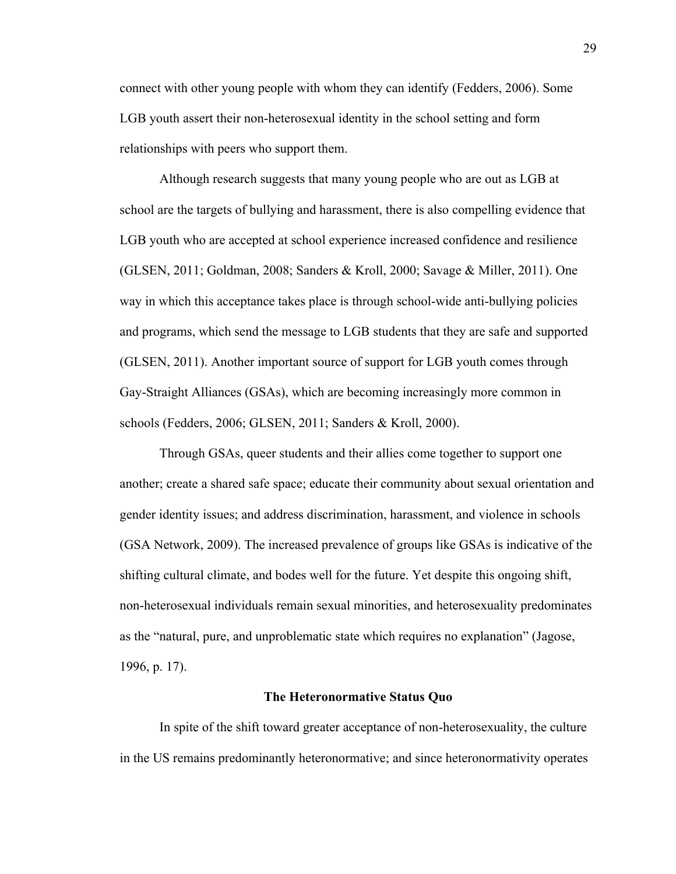connect with other young people with whom they can identify (Fedders, 2006). Some LGB youth assert their non-heterosexual identity in the school setting and form relationships with peers who support them.

Although research suggests that many young people who are out as LGB at school are the targets of bullying and harassment, there is also compelling evidence that LGB youth who are accepted at school experience increased confidence and resilience (GLSEN, 2011; Goldman, 2008; Sanders & Kroll, 2000; Savage & Miller, 2011). One way in which this acceptance takes place is through school-wide anti-bullying policies and programs, which send the message to LGB students that they are safe and supported (GLSEN, 2011). Another important source of support for LGB youth comes through Gay-Straight Alliances (GSAs), which are becoming increasingly more common in schools (Fedders, 2006; GLSEN, 2011; Sanders & Kroll, 2000).

Through GSAs, queer students and their allies come together to support one another; create a shared safe space; educate their community about sexual orientation and gender identity issues; and address discrimination, harassment, and violence in schools (GSA Network, 2009). The increased prevalence of groups like GSAs is indicative of the shifting cultural climate, and bodes well for the future. Yet despite this ongoing shift, non-heterosexual individuals remain sexual minorities, and heterosexuality predominates as the "natural, pure, and unproblematic state which requires no explanation" (Jagose, 1996, p. 17).

#### **The Heteronormative Status Quo**

In spite of the shift toward greater acceptance of non-heterosexuality, the culture in the US remains predominantly heteronormative; and since heteronormativity operates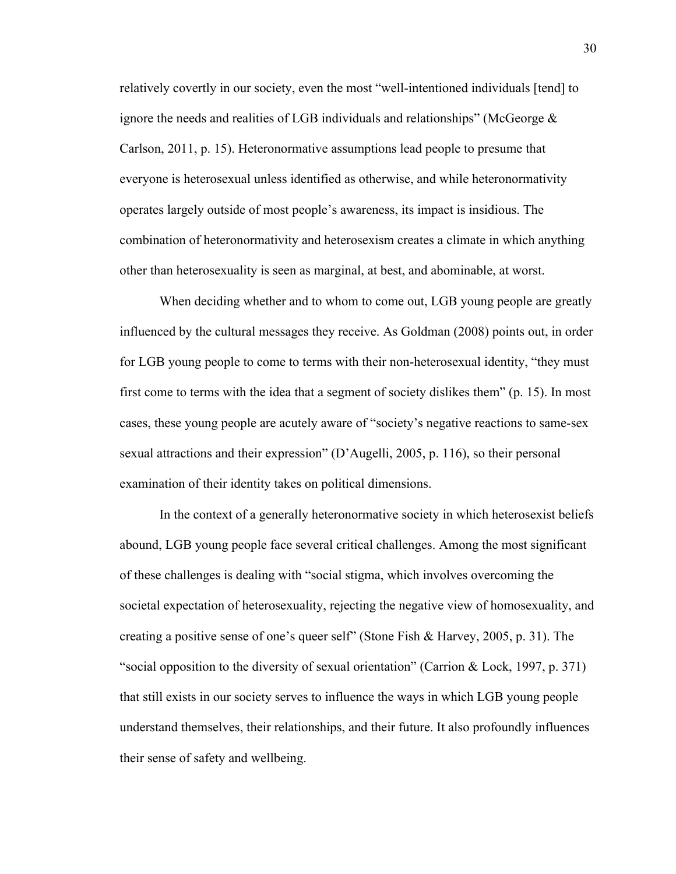relatively covertly in our society, even the most "well-intentioned individuals [tend] to ignore the needs and realities of LGB individuals and relationships" (McGeorge  $\&$ Carlson, 2011, p. 15). Heteronormative assumptions lead people to presume that everyone is heterosexual unless identified as otherwise, and while heteronormativity operates largely outside of most people's awareness, its impact is insidious. The combination of heteronormativity and heterosexism creates a climate in which anything other than heterosexuality is seen as marginal, at best, and abominable, at worst.

When deciding whether and to whom to come out, LGB young people are greatly influenced by the cultural messages they receive. As Goldman (2008) points out, in order for LGB young people to come to terms with their non-heterosexual identity, "they must first come to terms with the idea that a segment of society dislikes them" (p. 15). In most cases, these young people are acutely aware of "society's negative reactions to same-sex sexual attractions and their expression" (D'Augelli, 2005, p. 116), so their personal examination of their identity takes on political dimensions.

In the context of a generally heteronormative society in which heterosexist beliefs abound, LGB young people face several critical challenges. Among the most significant of these challenges is dealing with "social stigma, which involves overcoming the societal expectation of heterosexuality, rejecting the negative view of homosexuality, and creating a positive sense of one's queer self" (Stone Fish & Harvey, 2005, p. 31). The "social opposition to the diversity of sexual orientation" (Carrion & Lock, 1997, p. 371) that still exists in our society serves to influence the ways in which LGB young people understand themselves, their relationships, and their future. It also profoundly influences their sense of safety and wellbeing.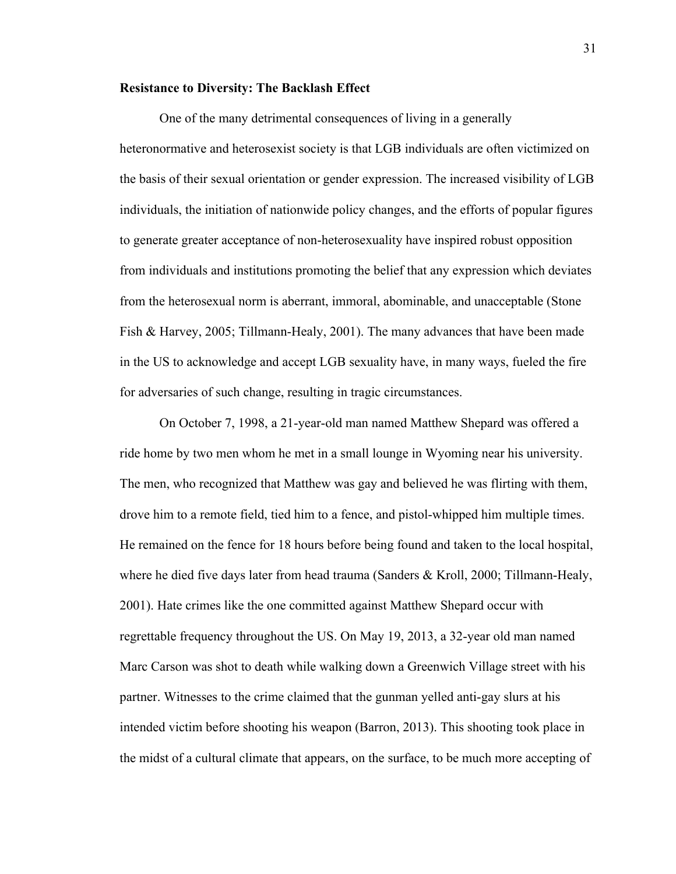#### **Resistance to Diversity: The Backlash Effect**

One of the many detrimental consequences of living in a generally heteronormative and heterosexist society is that LGB individuals are often victimized on the basis of their sexual orientation or gender expression. The increased visibility of LGB individuals, the initiation of nationwide policy changes, and the efforts of popular figures to generate greater acceptance of non-heterosexuality have inspired robust opposition from individuals and institutions promoting the belief that any expression which deviates from the heterosexual norm is aberrant, immoral, abominable, and unacceptable (Stone Fish & Harvey, 2005; Tillmann-Healy, 2001). The many advances that have been made in the US to acknowledge and accept LGB sexuality have, in many ways, fueled the fire for adversaries of such change, resulting in tragic circumstances.

On October 7, 1998, a 21-year-old man named Matthew Shepard was offered a ride home by two men whom he met in a small lounge in Wyoming near his university. The men, who recognized that Matthew was gay and believed he was flirting with them, drove him to a remote field, tied him to a fence, and pistol-whipped him multiple times. He remained on the fence for 18 hours before being found and taken to the local hospital, where he died five days later from head trauma (Sanders & Kroll, 2000; Tillmann-Healy, 2001). Hate crimes like the one committed against Matthew Shepard occur with regrettable frequency throughout the US. On May 19, 2013, a 32-year old man named Marc Carson was shot to death while walking down a Greenwich Village street with his partner. Witnesses to the crime claimed that the gunman yelled anti-gay slurs at his intended victim before shooting his weapon (Barron, 2013). This shooting took place in the midst of a cultural climate that appears, on the surface, to be much more accepting of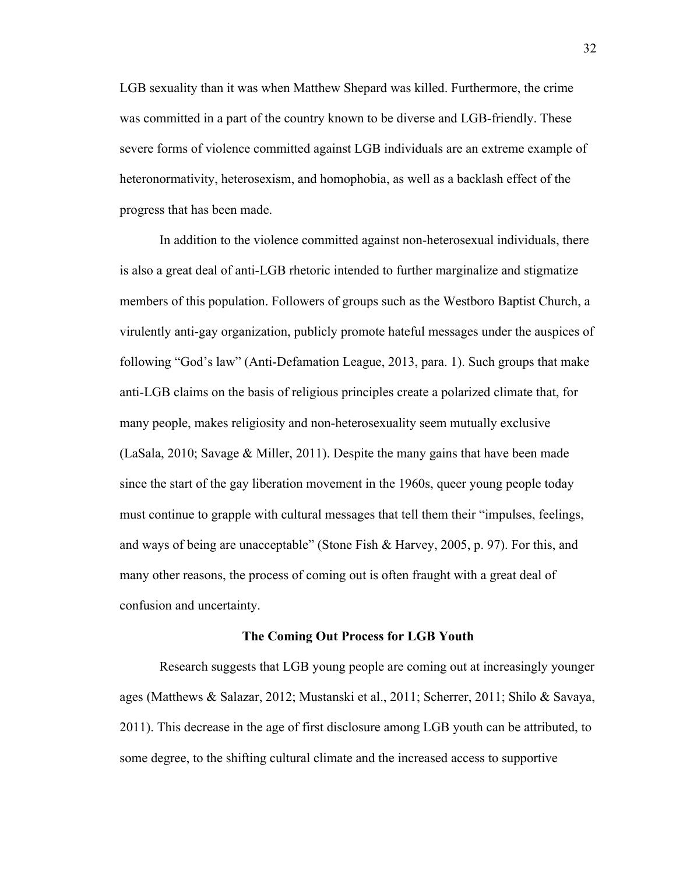LGB sexuality than it was when Matthew Shepard was killed. Furthermore, the crime was committed in a part of the country known to be diverse and LGB-friendly. These severe forms of violence committed against LGB individuals are an extreme example of heteronormativity, heterosexism, and homophobia, as well as a backlash effect of the progress that has been made.

In addition to the violence committed against non-heterosexual individuals, there is also a great deal of anti-LGB rhetoric intended to further marginalize and stigmatize members of this population. Followers of groups such as the Westboro Baptist Church, a virulently anti-gay organization, publicly promote hateful messages under the auspices of following "God's law" (Anti-Defamation League, 2013, para. 1). Such groups that make anti-LGB claims on the basis of religious principles create a polarized climate that, for many people, makes religiosity and non-heterosexuality seem mutually exclusive (LaSala, 2010; Savage & Miller, 2011). Despite the many gains that have been made since the start of the gay liberation movement in the 1960s, queer young people today must continue to grapple with cultural messages that tell them their "impulses, feelings, and ways of being are unacceptable" (Stone Fish & Harvey, 2005, p. 97). For this, and many other reasons, the process of coming out is often fraught with a great deal of confusion and uncertainty.

#### **The Coming Out Process for LGB Youth**

Research suggests that LGB young people are coming out at increasingly younger ages (Matthews & Salazar, 2012; Mustanski et al., 2011; Scherrer, 2011; Shilo & Savaya, 2011). This decrease in the age of first disclosure among LGB youth can be attributed, to some degree, to the shifting cultural climate and the increased access to supportive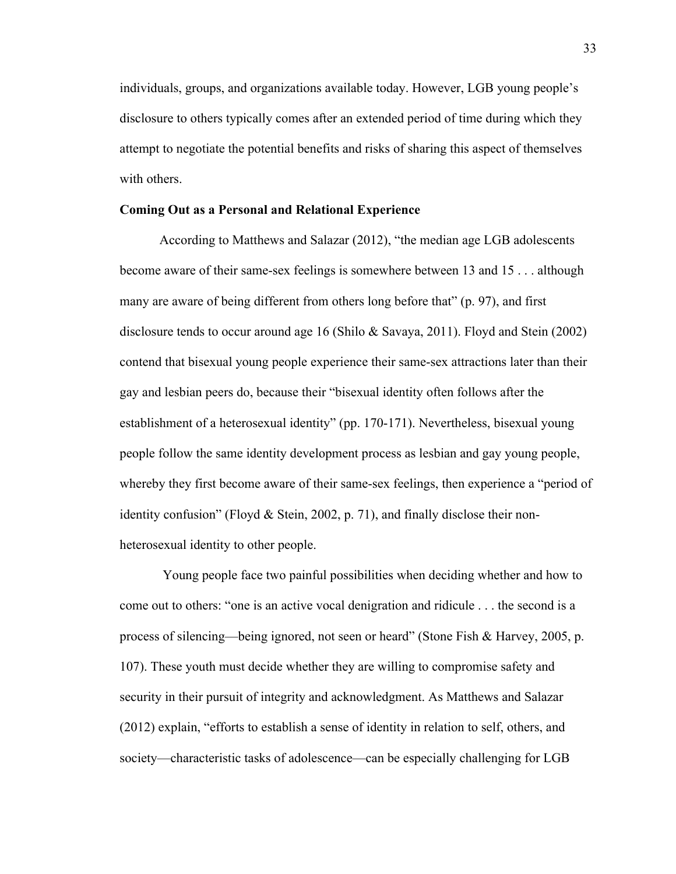individuals, groups, and organizations available today. However, LGB young people's disclosure to others typically comes after an extended period of time during which they attempt to negotiate the potential benefits and risks of sharing this aspect of themselves with others.

## **Coming Out as a Personal and Relational Experience**

According to Matthews and Salazar (2012), "the median age LGB adolescents become aware of their same-sex feelings is somewhere between 13 and 15 . . . although many are aware of being different from others long before that" (p. 97), and first disclosure tends to occur around age 16 (Shilo & Savaya, 2011). Floyd and Stein (2002) contend that bisexual young people experience their same-sex attractions later than their gay and lesbian peers do, because their "bisexual identity often follows after the establishment of a heterosexual identity" (pp. 170-171). Nevertheless, bisexual young people follow the same identity development process as lesbian and gay young people, whereby they first become aware of their same-sex feelings, then experience a "period of identity confusion" (Floyd & Stein, 2002, p. 71), and finally disclose their nonheterosexual identity to other people.

Young people face two painful possibilities when deciding whether and how to come out to others: "one is an active vocal denigration and ridicule . . . the second is a process of silencing—being ignored, not seen or heard" (Stone Fish & Harvey, 2005, p. 107). These youth must decide whether they are willing to compromise safety and security in their pursuit of integrity and acknowledgment. As Matthews and Salazar (2012) explain, "efforts to establish a sense of identity in relation to self, others, and society—characteristic tasks of adolescence—can be especially challenging for LGB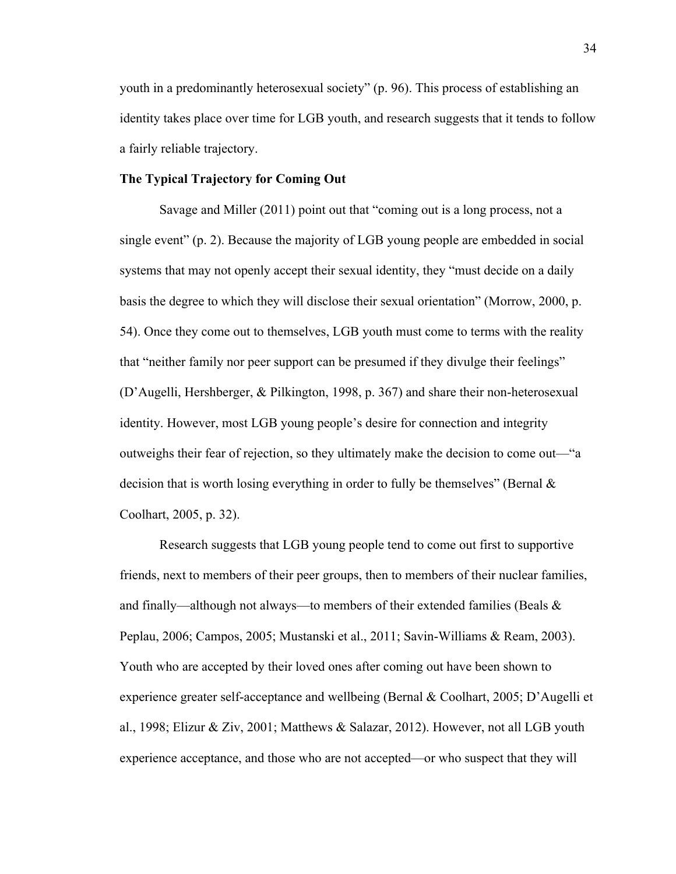youth in a predominantly heterosexual society" (p. 96). This process of establishing an identity takes place over time for LGB youth, and research suggests that it tends to follow a fairly reliable trajectory.

## **The Typical Trajectory for Coming Out**

Savage and Miller (2011) point out that "coming out is a long process, not a single event" (p. 2). Because the majority of LGB young people are embedded in social systems that may not openly accept their sexual identity, they "must decide on a daily basis the degree to which they will disclose their sexual orientation" (Morrow, 2000, p. 54). Once they come out to themselves, LGB youth must come to terms with the reality that "neither family nor peer support can be presumed if they divulge their feelings" (D'Augelli, Hershberger, & Pilkington, 1998, p. 367) and share their non-heterosexual identity. However, most LGB young people's desire for connection and integrity outweighs their fear of rejection, so they ultimately make the decision to come out—"a decision that is worth losing everything in order to fully be themselves" (Bernal  $\&$ Coolhart, 2005, p. 32).

Research suggests that LGB young people tend to come out first to supportive friends, next to members of their peer groups, then to members of their nuclear families, and finally—although not always—to members of their extended families (Beals  $\&$ Peplau, 2006; Campos, 2005; Mustanski et al., 2011; Savin-Williams & Ream, 2003). Youth who are accepted by their loved ones after coming out have been shown to experience greater self-acceptance and wellbeing (Bernal & Coolhart, 2005; D'Augelli et al., 1998; Elizur & Ziv, 2001; Matthews & Salazar, 2012). However, not all LGB youth experience acceptance, and those who are not accepted—or who suspect that they will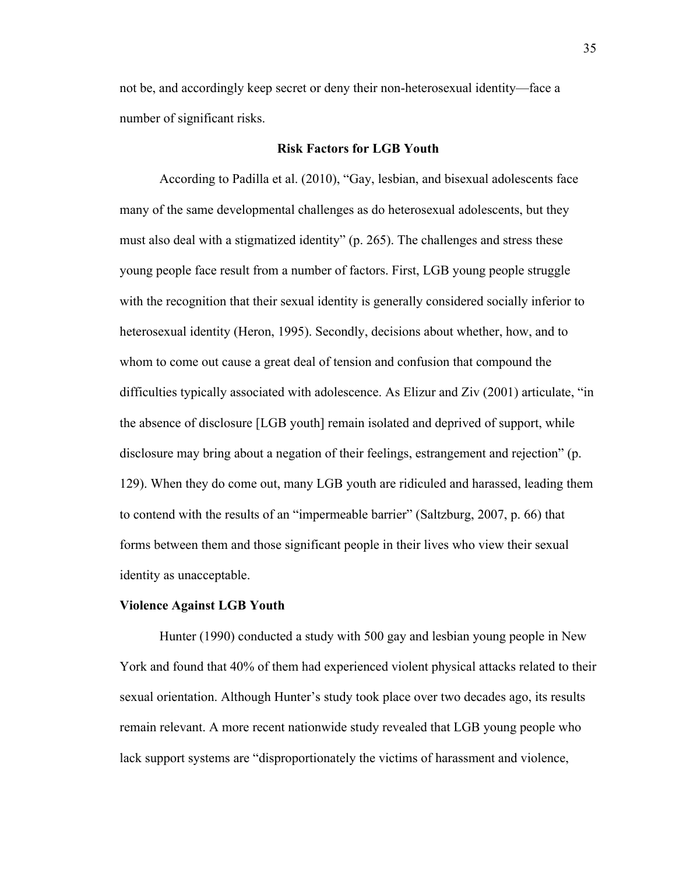not be, and accordingly keep secret or deny their non-heterosexual identity—face a number of significant risks.

## **Risk Factors for LGB Youth**

According to Padilla et al. (2010), "Gay, lesbian, and bisexual adolescents face many of the same developmental challenges as do heterosexual adolescents, but they must also deal with a stigmatized identity" (p. 265). The challenges and stress these young people face result from a number of factors. First, LGB young people struggle with the recognition that their sexual identity is generally considered socially inferior to heterosexual identity (Heron, 1995). Secondly, decisions about whether, how, and to whom to come out cause a great deal of tension and confusion that compound the difficulties typically associated with adolescence. As Elizur and Ziv (2001) articulate, "in the absence of disclosure [LGB youth] remain isolated and deprived of support, while disclosure may bring about a negation of their feelings, estrangement and rejection" (p. 129). When they do come out, many LGB youth are ridiculed and harassed, leading them to contend with the results of an "impermeable barrier" (Saltzburg, 2007, p. 66) that forms between them and those significant people in their lives who view their sexual identity as unacceptable.

#### **Violence Against LGB Youth**

Hunter (1990) conducted a study with 500 gay and lesbian young people in New York and found that 40% of them had experienced violent physical attacks related to their sexual orientation. Although Hunter's study took place over two decades ago, its results remain relevant. A more recent nationwide study revealed that LGB young people who lack support systems are "disproportionately the victims of harassment and violence,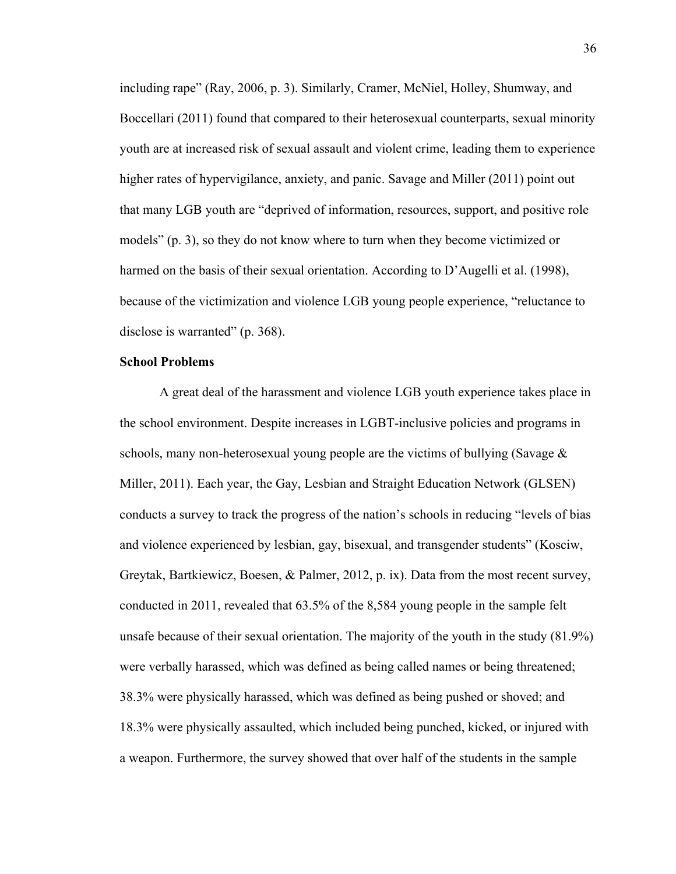including rape" (Ray, 2006, p. 3). Similarly, Cramer, McNiel, Holley, Shumway, and Boccellari (2011) found that compared to their heterosexual counterparts, sexual minority youth are at increased risk of sexual assault and violent crime, leading them to experience higher rates of hypervigilance, anxiety, and panic. Savage and Miller (2011) point out that many LGB youth are "deprived of information, resources, support, and positive role models" (p. 3), so they do not know where to turn when they become victimized or harmed on the basis of their sexual orientation. According to D'Augelli et al. (1998), because of the victimization and violence LGB young people experience, "reluctance to disclose is warranted" (p. 368).

## **School Problems**

A great deal of the harassment and violence LGB youth experience takes place in the school environment. Despite increases in LGBT-inclusive policies and programs in schools, many non-heterosexual young people are the victims of bullying (Savage  $\&$ Miller, 2011). Each year, the Gay, Lesbian and Straight Education Network (GLSEN) conducts a survey to track the progress of the nation's schools in reducing "levels of bias and violence experienced by lesbian, gay, bisexual, and transgender students" (Kosciw, Greytak, Bartkiewicz, Boesen, & Palmer, 2012, p. ix). Data from the most recent survey, conducted in 2011, revealed that 63.5% of the 8,584 young people in the sample felt unsafe because of their sexual orientation. The majority of the youth in the study (81.9%) were verbally harassed, which was defined as being called names or being threatened; 38.3% were physically harassed, which was defined as being pushed or shoved; and 18.3% were physically assaulted, which included being punched, kicked, or injured with a weapon. Furthermore, the survey showed that over half of the students in the sample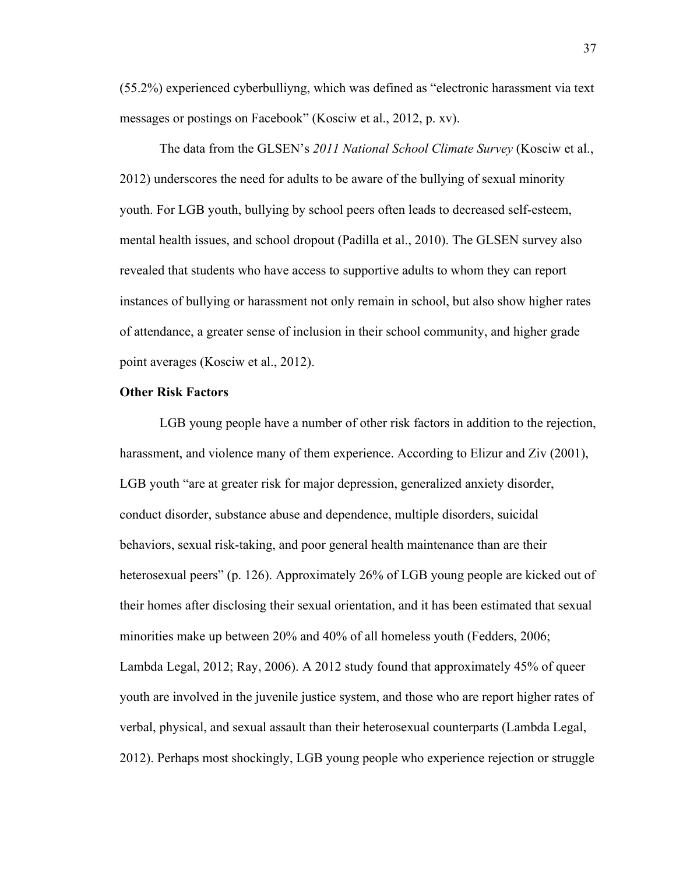(55.2%) experienced cyberbulliyng, which was defined as "electronic harassment via text messages or postings on Facebook" (Kosciw et al., 2012, p. xv).

The data from the GLSEN's *2011 National School Climate Survey* (Kosciw et al., 2012) underscores the need for adults to be aware of the bullying of sexual minority youth. For LGB youth, bullying by school peers often leads to decreased self-esteem, mental health issues, and school dropout (Padilla et al., 2010). The GLSEN survey also revealed that students who have access to supportive adults to whom they can report instances of bullying or harassment not only remain in school, but also show higher rates of attendance, a greater sense of inclusion in their school community, and higher grade point averages (Kosciw et al., 2012).

## **Other Risk Factors**

LGB young people have a number of other risk factors in addition to the rejection, harassment, and violence many of them experience. According to Elizur and Ziv (2001), LGB youth "are at greater risk for major depression, generalized anxiety disorder, conduct disorder, substance abuse and dependence, multiple disorders, suicidal behaviors, sexual risk-taking, and poor general health maintenance than are their heterosexual peers" (p. 126). Approximately 26% of LGB young people are kicked out of their homes after disclosing their sexual orientation, and it has been estimated that sexual minorities make up between 20% and 40% of all homeless youth (Fedders, 2006; Lambda Legal, 2012; Ray, 2006). A 2012 study found that approximately 45% of queer youth are involved in the juvenile justice system, and those who are report higher rates of verbal, physical, and sexual assault than their heterosexual counterparts (Lambda Legal, 2012). Perhaps most shockingly, LGB young people who experience rejection or struggle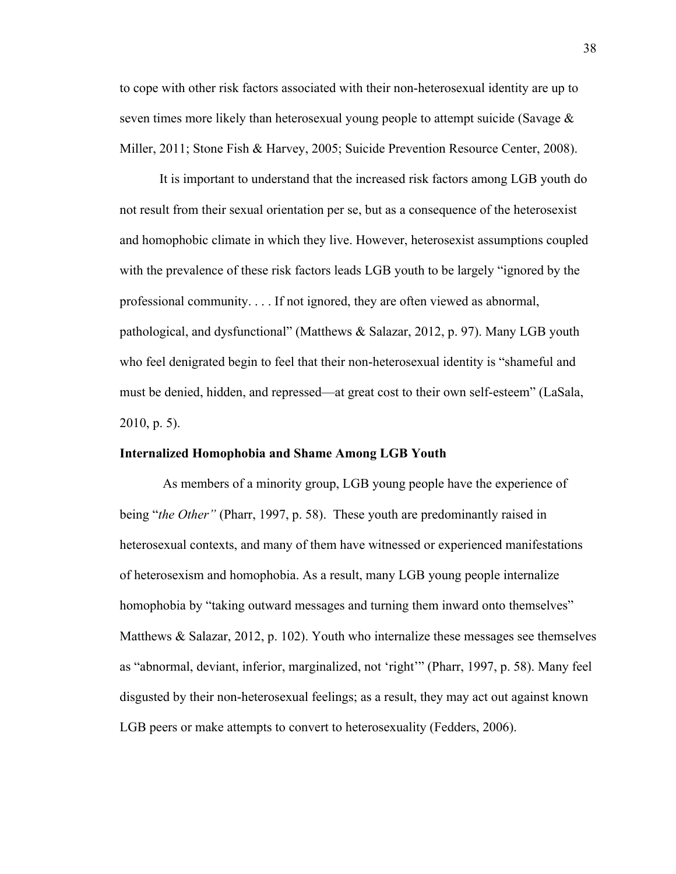to cope with other risk factors associated with their non-heterosexual identity are up to seven times more likely than heterosexual young people to attempt suicide (Savage & Miller, 2011; Stone Fish & Harvey, 2005; Suicide Prevention Resource Center, 2008).

It is important to understand that the increased risk factors among LGB youth do not result from their sexual orientation per se, but as a consequence of the heterosexist and homophobic climate in which they live. However, heterosexist assumptions coupled with the prevalence of these risk factors leads LGB youth to be largely "ignored by the professional community. . . . If not ignored, they are often viewed as abnormal, pathological, and dysfunctional" (Matthews & Salazar, 2012, p. 97). Many LGB youth who feel denigrated begin to feel that their non-heterosexual identity is "shameful and must be denied, hidden, and repressed—at great cost to their own self-esteem" (LaSala, 2010, p. 5).

#### **Internalized Homophobia and Shame Among LGB Youth**

As members of a minority group, LGB young people have the experience of being "*the Other"* (Pharr, 1997, p. 58). These youth are predominantly raised in heterosexual contexts, and many of them have witnessed or experienced manifestations of heterosexism and homophobia. As a result, many LGB young people internalize homophobia by "taking outward messages and turning them inward onto themselves" Matthews & Salazar, 2012, p. 102). Youth who internalize these messages see themselves as "abnormal, deviant, inferior, marginalized, not 'right'" (Pharr, 1997, p. 58). Many feel disgusted by their non-heterosexual feelings; as a result, they may act out against known LGB peers or make attempts to convert to heterosexuality (Fedders, 2006).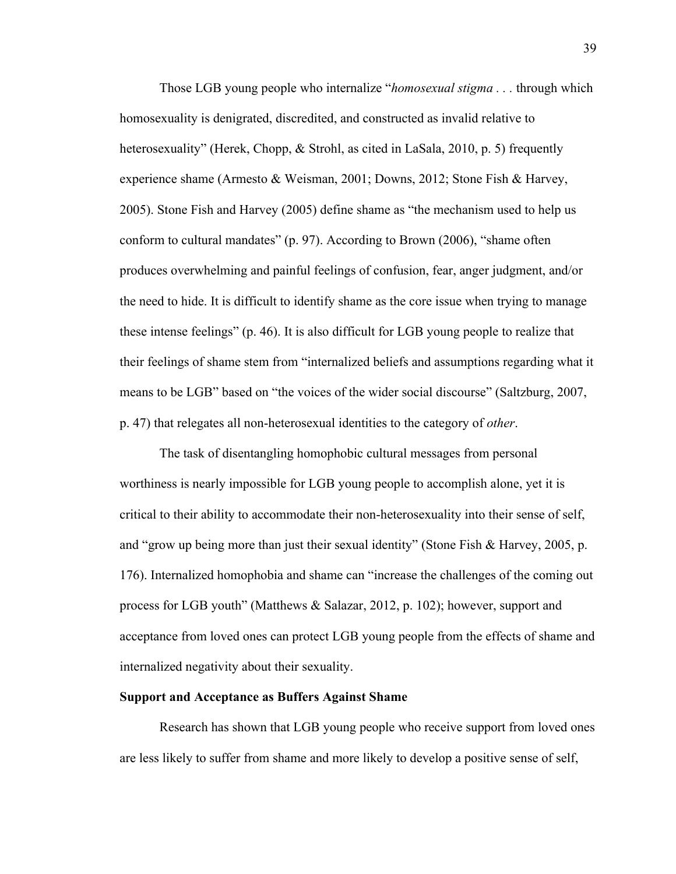Those LGB young people who internalize "*homosexual stigma . . .* through which homosexuality is denigrated, discredited, and constructed as invalid relative to heterosexuality" (Herek, Chopp, & Strohl, as cited in LaSala, 2010, p. 5) frequently experience shame (Armesto & Weisman, 2001; Downs, 2012; Stone Fish & Harvey, 2005). Stone Fish and Harvey (2005) define shame as "the mechanism used to help us conform to cultural mandates" (p. 97). According to Brown (2006), "shame often produces overwhelming and painful feelings of confusion, fear, anger judgment, and/or the need to hide. It is difficult to identify shame as the core issue when trying to manage these intense feelings" (p. 46). It is also difficult for LGB young people to realize that their feelings of shame stem from "internalized beliefs and assumptions regarding what it means to be LGB" based on "the voices of the wider social discourse" (Saltzburg, 2007, p. 47) that relegates all non-heterosexual identities to the category of *other*.

The task of disentangling homophobic cultural messages from personal worthiness is nearly impossible for LGB young people to accomplish alone, yet it is critical to their ability to accommodate their non-heterosexuality into their sense of self, and "grow up being more than just their sexual identity" (Stone Fish & Harvey, 2005, p. 176). Internalized homophobia and shame can "increase the challenges of the coming out process for LGB youth" (Matthews & Salazar, 2012, p. 102); however, support and acceptance from loved ones can protect LGB young people from the effects of shame and internalized negativity about their sexuality.

#### **Support and Acceptance as Buffers Against Shame**

Research has shown that LGB young people who receive support from loved ones are less likely to suffer from shame and more likely to develop a positive sense of self,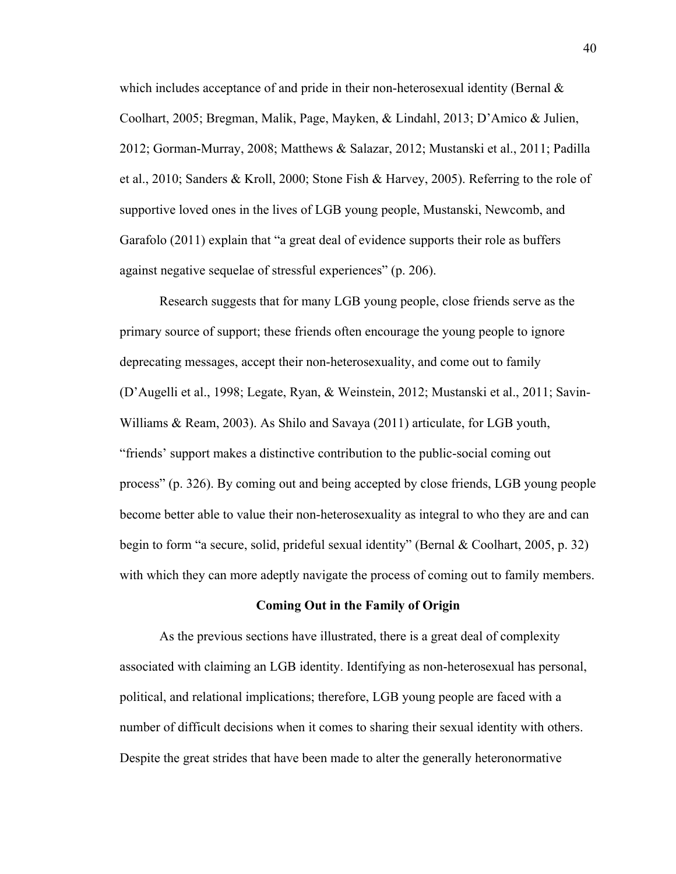which includes acceptance of and pride in their non-heterosexual identity (Bernal  $\&$ Coolhart, 2005; Bregman, Malik, Page, Mayken, & Lindahl, 2013; D'Amico & Julien, 2012; Gorman-Murray, 2008; Matthews & Salazar, 2012; Mustanski et al., 2011; Padilla et al., 2010; Sanders & Kroll, 2000; Stone Fish & Harvey, 2005). Referring to the role of supportive loved ones in the lives of LGB young people, Mustanski, Newcomb, and Garafolo (2011) explain that "a great deal of evidence supports their role as buffers against negative sequelae of stressful experiences" (p. 206).

Research suggests that for many LGB young people, close friends serve as the primary source of support; these friends often encourage the young people to ignore deprecating messages, accept their non-heterosexuality, and come out to family (D'Augelli et al., 1998; Legate, Ryan, & Weinstein, 2012; Mustanski et al., 2011; Savin-Williams & Ream, 2003). As Shilo and Savaya (2011) articulate, for LGB youth, "friends' support makes a distinctive contribution to the public-social coming out process" (p. 326). By coming out and being accepted by close friends, LGB young people become better able to value their non-heterosexuality as integral to who they are and can begin to form "a secure, solid, prideful sexual identity" (Bernal & Coolhart, 2005, p. 32) with which they can more adeptly navigate the process of coming out to family members.

## **Coming Out in the Family of Origin**

As the previous sections have illustrated, there is a great deal of complexity associated with claiming an LGB identity. Identifying as non-heterosexual has personal, political, and relational implications; therefore, LGB young people are faced with a number of difficult decisions when it comes to sharing their sexual identity with others. Despite the great strides that have been made to alter the generally heteronormative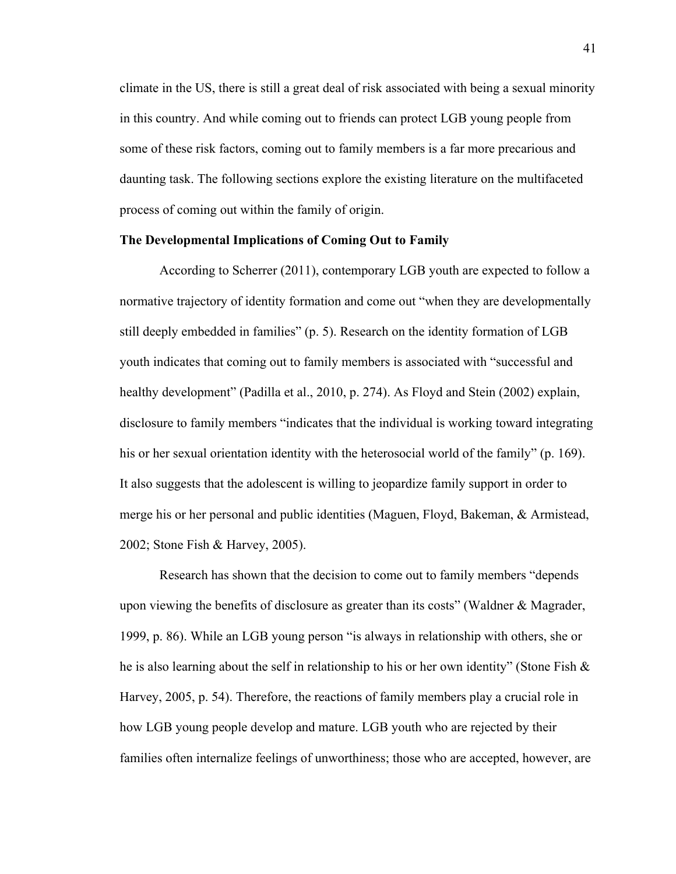climate in the US, there is still a great deal of risk associated with being a sexual minority in this country. And while coming out to friends can protect LGB young people from some of these risk factors, coming out to family members is a far more precarious and daunting task. The following sections explore the existing literature on the multifaceted process of coming out within the family of origin.

## **The Developmental Implications of Coming Out to Family**

According to Scherrer (2011), contemporary LGB youth are expected to follow a normative trajectory of identity formation and come out "when they are developmentally still deeply embedded in families" (p. 5). Research on the identity formation of LGB youth indicates that coming out to family members is associated with "successful and healthy development" (Padilla et al., 2010, p. 274). As Floyd and Stein (2002) explain, disclosure to family members "indicates that the individual is working toward integrating his or her sexual orientation identity with the heterosocial world of the family" (p. 169). It also suggests that the adolescent is willing to jeopardize family support in order to merge his or her personal and public identities (Maguen, Floyd, Bakeman, & Armistead, 2002; Stone Fish & Harvey, 2005).

Research has shown that the decision to come out to family members "depends upon viewing the benefits of disclosure as greater than its costs" (Waldner  $\&$  Magrader, 1999, p. 86). While an LGB young person "is always in relationship with others, she or he is also learning about the self in relationship to his or her own identity" (Stone Fish  $\&$ Harvey, 2005, p. 54). Therefore, the reactions of family members play a crucial role in how LGB young people develop and mature. LGB youth who are rejected by their families often internalize feelings of unworthiness; those who are accepted, however, are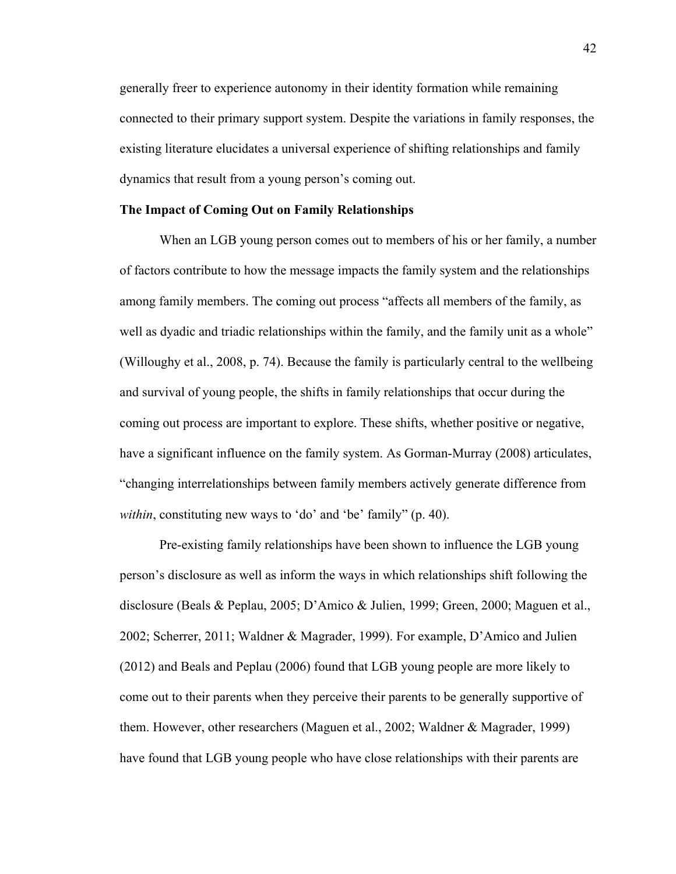generally freer to experience autonomy in their identity formation while remaining connected to their primary support system. Despite the variations in family responses, the existing literature elucidates a universal experience of shifting relationships and family dynamics that result from a young person's coming out.

## **The Impact of Coming Out on Family Relationships**

When an LGB young person comes out to members of his or her family, a number of factors contribute to how the message impacts the family system and the relationships among family members. The coming out process "affects all members of the family, as well as dyadic and triadic relationships within the family, and the family unit as a whole" (Willoughy et al., 2008, p. 74). Because the family is particularly central to the wellbeing and survival of young people, the shifts in family relationships that occur during the coming out process are important to explore. These shifts, whether positive or negative, have a significant influence on the family system. As Gorman-Murray (2008) articulates, "changing interrelationships between family members actively generate difference from *within*, constituting new ways to 'do' and 'be' family" (p. 40).

Pre-existing family relationships have been shown to influence the LGB young person's disclosure as well as inform the ways in which relationships shift following the disclosure (Beals & Peplau, 2005; D'Amico & Julien, 1999; Green, 2000; Maguen et al., 2002; Scherrer, 2011; Waldner & Magrader, 1999). For example, D'Amico and Julien (2012) and Beals and Peplau (2006) found that LGB young people are more likely to come out to their parents when they perceive their parents to be generally supportive of them. However, other researchers (Maguen et al., 2002; Waldner & Magrader, 1999) have found that LGB young people who have close relationships with their parents are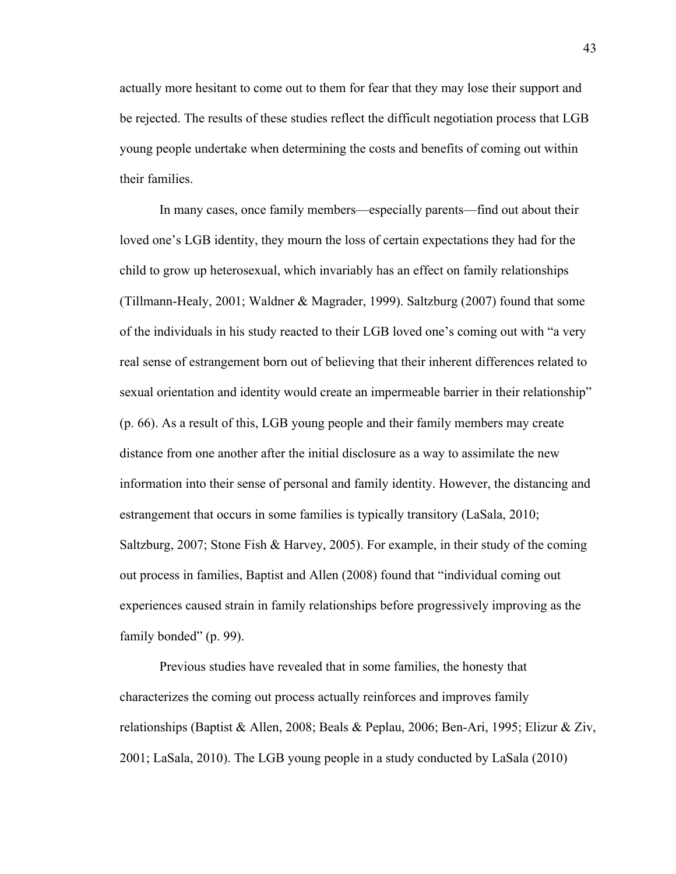actually more hesitant to come out to them for fear that they may lose their support and be rejected. The results of these studies reflect the difficult negotiation process that LGB young people undertake when determining the costs and benefits of coming out within their families.

In many cases, once family members—especially parents—find out about their loved one's LGB identity, they mourn the loss of certain expectations they had for the child to grow up heterosexual, which invariably has an effect on family relationships (Tillmann-Healy, 2001; Waldner & Magrader, 1999). Saltzburg (2007) found that some of the individuals in his study reacted to their LGB loved one's coming out with "a very real sense of estrangement born out of believing that their inherent differences related to sexual orientation and identity would create an impermeable barrier in their relationship" (p. 66). As a result of this, LGB young people and their family members may create distance from one another after the initial disclosure as a way to assimilate the new information into their sense of personal and family identity. However, the distancing and estrangement that occurs in some families is typically transitory (LaSala, 2010; Saltzburg, 2007; Stone Fish & Harvey, 2005). For example, in their study of the coming out process in families, Baptist and Allen (2008) found that "individual coming out experiences caused strain in family relationships before progressively improving as the family bonded" (p. 99).

Previous studies have revealed that in some families, the honesty that characterizes the coming out process actually reinforces and improves family relationships (Baptist & Allen, 2008; Beals & Peplau, 2006; Ben-Ari, 1995; Elizur & Ziv, 2001; LaSala, 2010). The LGB young people in a study conducted by LaSala (2010)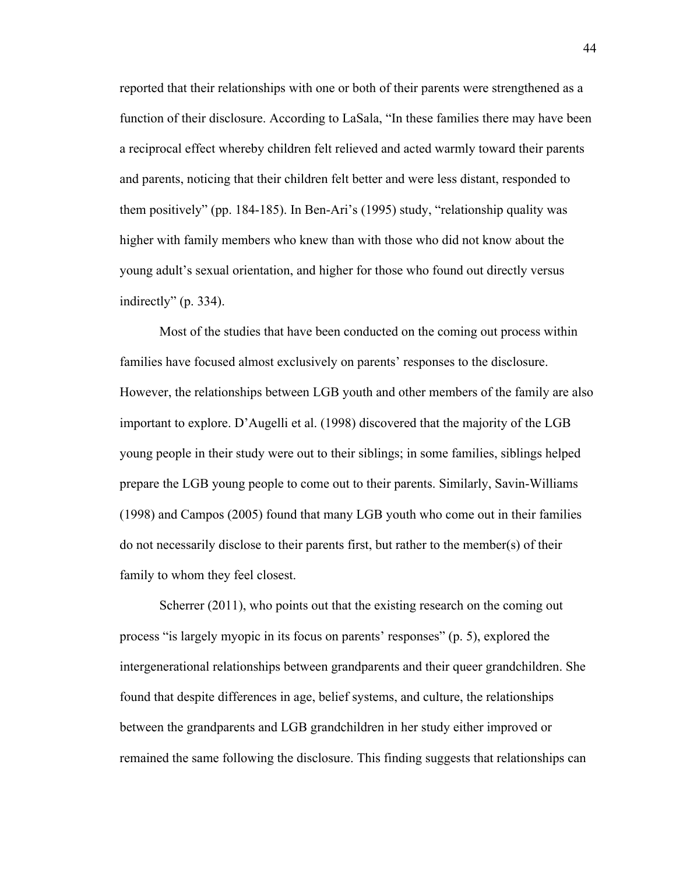reported that their relationships with one or both of their parents were strengthened as a function of their disclosure. According to LaSala, "In these families there may have been a reciprocal effect whereby children felt relieved and acted warmly toward their parents and parents, noticing that their children felt better and were less distant, responded to them positively" (pp. 184-185). In Ben-Ari's (1995) study, "relationship quality was higher with family members who knew than with those who did not know about the young adult's sexual orientation, and higher for those who found out directly versus indirectly" (p. 334).

Most of the studies that have been conducted on the coming out process within families have focused almost exclusively on parents' responses to the disclosure. However, the relationships between LGB youth and other members of the family are also important to explore. D'Augelli et al. (1998) discovered that the majority of the LGB young people in their study were out to their siblings; in some families, siblings helped prepare the LGB young people to come out to their parents. Similarly, Savin-Williams (1998) and Campos (2005) found that many LGB youth who come out in their families do not necessarily disclose to their parents first, but rather to the member(s) of their family to whom they feel closest.

Scherrer (2011), who points out that the existing research on the coming out process "is largely myopic in its focus on parents' responses" (p. 5), explored the intergenerational relationships between grandparents and their queer grandchildren. She found that despite differences in age, belief systems, and culture, the relationships between the grandparents and LGB grandchildren in her study either improved or remained the same following the disclosure. This finding suggests that relationships can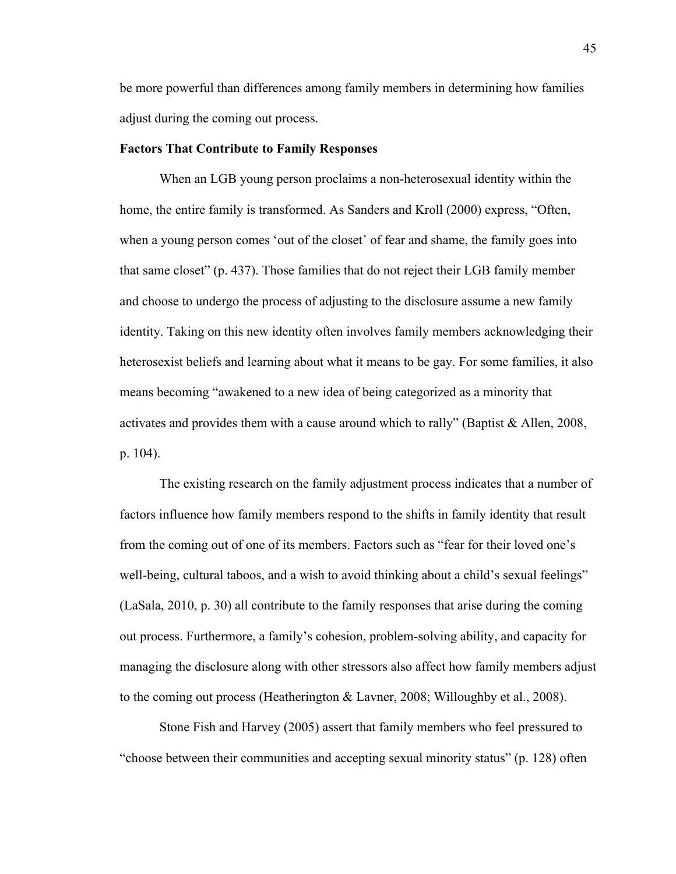be more powerful than differences among family members in determining how families adjust during the coming out process.

## **Factors That Contribute to Family Responses**

When an LGB young person proclaims a non-heterosexual identity within the home, the entire family is transformed. As Sanders and Kroll (2000) express, "Often, when a young person comes 'out of the closet' of fear and shame, the family goes into that same closet" (p. 437). Those families that do not reject their LGB family member and choose to undergo the process of adjusting to the disclosure assume a new family identity. Taking on this new identity often involves family members acknowledging their heterosexist beliefs and learning about what it means to be gay. For some families, it also means becoming "awakened to a new idea of being categorized as a minority that activates and provides them with a cause around which to rally" (Baptist & Allen, 2008, p. 104).

The existing research on the family adjustment process indicates that a number of factors influence how family members respond to the shifts in family identity that result from the coming out of one of its members. Factors such as "fear for their loved one's well-being, cultural taboos, and a wish to avoid thinking about a child's sexual feelings" (LaSala, 2010, p. 30) all contribute to the family responses that arise during the coming out process. Furthermore, a family's cohesion, problem-solving ability, and capacity for managing the disclosure along with other stressors also affect how family members adjust to the coming out process (Heatherington & Lavner, 2008; Willoughby et al., 2008).

Stone Fish and Harvey (2005) assert that family members who feel pressured to "choose between their communities and accepting sexual minority status" (p. 128) often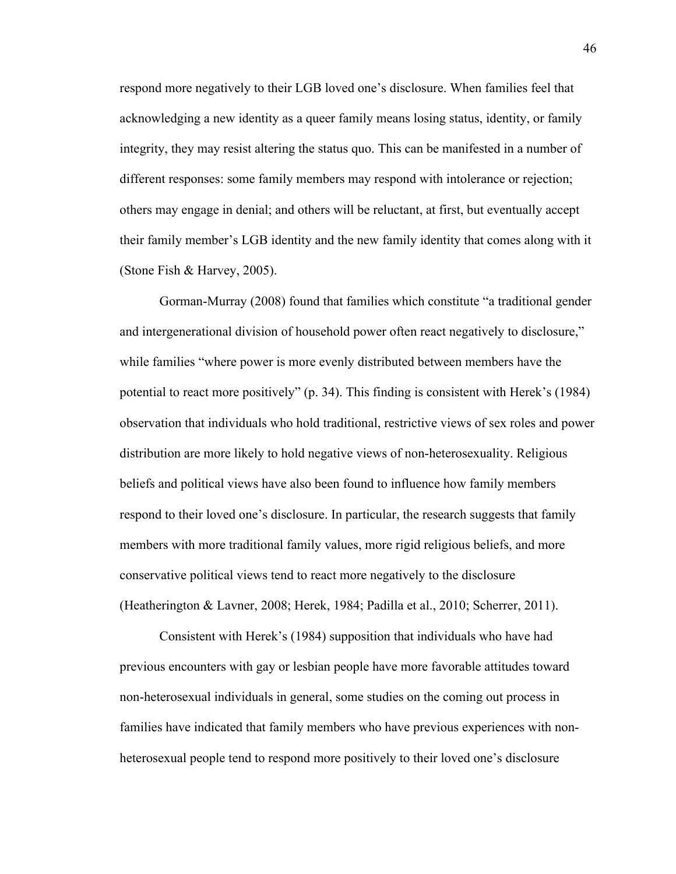respond more negatively to their LGB loved one's disclosure. When families feel that acknowledging a new identity as a queer family means losing status, identity, or family integrity, they may resist altering the status quo. This can be manifested in a number of different responses: some family members may respond with intolerance or rejection; others may engage in denial; and others will be reluctant, at first, but eventually accept their family member's LGB identity and the new family identity that comes along with it (Stone Fish & Harvey, 2005).

Gorman-Murray (2008) found that families which constitute "a traditional gender and intergenerational division of household power often react negatively to disclosure," while families "where power is more evenly distributed between members have the potential to react more positively" (p. 34). This finding is consistent with Herek's (1984) observation that individuals who hold traditional, restrictive views of sex roles and power distribution are more likely to hold negative views of non-heterosexuality. Religious beliefs and political views have also been found to influence how family members respond to their loved one's disclosure. In particular, the research suggests that family members with more traditional family values, more rigid religious beliefs, and more conservative political views tend to react more negatively to the disclosure (Heatherington & Lavner, 2008; Herek, 1984; Padilla et al., 2010; Scherrer, 2011).

Consistent with Herek's (1984) supposition that individuals who have had previous encounters with gay or lesbian people have more favorable attitudes toward non-heterosexual individuals in general, some studies on the coming out process in families have indicated that family members who have previous experiences with nonheterosexual people tend to respond more positively to their loved one's disclosure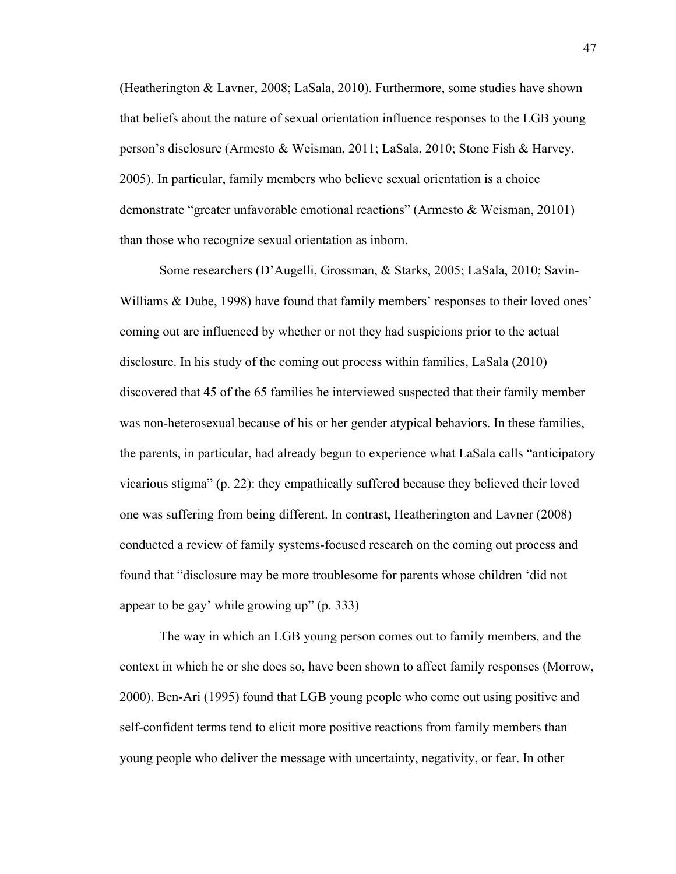(Heatherington & Lavner, 2008; LaSala, 2010). Furthermore, some studies have shown that beliefs about the nature of sexual orientation influence responses to the LGB young person's disclosure (Armesto & Weisman, 2011; LaSala, 2010; Stone Fish & Harvey, 2005). In particular, family members who believe sexual orientation is a choice demonstrate "greater unfavorable emotional reactions" (Armesto & Weisman, 20101) than those who recognize sexual orientation as inborn.

Some researchers (D'Augelli, Grossman, & Starks, 2005; LaSala, 2010; Savin-Williams & Dube, 1998) have found that family members' responses to their loved ones' coming out are influenced by whether or not they had suspicions prior to the actual disclosure. In his study of the coming out process within families, LaSala (2010) discovered that 45 of the 65 families he interviewed suspected that their family member was non-heterosexual because of his or her gender atypical behaviors. In these families, the parents, in particular, had already begun to experience what LaSala calls "anticipatory vicarious stigma" (p. 22): they empathically suffered because they believed their loved one was suffering from being different. In contrast, Heatherington and Lavner (2008) conducted a review of family systems-focused research on the coming out process and found that "disclosure may be more troublesome for parents whose children 'did not appear to be gay' while growing up" (p. 333)

The way in which an LGB young person comes out to family members, and the context in which he or she does so, have been shown to affect family responses (Morrow, 2000). Ben-Ari (1995) found that LGB young people who come out using positive and self-confident terms tend to elicit more positive reactions from family members than young people who deliver the message with uncertainty, negativity, or fear. In other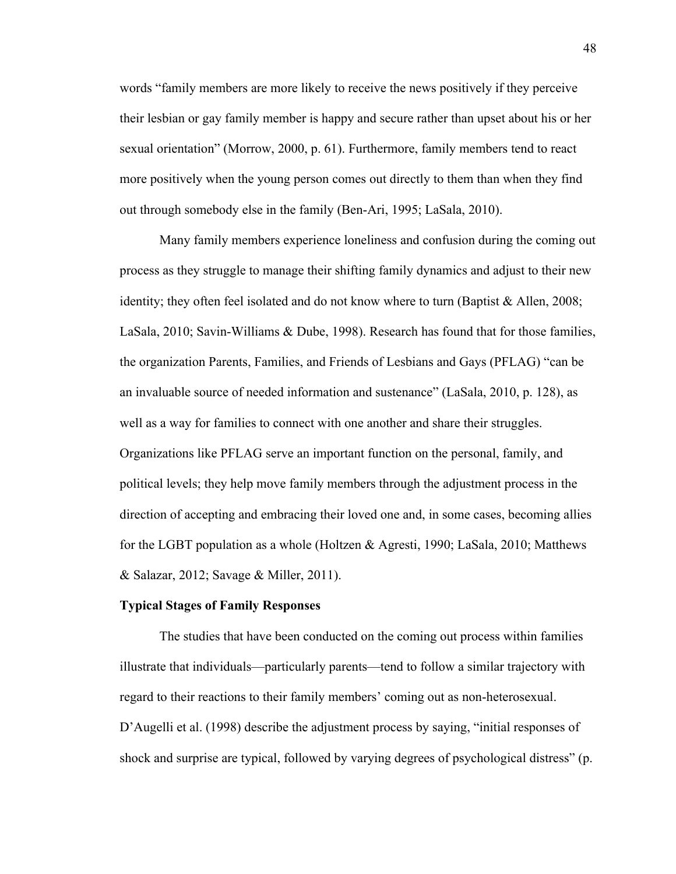words "family members are more likely to receive the news positively if they perceive their lesbian or gay family member is happy and secure rather than upset about his or her sexual orientation" (Morrow, 2000, p. 61). Furthermore, family members tend to react more positively when the young person comes out directly to them than when they find out through somebody else in the family (Ben-Ari, 1995; LaSala, 2010).

Many family members experience loneliness and confusion during the coming out process as they struggle to manage their shifting family dynamics and adjust to their new identity; they often feel isolated and do not know where to turn (Baptist & Allen, 2008; LaSala, 2010; Savin-Williams & Dube, 1998). Research has found that for those families, the organization Parents, Families, and Friends of Lesbians and Gays (PFLAG) "can be an invaluable source of needed information and sustenance" (LaSala, 2010, p. 128), as well as a way for families to connect with one another and share their struggles. Organizations like PFLAG serve an important function on the personal, family, and political levels; they help move family members through the adjustment process in the direction of accepting and embracing their loved one and, in some cases, becoming allies for the LGBT population as a whole (Holtzen & Agresti, 1990; LaSala, 2010; Matthews & Salazar, 2012; Savage & Miller, 2011).

#### **Typical Stages of Family Responses**

The studies that have been conducted on the coming out process within families illustrate that individuals—particularly parents—tend to follow a similar trajectory with regard to their reactions to their family members' coming out as non-heterosexual. D'Augelli et al. (1998) describe the adjustment process by saying, "initial responses of shock and surprise are typical, followed by varying degrees of psychological distress" (p.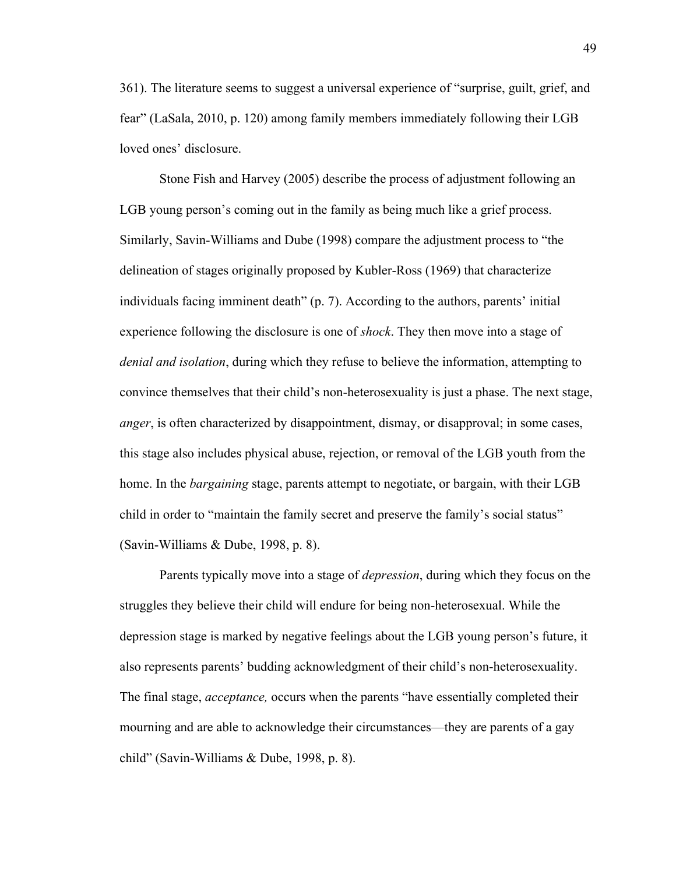361). The literature seems to suggest a universal experience of "surprise, guilt, grief, and fear" (LaSala, 2010, p. 120) among family members immediately following their LGB loved ones' disclosure.

Stone Fish and Harvey (2005) describe the process of adjustment following an LGB young person's coming out in the family as being much like a grief process. Similarly, Savin-Williams and Dube (1998) compare the adjustment process to "the delineation of stages originally proposed by Kubler-Ross (1969) that characterize individuals facing imminent death" (p. 7). According to the authors, parents' initial experience following the disclosure is one of *shock*. They then move into a stage of *denial and isolation*, during which they refuse to believe the information, attempting to convince themselves that their child's non-heterosexuality is just a phase. The next stage, *anger*, is often characterized by disappointment, dismay, or disapproval; in some cases, this stage also includes physical abuse, rejection, or removal of the LGB youth from the home. In the *bargaining* stage, parents attempt to negotiate, or bargain, with their LGB child in order to "maintain the family secret and preserve the family's social status" (Savin-Williams & Dube, 1998, p. 8).

Parents typically move into a stage of *depression*, during which they focus on the struggles they believe their child will endure for being non-heterosexual. While the depression stage is marked by negative feelings about the LGB young person's future, it also represents parents' budding acknowledgment of their child's non-heterosexuality. The final stage, *acceptance,* occurs when the parents "have essentially completed their mourning and are able to acknowledge their circumstances—they are parents of a gay child" (Savin-Williams & Dube, 1998, p. 8).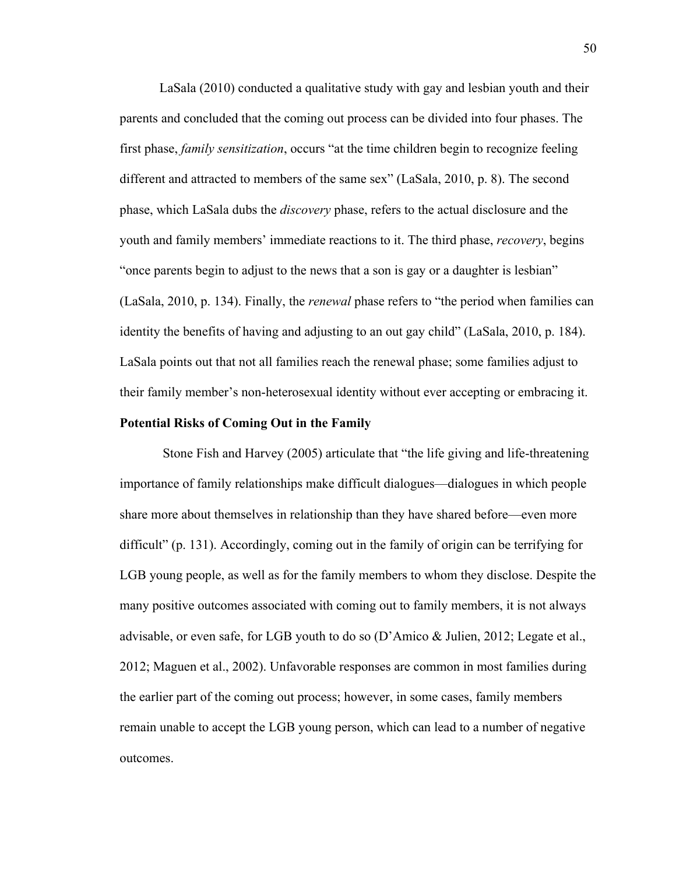LaSala (2010) conducted a qualitative study with gay and lesbian youth and their parents and concluded that the coming out process can be divided into four phases. The first phase, *family sensitization*, occurs "at the time children begin to recognize feeling different and attracted to members of the same sex" (LaSala, 2010, p. 8). The second phase, which LaSala dubs the *discovery* phase, refers to the actual disclosure and the youth and family members' immediate reactions to it. The third phase, *recovery*, begins "once parents begin to adjust to the news that a son is gay or a daughter is lesbian" (LaSala, 2010, p. 134). Finally, the *renewal* phase refers to "the period when families can identity the benefits of having and adjusting to an out gay child" (LaSala, 2010, p. 184). LaSala points out that not all families reach the renewal phase; some families adjust to their family member's non-heterosexual identity without ever accepting or embracing it.

#### **Potential Risks of Coming Out in the Family**

Stone Fish and Harvey (2005) articulate that "the life giving and life-threatening importance of family relationships make difficult dialogues—dialogues in which people share more about themselves in relationship than they have shared before—even more difficult" (p. 131). Accordingly, coming out in the family of origin can be terrifying for LGB young people, as well as for the family members to whom they disclose. Despite the many positive outcomes associated with coming out to family members, it is not always advisable, or even safe, for LGB youth to do so (D'Amico & Julien, 2012; Legate et al., 2012; Maguen et al., 2002). Unfavorable responses are common in most families during the earlier part of the coming out process; however, in some cases, family members remain unable to accept the LGB young person, which can lead to a number of negative outcomes.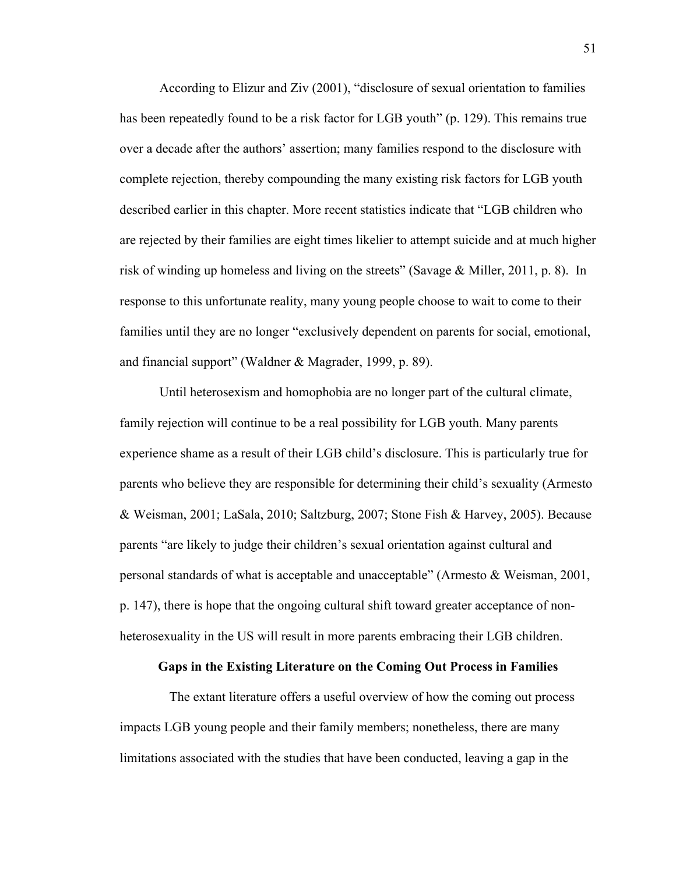According to Elizur and Ziv (2001), "disclosure of sexual orientation to families has been repeatedly found to be a risk factor for LGB youth" (p. 129). This remains true over a decade after the authors' assertion; many families respond to the disclosure with complete rejection, thereby compounding the many existing risk factors for LGB youth described earlier in this chapter. More recent statistics indicate that "LGB children who are rejected by their families are eight times likelier to attempt suicide and at much higher risk of winding up homeless and living on the streets" (Savage & Miller, 2011, p. 8). In response to this unfortunate reality, many young people choose to wait to come to their families until they are no longer "exclusively dependent on parents for social, emotional, and financial support" (Waldner & Magrader, 1999, p. 89).

Until heterosexism and homophobia are no longer part of the cultural climate, family rejection will continue to be a real possibility for LGB youth. Many parents experience shame as a result of their LGB child's disclosure. This is particularly true for parents who believe they are responsible for determining their child's sexuality (Armesto & Weisman, 2001; LaSala, 2010; Saltzburg, 2007; Stone Fish & Harvey, 2005). Because parents "are likely to judge their children's sexual orientation against cultural and personal standards of what is acceptable and unacceptable" (Armesto & Weisman, 2001, p. 147), there is hope that the ongoing cultural shift toward greater acceptance of nonheterosexuality in the US will result in more parents embracing their LGB children.

# **Gaps in the Existing Literature on the Coming Out Process in Families**

 The extant literature offers a useful overview of how the coming out process impacts LGB young people and their family members; nonetheless, there are many limitations associated with the studies that have been conducted, leaving a gap in the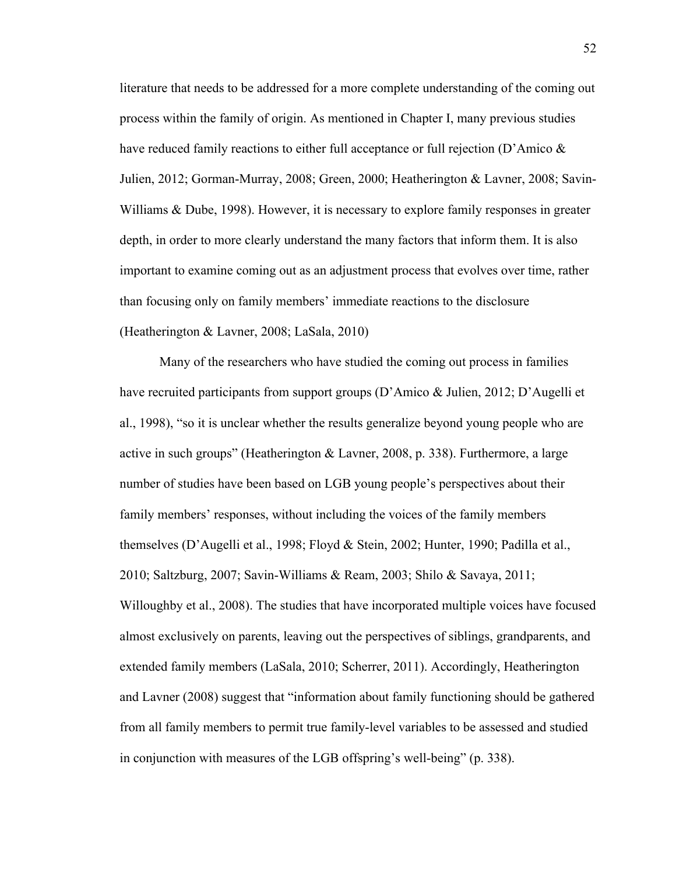literature that needs to be addressed for a more complete understanding of the coming out process within the family of origin. As mentioned in Chapter I, many previous studies have reduced family reactions to either full acceptance or full rejection (D'Amico & Julien, 2012; Gorman-Murray, 2008; Green, 2000; Heatherington & Lavner, 2008; Savin-Williams & Dube, 1998). However, it is necessary to explore family responses in greater depth, in order to more clearly understand the many factors that inform them. It is also important to examine coming out as an adjustment process that evolves over time, rather than focusing only on family members' immediate reactions to the disclosure (Heatherington & Lavner, 2008; LaSala, 2010)

Many of the researchers who have studied the coming out process in families have recruited participants from support groups (D'Amico & Julien, 2012; D'Augelli et al., 1998), "so it is unclear whether the results generalize beyond young people who are active in such groups" (Heatherington & Lavner, 2008, p. 338). Furthermore, a large number of studies have been based on LGB young people's perspectives about their family members' responses, without including the voices of the family members themselves (D'Augelli et al., 1998; Floyd & Stein, 2002; Hunter, 1990; Padilla et al., 2010; Saltzburg, 2007; Savin-Williams & Ream, 2003; Shilo & Savaya, 2011; Willoughby et al., 2008). The studies that have incorporated multiple voices have focused almost exclusively on parents, leaving out the perspectives of siblings, grandparents, and extended family members (LaSala, 2010; Scherrer, 2011). Accordingly, Heatherington and Lavner (2008) suggest that "information about family functioning should be gathered from all family members to permit true family-level variables to be assessed and studied in conjunction with measures of the LGB offspring's well-being" (p. 338).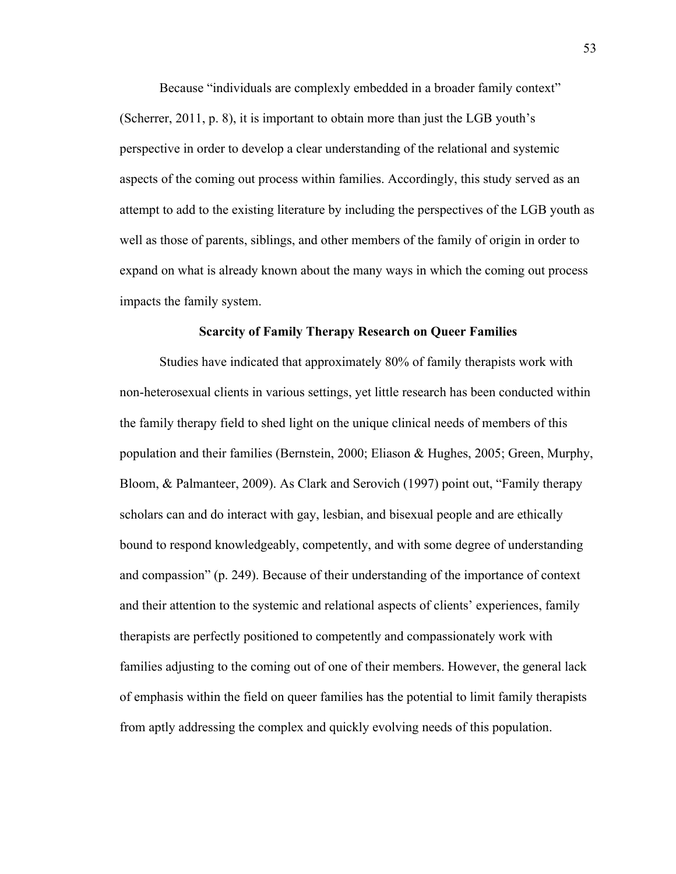Because "individuals are complexly embedded in a broader family context" (Scherrer, 2011, p. 8), it is important to obtain more than just the LGB youth's perspective in order to develop a clear understanding of the relational and systemic aspects of the coming out process within families. Accordingly, this study served as an attempt to add to the existing literature by including the perspectives of the LGB youth as well as those of parents, siblings, and other members of the family of origin in order to expand on what is already known about the many ways in which the coming out process impacts the family system.

#### **Scarcity of Family Therapy Research on Queer Families**

Studies have indicated that approximately 80% of family therapists work with non-heterosexual clients in various settings, yet little research has been conducted within the family therapy field to shed light on the unique clinical needs of members of this population and their families (Bernstein, 2000; Eliason & Hughes, 2005; Green, Murphy, Bloom, & Palmanteer, 2009). As Clark and Serovich (1997) point out, "Family therapy scholars can and do interact with gay, lesbian, and bisexual people and are ethically bound to respond knowledgeably, competently, and with some degree of understanding and compassion" (p. 249). Because of their understanding of the importance of context and their attention to the systemic and relational aspects of clients' experiences, family therapists are perfectly positioned to competently and compassionately work with families adjusting to the coming out of one of their members. However, the general lack of emphasis within the field on queer families has the potential to limit family therapists from aptly addressing the complex and quickly evolving needs of this population.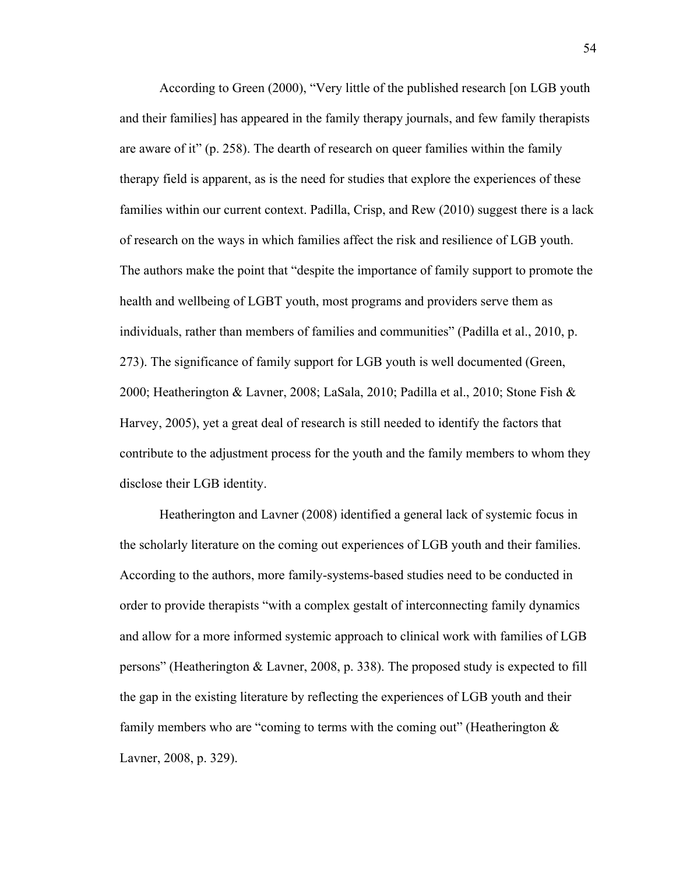According to Green (2000), "Very little of the published research [on LGB youth and their families] has appeared in the family therapy journals, and few family therapists are aware of it" (p. 258). The dearth of research on queer families within the family therapy field is apparent, as is the need for studies that explore the experiences of these families within our current context. Padilla, Crisp, and Rew (2010) suggest there is a lack of research on the ways in which families affect the risk and resilience of LGB youth. The authors make the point that "despite the importance of family support to promote the health and wellbeing of LGBT youth, most programs and providers serve them as individuals, rather than members of families and communities" (Padilla et al., 2010, p. 273). The significance of family support for LGB youth is well documented (Green, 2000; Heatherington & Lavner, 2008; LaSala, 2010; Padilla et al., 2010; Stone Fish & Harvey, 2005), yet a great deal of research is still needed to identify the factors that contribute to the adjustment process for the youth and the family members to whom they disclose their LGB identity.

Heatherington and Lavner (2008) identified a general lack of systemic focus in the scholarly literature on the coming out experiences of LGB youth and their families. According to the authors, more family-systems-based studies need to be conducted in order to provide therapists "with a complex gestalt of interconnecting family dynamics and allow for a more informed systemic approach to clinical work with families of LGB persons" (Heatherington & Lavner, 2008, p. 338). The proposed study is expected to fill the gap in the existing literature by reflecting the experiences of LGB youth and their family members who are "coming to terms with the coming out" (Heatherington  $\&$ Lavner, 2008, p. 329).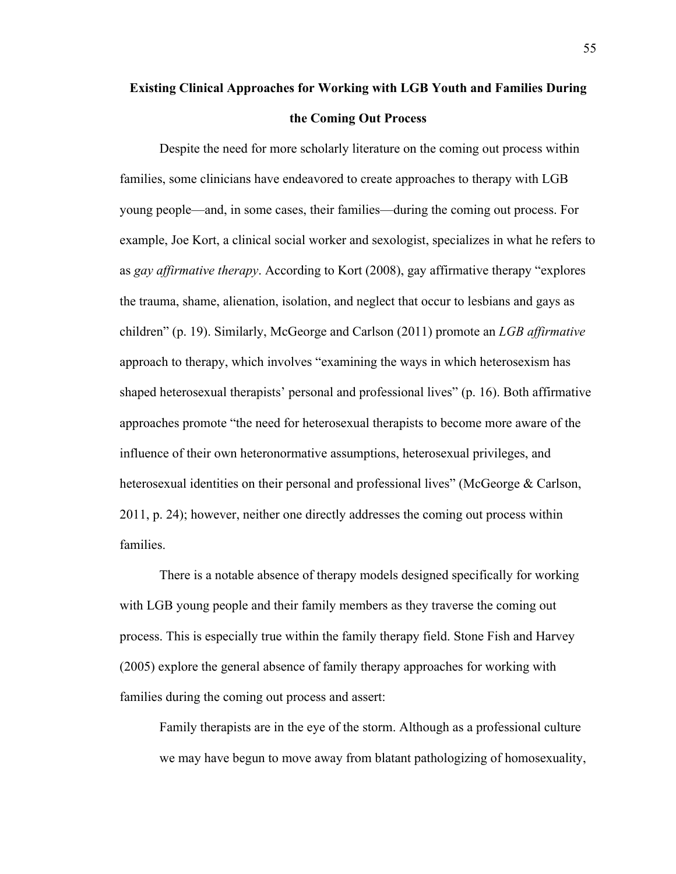# **Existing Clinical Approaches for Working with LGB Youth and Families During the Coming Out Process**

Despite the need for more scholarly literature on the coming out process within families, some clinicians have endeavored to create approaches to therapy with LGB young people—and, in some cases, their families—during the coming out process. For example, Joe Kort, a clinical social worker and sexologist, specializes in what he refers to as *gay affirmative therapy*. According to Kort (2008), gay affirmative therapy "explores the trauma, shame, alienation, isolation, and neglect that occur to lesbians and gays as children" (p. 19). Similarly, McGeorge and Carlson (2011) promote an *LGB affirmative*  approach to therapy, which involves "examining the ways in which heterosexism has shaped heterosexual therapists' personal and professional lives" (p. 16). Both affirmative approaches promote "the need for heterosexual therapists to become more aware of the influence of their own heteronormative assumptions, heterosexual privileges, and heterosexual identities on their personal and professional lives" (McGeorge & Carlson, 2011, p. 24); however, neither one directly addresses the coming out process within families.

There is a notable absence of therapy models designed specifically for working with LGB young people and their family members as they traverse the coming out process. This is especially true within the family therapy field. Stone Fish and Harvey (2005) explore the general absence of family therapy approaches for working with families during the coming out process and assert:

Family therapists are in the eye of the storm. Although as a professional culture we may have begun to move away from blatant pathologizing of homosexuality,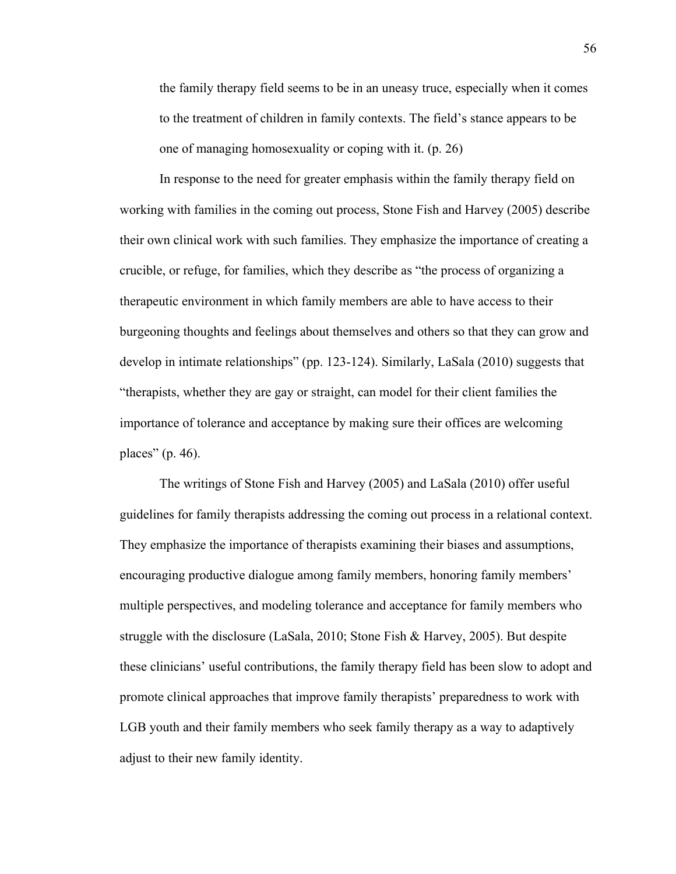the family therapy field seems to be in an uneasy truce, especially when it comes to the treatment of children in family contexts. The field's stance appears to be one of managing homosexuality or coping with it. (p. 26)

In response to the need for greater emphasis within the family therapy field on working with families in the coming out process, Stone Fish and Harvey (2005) describe their own clinical work with such families. They emphasize the importance of creating a crucible, or refuge, for families, which they describe as "the process of organizing a therapeutic environment in which family members are able to have access to their burgeoning thoughts and feelings about themselves and others so that they can grow and develop in intimate relationships" (pp. 123-124). Similarly, LaSala (2010) suggests that "therapists, whether they are gay or straight, can model for their client families the importance of tolerance and acceptance by making sure their offices are welcoming places" (p. 46).

The writings of Stone Fish and Harvey (2005) and LaSala (2010) offer useful guidelines for family therapists addressing the coming out process in a relational context. They emphasize the importance of therapists examining their biases and assumptions, encouraging productive dialogue among family members, honoring family members' multiple perspectives, and modeling tolerance and acceptance for family members who struggle with the disclosure (LaSala, 2010; Stone Fish & Harvey, 2005). But despite these clinicians' useful contributions, the family therapy field has been slow to adopt and promote clinical approaches that improve family therapists' preparedness to work with LGB youth and their family members who seek family therapy as a way to adaptively adjust to their new family identity.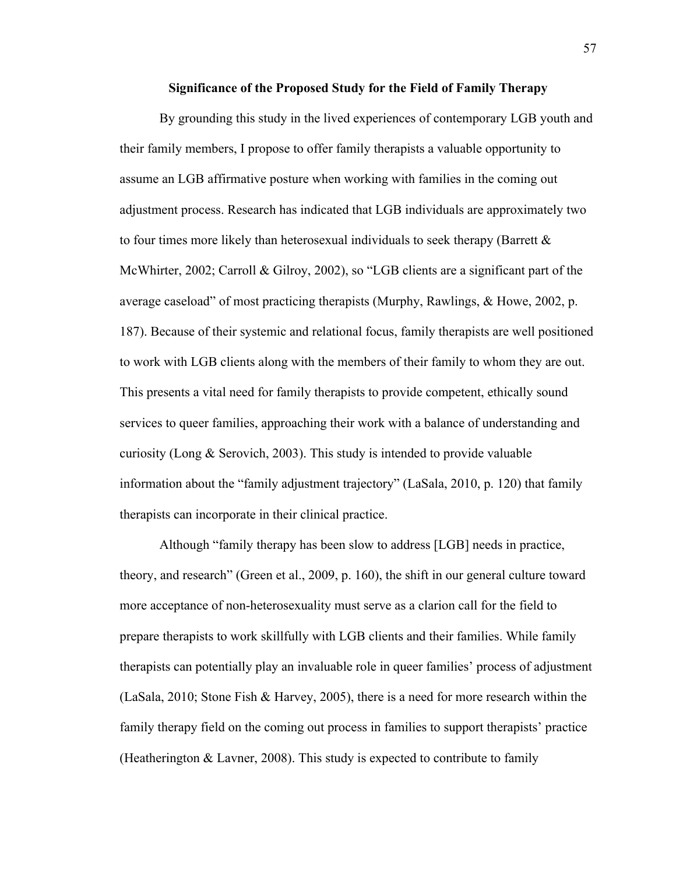#### **Significance of the Proposed Study for the Field of Family Therapy**

By grounding this study in the lived experiences of contemporary LGB youth and their family members, I propose to offer family therapists a valuable opportunity to assume an LGB affirmative posture when working with families in the coming out adjustment process. Research has indicated that LGB individuals are approximately two to four times more likely than heterosexual individuals to seek therapy (Barrett  $\&$ McWhirter, 2002; Carroll & Gilroy, 2002), so "LGB clients are a significant part of the average caseload" of most practicing therapists (Murphy, Rawlings, & Howe, 2002, p. 187). Because of their systemic and relational focus, family therapists are well positioned to work with LGB clients along with the members of their family to whom they are out. This presents a vital need for family therapists to provide competent, ethically sound services to queer families, approaching their work with a balance of understanding and curiosity (Long & Serovich, 2003). This study is intended to provide valuable information about the "family adjustment trajectory" (LaSala, 2010, p. 120) that family therapists can incorporate in their clinical practice.

Although "family therapy has been slow to address [LGB] needs in practice, theory, and research" (Green et al., 2009, p. 160), the shift in our general culture toward more acceptance of non-heterosexuality must serve as a clarion call for the field to prepare therapists to work skillfully with LGB clients and their families. While family therapists can potentially play an invaluable role in queer families' process of adjustment (LaSala, 2010; Stone Fish & Harvey, 2005), there is a need for more research within the family therapy field on the coming out process in families to support therapists' practice (Heatherington & Lavner, 2008). This study is expected to contribute to family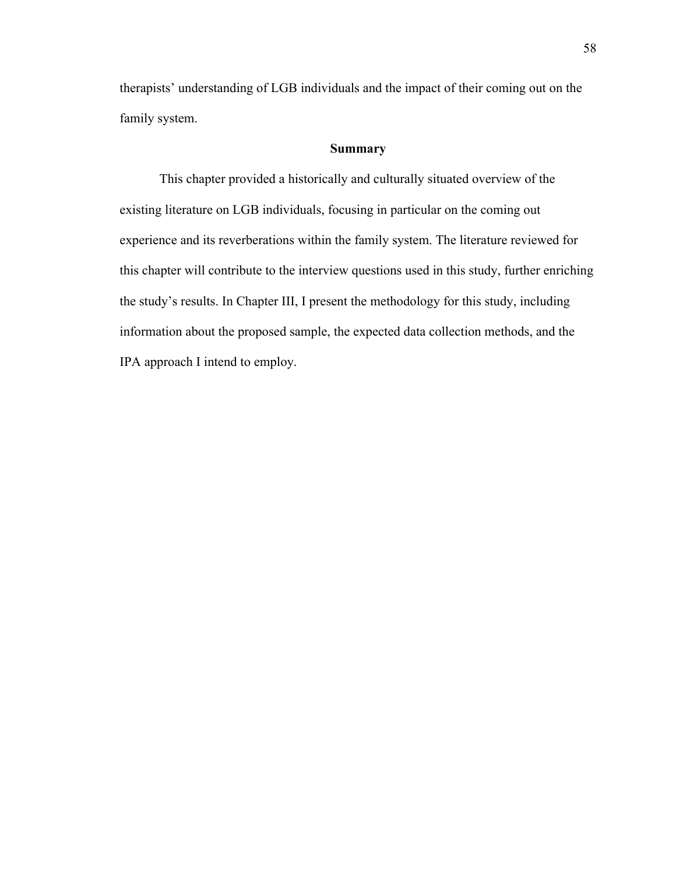therapists' understanding of LGB individuals and the impact of their coming out on the family system.

### **Summary**

This chapter provided a historically and culturally situated overview of the existing literature on LGB individuals, focusing in particular on the coming out experience and its reverberations within the family system. The literature reviewed for this chapter will contribute to the interview questions used in this study, further enriching the study's results. In Chapter III, I present the methodology for this study, including information about the proposed sample, the expected data collection methods, and the IPA approach I intend to employ.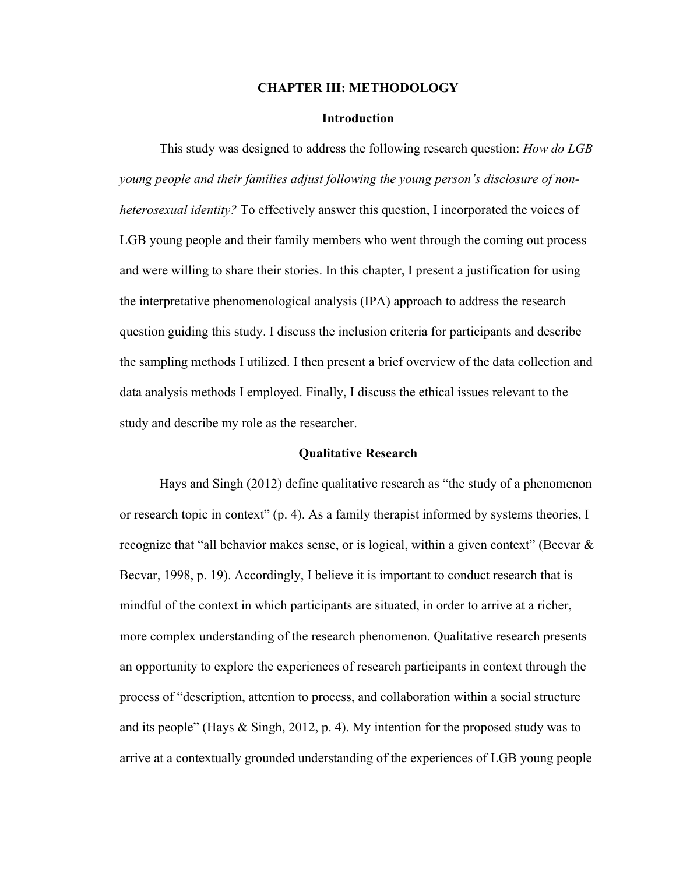### **CHAPTER III: METHODOLOGY**

### **Introduction**

This study was designed to address the following research question: *How do LGB young people and their families adjust following the young person's disclosure of nonheterosexual identity?* To effectively answer this question, I incorporated the voices of LGB young people and their family members who went through the coming out process and were willing to share their stories. In this chapter, I present a justification for using the interpretative phenomenological analysis (IPA) approach to address the research question guiding this study. I discuss the inclusion criteria for participants and describe the sampling methods I utilized. I then present a brief overview of the data collection and data analysis methods I employed. Finally, I discuss the ethical issues relevant to the study and describe my role as the researcher.

### **Qualitative Research**

Hays and Singh (2012) define qualitative research as "the study of a phenomenon or research topic in context" (p. 4). As a family therapist informed by systems theories, I recognize that "all behavior makes sense, or is logical, within a given context" (Becvar & Becvar, 1998, p. 19). Accordingly, I believe it is important to conduct research that is mindful of the context in which participants are situated, in order to arrive at a richer, more complex understanding of the research phenomenon. Qualitative research presents an opportunity to explore the experiences of research participants in context through the process of "description, attention to process, and collaboration within a social structure and its people" (Hays & Singh, 2012, p. 4). My intention for the proposed study was to arrive at a contextually grounded understanding of the experiences of LGB young people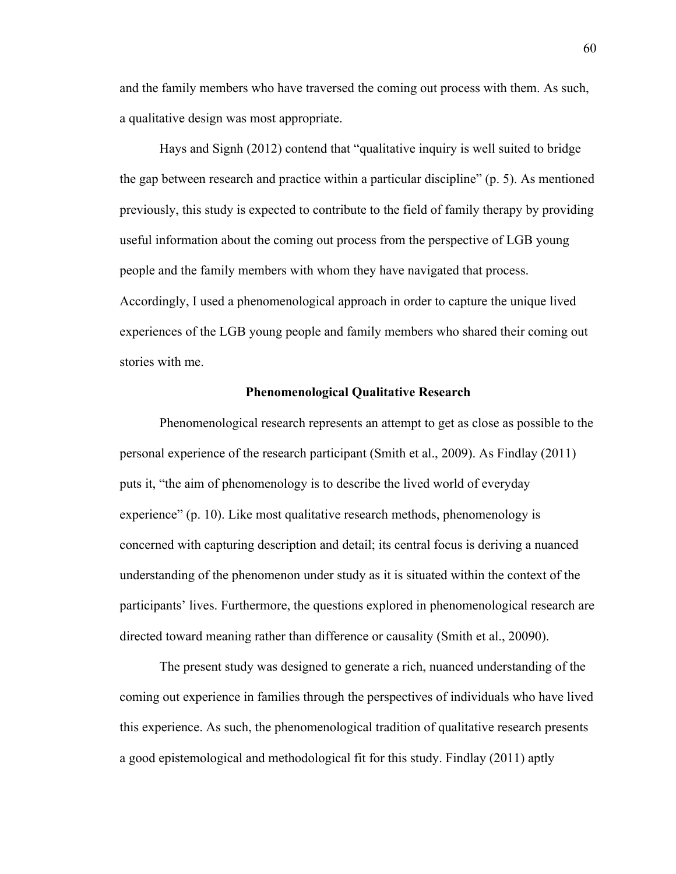and the family members who have traversed the coming out process with them. As such, a qualitative design was most appropriate.

Hays and Signh (2012) contend that "qualitative inquiry is well suited to bridge the gap between research and practice within a particular discipline" (p. 5). As mentioned previously, this study is expected to contribute to the field of family therapy by providing useful information about the coming out process from the perspective of LGB young people and the family members with whom they have navigated that process. Accordingly, I used a phenomenological approach in order to capture the unique lived experiences of the LGB young people and family members who shared their coming out stories with me.

### **Phenomenological Qualitative Research**

Phenomenological research represents an attempt to get as close as possible to the personal experience of the research participant (Smith et al., 2009). As Findlay (2011) puts it, "the aim of phenomenology is to describe the lived world of everyday experience" (p. 10). Like most qualitative research methods, phenomenology is concerned with capturing description and detail; its central focus is deriving a nuanced understanding of the phenomenon under study as it is situated within the context of the participants' lives. Furthermore, the questions explored in phenomenological research are directed toward meaning rather than difference or causality (Smith et al., 20090).

The present study was designed to generate a rich, nuanced understanding of the coming out experience in families through the perspectives of individuals who have lived this experience. As such, the phenomenological tradition of qualitative research presents a good epistemological and methodological fit for this study. Findlay (2011) aptly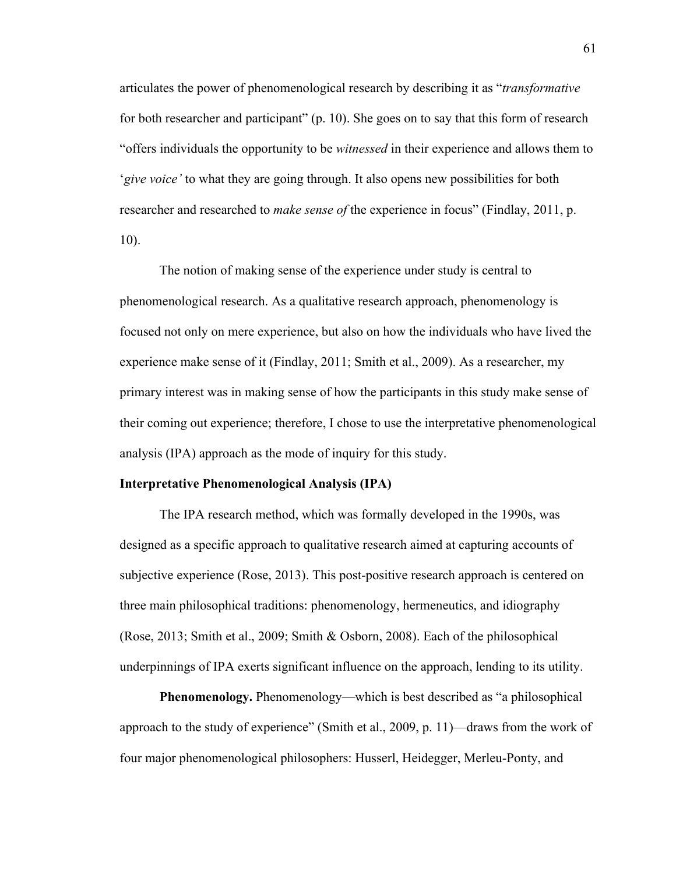articulates the power of phenomenological research by describing it as "*transformative* for both researcher and participant" (p. 10). She goes on to say that this form of research "offers individuals the opportunity to be *witnessed* in their experience and allows them to '*give voice'* to what they are going through. It also opens new possibilities for both researcher and researched to *make sense of* the experience in focus" (Findlay, 2011, p. 10).

The notion of making sense of the experience under study is central to phenomenological research. As a qualitative research approach, phenomenology is focused not only on mere experience, but also on how the individuals who have lived the experience make sense of it (Findlay, 2011; Smith et al., 2009). As a researcher, my primary interest was in making sense of how the participants in this study make sense of their coming out experience; therefore, I chose to use the interpretative phenomenological analysis (IPA) approach as the mode of inquiry for this study.

#### **Interpretative Phenomenological Analysis (IPA)**

The IPA research method, which was formally developed in the 1990s, was designed as a specific approach to qualitative research aimed at capturing accounts of subjective experience (Rose, 2013). This post-positive research approach is centered on three main philosophical traditions: phenomenology, hermeneutics, and idiography (Rose, 2013; Smith et al., 2009; Smith & Osborn, 2008). Each of the philosophical underpinnings of IPA exerts significant influence on the approach, lending to its utility.

**Phenomenology.** Phenomenology—which is best described as "a philosophical approach to the study of experience" (Smith et al., 2009, p. 11)—draws from the work of four major phenomenological philosophers: Husserl, Heidegger, Merleu-Ponty, and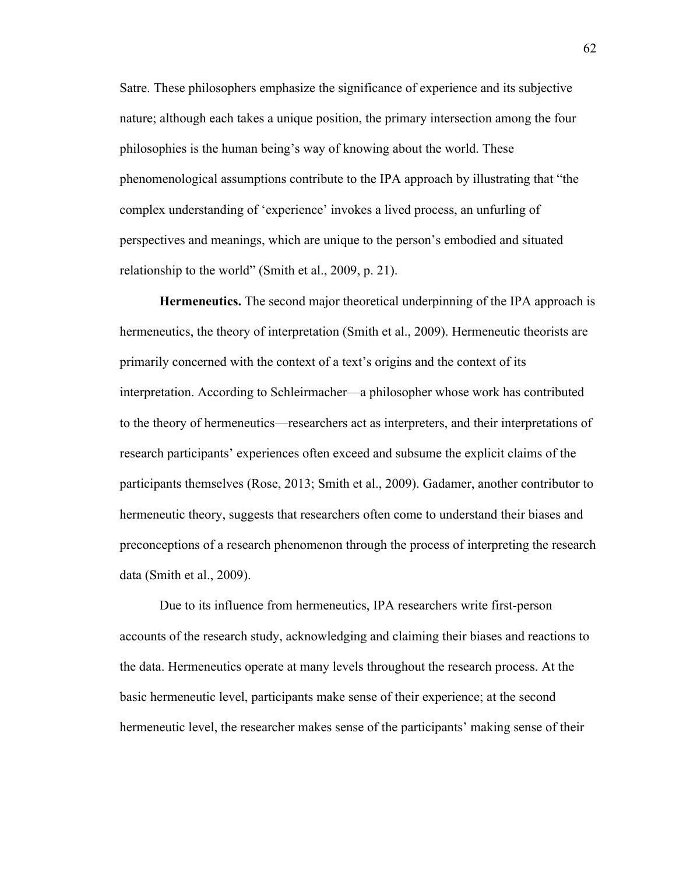Satre. These philosophers emphasize the significance of experience and its subjective nature; although each takes a unique position, the primary intersection among the four philosophies is the human being's way of knowing about the world. These phenomenological assumptions contribute to the IPA approach by illustrating that "the complex understanding of 'experience' invokes a lived process, an unfurling of perspectives and meanings, which are unique to the person's embodied and situated relationship to the world" (Smith et al., 2009, p. 21).

**Hermeneutics.** The second major theoretical underpinning of the IPA approach is hermeneutics, the theory of interpretation (Smith et al., 2009). Hermeneutic theorists are primarily concerned with the context of a text's origins and the context of its interpretation. According to Schleirmacher—a philosopher whose work has contributed to the theory of hermeneutics—researchers act as interpreters, and their interpretations of research participants' experiences often exceed and subsume the explicit claims of the participants themselves (Rose, 2013; Smith et al., 2009). Gadamer, another contributor to hermeneutic theory, suggests that researchers often come to understand their biases and preconceptions of a research phenomenon through the process of interpreting the research data (Smith et al., 2009).

Due to its influence from hermeneutics, IPA researchers write first-person accounts of the research study, acknowledging and claiming their biases and reactions to the data. Hermeneutics operate at many levels throughout the research process. At the basic hermeneutic level, participants make sense of their experience; at the second hermeneutic level, the researcher makes sense of the participants' making sense of their

62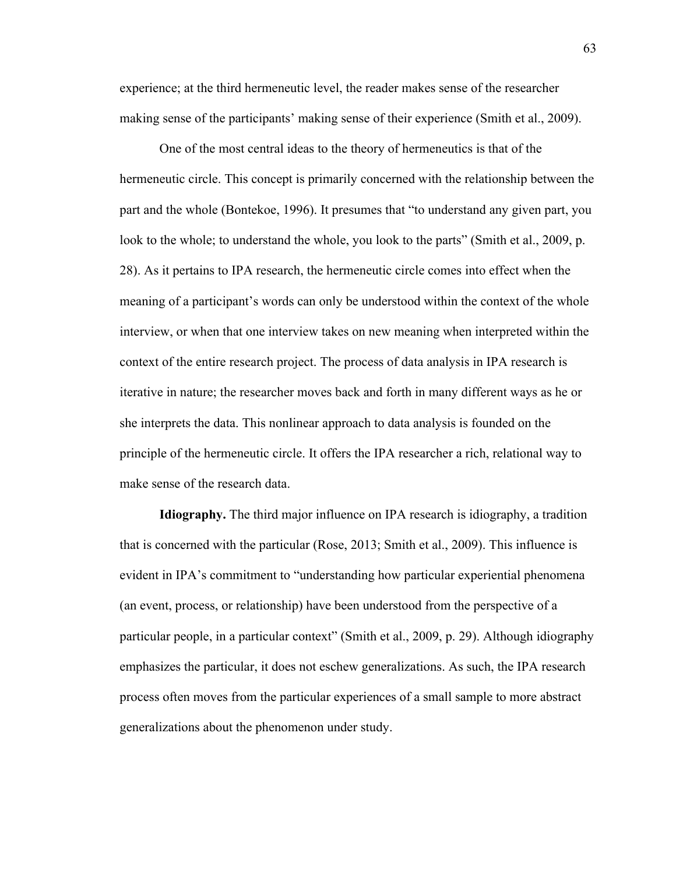experience; at the third hermeneutic level, the reader makes sense of the researcher making sense of the participants' making sense of their experience (Smith et al., 2009).

One of the most central ideas to the theory of hermeneutics is that of the hermeneutic circle. This concept is primarily concerned with the relationship between the part and the whole (Bontekoe, 1996). It presumes that "to understand any given part, you look to the whole; to understand the whole, you look to the parts" (Smith et al., 2009, p. 28). As it pertains to IPA research, the hermeneutic circle comes into effect when the meaning of a participant's words can only be understood within the context of the whole interview, or when that one interview takes on new meaning when interpreted within the context of the entire research project. The process of data analysis in IPA research is iterative in nature; the researcher moves back and forth in many different ways as he or she interprets the data. This nonlinear approach to data analysis is founded on the principle of the hermeneutic circle. It offers the IPA researcher a rich, relational way to make sense of the research data.

**Idiography.** The third major influence on IPA research is idiography, a tradition that is concerned with the particular (Rose, 2013; Smith et al., 2009). This influence is evident in IPA's commitment to "understanding how particular experiential phenomena (an event, process, or relationship) have been understood from the perspective of a particular people, in a particular context" (Smith et al., 2009, p. 29). Although idiography emphasizes the particular, it does not eschew generalizations. As such, the IPA research process often moves from the particular experiences of a small sample to more abstract generalizations about the phenomenon under study.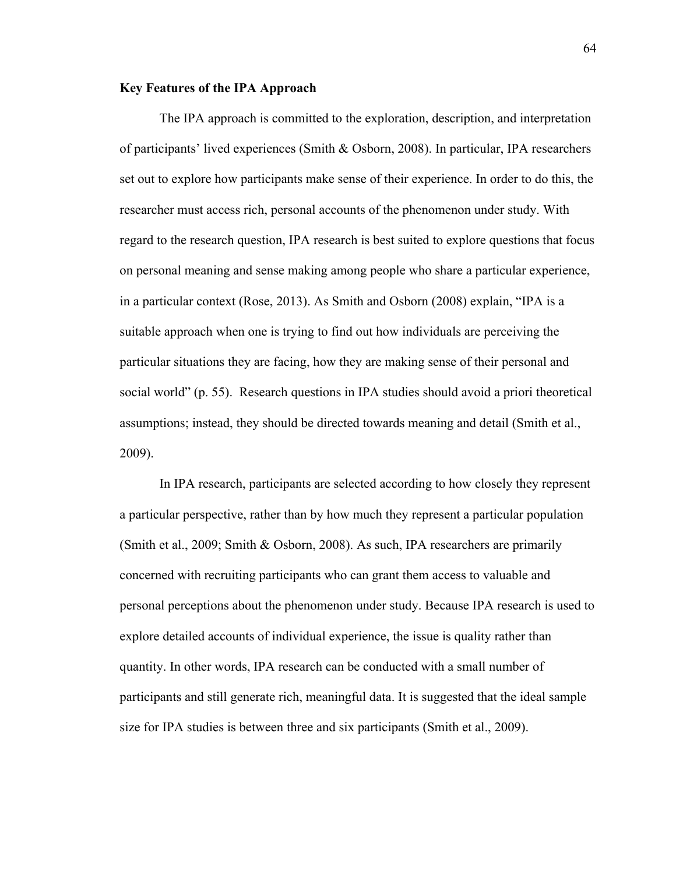#### **Key Features of the IPA Approach**

The IPA approach is committed to the exploration, description, and interpretation of participants' lived experiences (Smith & Osborn, 2008). In particular, IPA researchers set out to explore how participants make sense of their experience. In order to do this, the researcher must access rich, personal accounts of the phenomenon under study. With regard to the research question, IPA research is best suited to explore questions that focus on personal meaning and sense making among people who share a particular experience, in a particular context (Rose, 2013). As Smith and Osborn (2008) explain, "IPA is a suitable approach when one is trying to find out how individuals are perceiving the particular situations they are facing, how they are making sense of their personal and social world" (p. 55). Research questions in IPA studies should avoid a priori theoretical assumptions; instead, they should be directed towards meaning and detail (Smith et al., 2009).

In IPA research, participants are selected according to how closely they represent a particular perspective, rather than by how much they represent a particular population (Smith et al., 2009; Smith & Osborn, 2008). As such, IPA researchers are primarily concerned with recruiting participants who can grant them access to valuable and personal perceptions about the phenomenon under study. Because IPA research is used to explore detailed accounts of individual experience, the issue is quality rather than quantity. In other words, IPA research can be conducted with a small number of participants and still generate rich, meaningful data. It is suggested that the ideal sample size for IPA studies is between three and six participants (Smith et al., 2009).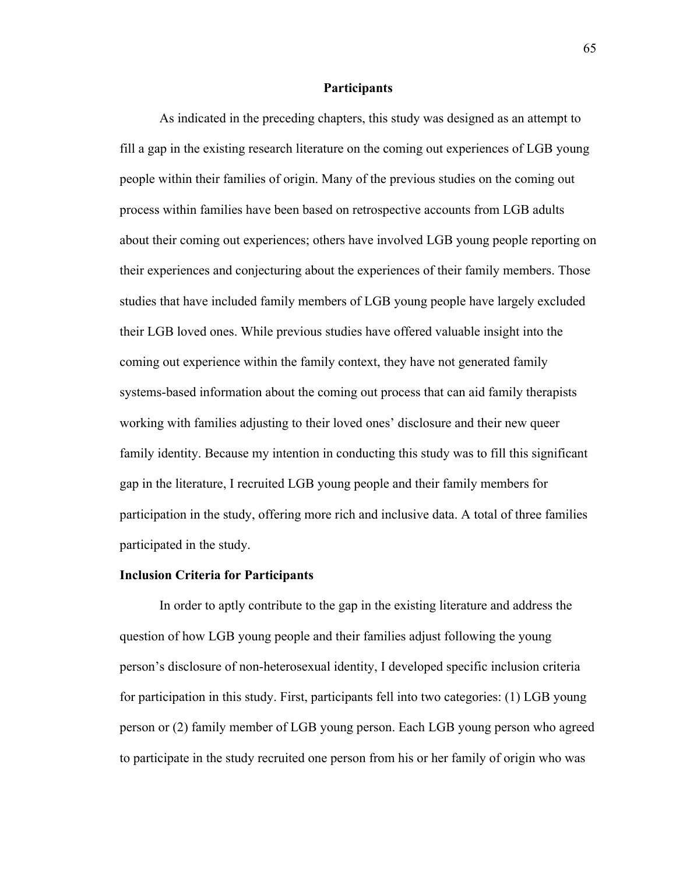### **Participants**

As indicated in the preceding chapters, this study was designed as an attempt to fill a gap in the existing research literature on the coming out experiences of LGB young people within their families of origin. Many of the previous studies on the coming out process within families have been based on retrospective accounts from LGB adults about their coming out experiences; others have involved LGB young people reporting on their experiences and conjecturing about the experiences of their family members. Those studies that have included family members of LGB young people have largely excluded their LGB loved ones. While previous studies have offered valuable insight into the coming out experience within the family context, they have not generated family systems-based information about the coming out process that can aid family therapists working with families adjusting to their loved ones' disclosure and their new queer family identity. Because my intention in conducting this study was to fill this significant gap in the literature, I recruited LGB young people and their family members for participation in the study, offering more rich and inclusive data. A total of three families participated in the study.

#### **Inclusion Criteria for Participants**

In order to aptly contribute to the gap in the existing literature and address the question of how LGB young people and their families adjust following the young person's disclosure of non-heterosexual identity, I developed specific inclusion criteria for participation in this study. First, participants fell into two categories: (1) LGB young person or (2) family member of LGB young person. Each LGB young person who agreed to participate in the study recruited one person from his or her family of origin who was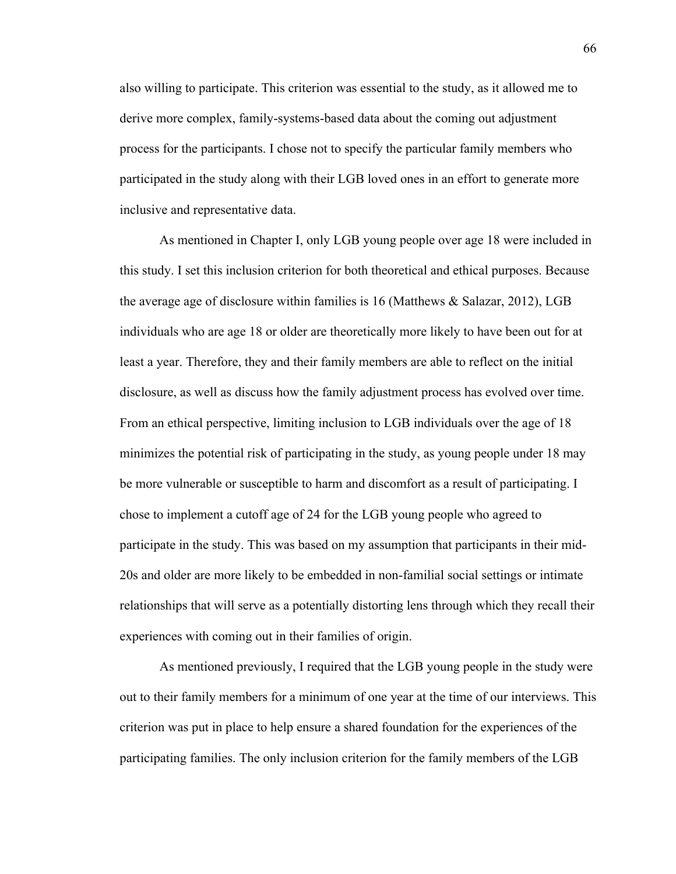also willing to participate. This criterion was essential to the study, as it allowed me to derive more complex, family-systems-based data about the coming out adjustment process for the participants. I chose not to specify the particular family members who participated in the study along with their LGB loved ones in an effort to generate more inclusive and representative data.

As mentioned in Chapter I, only LGB young people over age 18 were included in this study. I set this inclusion criterion for both theoretical and ethical purposes. Because the average age of disclosure within families is 16 (Matthews & Salazar, 2012), LGB individuals who are age 18 or older are theoretically more likely to have been out for at least a year. Therefore, they and their family members are able to reflect on the initial disclosure, as well as discuss how the family adjustment process has evolved over time. From an ethical perspective, limiting inclusion to LGB individuals over the age of 18 minimizes the potential risk of participating in the study, as young people under 18 may be more vulnerable or susceptible to harm and discomfort as a result of participating. I chose to implement a cutoff age of 24 for the LGB young people who agreed to participate in the study. This was based on my assumption that participants in their mid-20s and older are more likely to be embedded in non-familial social settings or intimate relationships that will serve as a potentially distorting lens through which they recall their experiences with coming out in their families of origin.

As mentioned previously, I required that the LGB young people in the study were out to their family members for a minimum of one year at the time of our interviews. This criterion was put in place to help ensure a shared foundation for the experiences of the participating families. The only inclusion criterion for the family members of the LGB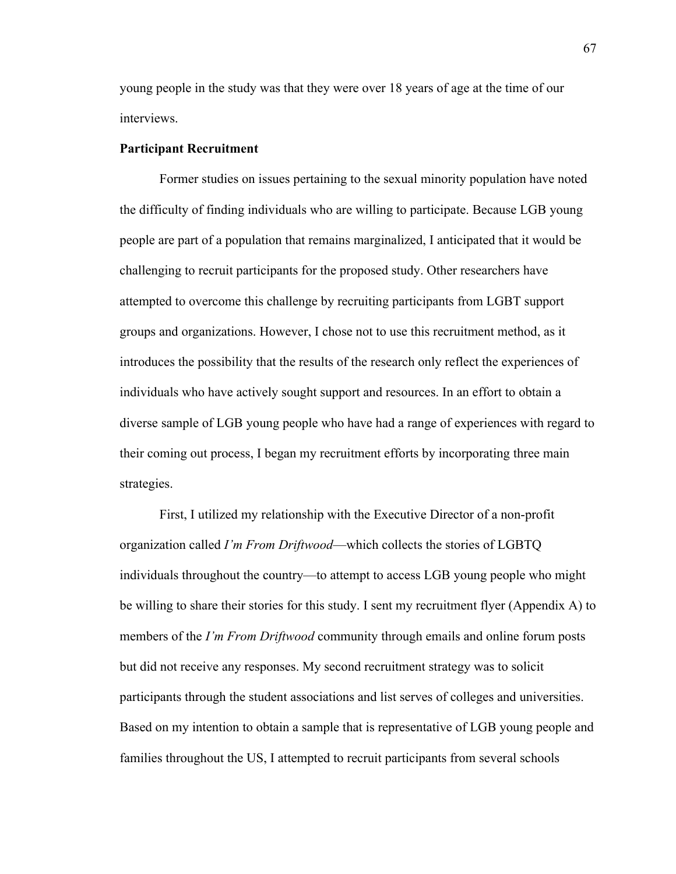young people in the study was that they were over 18 years of age at the time of our interviews.

### **Participant Recruitment**

Former studies on issues pertaining to the sexual minority population have noted the difficulty of finding individuals who are willing to participate. Because LGB young people are part of a population that remains marginalized, I anticipated that it would be challenging to recruit participants for the proposed study. Other researchers have attempted to overcome this challenge by recruiting participants from LGBT support groups and organizations. However, I chose not to use this recruitment method, as it introduces the possibility that the results of the research only reflect the experiences of individuals who have actively sought support and resources. In an effort to obtain a diverse sample of LGB young people who have had a range of experiences with regard to their coming out process, I began my recruitment efforts by incorporating three main strategies.

First, I utilized my relationship with the Executive Director of a non-profit organization called *I'm From Driftwood*—which collects the stories of LGBTQ individuals throughout the country—to attempt to access LGB young people who might be willing to share their stories for this study. I sent my recruitment flyer (Appendix A) to members of the *I'm From Driftwood* community through emails and online forum posts but did not receive any responses. My second recruitment strategy was to solicit participants through the student associations and list serves of colleges and universities. Based on my intention to obtain a sample that is representative of LGB young people and families throughout the US, I attempted to recruit participants from several schools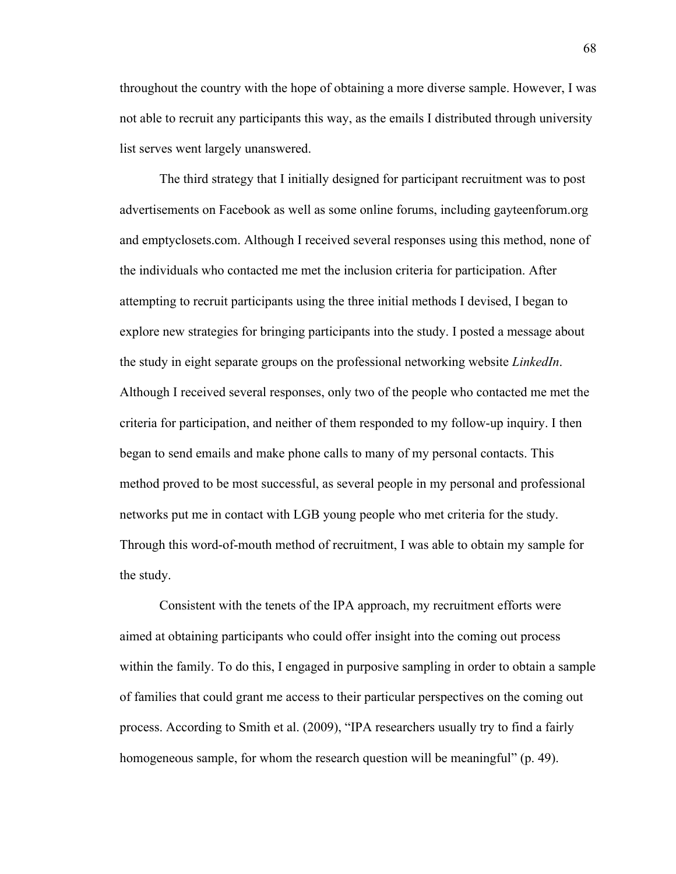throughout the country with the hope of obtaining a more diverse sample. However, I was not able to recruit any participants this way, as the emails I distributed through university list serves went largely unanswered.

The third strategy that I initially designed for participant recruitment was to post advertisements on Facebook as well as some online forums, including gayteenforum.org and emptyclosets.com. Although I received several responses using this method, none of the individuals who contacted me met the inclusion criteria for participation. After attempting to recruit participants using the three initial methods I devised, I began to explore new strategies for bringing participants into the study. I posted a message about the study in eight separate groups on the professional networking website *LinkedIn*. Although I received several responses, only two of the people who contacted me met the criteria for participation, and neither of them responded to my follow-up inquiry. I then began to send emails and make phone calls to many of my personal contacts. This method proved to be most successful, as several people in my personal and professional networks put me in contact with LGB young people who met criteria for the study. Through this word-of-mouth method of recruitment, I was able to obtain my sample for the study.

Consistent with the tenets of the IPA approach, my recruitment efforts were aimed at obtaining participants who could offer insight into the coming out process within the family. To do this, I engaged in purposive sampling in order to obtain a sample of families that could grant me access to their particular perspectives on the coming out process. According to Smith et al. (2009), "IPA researchers usually try to find a fairly homogeneous sample, for whom the research question will be meaningful" (p. 49).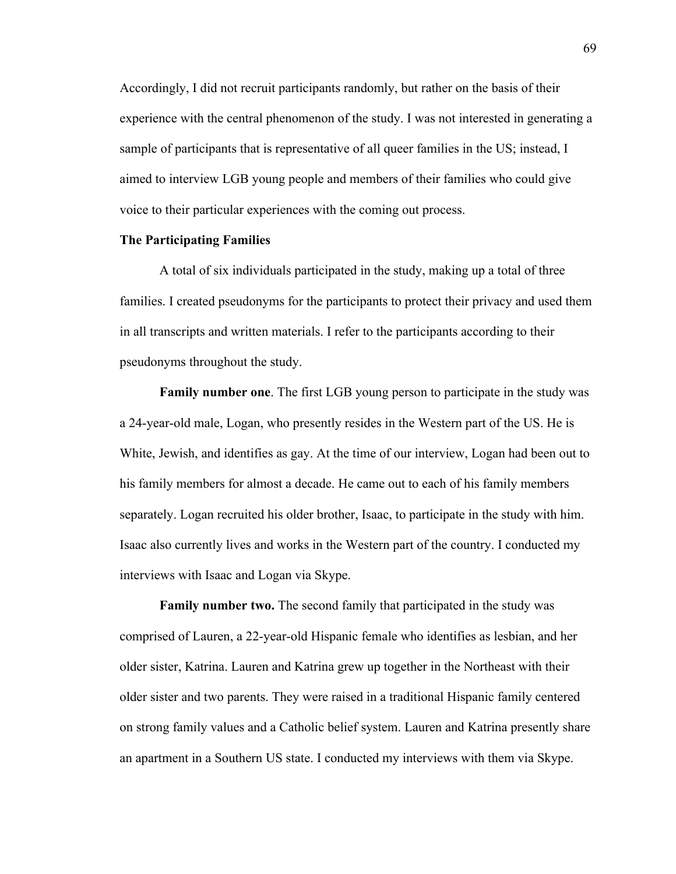Accordingly, I did not recruit participants randomly, but rather on the basis of their experience with the central phenomenon of the study. I was not interested in generating a sample of participants that is representative of all queer families in the US; instead, I aimed to interview LGB young people and members of their families who could give voice to their particular experiences with the coming out process.

### **The Participating Families**

A total of six individuals participated in the study, making up a total of three families. I created pseudonyms for the participants to protect their privacy and used them in all transcripts and written materials. I refer to the participants according to their pseudonyms throughout the study.

**Family number one**. The first LGB young person to participate in the study was a 24-year-old male, Logan, who presently resides in the Western part of the US. He is White, Jewish, and identifies as gay. At the time of our interview, Logan had been out to his family members for almost a decade. He came out to each of his family members separately. Logan recruited his older brother, Isaac, to participate in the study with him. Isaac also currently lives and works in the Western part of the country. I conducted my interviews with Isaac and Logan via Skype.

**Family number two.** The second family that participated in the study was comprised of Lauren, a 22-year-old Hispanic female who identifies as lesbian, and her older sister, Katrina. Lauren and Katrina grew up together in the Northeast with their older sister and two parents. They were raised in a traditional Hispanic family centered on strong family values and a Catholic belief system. Lauren and Katrina presently share an apartment in a Southern US state. I conducted my interviews with them via Skype.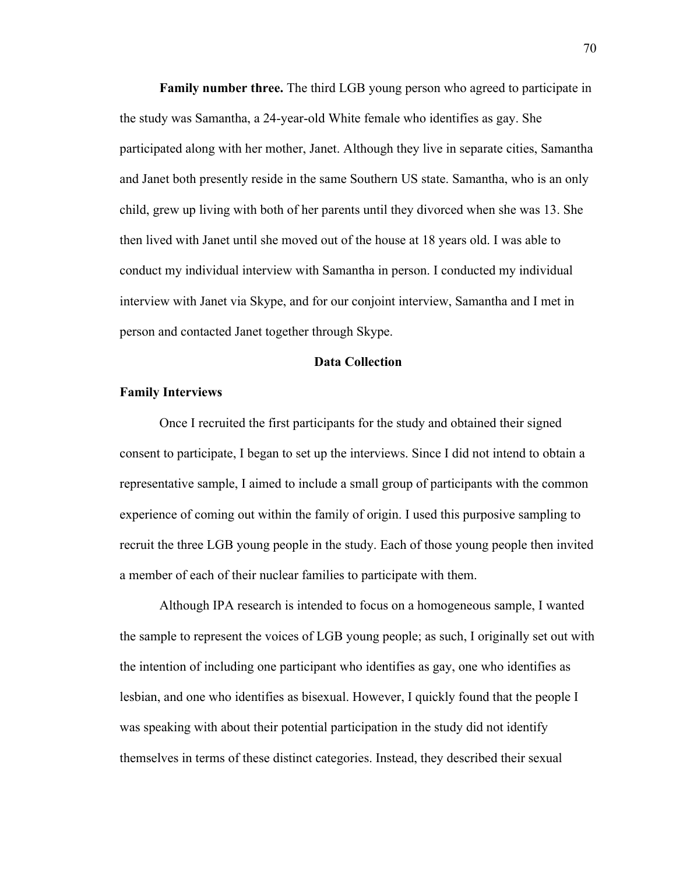**Family number three.** The third LGB young person who agreed to participate in the study was Samantha, a 24-year-old White female who identifies as gay. She participated along with her mother, Janet. Although they live in separate cities, Samantha and Janet both presently reside in the same Southern US state. Samantha, who is an only child, grew up living with both of her parents until they divorced when she was 13. She then lived with Janet until she moved out of the house at 18 years old. I was able to conduct my individual interview with Samantha in person. I conducted my individual interview with Janet via Skype, and for our conjoint interview, Samantha and I met in person and contacted Janet together through Skype.

### **Data Collection**

### **Family Interviews**

Once I recruited the first participants for the study and obtained their signed consent to participate, I began to set up the interviews. Since I did not intend to obtain a representative sample, I aimed to include a small group of participants with the common experience of coming out within the family of origin. I used this purposive sampling to recruit the three LGB young people in the study. Each of those young people then invited a member of each of their nuclear families to participate with them.

Although IPA research is intended to focus on a homogeneous sample, I wanted the sample to represent the voices of LGB young people; as such, I originally set out with the intention of including one participant who identifies as gay, one who identifies as lesbian, and one who identifies as bisexual. However, I quickly found that the people I was speaking with about their potential participation in the study did not identify themselves in terms of these distinct categories. Instead, they described their sexual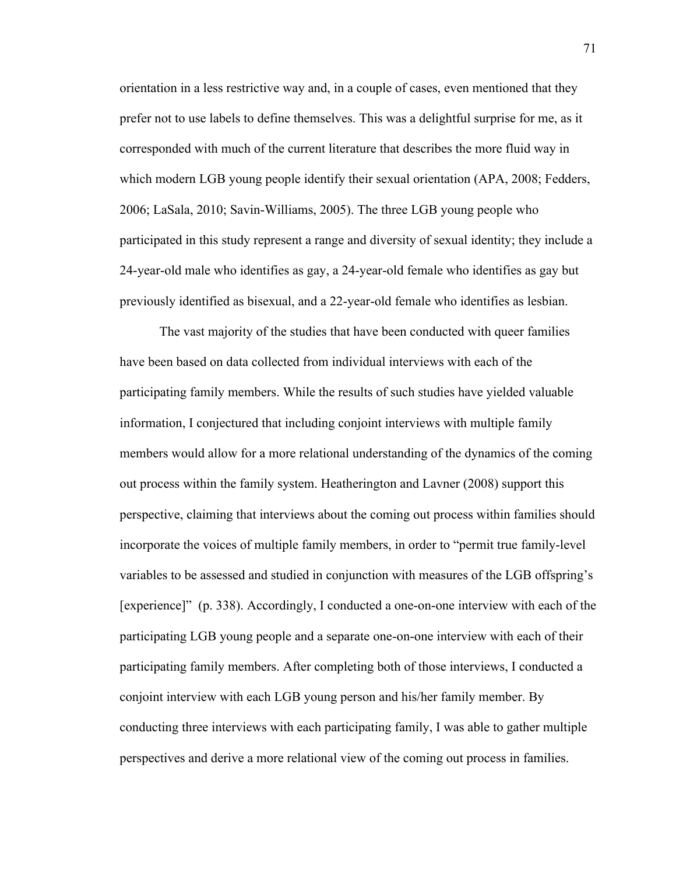orientation in a less restrictive way and, in a couple of cases, even mentioned that they prefer not to use labels to define themselves. This was a delightful surprise for me, as it corresponded with much of the current literature that describes the more fluid way in which modern LGB young people identify their sexual orientation (APA, 2008; Fedders, 2006; LaSala, 2010; Savin-Williams, 2005). The three LGB young people who participated in this study represent a range and diversity of sexual identity; they include a 24-year-old male who identifies as gay, a 24-year-old female who identifies as gay but previously identified as bisexual, and a 22-year-old female who identifies as lesbian.

The vast majority of the studies that have been conducted with queer families have been based on data collected from individual interviews with each of the participating family members. While the results of such studies have yielded valuable information, I conjectured that including conjoint interviews with multiple family members would allow for a more relational understanding of the dynamics of the coming out process within the family system. Heatherington and Lavner (2008) support this perspective, claiming that interviews about the coming out process within families should incorporate the voices of multiple family members, in order to "permit true family-level variables to be assessed and studied in conjunction with measures of the LGB offspring's [experience]" (p. 338). Accordingly, I conducted a one-on-one interview with each of the participating LGB young people and a separate one-on-one interview with each of their participating family members. After completing both of those interviews, I conducted a conjoint interview with each LGB young person and his/her family member. By conducting three interviews with each participating family, I was able to gather multiple perspectives and derive a more relational view of the coming out process in families.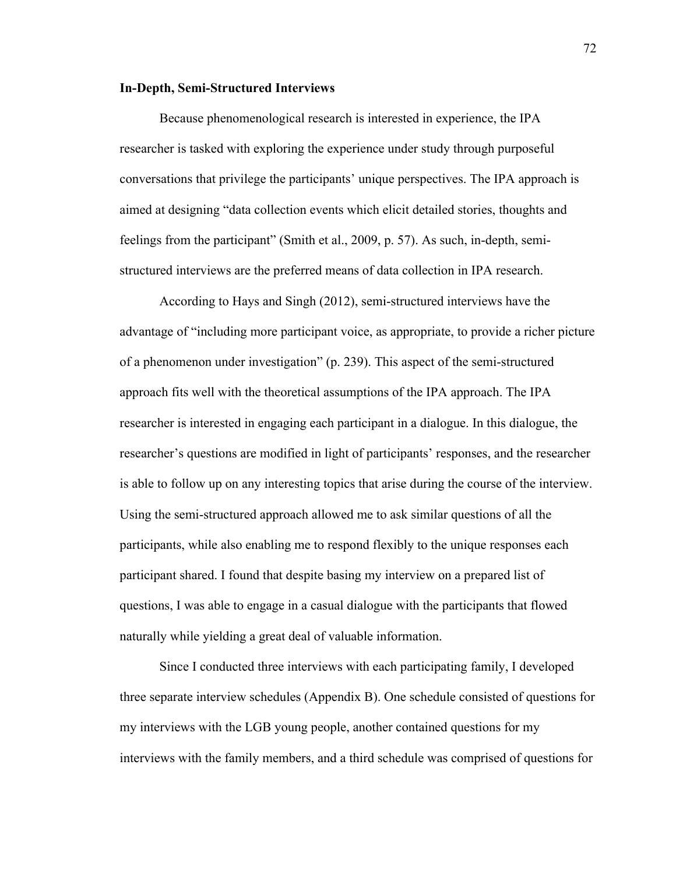#### **In-Depth, Semi-Structured Interviews**

Because phenomenological research is interested in experience, the IPA researcher is tasked with exploring the experience under study through purposeful conversations that privilege the participants' unique perspectives. The IPA approach is aimed at designing "data collection events which elicit detailed stories, thoughts and feelings from the participant" (Smith et al., 2009, p. 57). As such, in-depth, semistructured interviews are the preferred means of data collection in IPA research.

According to Hays and Singh (2012), semi-structured interviews have the advantage of "including more participant voice, as appropriate, to provide a richer picture of a phenomenon under investigation" (p. 239). This aspect of the semi-structured approach fits well with the theoretical assumptions of the IPA approach. The IPA researcher is interested in engaging each participant in a dialogue. In this dialogue, the researcher's questions are modified in light of participants' responses, and the researcher is able to follow up on any interesting topics that arise during the course of the interview. Using the semi-structured approach allowed me to ask similar questions of all the participants, while also enabling me to respond flexibly to the unique responses each participant shared. I found that despite basing my interview on a prepared list of questions, I was able to engage in a casual dialogue with the participants that flowed naturally while yielding a great deal of valuable information.

Since I conducted three interviews with each participating family, I developed three separate interview schedules (Appendix B). One schedule consisted of questions for my interviews with the LGB young people, another contained questions for my interviews with the family members, and a third schedule was comprised of questions for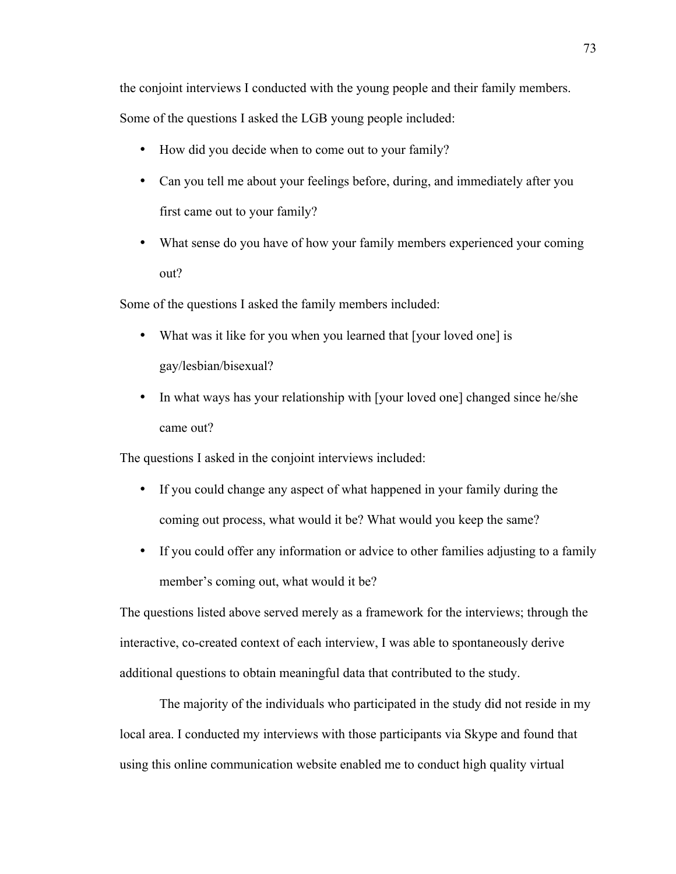the conjoint interviews I conducted with the young people and their family members. Some of the questions I asked the LGB young people included:

- How did you decide when to come out to your family?
- Can you tell me about your feelings before, during, and immediately after you first came out to your family?
- What sense do you have of how your family members experienced your coming out?

Some of the questions I asked the family members included:

- What was it like for you when you learned that [your loved one] is gay/lesbian/bisexual?
- In what ways has your relationship with [your loved one] changed since he/she came out?

The questions I asked in the conjoint interviews included:

- If you could change any aspect of what happened in your family during the coming out process, what would it be? What would you keep the same?
- If you could offer any information or advice to other families adjusting to a family member's coming out, what would it be?

The questions listed above served merely as a framework for the interviews; through the interactive, co-created context of each interview, I was able to spontaneously derive additional questions to obtain meaningful data that contributed to the study.

The majority of the individuals who participated in the study did not reside in my local area. I conducted my interviews with those participants via Skype and found that using this online communication website enabled me to conduct high quality virtual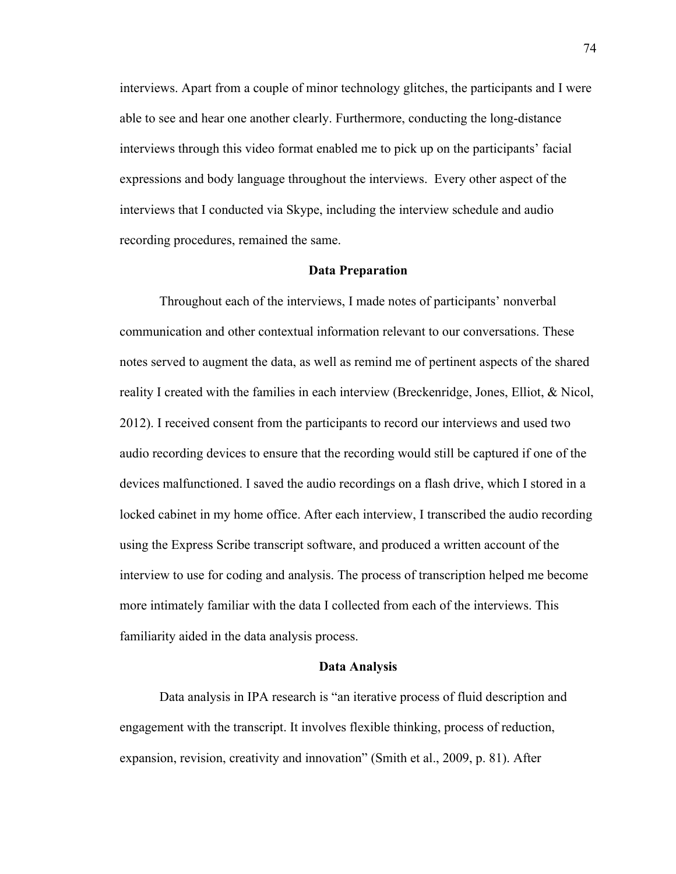interviews. Apart from a couple of minor technology glitches, the participants and I were able to see and hear one another clearly. Furthermore, conducting the long-distance interviews through this video format enabled me to pick up on the participants' facial expressions and body language throughout the interviews. Every other aspect of the interviews that I conducted via Skype, including the interview schedule and audio recording procedures, remained the same.

#### **Data Preparation**

Throughout each of the interviews, I made notes of participants' nonverbal communication and other contextual information relevant to our conversations. These notes served to augment the data, as well as remind me of pertinent aspects of the shared reality I created with the families in each interview (Breckenridge, Jones, Elliot, & Nicol, 2012). I received consent from the participants to record our interviews and used two audio recording devices to ensure that the recording would still be captured if one of the devices malfunctioned. I saved the audio recordings on a flash drive, which I stored in a locked cabinet in my home office. After each interview, I transcribed the audio recording using the Express Scribe transcript software, and produced a written account of the interview to use for coding and analysis. The process of transcription helped me become more intimately familiar with the data I collected from each of the interviews. This familiarity aided in the data analysis process.

## **Data Analysis**

Data analysis in IPA research is "an iterative process of fluid description and engagement with the transcript. It involves flexible thinking, process of reduction, expansion, revision, creativity and innovation" (Smith et al., 2009, p. 81). After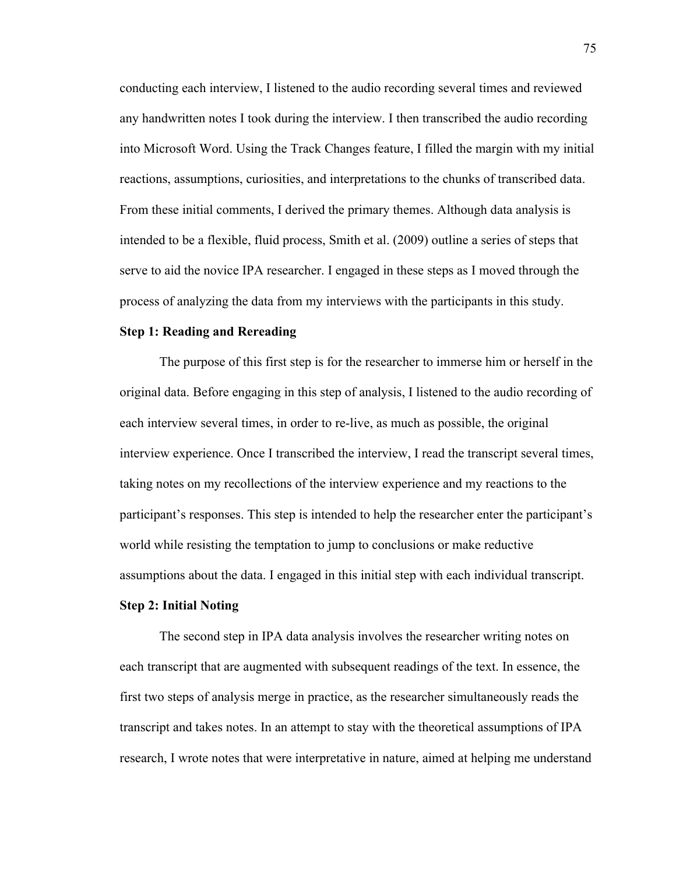conducting each interview, I listened to the audio recording several times and reviewed any handwritten notes I took during the interview. I then transcribed the audio recording into Microsoft Word. Using the Track Changes feature, I filled the margin with my initial reactions, assumptions, curiosities, and interpretations to the chunks of transcribed data. From these initial comments, I derived the primary themes. Although data analysis is intended to be a flexible, fluid process, Smith et al. (2009) outline a series of steps that serve to aid the novice IPA researcher. I engaged in these steps as I moved through the process of analyzing the data from my interviews with the participants in this study.

### **Step 1: Reading and Rereading**

The purpose of this first step is for the researcher to immerse him or herself in the original data. Before engaging in this step of analysis, I listened to the audio recording of each interview several times, in order to re-live, as much as possible, the original interview experience. Once I transcribed the interview, I read the transcript several times, taking notes on my recollections of the interview experience and my reactions to the participant's responses. This step is intended to help the researcher enter the participant's world while resisting the temptation to jump to conclusions or make reductive assumptions about the data. I engaged in this initial step with each individual transcript.

### **Step 2: Initial Noting**

The second step in IPA data analysis involves the researcher writing notes on each transcript that are augmented with subsequent readings of the text. In essence, the first two steps of analysis merge in practice, as the researcher simultaneously reads the transcript and takes notes. In an attempt to stay with the theoretical assumptions of IPA research, I wrote notes that were interpretative in nature, aimed at helping me understand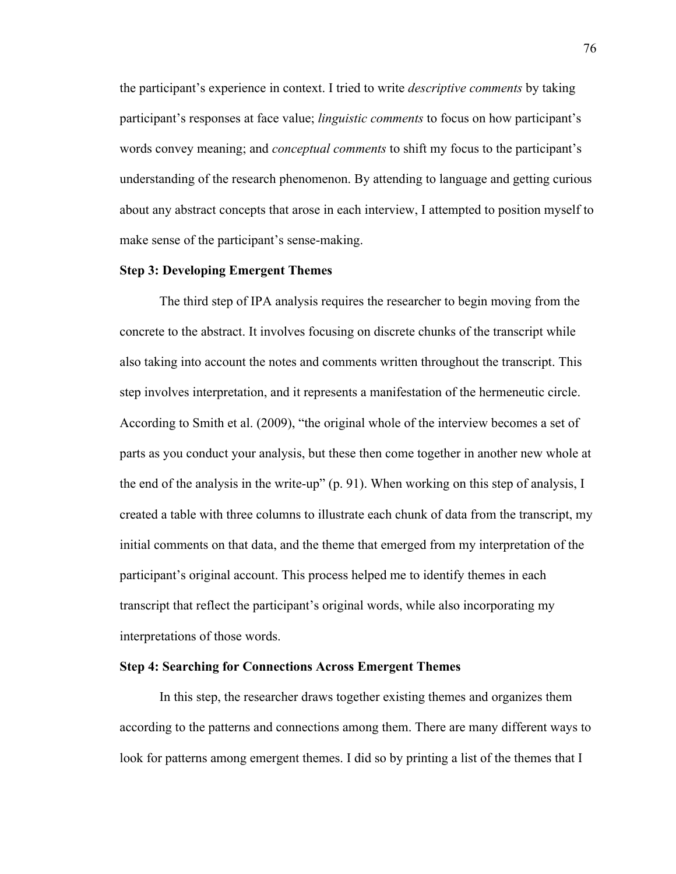the participant's experience in context. I tried to write *descriptive comments* by taking participant's responses at face value; *linguistic comments* to focus on how participant's words convey meaning; and *conceptual comments* to shift my focus to the participant's understanding of the research phenomenon. By attending to language and getting curious about any abstract concepts that arose in each interview, I attempted to position myself to make sense of the participant's sense-making.

#### **Step 3: Developing Emergent Themes**

The third step of IPA analysis requires the researcher to begin moving from the concrete to the abstract. It involves focusing on discrete chunks of the transcript while also taking into account the notes and comments written throughout the transcript. This step involves interpretation, and it represents a manifestation of the hermeneutic circle. According to Smith et al. (2009), "the original whole of the interview becomes a set of parts as you conduct your analysis, but these then come together in another new whole at the end of the analysis in the write-up" (p. 91). When working on this step of analysis, I created a table with three columns to illustrate each chunk of data from the transcript, my initial comments on that data, and the theme that emerged from my interpretation of the participant's original account. This process helped me to identify themes in each transcript that reflect the participant's original words, while also incorporating my interpretations of those words.

### **Step 4: Searching for Connections Across Emergent Themes**

In this step, the researcher draws together existing themes and organizes them according to the patterns and connections among them. There are many different ways to look for patterns among emergent themes. I did so by printing a list of the themes that I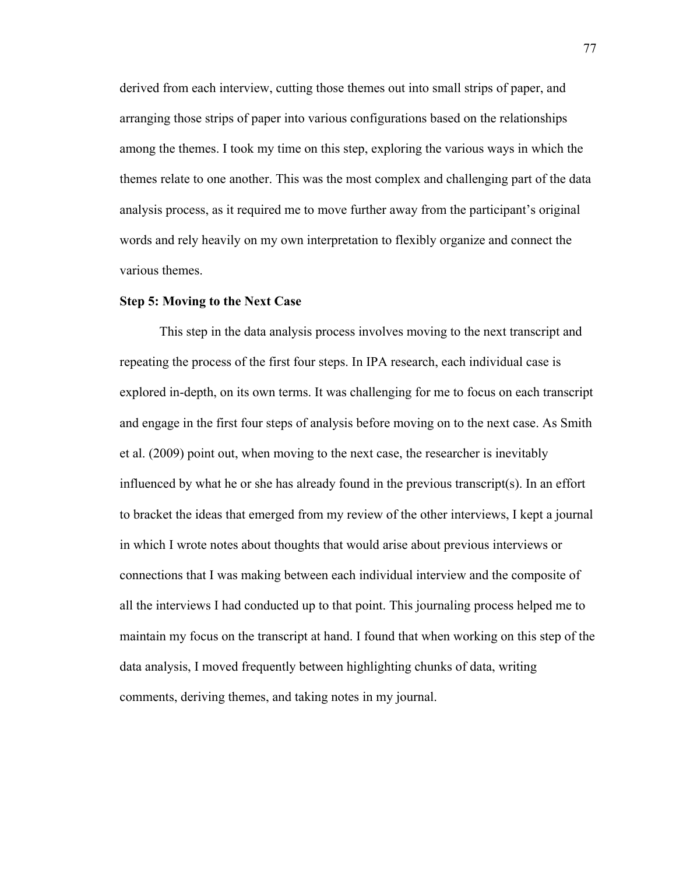derived from each interview, cutting those themes out into small strips of paper, and arranging those strips of paper into various configurations based on the relationships among the themes. I took my time on this step, exploring the various ways in which the themes relate to one another. This was the most complex and challenging part of the data analysis process, as it required me to move further away from the participant's original words and rely heavily on my own interpretation to flexibly organize and connect the various themes.

#### **Step 5: Moving to the Next Case**

This step in the data analysis process involves moving to the next transcript and repeating the process of the first four steps. In IPA research, each individual case is explored in-depth, on its own terms. It was challenging for me to focus on each transcript and engage in the first four steps of analysis before moving on to the next case. As Smith et al. (2009) point out, when moving to the next case, the researcher is inevitably influenced by what he or she has already found in the previous transcript(s). In an effort to bracket the ideas that emerged from my review of the other interviews, I kept a journal in which I wrote notes about thoughts that would arise about previous interviews or connections that I was making between each individual interview and the composite of all the interviews I had conducted up to that point. This journaling process helped me to maintain my focus on the transcript at hand. I found that when working on this step of the data analysis, I moved frequently between highlighting chunks of data, writing comments, deriving themes, and taking notes in my journal.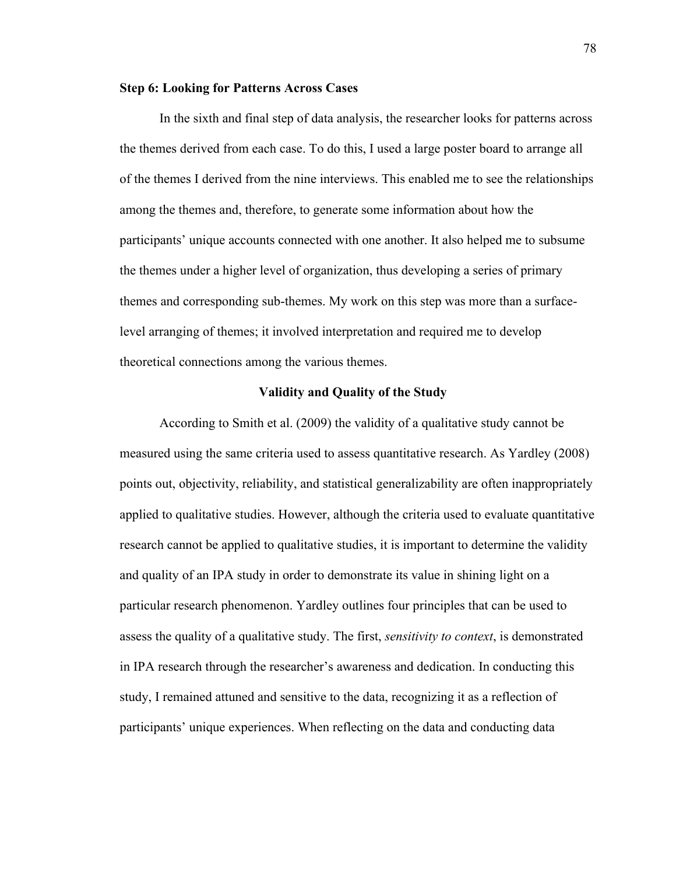#### **Step 6: Looking for Patterns Across Cases**

In the sixth and final step of data analysis, the researcher looks for patterns across the themes derived from each case. To do this, I used a large poster board to arrange all of the themes I derived from the nine interviews. This enabled me to see the relationships among the themes and, therefore, to generate some information about how the participants' unique accounts connected with one another. It also helped me to subsume the themes under a higher level of organization, thus developing a series of primary themes and corresponding sub-themes. My work on this step was more than a surfacelevel arranging of themes; it involved interpretation and required me to develop theoretical connections among the various themes.

### **Validity and Quality of the Study**

According to Smith et al. (2009) the validity of a qualitative study cannot be measured using the same criteria used to assess quantitative research. As Yardley (2008) points out, objectivity, reliability, and statistical generalizability are often inappropriately applied to qualitative studies. However, although the criteria used to evaluate quantitative research cannot be applied to qualitative studies, it is important to determine the validity and quality of an IPA study in order to demonstrate its value in shining light on a particular research phenomenon. Yardley outlines four principles that can be used to assess the quality of a qualitative study. The first, *sensitivity to context*, is demonstrated in IPA research through the researcher's awareness and dedication. In conducting this study, I remained attuned and sensitive to the data, recognizing it as a reflection of participants' unique experiences. When reflecting on the data and conducting data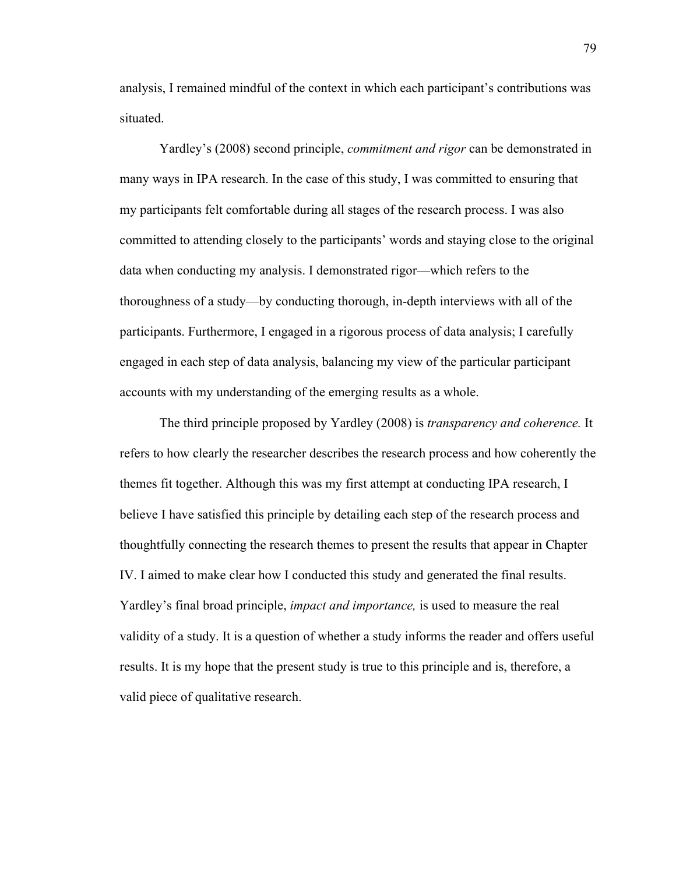analysis, I remained mindful of the context in which each participant's contributions was situated.

Yardley's (2008) second principle, *commitment and rigor* can be demonstrated in many ways in IPA research. In the case of this study, I was committed to ensuring that my participants felt comfortable during all stages of the research process. I was also committed to attending closely to the participants' words and staying close to the original data when conducting my analysis. I demonstrated rigor—which refers to the thoroughness of a study—by conducting thorough, in-depth interviews with all of the participants. Furthermore, I engaged in a rigorous process of data analysis; I carefully engaged in each step of data analysis, balancing my view of the particular participant accounts with my understanding of the emerging results as a whole.

The third principle proposed by Yardley (2008) is *transparency and coherence.* It refers to how clearly the researcher describes the research process and how coherently the themes fit together. Although this was my first attempt at conducting IPA research, I believe I have satisfied this principle by detailing each step of the research process and thoughtfully connecting the research themes to present the results that appear in Chapter IV. I aimed to make clear how I conducted this study and generated the final results. Yardley's final broad principle, *impact and importance,* is used to measure the real validity of a study. It is a question of whether a study informs the reader and offers useful results. It is my hope that the present study is true to this principle and is, therefore, a valid piece of qualitative research.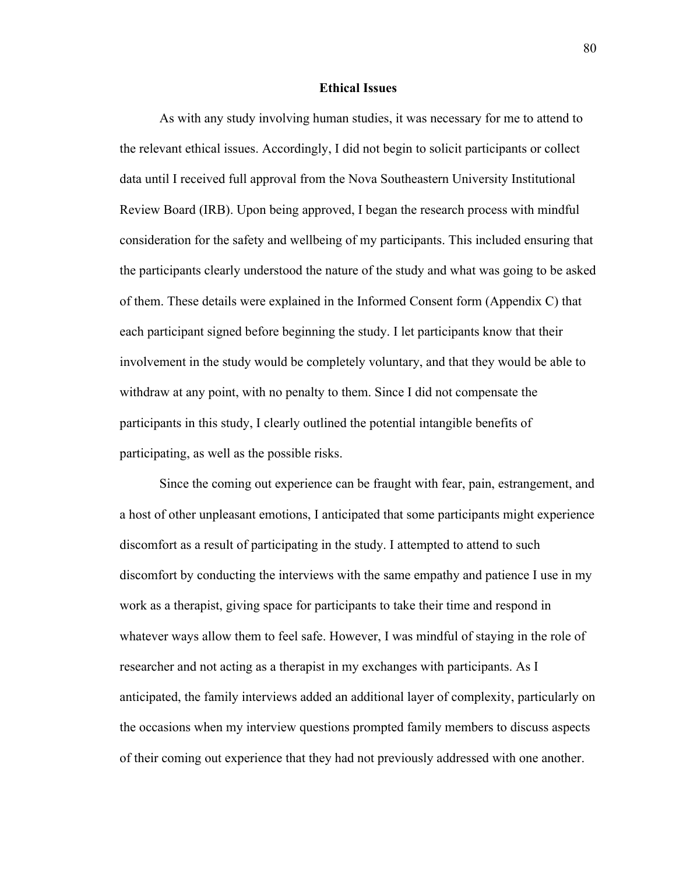### **Ethical Issues**

As with any study involving human studies, it was necessary for me to attend to the relevant ethical issues. Accordingly, I did not begin to solicit participants or collect data until I received full approval from the Nova Southeastern University Institutional Review Board (IRB). Upon being approved, I began the research process with mindful consideration for the safety and wellbeing of my participants. This included ensuring that the participants clearly understood the nature of the study and what was going to be asked of them. These details were explained in the Informed Consent form (Appendix C) that each participant signed before beginning the study. I let participants know that their involvement in the study would be completely voluntary, and that they would be able to withdraw at any point, with no penalty to them. Since I did not compensate the participants in this study, I clearly outlined the potential intangible benefits of participating, as well as the possible risks.

Since the coming out experience can be fraught with fear, pain, estrangement, and a host of other unpleasant emotions, I anticipated that some participants might experience discomfort as a result of participating in the study. I attempted to attend to such discomfort by conducting the interviews with the same empathy and patience I use in my work as a therapist, giving space for participants to take their time and respond in whatever ways allow them to feel safe. However, I was mindful of staying in the role of researcher and not acting as a therapist in my exchanges with participants. As I anticipated, the family interviews added an additional layer of complexity, particularly on the occasions when my interview questions prompted family members to discuss aspects of their coming out experience that they had not previously addressed with one another.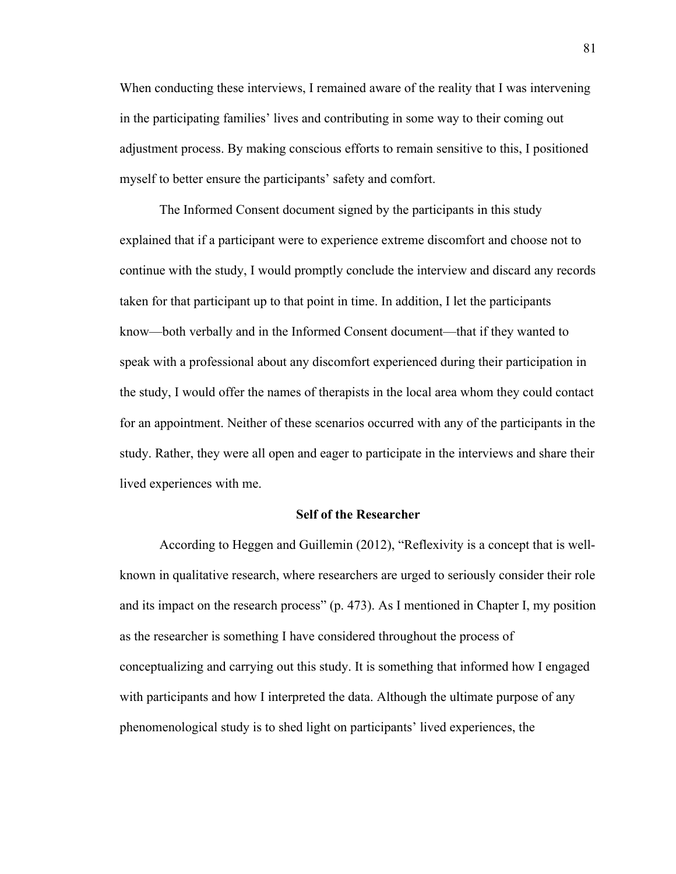When conducting these interviews, I remained aware of the reality that I was intervening in the participating families' lives and contributing in some way to their coming out adjustment process. By making conscious efforts to remain sensitive to this, I positioned myself to better ensure the participants' safety and comfort.

The Informed Consent document signed by the participants in this study explained that if a participant were to experience extreme discomfort and choose not to continue with the study, I would promptly conclude the interview and discard any records taken for that participant up to that point in time. In addition, I let the participants know—both verbally and in the Informed Consent document—that if they wanted to speak with a professional about any discomfort experienced during their participation in the study, I would offer the names of therapists in the local area whom they could contact for an appointment. Neither of these scenarios occurred with any of the participants in the study. Rather, they were all open and eager to participate in the interviews and share their lived experiences with me.

#### **Self of the Researcher**

According to Heggen and Guillemin (2012), "Reflexivity is a concept that is wellknown in qualitative research, where researchers are urged to seriously consider their role and its impact on the research process" (p. 473). As I mentioned in Chapter I, my position as the researcher is something I have considered throughout the process of conceptualizing and carrying out this study. It is something that informed how I engaged with participants and how I interpreted the data. Although the ultimate purpose of any phenomenological study is to shed light on participants' lived experiences, the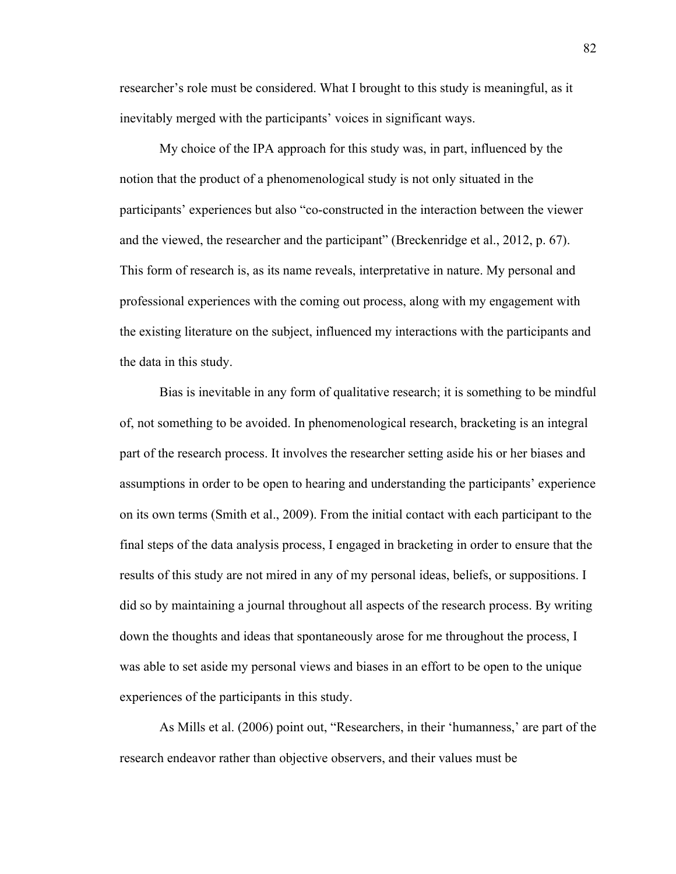researcher's role must be considered. What I brought to this study is meaningful, as it inevitably merged with the participants' voices in significant ways.

My choice of the IPA approach for this study was, in part, influenced by the notion that the product of a phenomenological study is not only situated in the participants' experiences but also "co-constructed in the interaction between the viewer and the viewed, the researcher and the participant" (Breckenridge et al., 2012, p. 67). This form of research is, as its name reveals, interpretative in nature. My personal and professional experiences with the coming out process, along with my engagement with the existing literature on the subject, influenced my interactions with the participants and the data in this study.

Bias is inevitable in any form of qualitative research; it is something to be mindful of, not something to be avoided. In phenomenological research, bracketing is an integral part of the research process. It involves the researcher setting aside his or her biases and assumptions in order to be open to hearing and understanding the participants' experience on its own terms (Smith et al., 2009). From the initial contact with each participant to the final steps of the data analysis process, I engaged in bracketing in order to ensure that the results of this study are not mired in any of my personal ideas, beliefs, or suppositions. I did so by maintaining a journal throughout all aspects of the research process. By writing down the thoughts and ideas that spontaneously arose for me throughout the process, I was able to set aside my personal views and biases in an effort to be open to the unique experiences of the participants in this study.

As Mills et al. (2006) point out, "Researchers, in their 'humanness,' are part of the research endeavor rather than objective observers, and their values must be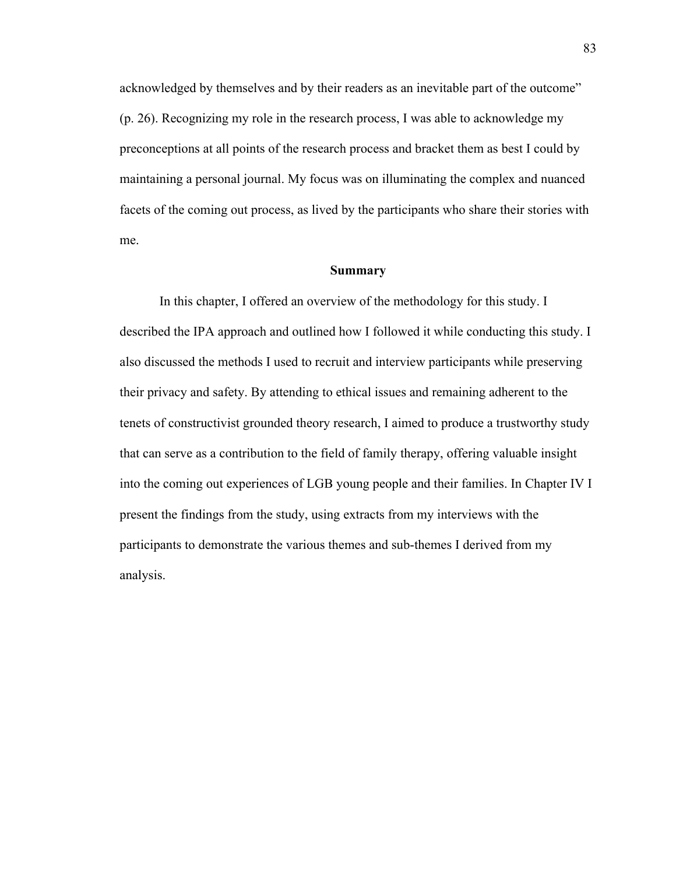acknowledged by themselves and by their readers as an inevitable part of the outcome" (p. 26). Recognizing my role in the research process, I was able to acknowledge my preconceptions at all points of the research process and bracket them as best I could by maintaining a personal journal. My focus was on illuminating the complex and nuanced facets of the coming out process, as lived by the participants who share their stories with me.

#### **Summary**

In this chapter, I offered an overview of the methodology for this study. I described the IPA approach and outlined how I followed it while conducting this study. I also discussed the methods I used to recruit and interview participants while preserving their privacy and safety. By attending to ethical issues and remaining adherent to the tenets of constructivist grounded theory research, I aimed to produce a trustworthy study that can serve as a contribution to the field of family therapy, offering valuable insight into the coming out experiences of LGB young people and their families. In Chapter IV I present the findings from the study, using extracts from my interviews with the participants to demonstrate the various themes and sub-themes I derived from my analysis.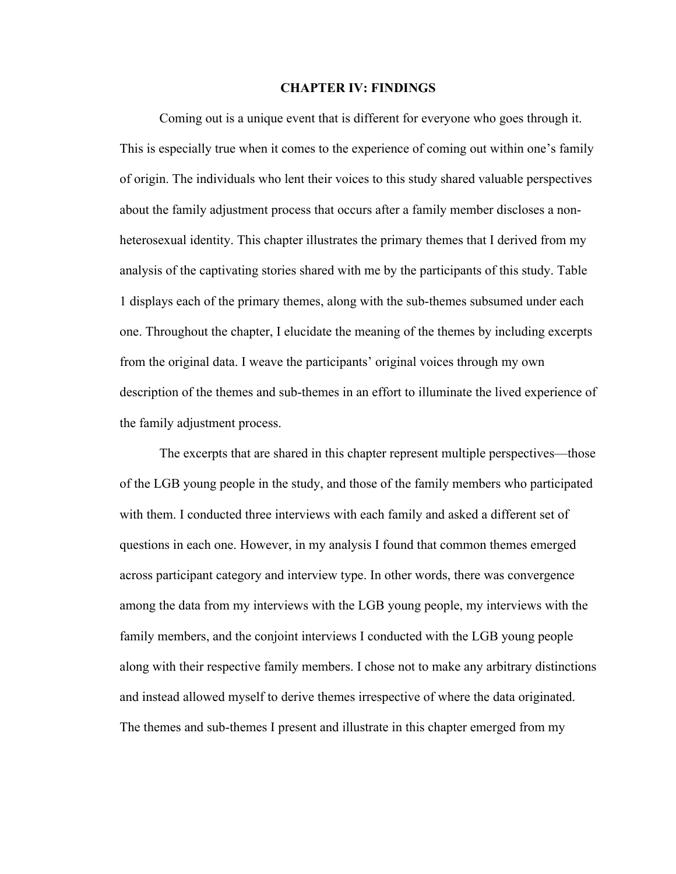#### **CHAPTER IV: FINDINGS**

Coming out is a unique event that is different for everyone who goes through it. This is especially true when it comes to the experience of coming out within one's family of origin. The individuals who lent their voices to this study shared valuable perspectives about the family adjustment process that occurs after a family member discloses a nonheterosexual identity. This chapter illustrates the primary themes that I derived from my analysis of the captivating stories shared with me by the participants of this study. Table 1 displays each of the primary themes, along with the sub-themes subsumed under each one. Throughout the chapter, I elucidate the meaning of the themes by including excerpts from the original data. I weave the participants' original voices through my own description of the themes and sub-themes in an effort to illuminate the lived experience of the family adjustment process.

The excerpts that are shared in this chapter represent multiple perspectives—those of the LGB young people in the study, and those of the family members who participated with them. I conducted three interviews with each family and asked a different set of questions in each one. However, in my analysis I found that common themes emerged across participant category and interview type. In other words, there was convergence among the data from my interviews with the LGB young people, my interviews with the family members, and the conjoint interviews I conducted with the LGB young people along with their respective family members. I chose not to make any arbitrary distinctions and instead allowed myself to derive themes irrespective of where the data originated. The themes and sub-themes I present and illustrate in this chapter emerged from my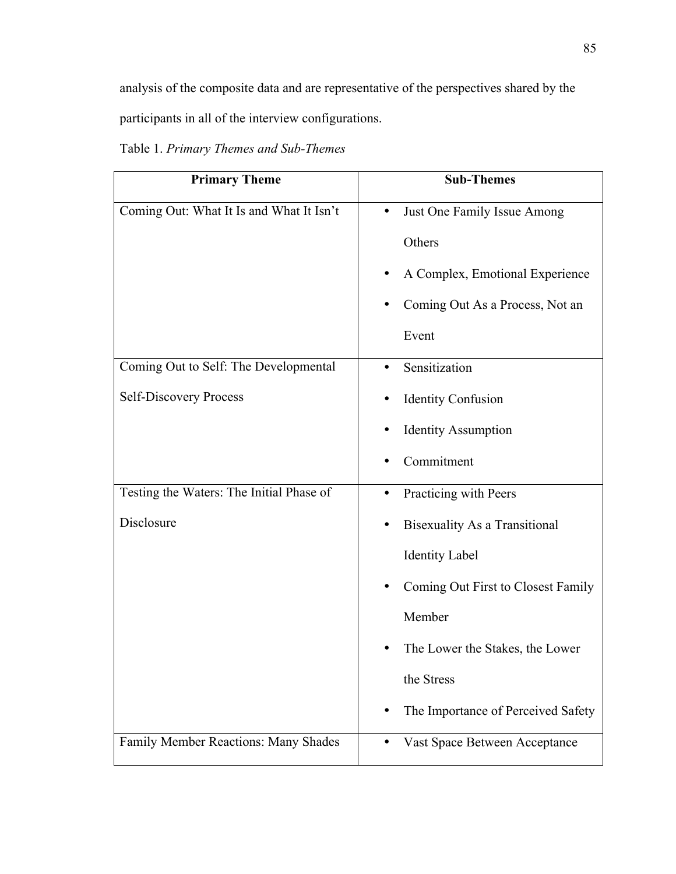analysis of the composite data and are representative of the perspectives shared by the participants in all of the interview configurations.

| <b>Primary Theme</b>                     | <b>Sub-Themes</b>                        |
|------------------------------------------|------------------------------------------|
| Coming Out: What It Is and What It Isn't | Just One Family Issue Among<br>$\bullet$ |
|                                          | Others                                   |
|                                          | A Complex, Emotional Experience          |
|                                          | Coming Out As a Process, Not an          |
|                                          | Event                                    |
| Coming Out to Self: The Developmental    | Sensitization<br>$\bullet$               |
| <b>Self-Discovery Process</b>            | <b>Identity Confusion</b>                |
|                                          | <b>Identity Assumption</b>               |
|                                          | Commitment                               |
| Testing the Waters: The Initial Phase of | Practicing with Peers                    |
| Disclosure                               | <b>Bisexuality As a Transitional</b>     |
|                                          | <b>Identity Label</b>                    |
|                                          | Coming Out First to Closest Family       |
|                                          | Member                                   |
|                                          | The Lower the Stakes, the Lower          |
|                                          | the Stress                               |
|                                          | The Importance of Perceived Safety       |
| Family Member Reactions: Many Shades     | Vast Space Between Acceptance            |

Table 1. *Primary Themes and Sub-Themes*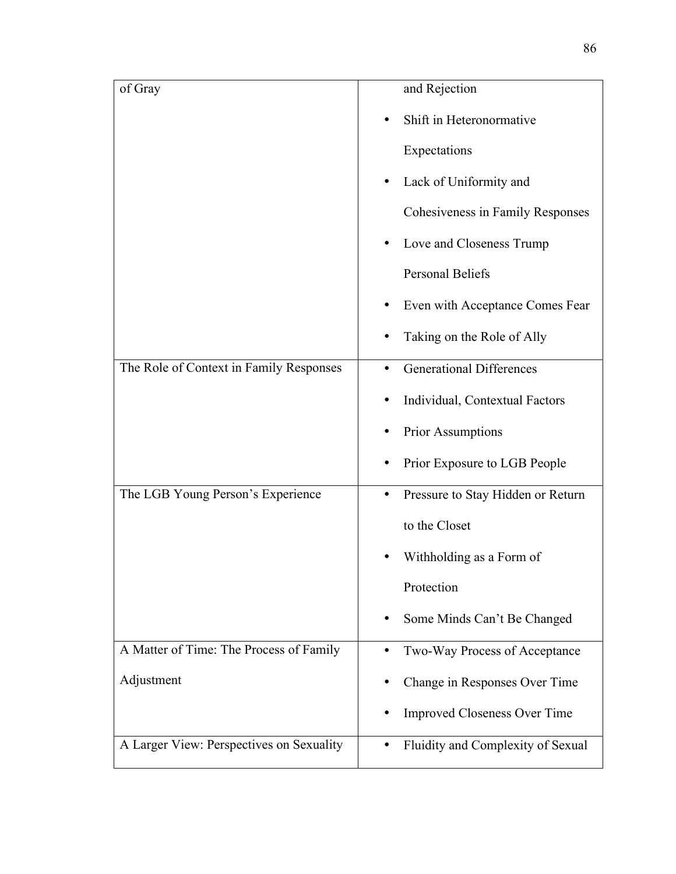| of Gray                                  | and Rejection                       |
|------------------------------------------|-------------------------------------|
|                                          |                                     |
|                                          | Shift in Heteronormative            |
|                                          | Expectations                        |
|                                          | Lack of Uniformity and              |
|                                          | Cohesiveness in Family Responses    |
|                                          | Love and Closeness Trump            |
|                                          | <b>Personal Beliefs</b>             |
|                                          | Even with Acceptance Comes Fear     |
|                                          | Taking on the Role of Ally          |
| The Role of Context in Family Responses  | <b>Generational Differences</b>     |
|                                          | Individual, Contextual Factors      |
|                                          | <b>Prior Assumptions</b>            |
|                                          | Prior Exposure to LGB People        |
| The LGB Young Person's Experience        | Pressure to Stay Hidden or Return   |
|                                          | to the Closet                       |
|                                          | Withholding as a Form of            |
|                                          | Protection                          |
|                                          | Some Minds Can't Be Changed         |
| A Matter of Time: The Process of Family  | Two-Way Process of Acceptance       |
| Adjustment                               | Change in Responses Over Time       |
|                                          | <b>Improved Closeness Over Time</b> |
| A Larger View: Perspectives on Sexuality | Fluidity and Complexity of Sexual   |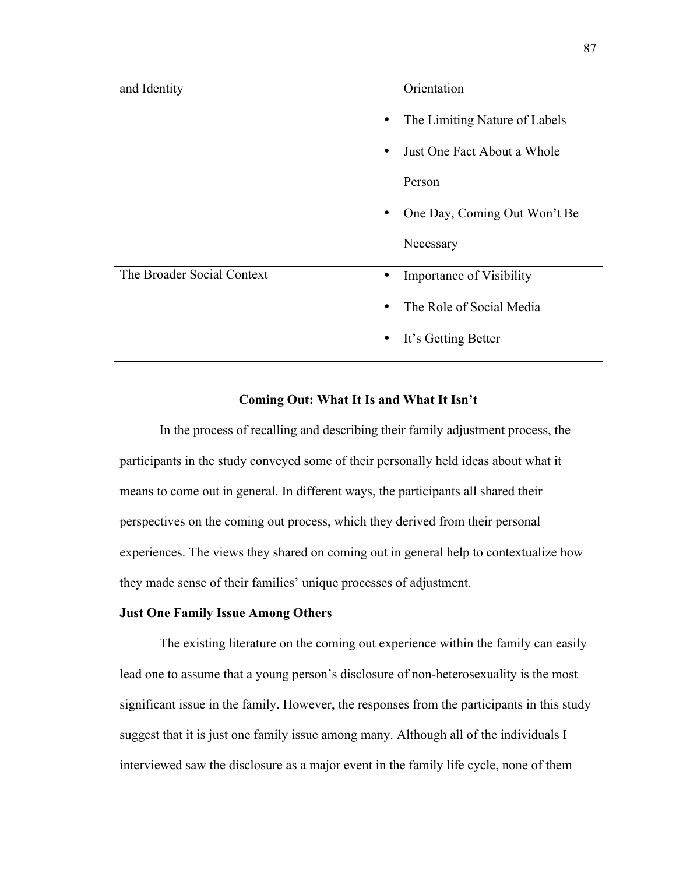| and Identity               | Orientation                                |
|----------------------------|--------------------------------------------|
|                            | The Limiting Nature of Labels<br>$\bullet$ |
|                            | Just One Fact About a Whole<br>$\bullet$   |
|                            | Person                                     |
|                            | One Day, Coming Out Won't Be               |
|                            | Necessary                                  |
| The Broader Social Context | Importance of Visibility                   |
|                            | The Role of Social Media                   |
|                            | It's Getting Better<br>$\bullet$           |
|                            |                                            |

## **Coming Out: What It Is and What It Isn't**

In the process of recalling and describing their family adjustment process, the participants in the study conveyed some of their personally held ideas about what it means to come out in general. In different ways, the participants all shared their perspectives on the coming out process, which they derived from their personal experiences. The views they shared on coming out in general help to contextualize how they made sense of their families' unique processes of adjustment.

# **Just One Family Issue Among Others**

The existing literature on the coming out experience within the family can easily lead one to assume that a young person's disclosure of non-heterosexuality is the most significant issue in the family. However, the responses from the participants in this study suggest that it is just one family issue among many. Although all of the individuals I interviewed saw the disclosure as a major event in the family life cycle, none of them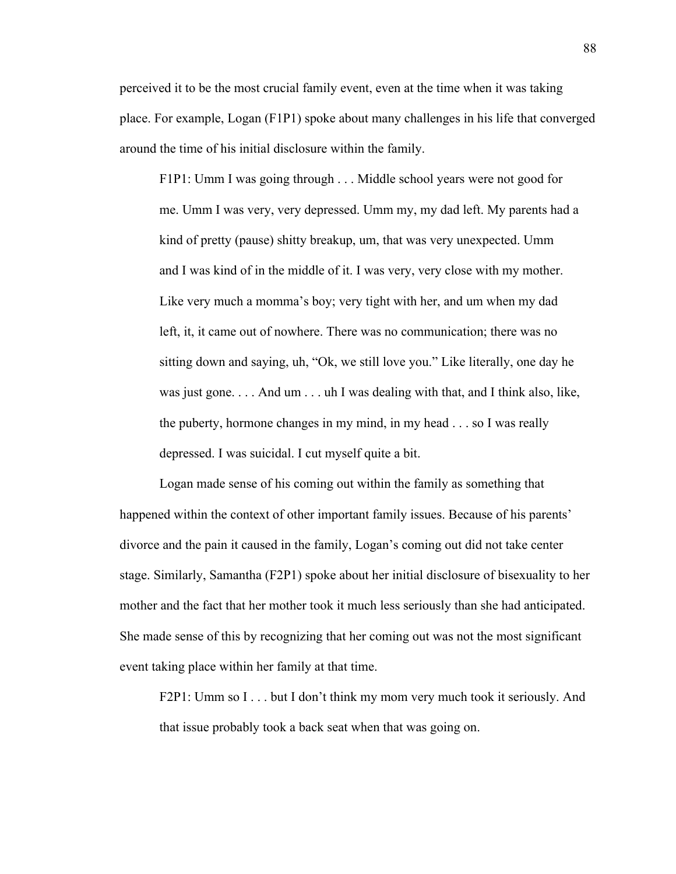perceived it to be the most crucial family event, even at the time when it was taking place. For example, Logan (F1P1) spoke about many challenges in his life that converged around the time of his initial disclosure within the family.

F1P1: Umm I was going through . . . Middle school years were not good for me. Umm I was very, very depressed. Umm my, my dad left. My parents had a kind of pretty (pause) shitty breakup, um, that was very unexpected. Umm and I was kind of in the middle of it. I was very, very close with my mother. Like very much a momma's boy; very tight with her, and um when my dad left, it, it came out of nowhere. There was no communication; there was no sitting down and saying, uh, "Ok, we still love you." Like literally, one day he was just gone. . . . And um . . . uh I was dealing with that, and I think also, like, the puberty, hormone changes in my mind, in my head . . . so I was really depressed. I was suicidal. I cut myself quite a bit.

Logan made sense of his coming out within the family as something that happened within the context of other important family issues. Because of his parents' divorce and the pain it caused in the family, Logan's coming out did not take center stage. Similarly, Samantha (F2P1) spoke about her initial disclosure of bisexuality to her mother and the fact that her mother took it much less seriously than she had anticipated. She made sense of this by recognizing that her coming out was not the most significant event taking place within her family at that time.

F2P1: Umm so I . . . but I don't think my mom very much took it seriously. And that issue probably took a back seat when that was going on.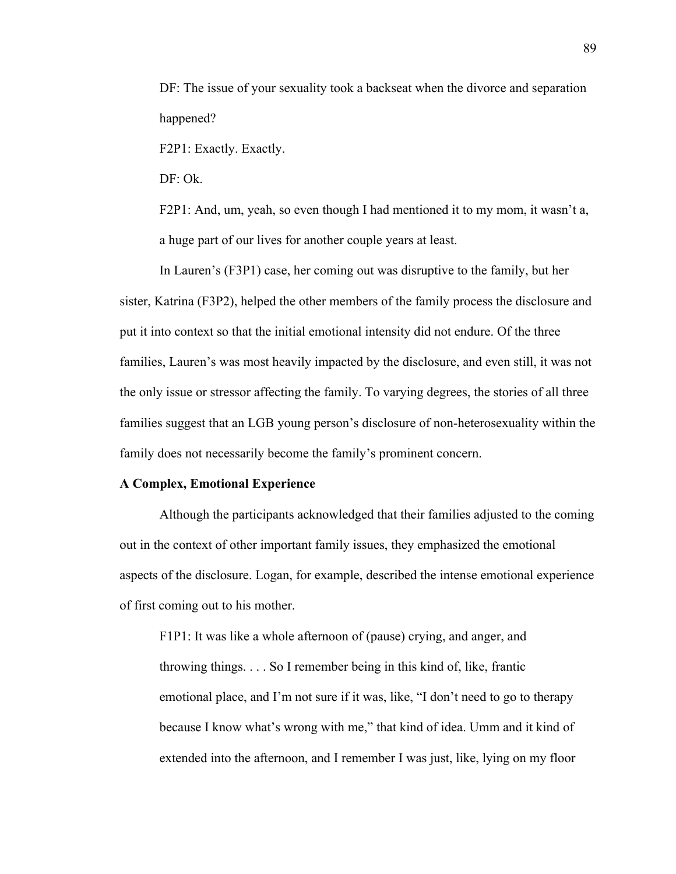DF: The issue of your sexuality took a backseat when the divorce and separation happened?

F2P1: Exactly. Exactly.

DF: Ok.

F2P1: And, um, yeah, so even though I had mentioned it to my mom, it wasn't a, a huge part of our lives for another couple years at least.

In Lauren's (F3P1) case, her coming out was disruptive to the family, but her sister, Katrina (F3P2), helped the other members of the family process the disclosure and put it into context so that the initial emotional intensity did not endure. Of the three families, Lauren's was most heavily impacted by the disclosure, and even still, it was not the only issue or stressor affecting the family. To varying degrees, the stories of all three families suggest that an LGB young person's disclosure of non-heterosexuality within the family does not necessarily become the family's prominent concern.

#### **A Complex, Emotional Experience**

Although the participants acknowledged that their families adjusted to the coming out in the context of other important family issues, they emphasized the emotional aspects of the disclosure. Logan, for example, described the intense emotional experience of first coming out to his mother.

F1P1: It was like a whole afternoon of (pause) crying, and anger, and throwing things. . . . So I remember being in this kind of, like, frantic emotional place, and I'm not sure if it was, like, "I don't need to go to therapy because I know what's wrong with me," that kind of idea. Umm and it kind of extended into the afternoon, and I remember I was just, like, lying on my floor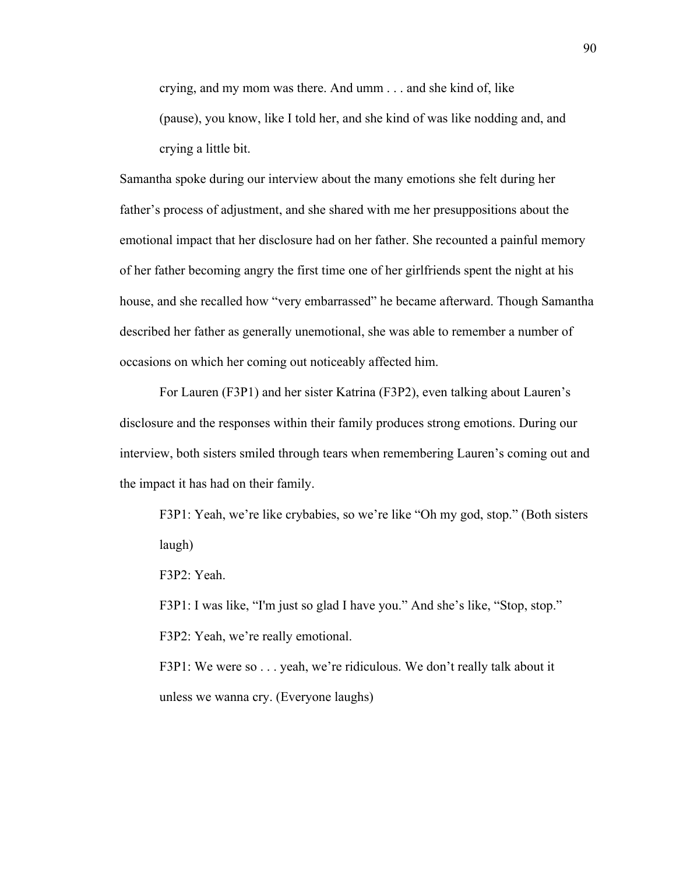crying, and my mom was there. And umm . . . and she kind of, like (pause), you know, like I told her, and she kind of was like nodding and, and crying a little bit.

Samantha spoke during our interview about the many emotions she felt during her father's process of adjustment, and she shared with me her presuppositions about the emotional impact that her disclosure had on her father. She recounted a painful memory of her father becoming angry the first time one of her girlfriends spent the night at his house, and she recalled how "very embarrassed" he became afterward. Though Samantha described her father as generally unemotional, she was able to remember a number of occasions on which her coming out noticeably affected him.

For Lauren (F3P1) and her sister Katrina (F3P2), even talking about Lauren's disclosure and the responses within their family produces strong emotions. During our interview, both sisters smiled through tears when remembering Lauren's coming out and the impact it has had on their family.

F3P1: Yeah, we're like crybabies, so we're like "Oh my god, stop." (Both sisters laugh)

F3P2: Yeah.

F3P1: I was like, "I'm just so glad I have you." And she's like, "Stop, stop." F3P2: Yeah, we're really emotional.

F3P1: We were so . . . yeah, we're ridiculous. We don't really talk about it unless we wanna cry. (Everyone laughs)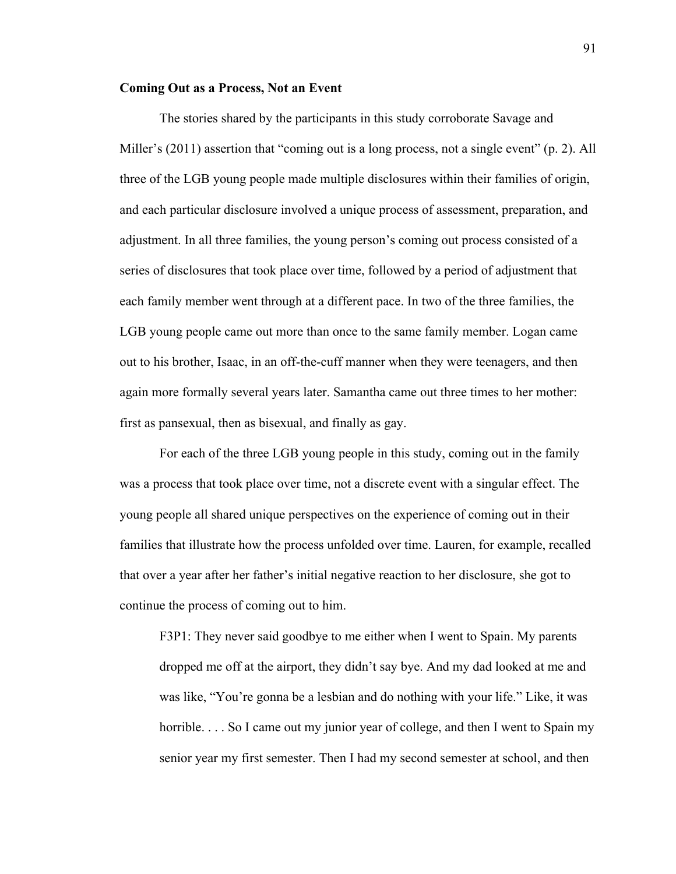#### **Coming Out as a Process, Not an Event**

The stories shared by the participants in this study corroborate Savage and Miller's (2011) assertion that "coming out is a long process, not a single event" (p. 2). All three of the LGB young people made multiple disclosures within their families of origin, and each particular disclosure involved a unique process of assessment, preparation, and adjustment. In all three families, the young person's coming out process consisted of a series of disclosures that took place over time, followed by a period of adjustment that each family member went through at a different pace. In two of the three families, the LGB young people came out more than once to the same family member. Logan came out to his brother, Isaac, in an off-the-cuff manner when they were teenagers, and then again more formally several years later. Samantha came out three times to her mother: first as pansexual, then as bisexual, and finally as gay.

For each of the three LGB young people in this study, coming out in the family was a process that took place over time, not a discrete event with a singular effect. The young people all shared unique perspectives on the experience of coming out in their families that illustrate how the process unfolded over time. Lauren, for example, recalled that over a year after her father's initial negative reaction to her disclosure, she got to continue the process of coming out to him.

F3P1: They never said goodbye to me either when I went to Spain. My parents dropped me off at the airport, they didn't say bye. And my dad looked at me and was like, "You're gonna be a lesbian and do nothing with your life." Like, it was horrible. . . . So I came out my junior year of college, and then I went to Spain my senior year my first semester. Then I had my second semester at school, and then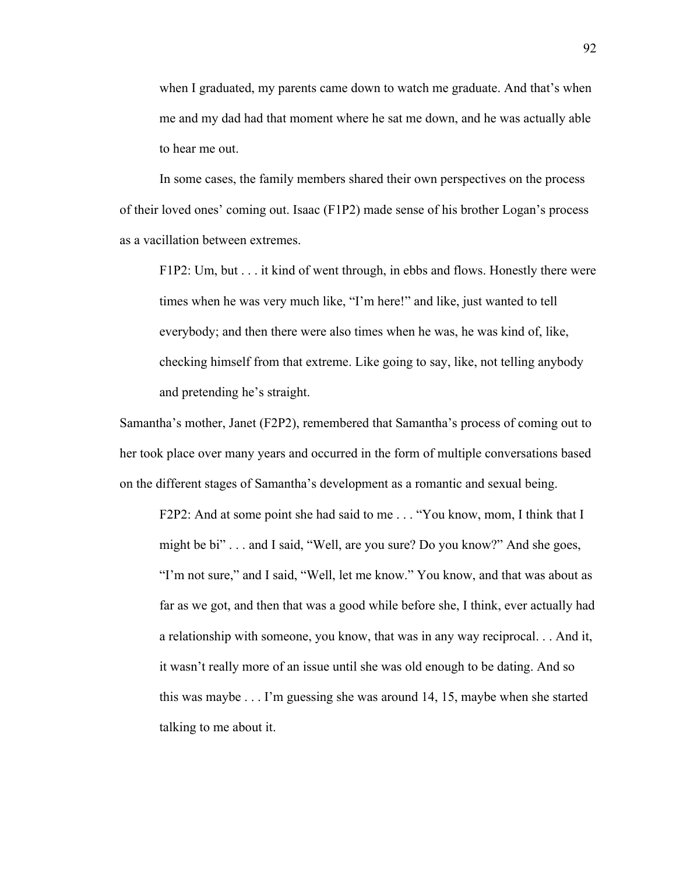when I graduated, my parents came down to watch me graduate. And that's when me and my dad had that moment where he sat me down, and he was actually able to hear me out.

In some cases, the family members shared their own perspectives on the process of their loved ones' coming out. Isaac (F1P2) made sense of his brother Logan's process as a vacillation between extremes.

F1P2: Um, but . . . it kind of went through, in ebbs and flows. Honestly there were times when he was very much like, "I'm here!" and like, just wanted to tell everybody; and then there were also times when he was, he was kind of, like, checking himself from that extreme. Like going to say, like, not telling anybody and pretending he's straight.

Samantha's mother, Janet (F2P2), remembered that Samantha's process of coming out to her took place over many years and occurred in the form of multiple conversations based on the different stages of Samantha's development as a romantic and sexual being.

F2P2: And at some point she had said to me . . . "You know, mom, I think that I might be bi" . . . and I said, "Well, are you sure? Do you know?" And she goes, "I'm not sure," and I said, "Well, let me know." You know, and that was about as far as we got, and then that was a good while before she, I think, ever actually had a relationship with someone, you know, that was in any way reciprocal. . . And it, it wasn't really more of an issue until she was old enough to be dating. And so this was maybe . . . I'm guessing she was around 14, 15, maybe when she started talking to me about it.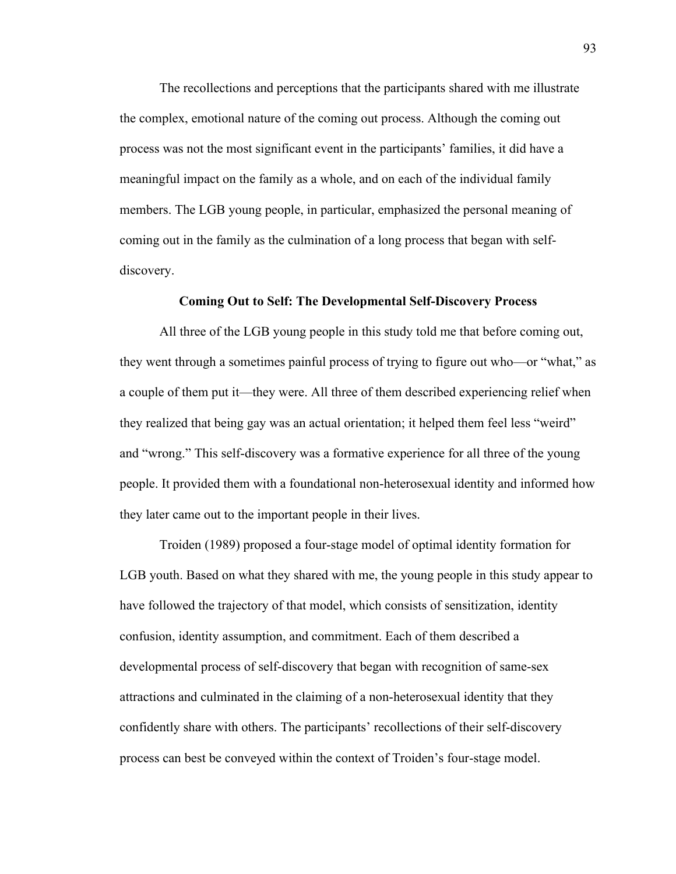The recollections and perceptions that the participants shared with me illustrate the complex, emotional nature of the coming out process. Although the coming out process was not the most significant event in the participants' families, it did have a meaningful impact on the family as a whole, and on each of the individual family members. The LGB young people, in particular, emphasized the personal meaning of coming out in the family as the culmination of a long process that began with selfdiscovery.

# **Coming Out to Self: The Developmental Self-Discovery Process**

All three of the LGB young people in this study told me that before coming out, they went through a sometimes painful process of trying to figure out who—or "what," as a couple of them put it—they were. All three of them described experiencing relief when they realized that being gay was an actual orientation; it helped them feel less "weird" and "wrong." This self-discovery was a formative experience for all three of the young people. It provided them with a foundational non-heterosexual identity and informed how they later came out to the important people in their lives.

Troiden (1989) proposed a four-stage model of optimal identity formation for LGB youth. Based on what they shared with me, the young people in this study appear to have followed the trajectory of that model, which consists of sensitization, identity confusion, identity assumption, and commitment. Each of them described a developmental process of self-discovery that began with recognition of same-sex attractions and culminated in the claiming of a non-heterosexual identity that they confidently share with others. The participants' recollections of their self-discovery process can best be conveyed within the context of Troiden's four-stage model.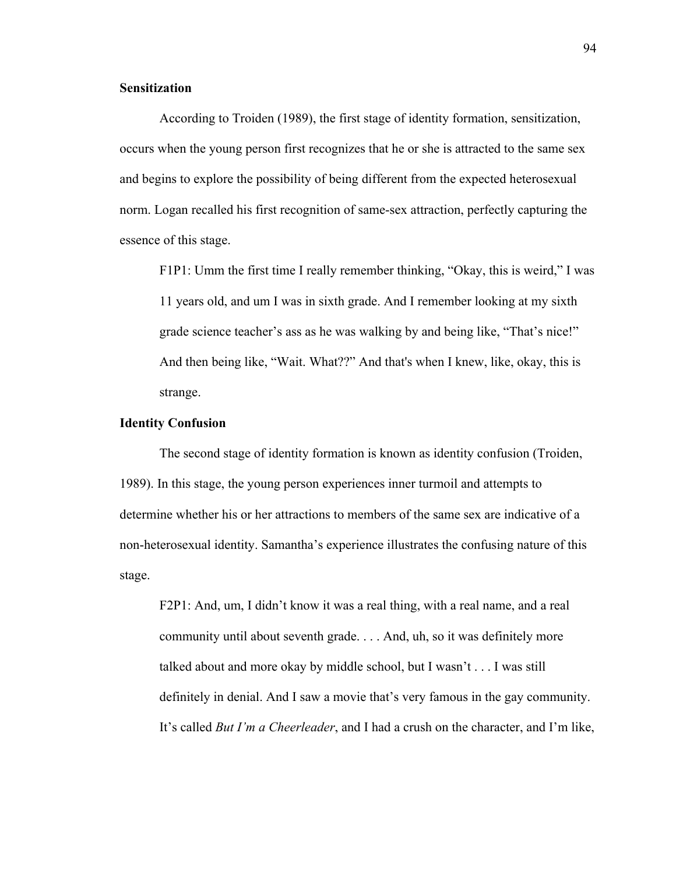# **Sensitization**

According to Troiden (1989), the first stage of identity formation, sensitization, occurs when the young person first recognizes that he or she is attracted to the same sex and begins to explore the possibility of being different from the expected heterosexual norm. Logan recalled his first recognition of same-sex attraction, perfectly capturing the essence of this stage.

F1P1: Umm the first time I really remember thinking, "Okay, this is weird," I was 11 years old, and um I was in sixth grade. And I remember looking at my sixth grade science teacher's ass as he was walking by and being like, "That's nice!" And then being like, "Wait. What??" And that's when I knew, like, okay, this is strange.

### **Identity Confusion**

The second stage of identity formation is known as identity confusion (Troiden, 1989). In this stage, the young person experiences inner turmoil and attempts to determine whether his or her attractions to members of the same sex are indicative of a non-heterosexual identity. Samantha's experience illustrates the confusing nature of this stage.

F2P1: And, um, I didn't know it was a real thing, with a real name, and a real community until about seventh grade. . . . And, uh, so it was definitely more talked about and more okay by middle school, but I wasn't . . . I was still definitely in denial. And I saw a movie that's very famous in the gay community. It's called *But I'm a Cheerleader*, and I had a crush on the character, and I'm like,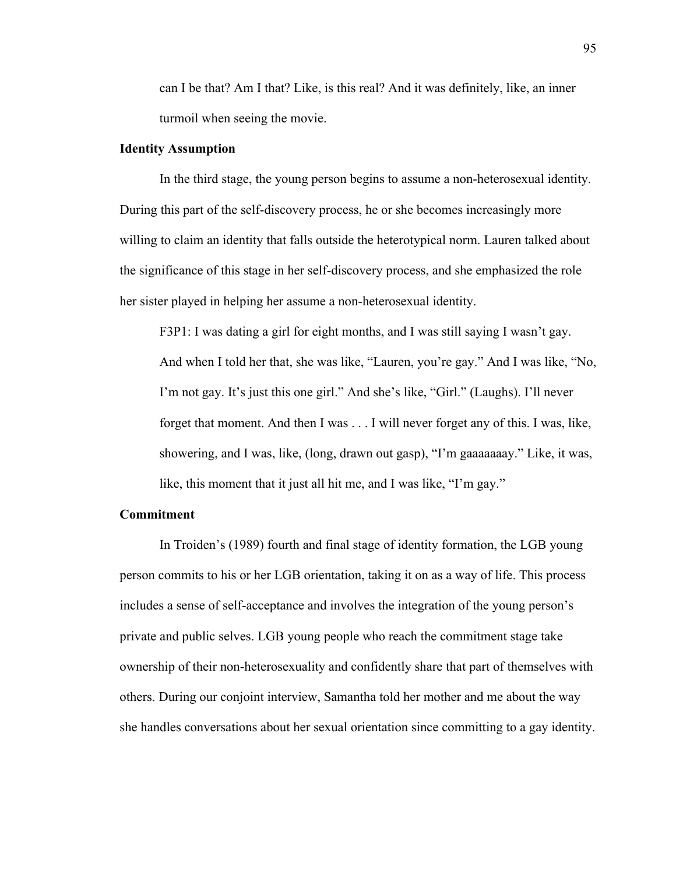can I be that? Am I that? Like, is this real? And it was definitely, like, an inner turmoil when seeing the movie.

# **Identity Assumption**

In the third stage, the young person begins to assume a non-heterosexual identity. During this part of the self-discovery process, he or she becomes increasingly more willing to claim an identity that falls outside the heterotypical norm. Lauren talked about the significance of this stage in her self-discovery process, and she emphasized the role her sister played in helping her assume a non-heterosexual identity.

F3P1: I was dating a girl for eight months, and I was still saying I wasn't gay. And when I told her that, she was like, "Lauren, you're gay." And I was like, "No, I'm not gay. It's just this one girl." And she's like, "Girl." (Laughs). I'll never forget that moment. And then I was . . . I will never forget any of this. I was, like, showering, and I was, like, (long, drawn out gasp), "I'm gaaaaaaay." Like, it was, like, this moment that it just all hit me, and I was like, "I'm gay."

# **Commitment**

In Troiden's (1989) fourth and final stage of identity formation, the LGB young person commits to his or her LGB orientation, taking it on as a way of life. This process includes a sense of self-acceptance and involves the integration of the young person's private and public selves. LGB young people who reach the commitment stage take ownership of their non-heterosexuality and confidently share that part of themselves with others. During our conjoint interview, Samantha told her mother and me about the way she handles conversations about her sexual orientation since committing to a gay identity.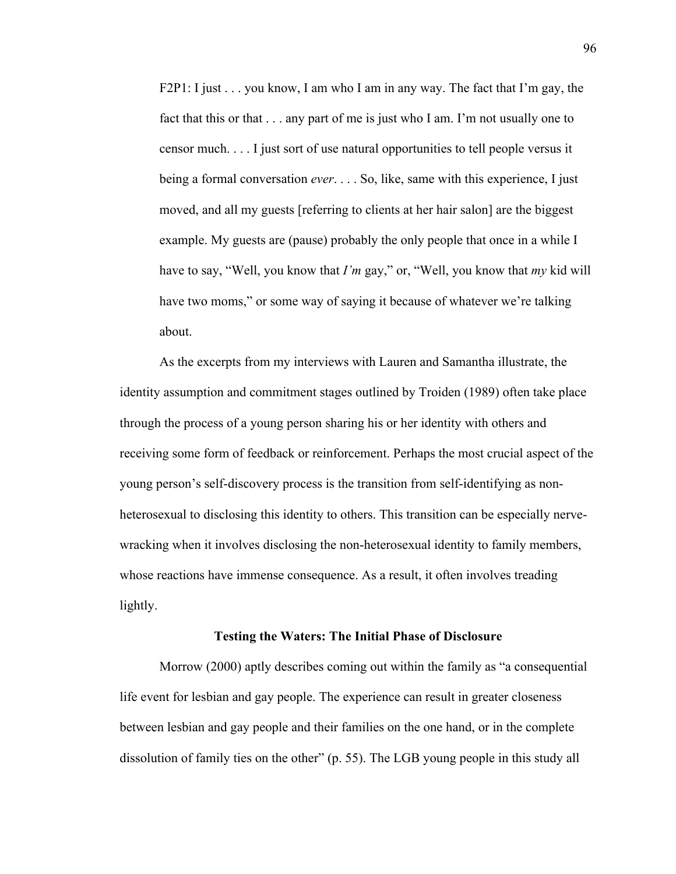F2P1: I just  $\ldots$  you know, I am who I am in any way. The fact that I'm gay, the fact that this or that . . . any part of me is just who I am. I'm not usually one to censor much. . . . I just sort of use natural opportunities to tell people versus it being a formal conversation *ever*. . . . So, like, same with this experience, I just moved, and all my guests [referring to clients at her hair salon] are the biggest example. My guests are (pause) probably the only people that once in a while I have to say, "Well, you know that *I'm* gay," or, "Well, you know that *my* kid will have two moms," or some way of saying it because of whatever we're talking about.

As the excerpts from my interviews with Lauren and Samantha illustrate, the identity assumption and commitment stages outlined by Troiden (1989) often take place through the process of a young person sharing his or her identity with others and receiving some form of feedback or reinforcement. Perhaps the most crucial aspect of the young person's self-discovery process is the transition from self-identifying as nonheterosexual to disclosing this identity to others. This transition can be especially nervewracking when it involves disclosing the non-heterosexual identity to family members, whose reactions have immense consequence. As a result, it often involves treading lightly.

## **Testing the Waters: The Initial Phase of Disclosure**

Morrow (2000) aptly describes coming out within the family as "a consequential life event for lesbian and gay people. The experience can result in greater closeness between lesbian and gay people and their families on the one hand, or in the complete dissolution of family ties on the other" (p. 55). The LGB young people in this study all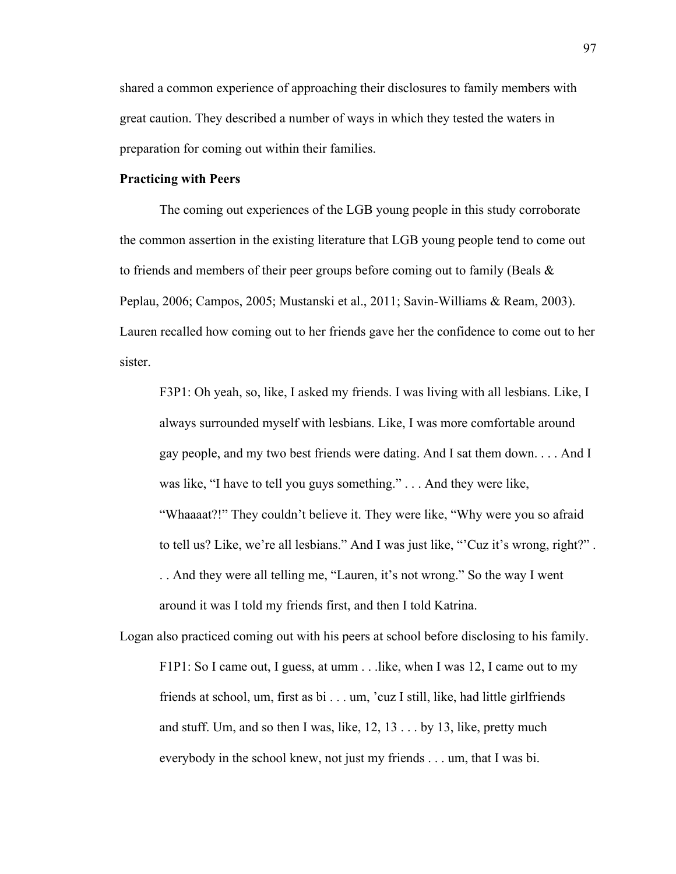shared a common experience of approaching their disclosures to family members with great caution. They described a number of ways in which they tested the waters in preparation for coming out within their families.

# **Practicing with Peers**

The coming out experiences of the LGB young people in this study corroborate the common assertion in the existing literature that LGB young people tend to come out to friends and members of their peer groups before coming out to family (Beals  $\&$ Peplau, 2006; Campos, 2005; Mustanski et al., 2011; Savin-Williams & Ream, 2003). Lauren recalled how coming out to her friends gave her the confidence to come out to her sister.

F3P1: Oh yeah, so, like, I asked my friends. I was living with all lesbians. Like, I always surrounded myself with lesbians. Like, I was more comfortable around gay people, and my two best friends were dating. And I sat them down. . . . And I was like, "I have to tell you guys something." . . . And they were like, "Whaaaat?!" They couldn't believe it. They were like, "Why were you so afraid to tell us? Like, we're all lesbians." And I was just like, "'Cuz it's wrong, right?" . . . And they were all telling me, "Lauren, it's not wrong." So the way I went around it was I told my friends first, and then I told Katrina.

Logan also practiced coming out with his peers at school before disclosing to his family. F1P1: So I came out, I guess, at umm . . .like, when I was 12, I came out to my friends at school, um, first as bi . . . um, 'cuz I still, like, had little girlfriends and stuff. Um, and so then I was, like, 12, 13 . . . by 13, like, pretty much everybody in the school knew, not just my friends . . . um, that I was bi.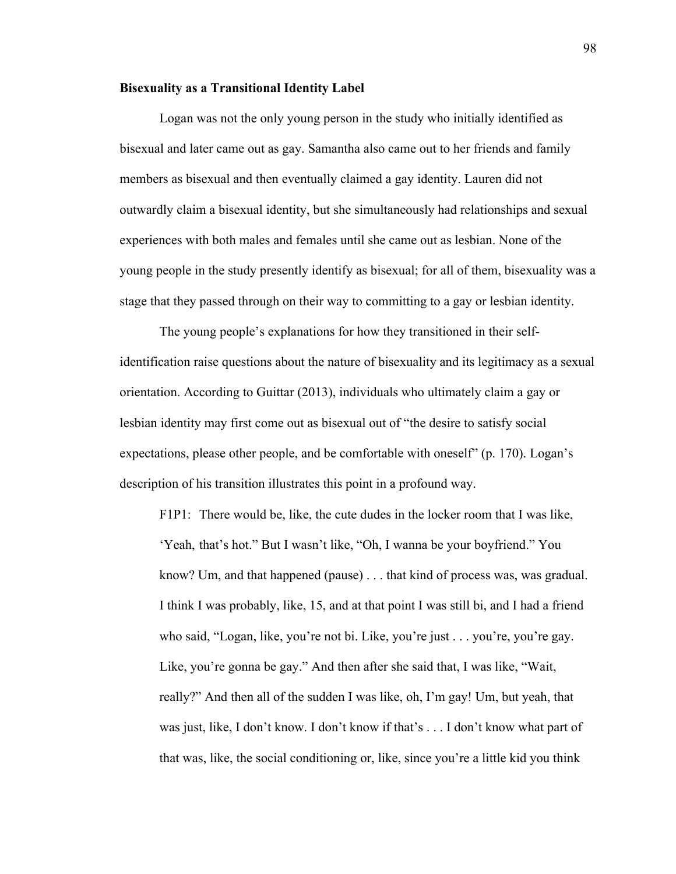#### **Bisexuality as a Transitional Identity Label**

Logan was not the only young person in the study who initially identified as bisexual and later came out as gay. Samantha also came out to her friends and family members as bisexual and then eventually claimed a gay identity. Lauren did not outwardly claim a bisexual identity, but she simultaneously had relationships and sexual experiences with both males and females until she came out as lesbian. None of the young people in the study presently identify as bisexual; for all of them, bisexuality was a stage that they passed through on their way to committing to a gay or lesbian identity.

The young people's explanations for how they transitioned in their selfidentification raise questions about the nature of bisexuality and its legitimacy as a sexual orientation. According to Guittar (2013), individuals who ultimately claim a gay or lesbian identity may first come out as bisexual out of "the desire to satisfy social expectations, please other people, and be comfortable with oneself" (p. 170). Logan's description of his transition illustrates this point in a profound way.

F1P1: There would be, like, the cute dudes in the locker room that I was like, 'Yeah, that's hot." But I wasn't like, "Oh, I wanna be your boyfriend." You know? Um, and that happened (pause) . . . that kind of process was, was gradual. I think I was probably, like, 15, and at that point I was still bi, and I had a friend who said, "Logan, like, you're not bi. Like, you're just . . . you're, you're gay. Like, you're gonna be gay." And then after she said that, I was like, "Wait, really?" And then all of the sudden I was like, oh, I'm gay! Um, but yeah, that was just, like, I don't know. I don't know if that's . . . I don't know what part of that was, like, the social conditioning or, like, since you're a little kid you think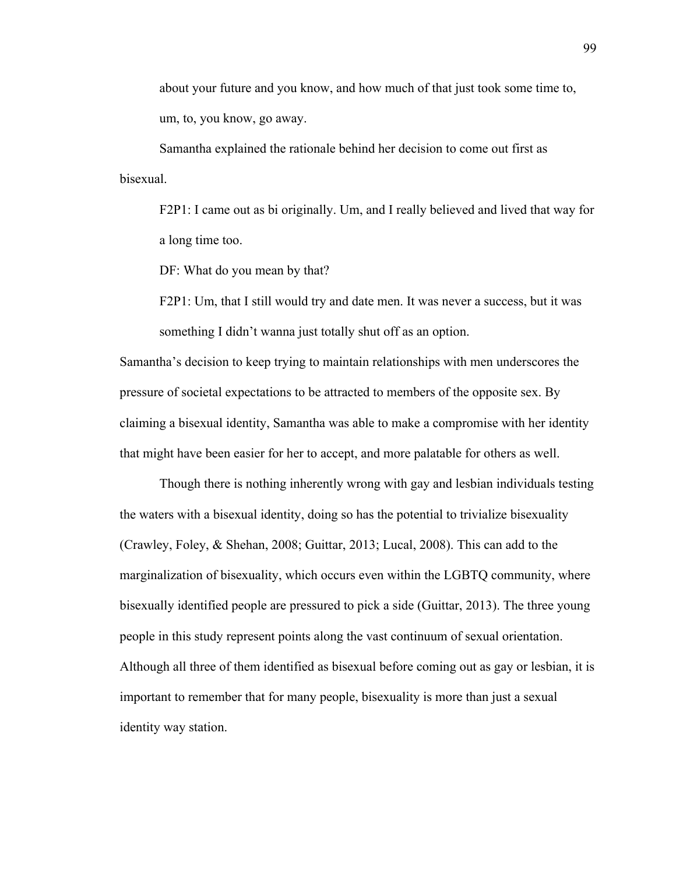about your future and you know, and how much of that just took some time to, um, to, you know, go away.

Samantha explained the rationale behind her decision to come out first as bisexual.

F2P1: I came out as bi originally. Um, and I really believed and lived that way for a long time too.

DF: What do you mean by that?

F2P1: Um, that I still would try and date men. It was never a success, but it was something I didn't wanna just totally shut off as an option.

Samantha's decision to keep trying to maintain relationships with men underscores the pressure of societal expectations to be attracted to members of the opposite sex. By claiming a bisexual identity, Samantha was able to make a compromise with her identity that might have been easier for her to accept, and more palatable for others as well.

Though there is nothing inherently wrong with gay and lesbian individuals testing the waters with a bisexual identity, doing so has the potential to trivialize bisexuality (Crawley, Foley, & Shehan, 2008; Guittar, 2013; Lucal, 2008). This can add to the marginalization of bisexuality, which occurs even within the LGBTQ community, where bisexually identified people are pressured to pick a side (Guittar, 2013). The three young people in this study represent points along the vast continuum of sexual orientation. Although all three of them identified as bisexual before coming out as gay or lesbian, it is important to remember that for many people, bisexuality is more than just a sexual identity way station.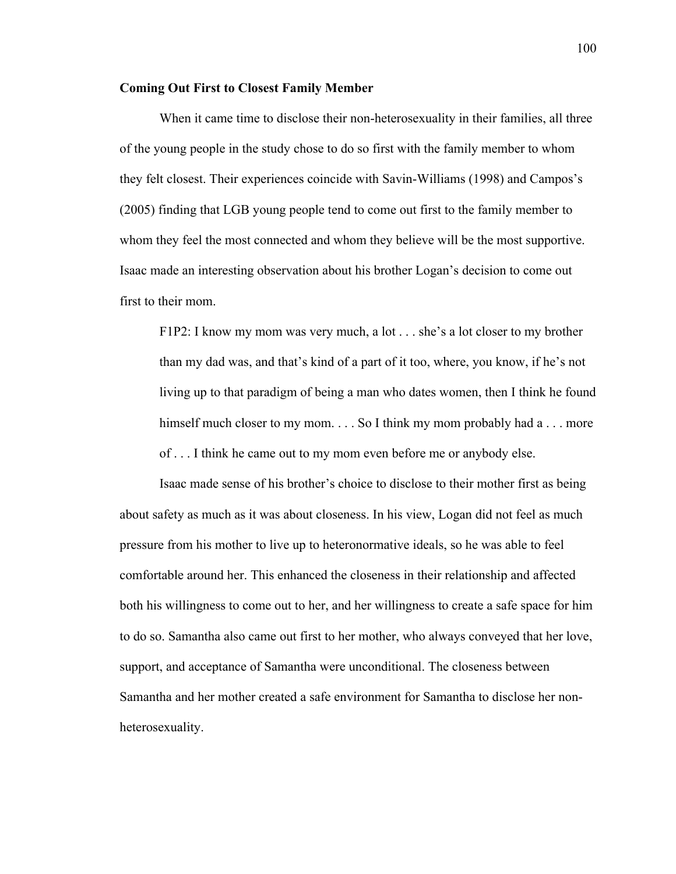#### **Coming Out First to Closest Family Member**

When it came time to disclose their non-heterosexuality in their families, all three of the young people in the study chose to do so first with the family member to whom they felt closest. Their experiences coincide with Savin-Williams (1998) and Campos's (2005) finding that LGB young people tend to come out first to the family member to whom they feel the most connected and whom they believe will be the most supportive. Isaac made an interesting observation about his brother Logan's decision to come out first to their mom.

F1P2: I know my mom was very much, a lot . . . she's a lot closer to my brother than my dad was, and that's kind of a part of it too, where, you know, if he's not living up to that paradigm of being a man who dates women, then I think he found himself much closer to my mom. . . . So I think my mom probably had a . . . more of . . . I think he came out to my mom even before me or anybody else.

Isaac made sense of his brother's choice to disclose to their mother first as being about safety as much as it was about closeness. In his view, Logan did not feel as much pressure from his mother to live up to heteronormative ideals, so he was able to feel comfortable around her. This enhanced the closeness in their relationship and affected both his willingness to come out to her, and her willingness to create a safe space for him to do so. Samantha also came out first to her mother, who always conveyed that her love, support, and acceptance of Samantha were unconditional. The closeness between Samantha and her mother created a safe environment for Samantha to disclose her nonheterosexuality.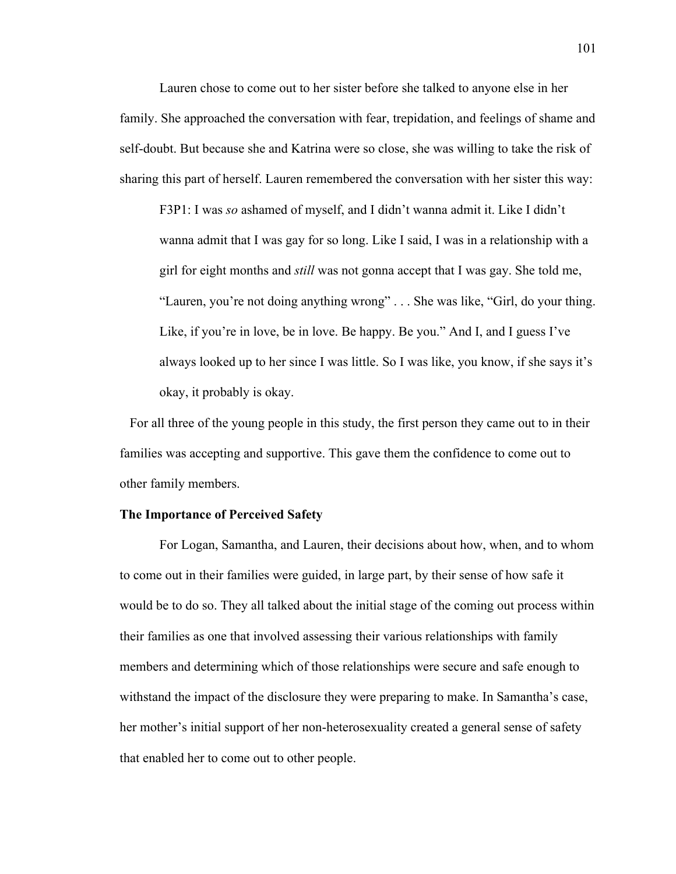Lauren chose to come out to her sister before she talked to anyone else in her family. She approached the conversation with fear, trepidation, and feelings of shame and self-doubt. But because she and Katrina were so close, she was willing to take the risk of sharing this part of herself. Lauren remembered the conversation with her sister this way:

F3P1: I was *so* ashamed of myself, and I didn't wanna admit it. Like I didn't wanna admit that I was gay for so long. Like I said, I was in a relationship with a girl for eight months and *still* was not gonna accept that I was gay. She told me, "Lauren, you're not doing anything wrong" . . . She was like, "Girl, do your thing. Like, if you're in love, be in love. Be happy. Be you." And I, and I guess I've always looked up to her since I was little. So I was like, you know, if she says it's okay, it probably is okay.

 For all three of the young people in this study, the first person they came out to in their families was accepting and supportive. This gave them the confidence to come out to other family members.

## **The Importance of Perceived Safety**

For Logan, Samantha, and Lauren, their decisions about how, when, and to whom to come out in their families were guided, in large part, by their sense of how safe it would be to do so. They all talked about the initial stage of the coming out process within their families as one that involved assessing their various relationships with family members and determining which of those relationships were secure and safe enough to withstand the impact of the disclosure they were preparing to make. In Samantha's case, her mother's initial support of her non-heterosexuality created a general sense of safety that enabled her to come out to other people.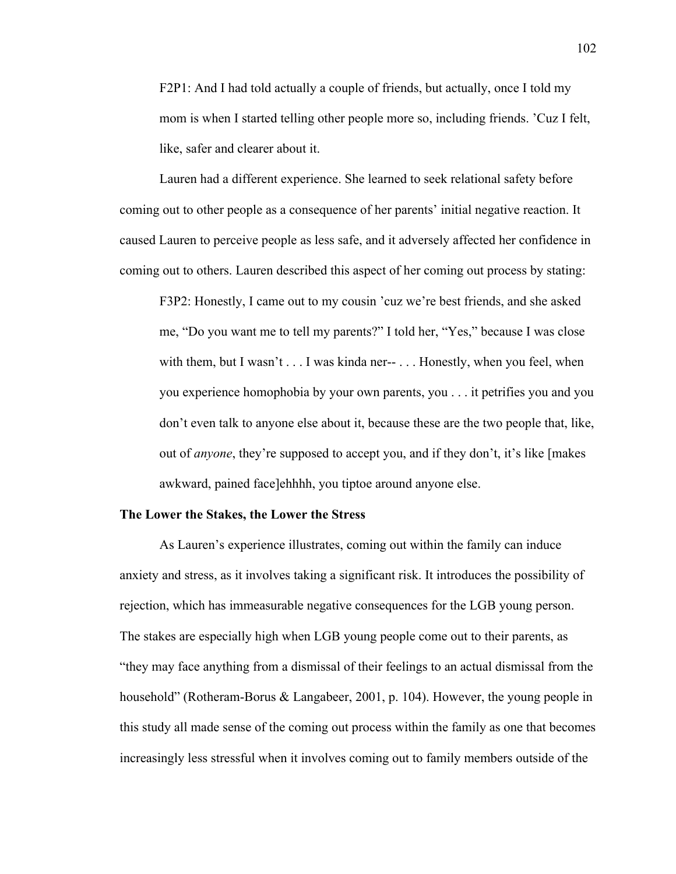F2P1: And I had told actually a couple of friends, but actually, once I told my mom is when I started telling other people more so, including friends. 'Cuz I felt, like, safer and clearer about it.

Lauren had a different experience. She learned to seek relational safety before coming out to other people as a consequence of her parents' initial negative reaction. It caused Lauren to perceive people as less safe, and it adversely affected her confidence in coming out to others. Lauren described this aspect of her coming out process by stating:

F3P2: Honestly, I came out to my cousin 'cuz we're best friends, and she asked me, "Do you want me to tell my parents?" I told her, "Yes," because I was close with them, but I wasn't . . . I was kinda ner-- . . . Honestly, when you feel, when you experience homophobia by your own parents, you . . . it petrifies you and you don't even talk to anyone else about it, because these are the two people that, like, out of *anyone*, they're supposed to accept you, and if they don't, it's like [makes awkward, pained face]ehhhh, you tiptoe around anyone else.

### **The Lower the Stakes, the Lower the Stress**

As Lauren's experience illustrates, coming out within the family can induce anxiety and stress, as it involves taking a significant risk. It introduces the possibility of rejection, which has immeasurable negative consequences for the LGB young person. The stakes are especially high when LGB young people come out to their parents, as "they may face anything from a dismissal of their feelings to an actual dismissal from the household" (Rotheram-Borus & Langabeer, 2001, p. 104). However, the young people in this study all made sense of the coming out process within the family as one that becomes increasingly less stressful when it involves coming out to family members outside of the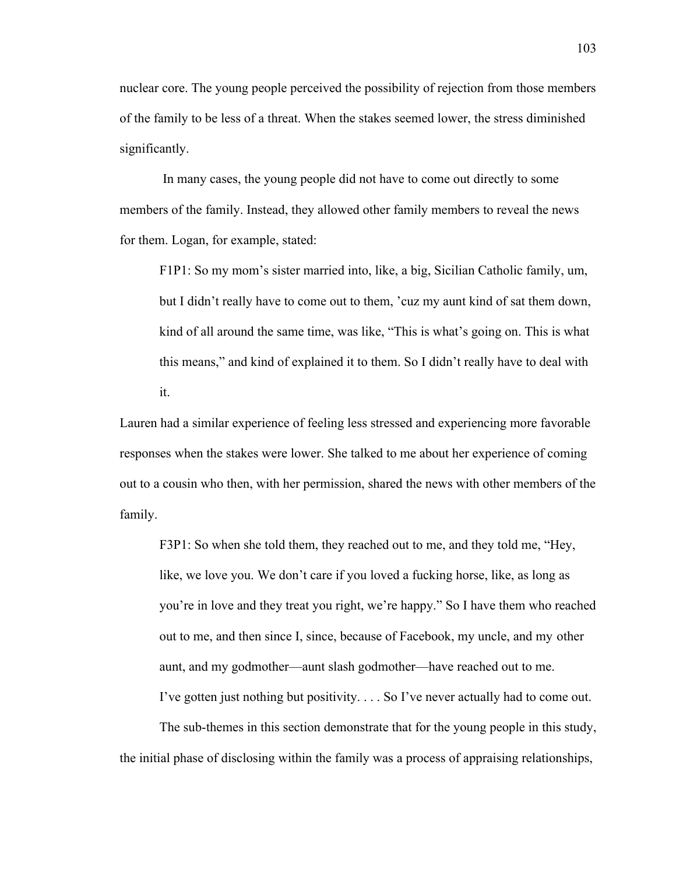nuclear core. The young people perceived the possibility of rejection from those members of the family to be less of a threat. When the stakes seemed lower, the stress diminished significantly.

In many cases, the young people did not have to come out directly to some members of the family. Instead, they allowed other family members to reveal the news for them. Logan, for example, stated:

F1P1: So my mom's sister married into, like, a big, Sicilian Catholic family, um, but I didn't really have to come out to them, 'cuz my aunt kind of sat them down, kind of all around the same time, was like, "This is what's going on. This is what this means," and kind of explained it to them. So I didn't really have to deal with it.

Lauren had a similar experience of feeling less stressed and experiencing more favorable responses when the stakes were lower. She talked to me about her experience of coming out to a cousin who then, with her permission, shared the news with other members of the family.

F3P1: So when she told them, they reached out to me, and they told me, "Hey, like, we love you. We don't care if you loved a fucking horse, like, as long as you're in love and they treat you right, we're happy." So I have them who reached out to me, and then since I, since, because of Facebook, my uncle, and my other aunt, and my godmother—aunt slash godmother—have reached out to me. I've gotten just nothing but positivity. . . . So I've never actually had to come out.

The sub-themes in this section demonstrate that for the young people in this study, the initial phase of disclosing within the family was a process of appraising relationships,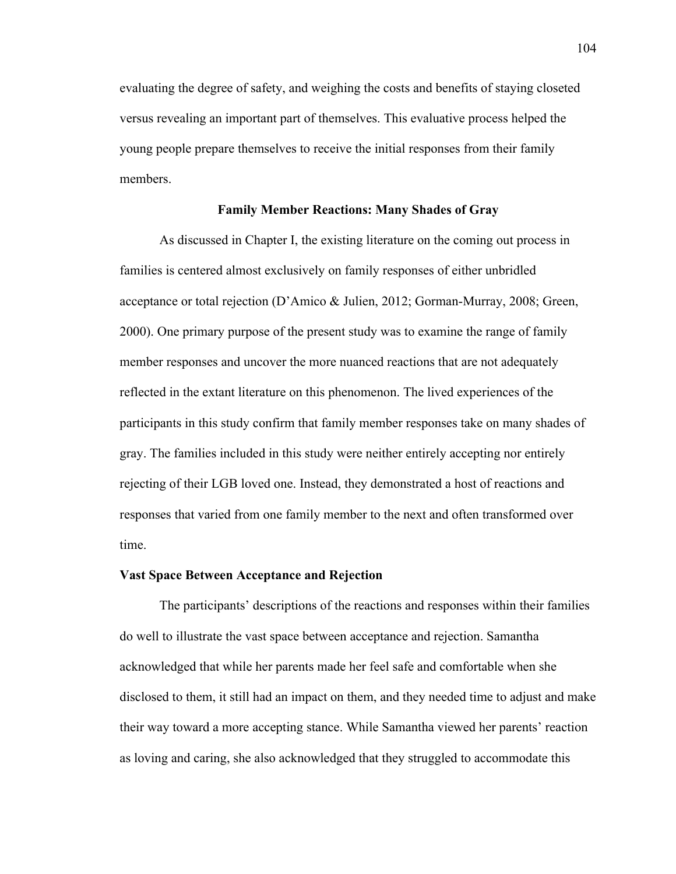evaluating the degree of safety, and weighing the costs and benefits of staying closeted versus revealing an important part of themselves. This evaluative process helped the young people prepare themselves to receive the initial responses from their family members.

# **Family Member Reactions: Many Shades of Gray**

As discussed in Chapter I, the existing literature on the coming out process in families is centered almost exclusively on family responses of either unbridled acceptance or total rejection (D'Amico & Julien, 2012; Gorman-Murray, 2008; Green, 2000). One primary purpose of the present study was to examine the range of family member responses and uncover the more nuanced reactions that are not adequately reflected in the extant literature on this phenomenon. The lived experiences of the participants in this study confirm that family member responses take on many shades of gray. The families included in this study were neither entirely accepting nor entirely rejecting of their LGB loved one. Instead, they demonstrated a host of reactions and responses that varied from one family member to the next and often transformed over time.

### **Vast Space Between Acceptance and Rejection**

The participants' descriptions of the reactions and responses within their families do well to illustrate the vast space between acceptance and rejection. Samantha acknowledged that while her parents made her feel safe and comfortable when she disclosed to them, it still had an impact on them, and they needed time to adjust and make their way toward a more accepting stance. While Samantha viewed her parents' reaction as loving and caring, she also acknowledged that they struggled to accommodate this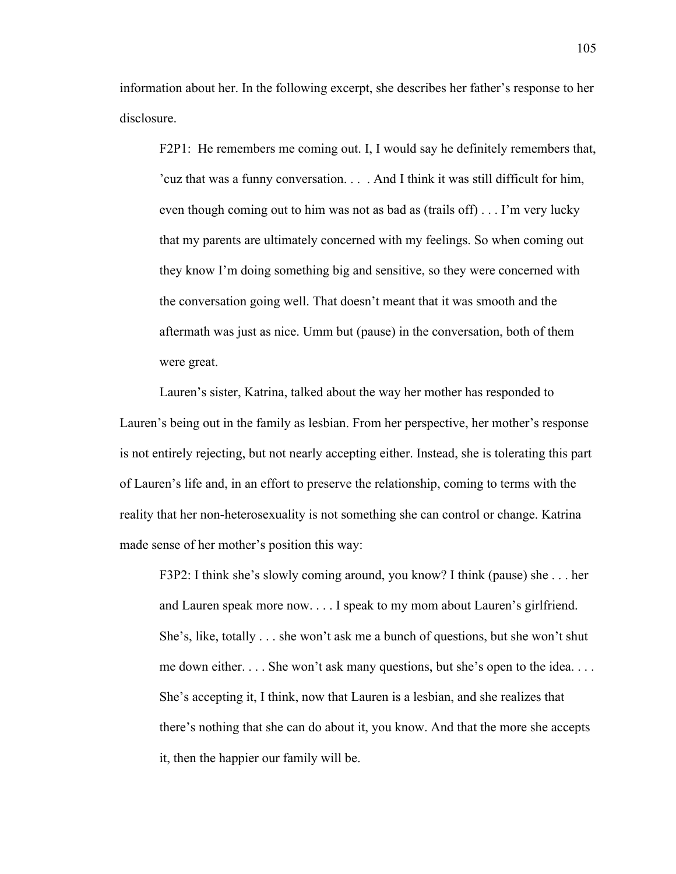information about her. In the following excerpt, she describes her father's response to her disclosure.

F2P1: He remembers me coming out. I, I would say he definitely remembers that, 'cuz that was a funny conversation. . . . And I think it was still difficult for him, even though coming out to him was not as bad as (trails off) . . . I'm very lucky that my parents are ultimately concerned with my feelings. So when coming out they know I'm doing something big and sensitive, so they were concerned with the conversation going well. That doesn't meant that it was smooth and the aftermath was just as nice. Umm but (pause) in the conversation, both of them were great.

Lauren's sister, Katrina, talked about the way her mother has responded to Lauren's being out in the family as lesbian. From her perspective, her mother's response is not entirely rejecting, but not nearly accepting either. Instead, she is tolerating this part of Lauren's life and, in an effort to preserve the relationship, coming to terms with the reality that her non-heterosexuality is not something she can control or change. Katrina made sense of her mother's position this way:

F3P2: I think she's slowly coming around, you know? I think (pause) she . . . her and Lauren speak more now. . . . I speak to my mom about Lauren's girlfriend. She's, like, totally . . . she won't ask me a bunch of questions, but she won't shut me down either. . . . She won't ask many questions, but she's open to the idea. . . . She's accepting it, I think, now that Lauren is a lesbian, and she realizes that there's nothing that she can do about it, you know. And that the more she accepts it, then the happier our family will be.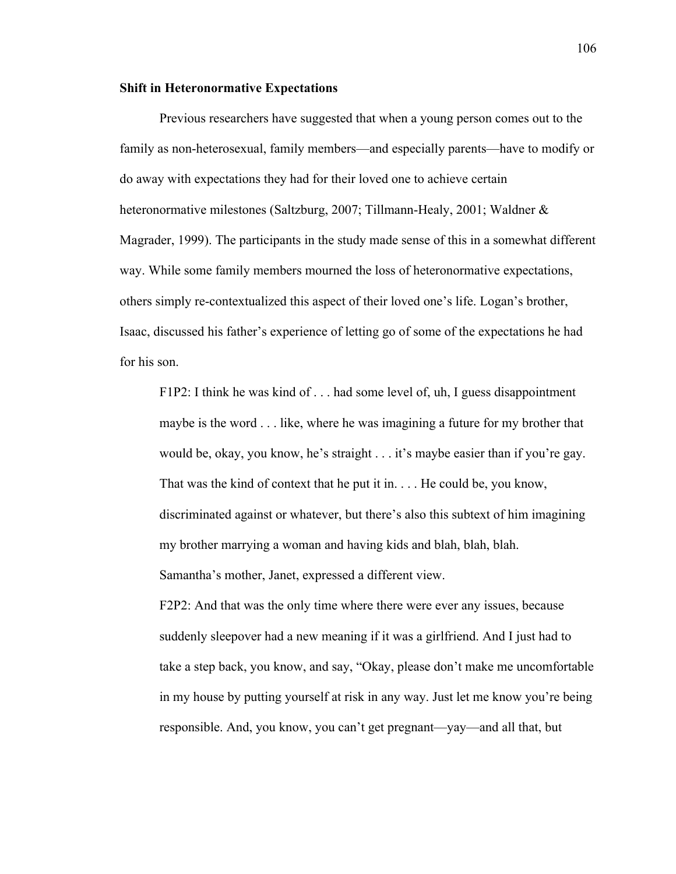#### **Shift in Heteronormative Expectations**

Previous researchers have suggested that when a young person comes out to the family as non-heterosexual, family members—and especially parents—have to modify or do away with expectations they had for their loved one to achieve certain heteronormative milestones (Saltzburg, 2007; Tillmann-Healy, 2001; Waldner & Magrader, 1999). The participants in the study made sense of this in a somewhat different way. While some family members mourned the loss of heteronormative expectations, others simply re-contextualized this aspect of their loved one's life. Logan's brother, Isaac, discussed his father's experience of letting go of some of the expectations he had for his son.

F1P2: I think he was kind of . . . had some level of, uh, I guess disappointment maybe is the word . . . like, where he was imagining a future for my brother that would be, okay, you know, he's straight . . . it's maybe easier than if you're gay. That was the kind of context that he put it in. . . . He could be, you know, discriminated against or whatever, but there's also this subtext of him imagining my brother marrying a woman and having kids and blah, blah, blah. Samantha's mother, Janet, expressed a different view.

F2P2: And that was the only time where there were ever any issues, because suddenly sleepover had a new meaning if it was a girlfriend. And I just had to take a step back, you know, and say, "Okay, please don't make me uncomfortable in my house by putting yourself at risk in any way. Just let me know you're being responsible. And, you know, you can't get pregnant—yay—and all that, but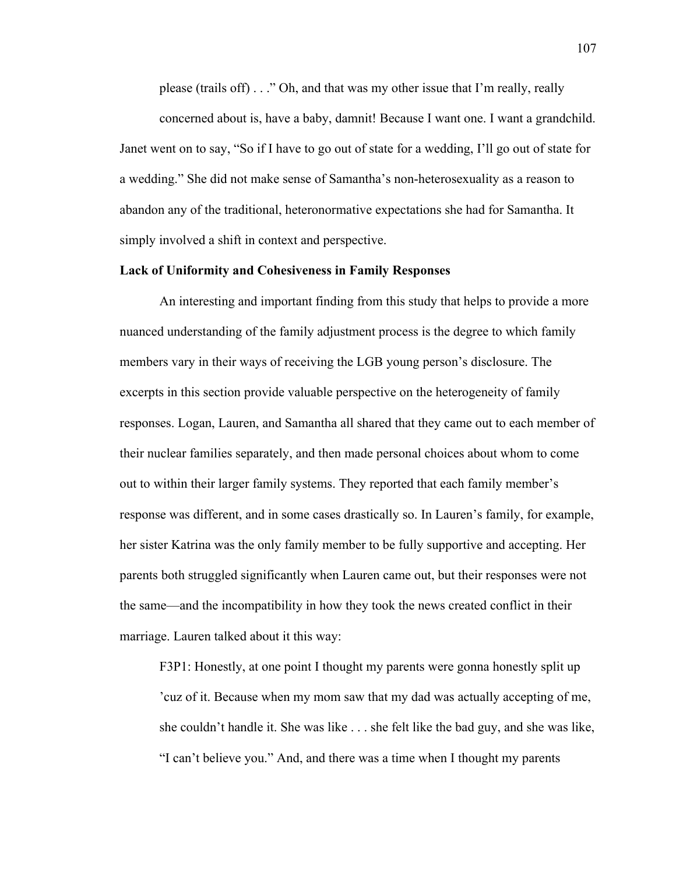please (trails off) . . ." Oh, and that was my other issue that I'm really, really

concerned about is, have a baby, damnit! Because I want one. I want a grandchild. Janet went on to say, "So if I have to go out of state for a wedding, I'll go out of state for a wedding." She did not make sense of Samantha's non-heterosexuality as a reason to abandon any of the traditional, heteronormative expectations she had for Samantha. It simply involved a shift in context and perspective.

### **Lack of Uniformity and Cohesiveness in Family Responses**

An interesting and important finding from this study that helps to provide a more nuanced understanding of the family adjustment process is the degree to which family members vary in their ways of receiving the LGB young person's disclosure. The excerpts in this section provide valuable perspective on the heterogeneity of family responses. Logan, Lauren, and Samantha all shared that they came out to each member of their nuclear families separately, and then made personal choices about whom to come out to within their larger family systems. They reported that each family member's response was different, and in some cases drastically so. In Lauren's family, for example, her sister Katrina was the only family member to be fully supportive and accepting. Her parents both struggled significantly when Lauren came out, but their responses were not the same—and the incompatibility in how they took the news created conflict in their marriage. Lauren talked about it this way:

F3P1: Honestly, at one point I thought my parents were gonna honestly split up 'cuz of it. Because when my mom saw that my dad was actually accepting of me, she couldn't handle it. She was like . . . she felt like the bad guy, and she was like, "I can't believe you." And, and there was a time when I thought my parents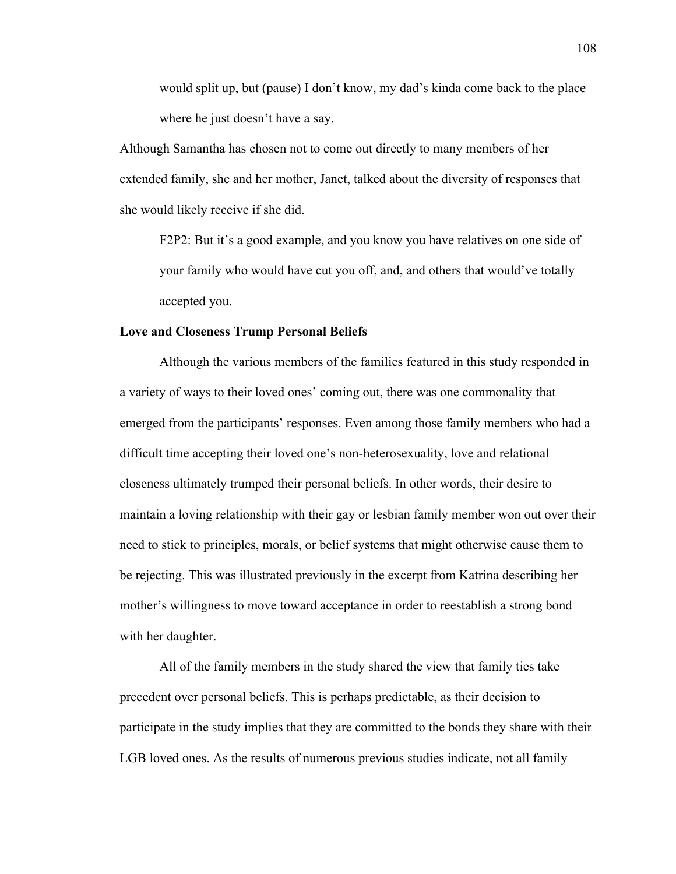would split up, but (pause) I don't know, my dad's kinda come back to the place where he just doesn't have a say.

Although Samantha has chosen not to come out directly to many members of her extended family, she and her mother, Janet, talked about the diversity of responses that she would likely receive if she did.

F2P2: But it's a good example, and you know you have relatives on one side of your family who would have cut you off, and, and others that would've totally accepted you.

### **Love and Closeness Trump Personal Beliefs**

Although the various members of the families featured in this study responded in a variety of ways to their loved ones' coming out, there was one commonality that emerged from the participants' responses. Even among those family members who had a difficult time accepting their loved one's non-heterosexuality, love and relational closeness ultimately trumped their personal beliefs. In other words, their desire to maintain a loving relationship with their gay or lesbian family member won out over their need to stick to principles, morals, or belief systems that might otherwise cause them to be rejecting. This was illustrated previously in the excerpt from Katrina describing her mother's willingness to move toward acceptance in order to reestablish a strong bond with her daughter.

All of the family members in the study shared the view that family ties take precedent over personal beliefs. This is perhaps predictable, as their decision to participate in the study implies that they are committed to the bonds they share with their LGB loved ones. As the results of numerous previous studies indicate, not all family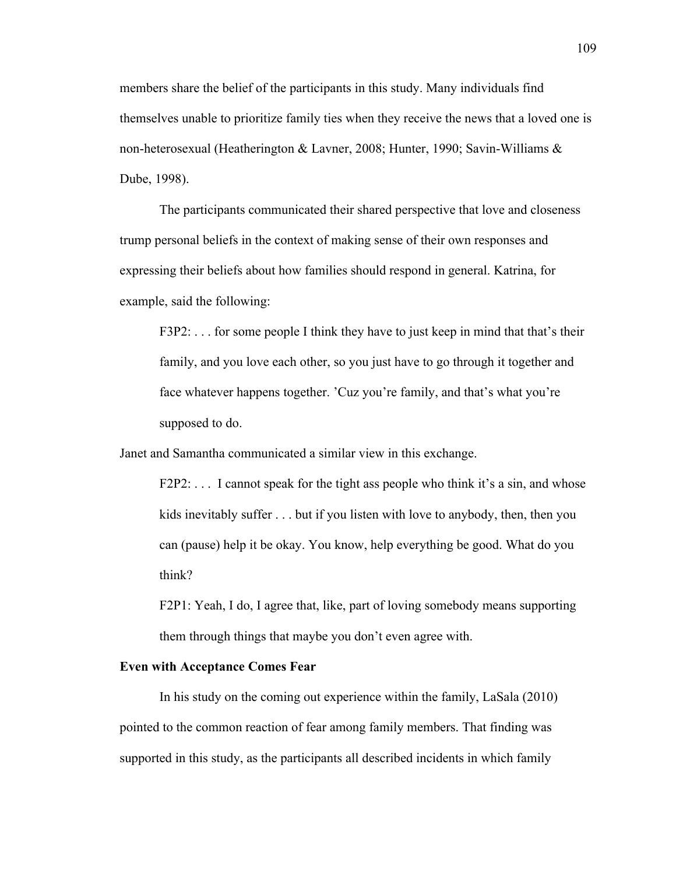members share the belief of the participants in this study. Many individuals find themselves unable to prioritize family ties when they receive the news that a loved one is non-heterosexual (Heatherington & Lavner, 2008; Hunter, 1990; Savin-Williams & Dube, 1998).

The participants communicated their shared perspective that love and closeness trump personal beliefs in the context of making sense of their own responses and expressing their beliefs about how families should respond in general. Katrina, for example, said the following:

F3P2: . . . for some people I think they have to just keep in mind that that's their family, and you love each other, so you just have to go through it together and face whatever happens together. 'Cuz you're family, and that's what you're supposed to do.

Janet and Samantha communicated a similar view in this exchange.

F2P2: ... I cannot speak for the tight ass people who think it's a sin, and whose kids inevitably suffer . . . but if you listen with love to anybody, then, then you can (pause) help it be okay. You know, help everything be good. What do you think?

F2P1: Yeah, I do, I agree that, like, part of loving somebody means supporting them through things that maybe you don't even agree with.

# **Even with Acceptance Comes Fear**

In his study on the coming out experience within the family, LaSala (2010) pointed to the common reaction of fear among family members. That finding was supported in this study, as the participants all described incidents in which family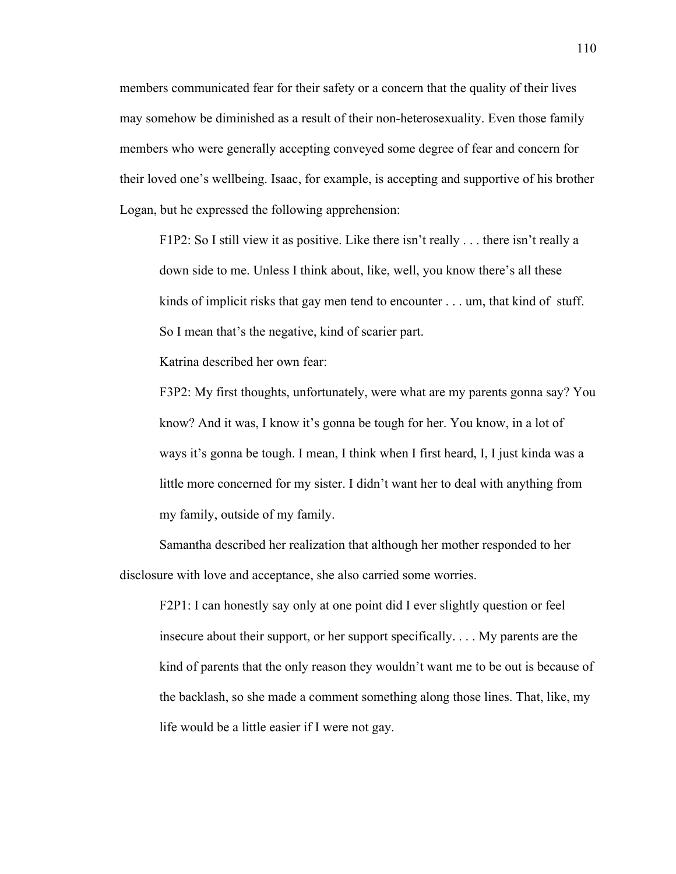members communicated fear for their safety or a concern that the quality of their lives may somehow be diminished as a result of their non-heterosexuality. Even those family members who were generally accepting conveyed some degree of fear and concern for their loved one's wellbeing. Isaac, for example, is accepting and supportive of his brother Logan, but he expressed the following apprehension:

F1P2: So I still view it as positive. Like there isn't really . . . there isn't really a down side to me. Unless I think about, like, well, you know there's all these kinds of implicit risks that gay men tend to encounter . . . um, that kind of stuff. So I mean that's the negative, kind of scarier part.

Katrina described her own fear:

F3P2: My first thoughts, unfortunately, were what are my parents gonna say? You know? And it was, I know it's gonna be tough for her. You know, in a lot of ways it's gonna be tough. I mean, I think when I first heard, I, I just kinda was a little more concerned for my sister. I didn't want her to deal with anything from my family, outside of my family.

Samantha described her realization that although her mother responded to her disclosure with love and acceptance, she also carried some worries.

F2P1: I can honestly say only at one point did I ever slightly question or feel insecure about their support, or her support specifically. . . . My parents are the kind of parents that the only reason they wouldn't want me to be out is because of the backlash, so she made a comment something along those lines. That, like, my life would be a little easier if I were not gay.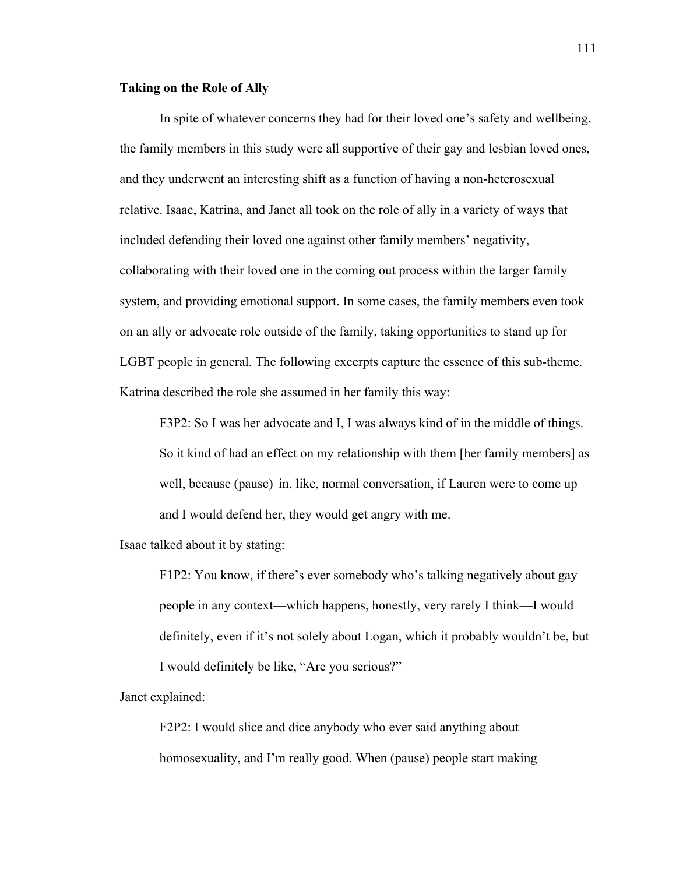# **Taking on the Role of Ally**

In spite of whatever concerns they had for their loved one's safety and wellbeing, the family members in this study were all supportive of their gay and lesbian loved ones, and they underwent an interesting shift as a function of having a non-heterosexual relative. Isaac, Katrina, and Janet all took on the role of ally in a variety of ways that included defending their loved one against other family members' negativity, collaborating with their loved one in the coming out process within the larger family system, and providing emotional support. In some cases, the family members even took on an ally or advocate role outside of the family, taking opportunities to stand up for LGBT people in general. The following excerpts capture the essence of this sub-theme. Katrina described the role she assumed in her family this way:

F3P2: So I was her advocate and I, I was always kind of in the middle of things. So it kind of had an effect on my relationship with them [her family members] as well, because (pause) in, like, normal conversation, if Lauren were to come up and I would defend her, they would get angry with me.

Isaac talked about it by stating:

F1P2: You know, if there's ever somebody who's talking negatively about gay people in any context—which happens, honestly, very rarely I think—I would definitely, even if it's not solely about Logan, which it probably wouldn't be, but I would definitely be like, "Are you serious?"

Janet explained:

F2P2: I would slice and dice anybody who ever said anything about homosexuality, and I'm really good. When (pause) people start making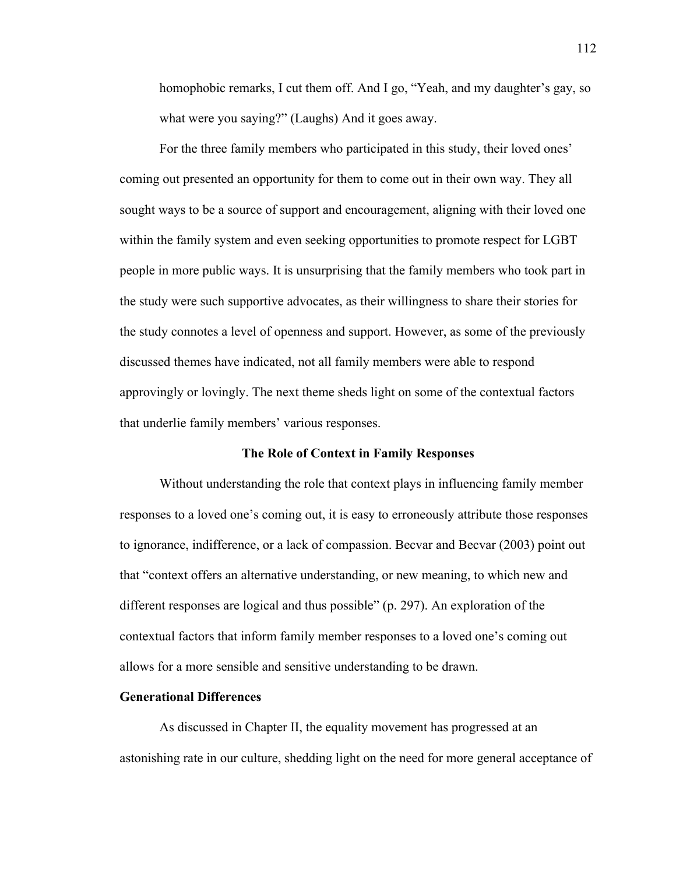homophobic remarks, I cut them off. And I go, "Yeah, and my daughter's gay, so what were you saying?" (Laughs) And it goes away.

For the three family members who participated in this study, their loved ones' coming out presented an opportunity for them to come out in their own way. They all sought ways to be a source of support and encouragement, aligning with their loved one within the family system and even seeking opportunities to promote respect for LGBT people in more public ways. It is unsurprising that the family members who took part in the study were such supportive advocates, as their willingness to share their stories for the study connotes a level of openness and support. However, as some of the previously discussed themes have indicated, not all family members were able to respond approvingly or lovingly. The next theme sheds light on some of the contextual factors that underlie family members' various responses.

### **The Role of Context in Family Responses**

Without understanding the role that context plays in influencing family member responses to a loved one's coming out, it is easy to erroneously attribute those responses to ignorance, indifference, or a lack of compassion. Becvar and Becvar (2003) point out that "context offers an alternative understanding, or new meaning, to which new and different responses are logical and thus possible" (p. 297). An exploration of the contextual factors that inform family member responses to a loved one's coming out allows for a more sensible and sensitive understanding to be drawn.

### **Generational Differences**

As discussed in Chapter II, the equality movement has progressed at an astonishing rate in our culture, shedding light on the need for more general acceptance of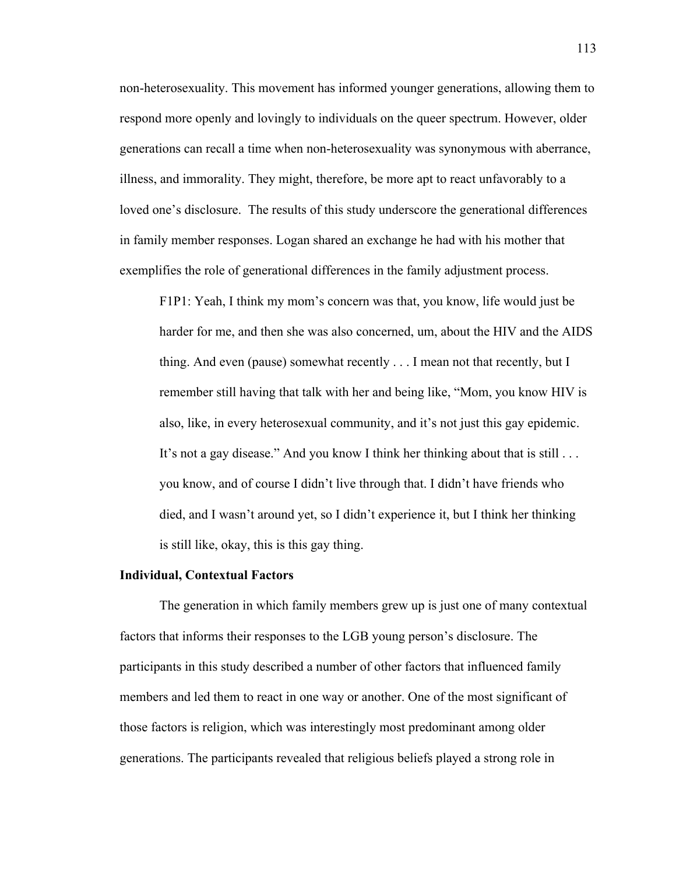non-heterosexuality. This movement has informed younger generations, allowing them to respond more openly and lovingly to individuals on the queer spectrum. However, older generations can recall a time when non-heterosexuality was synonymous with aberrance, illness, and immorality. They might, therefore, be more apt to react unfavorably to a loved one's disclosure. The results of this study underscore the generational differences in family member responses. Logan shared an exchange he had with his mother that exemplifies the role of generational differences in the family adjustment process.

F1P1: Yeah, I think my mom's concern was that, you know, life would just be harder for me, and then she was also concerned, um, about the HIV and the AIDS thing. And even (pause) somewhat recently . . . I mean not that recently, but I remember still having that talk with her and being like, "Mom, you know HIV is also, like, in every heterosexual community, and it's not just this gay epidemic. It's not a gay disease." And you know I think her thinking about that is still . . . you know, and of course I didn't live through that. I didn't have friends who died, and I wasn't around yet, so I didn't experience it, but I think her thinking is still like, okay, this is this gay thing.

#### **Individual, Contextual Factors**

The generation in which family members grew up is just one of many contextual factors that informs their responses to the LGB young person's disclosure. The participants in this study described a number of other factors that influenced family members and led them to react in one way or another. One of the most significant of those factors is religion, which was interestingly most predominant among older generations. The participants revealed that religious beliefs played a strong role in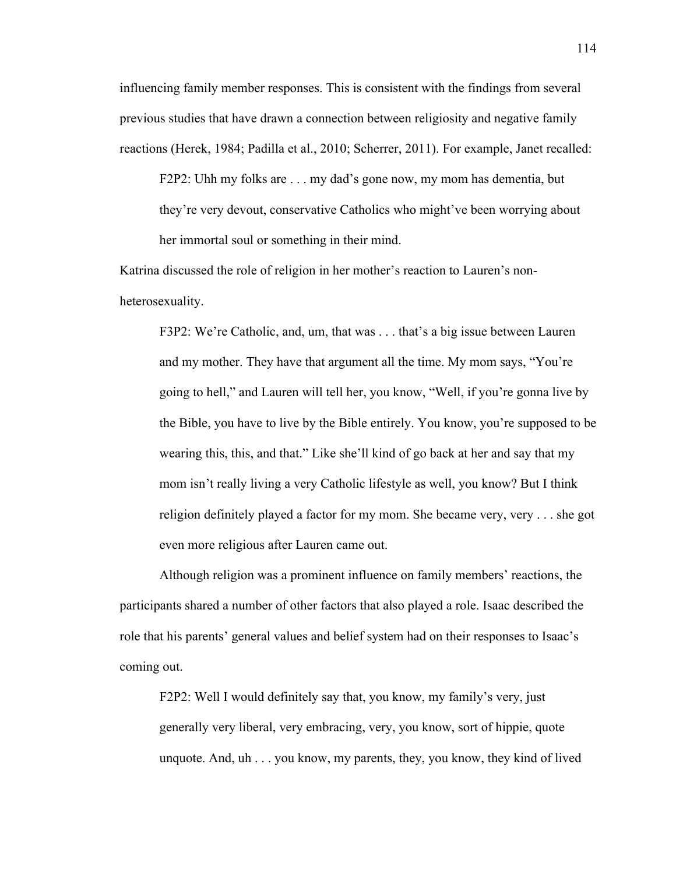influencing family member responses. This is consistent with the findings from several previous studies that have drawn a connection between religiosity and negative family reactions (Herek, 1984; Padilla et al., 2010; Scherrer, 2011). For example, Janet recalled:

F2P2: Uhh my folks are . . . my dad's gone now, my mom has dementia, but they're very devout, conservative Catholics who might've been worrying about her immortal soul or something in their mind.

Katrina discussed the role of religion in her mother's reaction to Lauren's nonheterosexuality.

F3P2: We're Catholic, and, um, that was . . . that's a big issue between Lauren and my mother. They have that argument all the time. My mom says, "You're going to hell," and Lauren will tell her, you know, "Well, if you're gonna live by the Bible, you have to live by the Bible entirely. You know, you're supposed to be wearing this, this, and that." Like she'll kind of go back at her and say that my mom isn't really living a very Catholic lifestyle as well, you know? But I think religion definitely played a factor for my mom. She became very, very . . . she got even more religious after Lauren came out.

Although religion was a prominent influence on family members' reactions, the participants shared a number of other factors that also played a role. Isaac described the role that his parents' general values and belief system had on their responses to Isaac's coming out.

F2P2: Well I would definitely say that, you know, my family's very, just generally very liberal, very embracing, very, you know, sort of hippie, quote unquote. And, uh . . . you know, my parents, they, you know, they kind of lived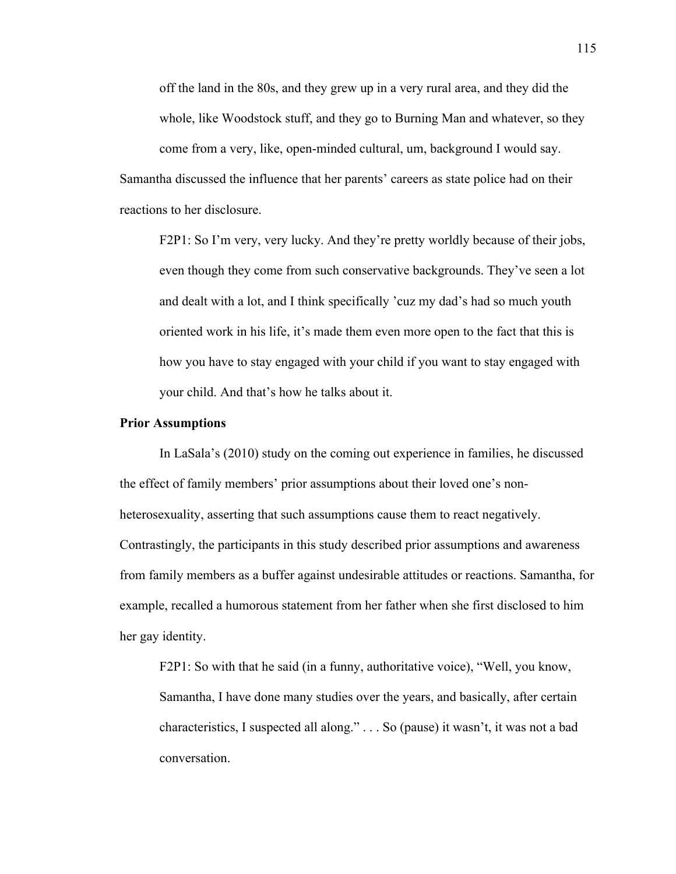off the land in the 80s, and they grew up in a very rural area, and they did the whole, like Woodstock stuff, and they go to Burning Man and whatever, so they come from a very, like, open-minded cultural, um, background I would say. Samantha discussed the influence that her parents' careers as state police had on their reactions to her disclosure.

F2P1: So I'm very, very lucky. And they're pretty worldly because of their jobs, even though they come from such conservative backgrounds. They've seen a lot and dealt with a lot, and I think specifically 'cuz my dad's had so much youth oriented work in his life, it's made them even more open to the fact that this is how you have to stay engaged with your child if you want to stay engaged with your child. And that's how he talks about it.

#### **Prior Assumptions**

In LaSala's (2010) study on the coming out experience in families, he discussed the effect of family members' prior assumptions about their loved one's nonheterosexuality, asserting that such assumptions cause them to react negatively. Contrastingly, the participants in this study described prior assumptions and awareness from family members as a buffer against undesirable attitudes or reactions. Samantha, for example, recalled a humorous statement from her father when she first disclosed to him her gay identity.

F2P1: So with that he said (in a funny, authoritative voice), "Well, you know, Samantha, I have done many studies over the years, and basically, after certain characteristics, I suspected all along." . . . So (pause) it wasn't, it was not a bad conversation.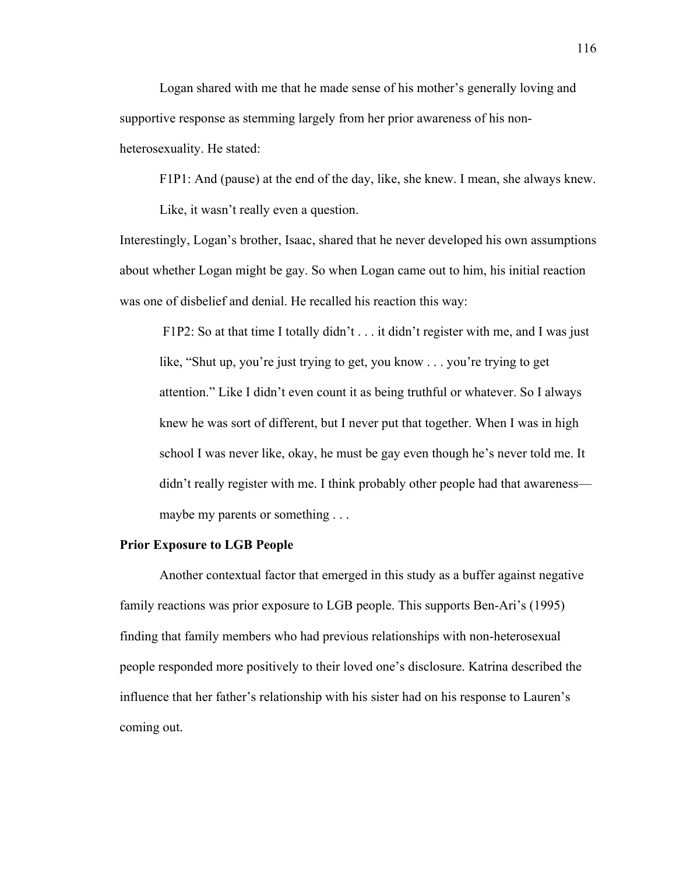Logan shared with me that he made sense of his mother's generally loving and supportive response as stemming largely from her prior awareness of his nonheterosexuality. He stated:

F1P1: And (pause) at the end of the day, like, she knew. I mean, she always knew.

Like, it wasn't really even a question.

Interestingly, Logan's brother, Isaac, shared that he never developed his own assumptions about whether Logan might be gay. So when Logan came out to him, his initial reaction was one of disbelief and denial. He recalled his reaction this way:

F1P2: So at that time I totally didn't . . . it didn't register with me, and I was just like, "Shut up, you're just trying to get, you know . . . you're trying to get attention." Like I didn't even count it as being truthful or whatever. So I always knew he was sort of different, but I never put that together. When I was in high school I was never like, okay, he must be gay even though he's never told me. It didn't really register with me. I think probably other people had that awareness maybe my parents or something . . .

#### **Prior Exposure to LGB People**

Another contextual factor that emerged in this study as a buffer against negative family reactions was prior exposure to LGB people. This supports Ben-Ari's (1995) finding that family members who had previous relationships with non-heterosexual people responded more positively to their loved one's disclosure. Katrina described the influence that her father's relationship with his sister had on his response to Lauren's coming out.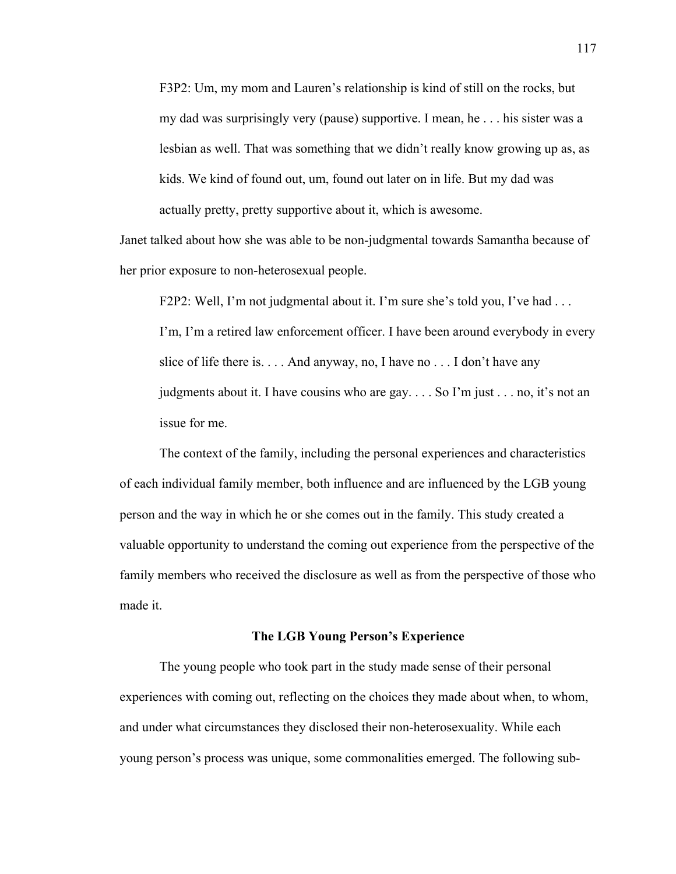F3P2: Um, my mom and Lauren's relationship is kind of still on the rocks, but my dad was surprisingly very (pause) supportive. I mean, he . . . his sister was a lesbian as well. That was something that we didn't really know growing up as, as kids. We kind of found out, um, found out later on in life. But my dad was actually pretty, pretty supportive about it, which is awesome.

Janet talked about how she was able to be non-judgmental towards Samantha because of her prior exposure to non-heterosexual people.

F2P2: Well, I'm not judgmental about it. I'm sure she's told you, I've had ... I'm, I'm a retired law enforcement officer. I have been around everybody in every slice of life there is. . . . And anyway, no, I have no . . . I don't have any judgments about it. I have cousins who are gay. . . . So I'm just . . . no, it's not an issue for me.

The context of the family, including the personal experiences and characteristics of each individual family member, both influence and are influenced by the LGB young person and the way in which he or she comes out in the family. This study created a valuable opportunity to understand the coming out experience from the perspective of the family members who received the disclosure as well as from the perspective of those who made it.

# **The LGB Young Person's Experience**

The young people who took part in the study made sense of their personal experiences with coming out, reflecting on the choices they made about when, to whom, and under what circumstances they disclosed their non-heterosexuality. While each young person's process was unique, some commonalities emerged. The following sub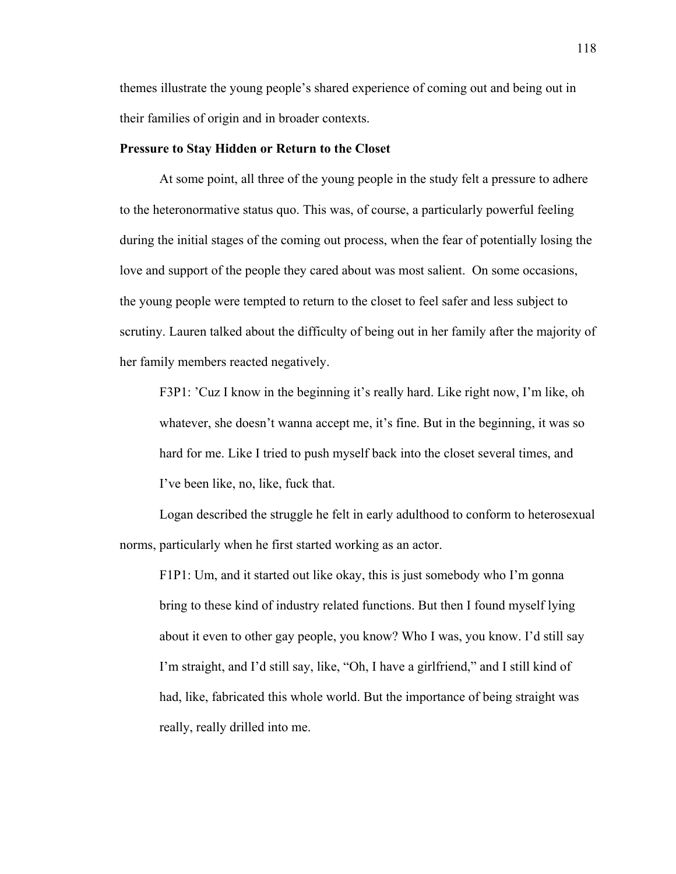themes illustrate the young people's shared experience of coming out and being out in their families of origin and in broader contexts.

## **Pressure to Stay Hidden or Return to the Closet**

At some point, all three of the young people in the study felt a pressure to adhere to the heteronormative status quo. This was, of course, a particularly powerful feeling during the initial stages of the coming out process, when the fear of potentially losing the love and support of the people they cared about was most salient. On some occasions, the young people were tempted to return to the closet to feel safer and less subject to scrutiny. Lauren talked about the difficulty of being out in her family after the majority of her family members reacted negatively.

F3P1: 'Cuz I know in the beginning it's really hard. Like right now, I'm like, oh whatever, she doesn't wanna accept me, it's fine. But in the beginning, it was so hard for me. Like I tried to push myself back into the closet several times, and I've been like, no, like, fuck that.

Logan described the struggle he felt in early adulthood to conform to heterosexual norms, particularly when he first started working as an actor.

F1P1: Um, and it started out like okay, this is just somebody who I'm gonna bring to these kind of industry related functions. But then I found myself lying about it even to other gay people, you know? Who I was, you know. I'd still say I'm straight, and I'd still say, like, "Oh, I have a girlfriend," and I still kind of had, like, fabricated this whole world. But the importance of being straight was really, really drilled into me.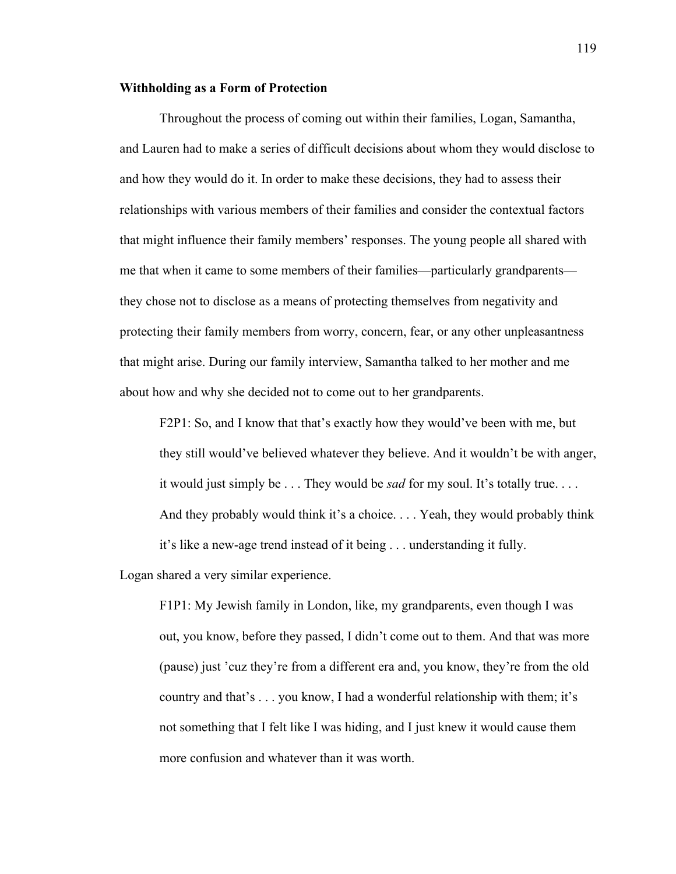### **Withholding as a Form of Protection**

Throughout the process of coming out within their families, Logan, Samantha, and Lauren had to make a series of difficult decisions about whom they would disclose to and how they would do it. In order to make these decisions, they had to assess their relationships with various members of their families and consider the contextual factors that might influence their family members' responses. The young people all shared with me that when it came to some members of their families—particularly grandparents they chose not to disclose as a means of protecting themselves from negativity and protecting their family members from worry, concern, fear, or any other unpleasantness that might arise. During our family interview, Samantha talked to her mother and me about how and why she decided not to come out to her grandparents.

F2P1: So, and I know that that's exactly how they would've been with me, but they still would've believed whatever they believe. And it wouldn't be with anger, it would just simply be . . . They would be *sad* for my soul. It's totally true. . . . And they probably would think it's a choice. . . . Yeah, they would probably think it's like a new-age trend instead of it being . . . understanding it fully.

Logan shared a very similar experience.

F1P1: My Jewish family in London, like, my grandparents, even though I was out, you know, before they passed, I didn't come out to them. And that was more (pause) just 'cuz they're from a different era and, you know, they're from the old country and that's . . . you know, I had a wonderful relationship with them; it's not something that I felt like I was hiding, and I just knew it would cause them more confusion and whatever than it was worth.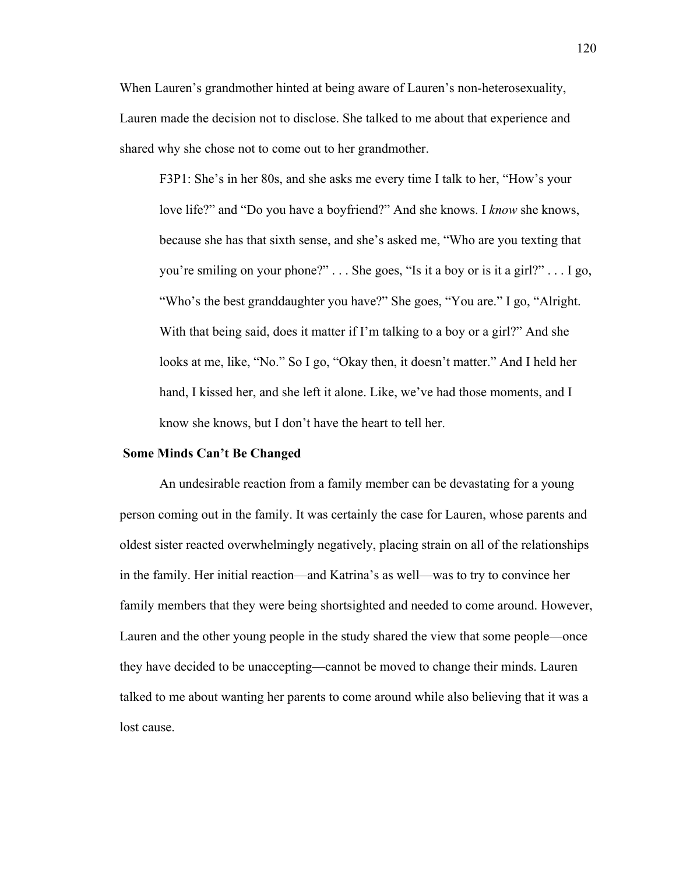When Lauren's grandmother hinted at being aware of Lauren's non-heterosexuality, Lauren made the decision not to disclose. She talked to me about that experience and shared why she chose not to come out to her grandmother.

F3P1: She's in her 80s, and she asks me every time I talk to her, "How's your love life?" and "Do you have a boyfriend?" And she knows. I *know* she knows, because she has that sixth sense, and she's asked me, "Who are you texting that you're smiling on your phone?" . . . She goes, "Is it a boy or is it a girl?" . . . I go, "Who's the best granddaughter you have?" She goes, "You are." I go, "Alright. With that being said, does it matter if I'm talking to a boy or a girl?" And she looks at me, like, "No." So I go, "Okay then, it doesn't matter." And I held her hand, I kissed her, and she left it alone. Like, we've had those moments, and I know she knows, but I don't have the heart to tell her.

### **Some Minds Can't Be Changed**

An undesirable reaction from a family member can be devastating for a young person coming out in the family. It was certainly the case for Lauren, whose parents and oldest sister reacted overwhelmingly negatively, placing strain on all of the relationships in the family. Her initial reaction—and Katrina's as well—was to try to convince her family members that they were being shortsighted and needed to come around. However, Lauren and the other young people in the study shared the view that some people—once they have decided to be unaccepting—cannot be moved to change their minds. Lauren talked to me about wanting her parents to come around while also believing that it was a lost cause.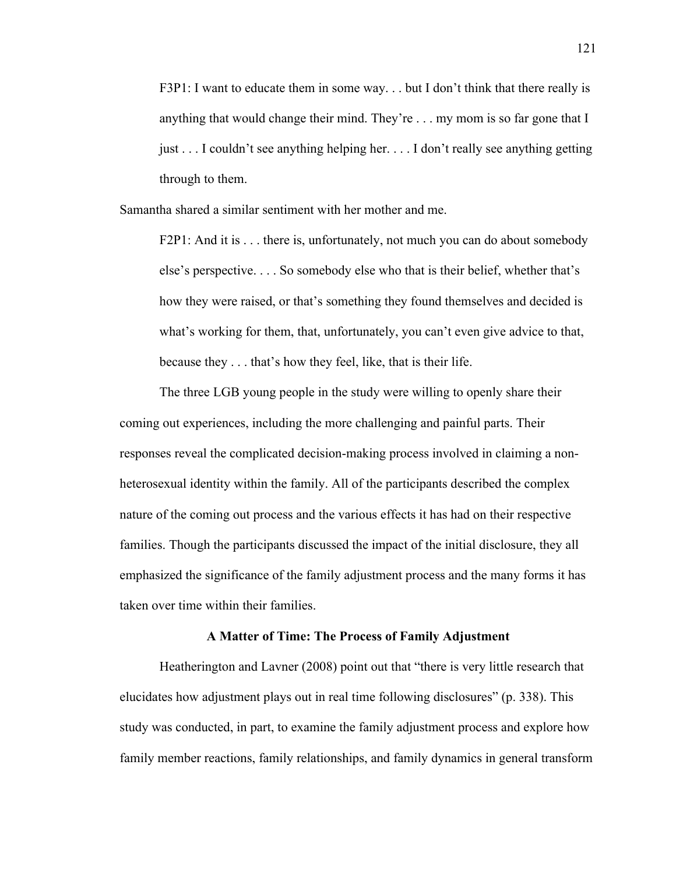F3P1: I want to educate them in some way. . . but I don't think that there really is anything that would change their mind. They're . . . my mom is so far gone that I just . . . I couldn't see anything helping her. . . . I don't really see anything getting through to them.

Samantha shared a similar sentiment with her mother and me.

F2P1: And it is . . . there is, unfortunately, not much you can do about somebody else's perspective. . . . So somebody else who that is their belief, whether that's how they were raised, or that's something they found themselves and decided is what's working for them, that, unfortunately, you can't even give advice to that, because they . . . that's how they feel, like, that is their life.

The three LGB young people in the study were willing to openly share their coming out experiences, including the more challenging and painful parts. Their responses reveal the complicated decision-making process involved in claiming a nonheterosexual identity within the family. All of the participants described the complex nature of the coming out process and the various effects it has had on their respective families. Though the participants discussed the impact of the initial disclosure, they all emphasized the significance of the family adjustment process and the many forms it has taken over time within their families.

# **A Matter of Time: The Process of Family Adjustment**

Heatherington and Lavner (2008) point out that "there is very little research that elucidates how adjustment plays out in real time following disclosures" (p. 338). This study was conducted, in part, to examine the family adjustment process and explore how family member reactions, family relationships, and family dynamics in general transform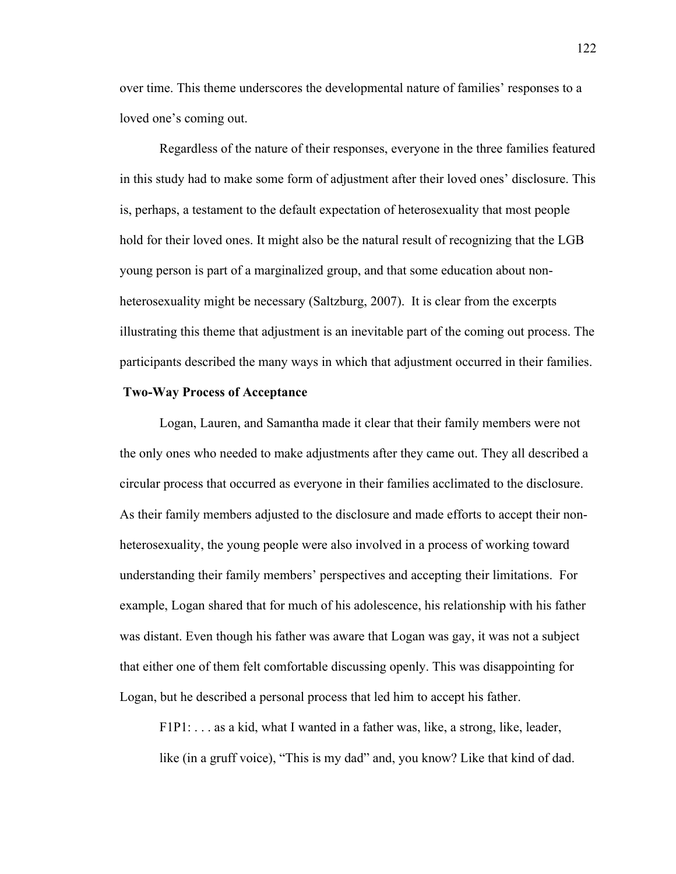over time. This theme underscores the developmental nature of families' responses to a loved one's coming out.

Regardless of the nature of their responses, everyone in the three families featured in this study had to make some form of adjustment after their loved ones' disclosure. This is, perhaps, a testament to the default expectation of heterosexuality that most people hold for their loved ones. It might also be the natural result of recognizing that the LGB young person is part of a marginalized group, and that some education about nonheterosexuality might be necessary (Saltzburg, 2007). It is clear from the excerpts illustrating this theme that adjustment is an inevitable part of the coming out process. The participants described the many ways in which that adjustment occurred in their families.

# **Two-Way Process of Acceptance**

Logan, Lauren, and Samantha made it clear that their family members were not the only ones who needed to make adjustments after they came out. They all described a circular process that occurred as everyone in their families acclimated to the disclosure. As their family members adjusted to the disclosure and made efforts to accept their nonheterosexuality, the young people were also involved in a process of working toward understanding their family members' perspectives and accepting their limitations. For example, Logan shared that for much of his adolescence, his relationship with his father was distant. Even though his father was aware that Logan was gay, it was not a subject that either one of them felt comfortable discussing openly. This was disappointing for Logan, but he described a personal process that led him to accept his father.

F1P1: . . . as a kid, what I wanted in a father was, like, a strong, like, leader, like (in a gruff voice), "This is my dad" and, you know? Like that kind of dad.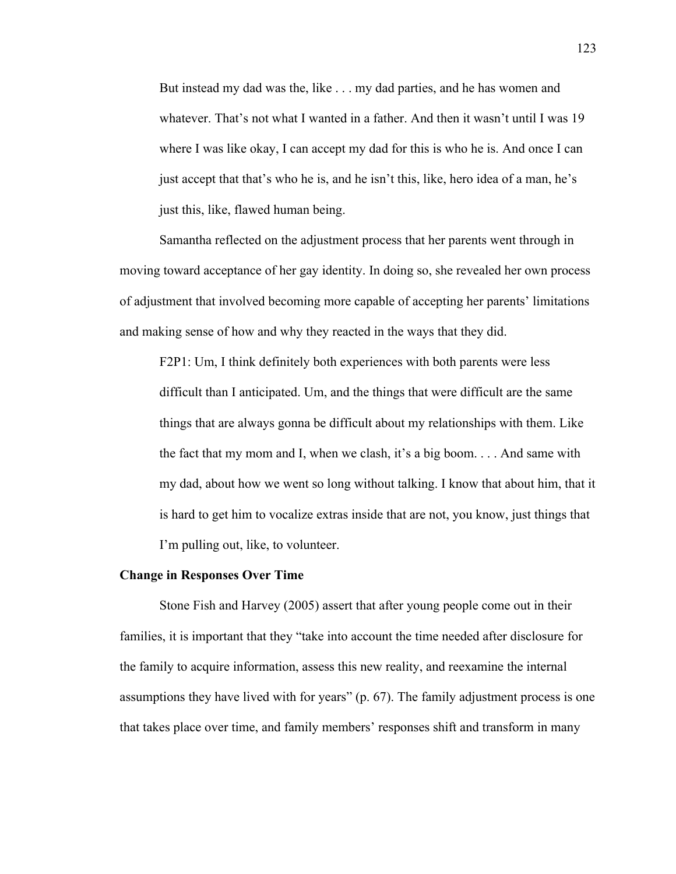But instead my dad was the, like . . . my dad parties, and he has women and whatever. That's not what I wanted in a father. And then it wasn't until I was 19 where I was like okay, I can accept my dad for this is who he is. And once I can just accept that that's who he is, and he isn't this, like, hero idea of a man, he's just this, like, flawed human being.

Samantha reflected on the adjustment process that her parents went through in moving toward acceptance of her gay identity. In doing so, she revealed her own process of adjustment that involved becoming more capable of accepting her parents' limitations and making sense of how and why they reacted in the ways that they did.

F2P1: Um, I think definitely both experiences with both parents were less difficult than I anticipated. Um, and the things that were difficult are the same things that are always gonna be difficult about my relationships with them. Like the fact that my mom and I, when we clash, it's a big boom. . . . And same with my dad, about how we went so long without talking. I know that about him, that it is hard to get him to vocalize extras inside that are not, you know, just things that I'm pulling out, like, to volunteer.

#### **Change in Responses Over Time**

Stone Fish and Harvey (2005) assert that after young people come out in their families, it is important that they "take into account the time needed after disclosure for the family to acquire information, assess this new reality, and reexamine the internal assumptions they have lived with for years" (p. 67). The family adjustment process is one that takes place over time, and family members' responses shift and transform in many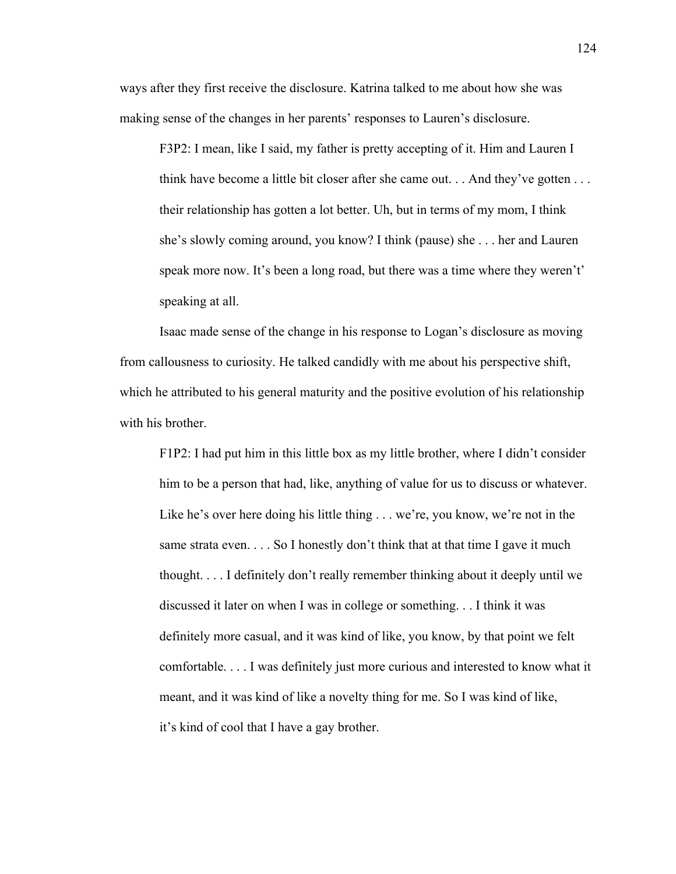ways after they first receive the disclosure. Katrina talked to me about how she was making sense of the changes in her parents' responses to Lauren's disclosure.

F3P2: I mean, like I said, my father is pretty accepting of it. Him and Lauren I think have become a little bit closer after she came out. . . And they've gotten . . . their relationship has gotten a lot better. Uh, but in terms of my mom, I think she's slowly coming around, you know? I think (pause) she . . . her and Lauren speak more now. It's been a long road, but there was a time where they weren't' speaking at all.

Isaac made sense of the change in his response to Logan's disclosure as moving from callousness to curiosity. He talked candidly with me about his perspective shift, which he attributed to his general maturity and the positive evolution of his relationship with his brother.

F1P2: I had put him in this little box as my little brother, where I didn't consider him to be a person that had, like, anything of value for us to discuss or whatever. Like he's over here doing his little thing . . . we're, you know, we're not in the same strata even. . . . So I honestly don't think that at that time I gave it much thought. . . . I definitely don't really remember thinking about it deeply until we discussed it later on when I was in college or something. . . I think it was definitely more casual, and it was kind of like, you know, by that point we felt comfortable. . . . I was definitely just more curious and interested to know what it meant, and it was kind of like a novelty thing for me. So I was kind of like, it's kind of cool that I have a gay brother.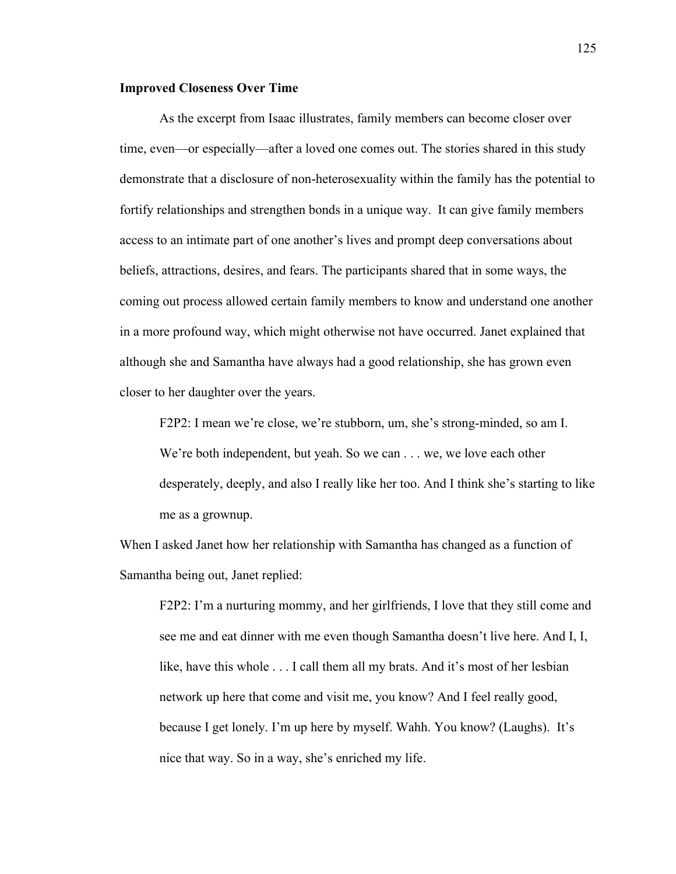# **Improved Closeness Over Time**

As the excerpt from Isaac illustrates, family members can become closer over time, even—or especially—after a loved one comes out. The stories shared in this study demonstrate that a disclosure of non-heterosexuality within the family has the potential to fortify relationships and strengthen bonds in a unique way. It can give family members access to an intimate part of one another's lives and prompt deep conversations about beliefs, attractions, desires, and fears. The participants shared that in some ways, the coming out process allowed certain family members to know and understand one another in a more profound way, which might otherwise not have occurred. Janet explained that although she and Samantha have always had a good relationship, she has grown even closer to her daughter over the years.

F2P2: I mean we're close, we're stubborn, um, she's strong-minded, so am I.

We're both independent, but yeah. So we can . . . we, we love each other desperately, deeply, and also I really like her too. And I think she's starting to like me as a grownup.

When I asked Janet how her relationship with Samantha has changed as a function of Samantha being out, Janet replied:

F2P2: I'm a nurturing mommy, and her girlfriends, I love that they still come and see me and eat dinner with me even though Samantha doesn't live here. And I, I, like, have this whole . . . I call them all my brats. And it's most of her lesbian network up here that come and visit me, you know? And I feel really good, because I get lonely. I'm up here by myself. Wahh. You know? (Laughs). It's nice that way. So in a way, she's enriched my life.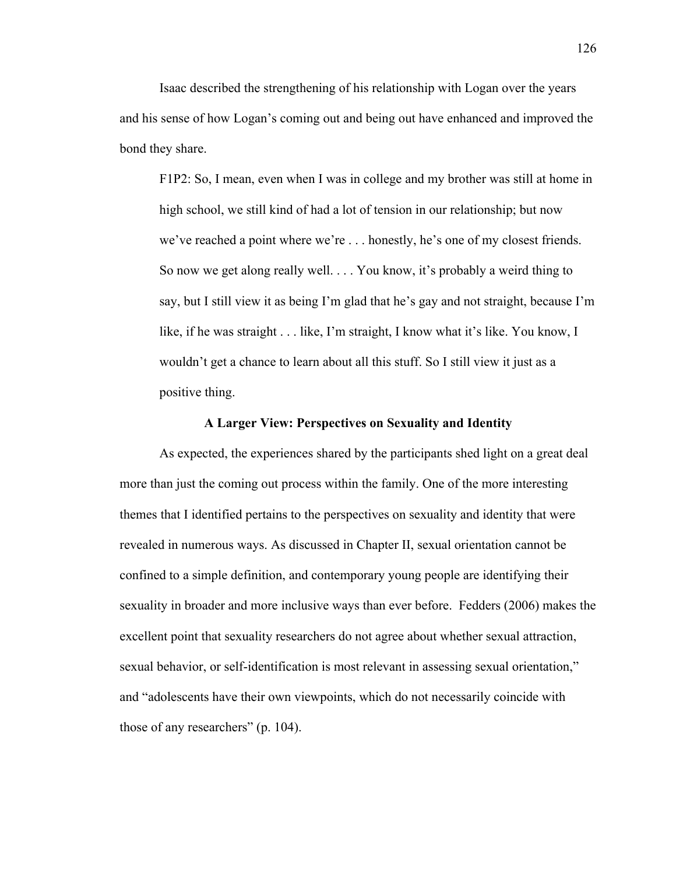Isaac described the strengthening of his relationship with Logan over the years and his sense of how Logan's coming out and being out have enhanced and improved the bond they share.

F1P2: So, I mean, even when I was in college and my brother was still at home in high school, we still kind of had a lot of tension in our relationship; but now we've reached a point where we're . . . honestly, he's one of my closest friends. So now we get along really well. . . . You know, it's probably a weird thing to say, but I still view it as being I'm glad that he's gay and not straight, because I'm like, if he was straight . . . like, I'm straight, I know what it's like. You know, I wouldn't get a chance to learn about all this stuff. So I still view it just as a positive thing.

### **A Larger View: Perspectives on Sexuality and Identity**

As expected, the experiences shared by the participants shed light on a great deal more than just the coming out process within the family. One of the more interesting themes that I identified pertains to the perspectives on sexuality and identity that were revealed in numerous ways. As discussed in Chapter II, sexual orientation cannot be confined to a simple definition, and contemporary young people are identifying their sexuality in broader and more inclusive ways than ever before. Fedders (2006) makes the excellent point that sexuality researchers do not agree about whether sexual attraction, sexual behavior, or self-identification is most relevant in assessing sexual orientation," and "adolescents have their own viewpoints, which do not necessarily coincide with those of any researchers" (p. 104).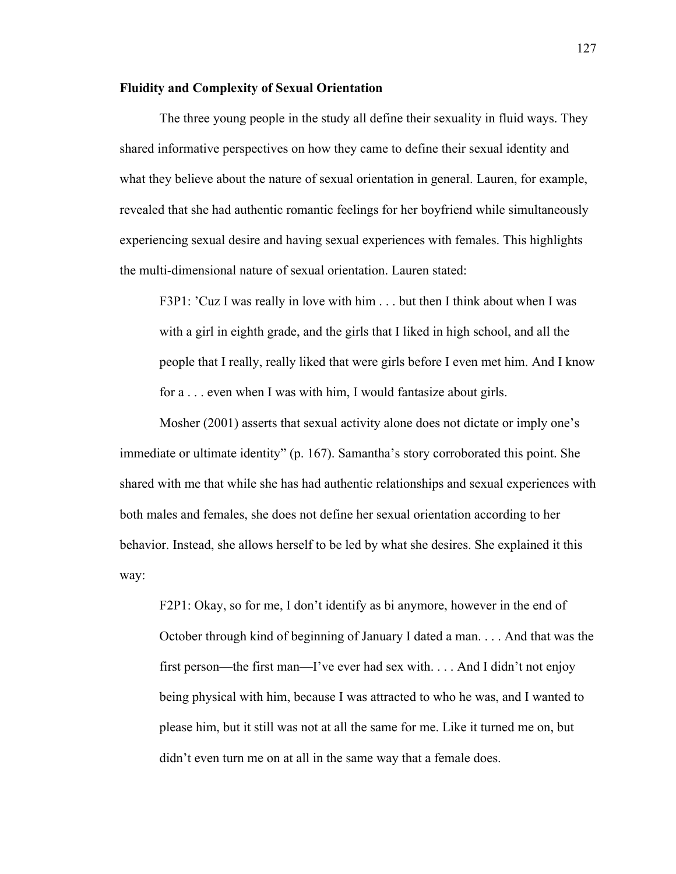### **Fluidity and Complexity of Sexual Orientation**

The three young people in the study all define their sexuality in fluid ways. They shared informative perspectives on how they came to define their sexual identity and what they believe about the nature of sexual orientation in general. Lauren, for example, revealed that she had authentic romantic feelings for her boyfriend while simultaneously experiencing sexual desire and having sexual experiences with females. This highlights the multi-dimensional nature of sexual orientation. Lauren stated:

F3P1: 'Cuz I was really in love with him . . . but then I think about when I was with a girl in eighth grade, and the girls that I liked in high school, and all the people that I really, really liked that were girls before I even met him. And I know for a . . . even when I was with him, I would fantasize about girls.

Mosher (2001) asserts that sexual activity alone does not dictate or imply one's immediate or ultimate identity" (p. 167). Samantha's story corroborated this point. She shared with me that while she has had authentic relationships and sexual experiences with both males and females, she does not define her sexual orientation according to her behavior. Instead, she allows herself to be led by what she desires. She explained it this way:

F2P1: Okay, so for me, I don't identify as bi anymore, however in the end of October through kind of beginning of January I dated a man. . . . And that was the first person—the first man—I've ever had sex with. . . . And I didn't not enjoy being physical with him, because I was attracted to who he was, and I wanted to please him, but it still was not at all the same for me. Like it turned me on, but didn't even turn me on at all in the same way that a female does.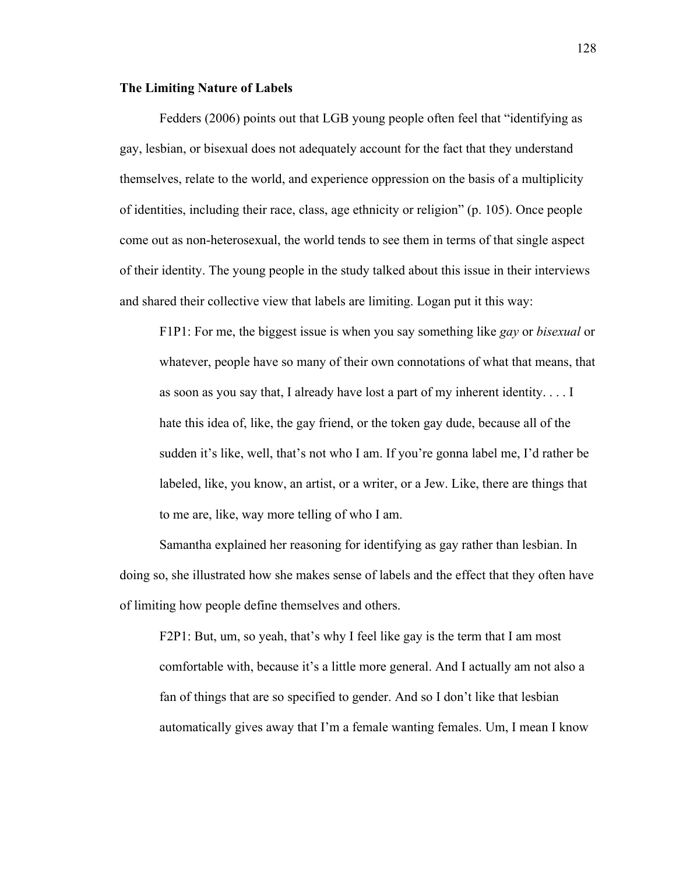### **The Limiting Nature of Labels**

Fedders (2006) points out that LGB young people often feel that "identifying as gay, lesbian, or bisexual does not adequately account for the fact that they understand themselves, relate to the world, and experience oppression on the basis of a multiplicity of identities, including their race, class, age ethnicity or religion" (p. 105). Once people come out as non-heterosexual, the world tends to see them in terms of that single aspect of their identity. The young people in the study talked about this issue in their interviews and shared their collective view that labels are limiting. Logan put it this way:

F1P1: For me, the biggest issue is when you say something like *gay* or *bisexual* or whatever, people have so many of their own connotations of what that means, that as soon as you say that, I already have lost a part of my inherent identity. . . . I hate this idea of, like, the gay friend, or the token gay dude, because all of the sudden it's like, well, that's not who I am. If you're gonna label me, I'd rather be labeled, like, you know, an artist, or a writer, or a Jew. Like, there are things that to me are, like, way more telling of who I am.

Samantha explained her reasoning for identifying as gay rather than lesbian. In doing so, she illustrated how she makes sense of labels and the effect that they often have of limiting how people define themselves and others.

F2P1: But, um, so yeah, that's why I feel like gay is the term that I am most comfortable with, because it's a little more general. And I actually am not also a fan of things that are so specified to gender. And so I don't like that lesbian automatically gives away that I'm a female wanting females. Um, I mean I know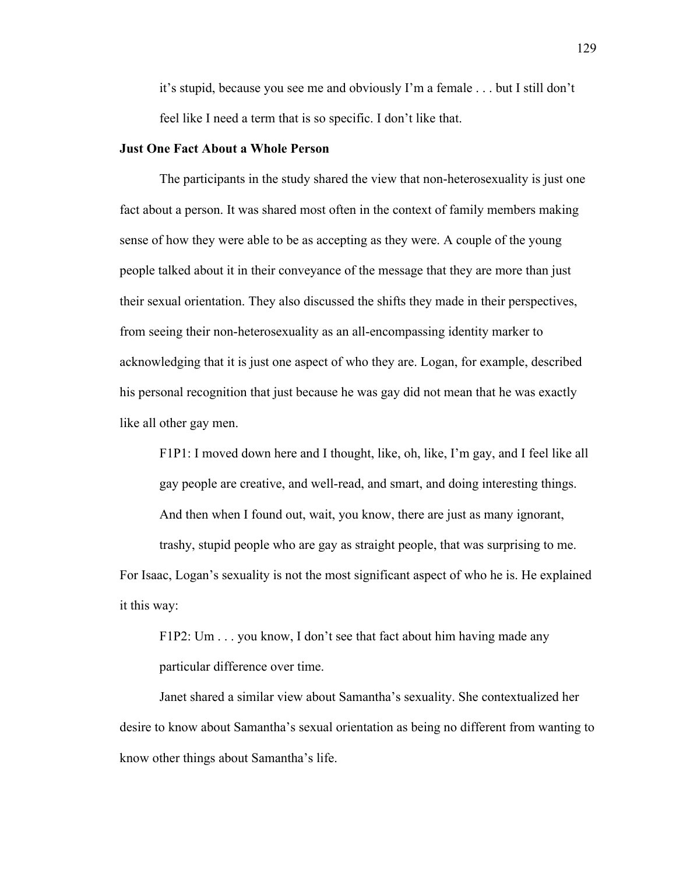it's stupid, because you see me and obviously I'm a female . . . but I still don't feel like I need a term that is so specific. I don't like that.

## **Just One Fact About a Whole Person**

The participants in the study shared the view that non-heterosexuality is just one fact about a person. It was shared most often in the context of family members making sense of how they were able to be as accepting as they were. A couple of the young people talked about it in their conveyance of the message that they are more than just their sexual orientation. They also discussed the shifts they made in their perspectives, from seeing their non-heterosexuality as an all-encompassing identity marker to acknowledging that it is just one aspect of who they are. Logan, for example, described his personal recognition that just because he was gay did not mean that he was exactly like all other gay men.

F1P1: I moved down here and I thought, like, oh, like, I'm gay, and I feel like all gay people are creative, and well-read, and smart, and doing interesting things. And then when I found out, wait, you know, there are just as many ignorant, trashy, stupid people who are gay as straight people, that was surprising to me.

For Isaac, Logan's sexuality is not the most significant aspect of who he is. He explained it this way:

F1P2: Um . . . you know, I don't see that fact about him having made any particular difference over time.

Janet shared a similar view about Samantha's sexuality. She contextualized her desire to know about Samantha's sexual orientation as being no different from wanting to know other things about Samantha's life.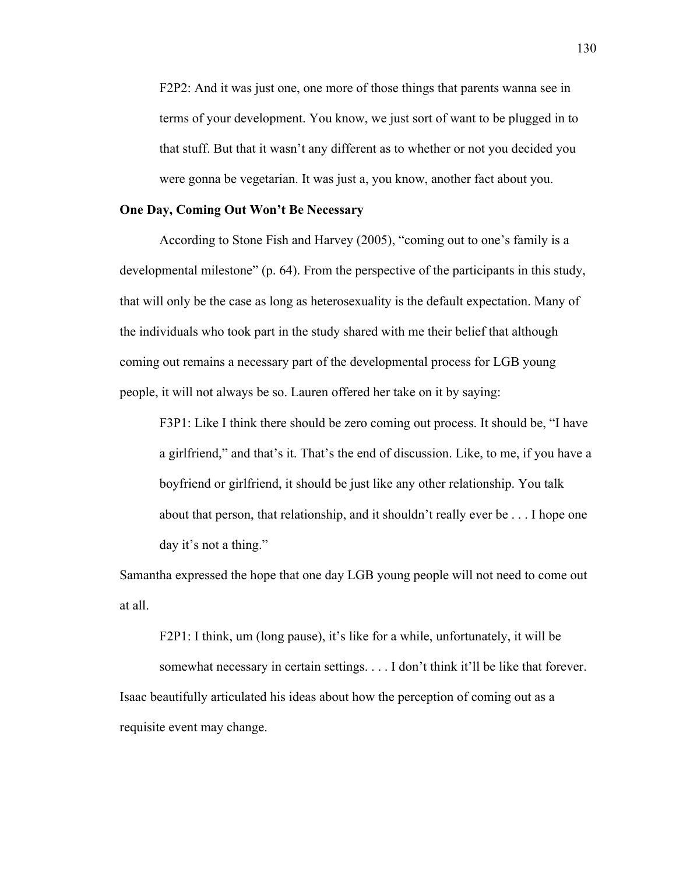F2P2: And it was just one, one more of those things that parents wanna see in terms of your development. You know, we just sort of want to be plugged in to that stuff. But that it wasn't any different as to whether or not you decided you were gonna be vegetarian. It was just a, you know, another fact about you.

# **One Day, Coming Out Won't Be Necessary**

According to Stone Fish and Harvey (2005), "coming out to one's family is a developmental milestone" (p. 64). From the perspective of the participants in this study, that will only be the case as long as heterosexuality is the default expectation. Many of the individuals who took part in the study shared with me their belief that although coming out remains a necessary part of the developmental process for LGB young people, it will not always be so. Lauren offered her take on it by saying:

F3P1: Like I think there should be zero coming out process. It should be, "I have a girlfriend," and that's it. That's the end of discussion. Like, to me, if you have a boyfriend or girlfriend, it should be just like any other relationship. You talk about that person, that relationship, and it shouldn't really ever be . . . I hope one day it's not a thing."

Samantha expressed the hope that one day LGB young people will not need to come out at all.

F2P1: I think, um (long pause), it's like for a while, unfortunately, it will be somewhat necessary in certain settings. . . . I don't think it'll be like that forever. Isaac beautifully articulated his ideas about how the perception of coming out as a requisite event may change.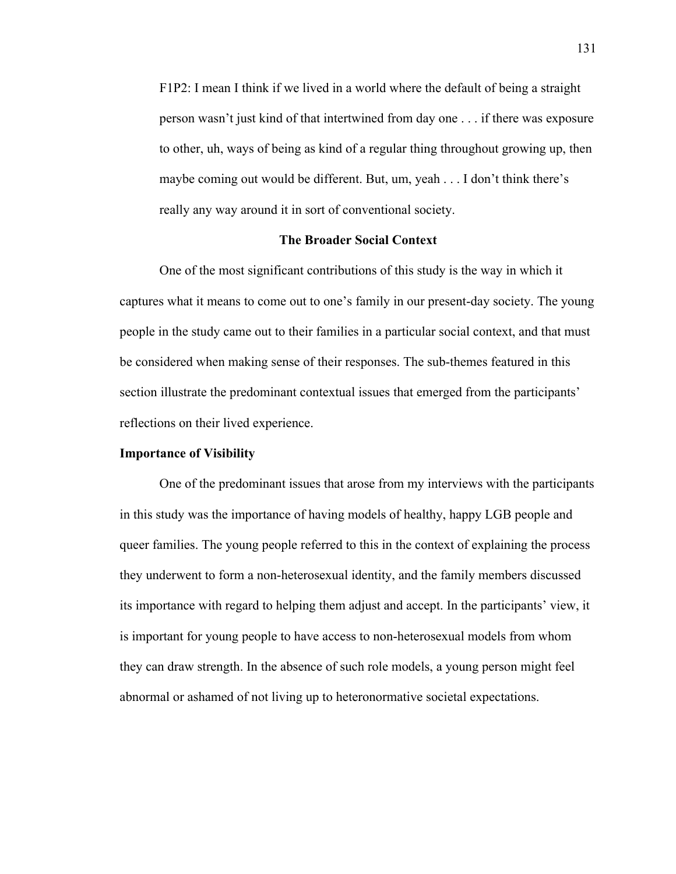F1P2: I mean I think if we lived in a world where the default of being a straight person wasn't just kind of that intertwined from day one . . . if there was exposure to other, uh, ways of being as kind of a regular thing throughout growing up, then maybe coming out would be different. But, um, yeah . . . I don't think there's really any way around it in sort of conventional society.

# **The Broader Social Context**

One of the most significant contributions of this study is the way in which it captures what it means to come out to one's family in our present-day society. The young people in the study came out to their families in a particular social context, and that must be considered when making sense of their responses. The sub-themes featured in this section illustrate the predominant contextual issues that emerged from the participants' reflections on their lived experience.

#### **Importance of Visibility**

One of the predominant issues that arose from my interviews with the participants in this study was the importance of having models of healthy, happy LGB people and queer families. The young people referred to this in the context of explaining the process they underwent to form a non-heterosexual identity, and the family members discussed its importance with regard to helping them adjust and accept. In the participants' view, it is important for young people to have access to non-heterosexual models from whom they can draw strength. In the absence of such role models, a young person might feel abnormal or ashamed of not living up to heteronormative societal expectations.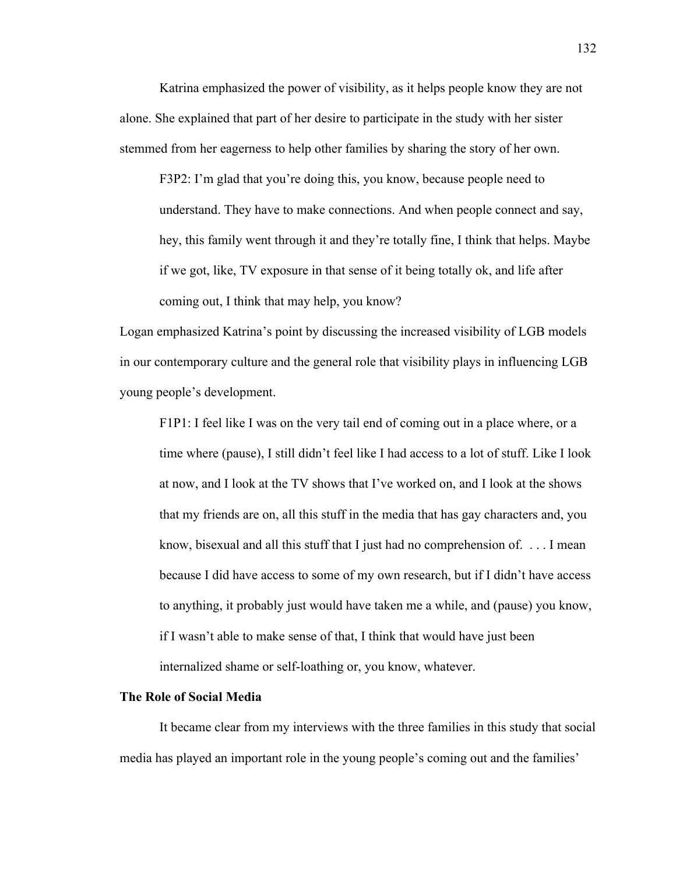Katrina emphasized the power of visibility, as it helps people know they are not alone. She explained that part of her desire to participate in the study with her sister stemmed from her eagerness to help other families by sharing the story of her own.

F3P2: I'm glad that you're doing this, you know, because people need to understand. They have to make connections. And when people connect and say, hey, this family went through it and they're totally fine, I think that helps. Maybe if we got, like, TV exposure in that sense of it being totally ok, and life after coming out, I think that may help, you know?

Logan emphasized Katrina's point by discussing the increased visibility of LGB models in our contemporary culture and the general role that visibility plays in influencing LGB young people's development.

F1P1: I feel like I was on the very tail end of coming out in a place where, or a time where (pause), I still didn't feel like I had access to a lot of stuff. Like I look at now, and I look at the TV shows that I've worked on, and I look at the shows that my friends are on, all this stuff in the media that has gay characters and, you know, bisexual and all this stuff that I just had no comprehension of. . . . I mean because I did have access to some of my own research, but if I didn't have access to anything, it probably just would have taken me a while, and (pause) you know, if I wasn't able to make sense of that, I think that would have just been internalized shame or self-loathing or, you know, whatever.

### **The Role of Social Media**

It became clear from my interviews with the three families in this study that social media has played an important role in the young people's coming out and the families'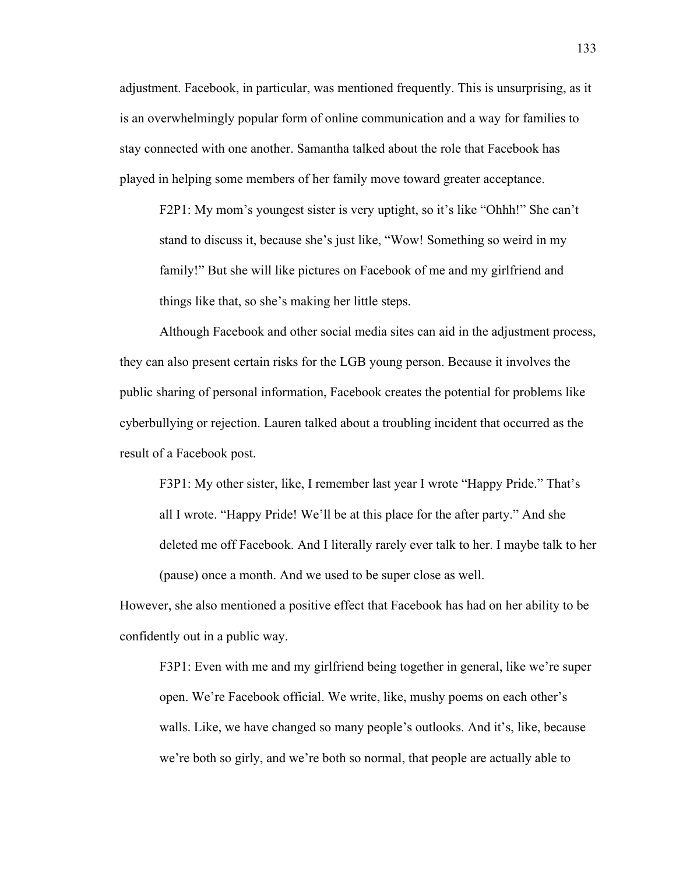adjustment. Facebook, in particular, was mentioned frequently. This is unsurprising, as it is an overwhelmingly popular form of online communication and a way for families to stay connected with one another. Samantha talked about the role that Facebook has played in helping some members of her family move toward greater acceptance.

F2P1: My mom's youngest sister is very uptight, so it's like "Ohhh!" She can't stand to discuss it, because she's just like, "Wow! Something so weird in my family!" But she will like pictures on Facebook of me and my girlfriend and things like that, so she's making her little steps.

Although Facebook and other social media sites can aid in the adjustment process, they can also present certain risks for the LGB young person. Because it involves the public sharing of personal information, Facebook creates the potential for problems like cyberbullying or rejection. Lauren talked about a troubling incident that occurred as the result of a Facebook post.

F3P1: My other sister, like, I remember last year I wrote "Happy Pride." That's all I wrote. "Happy Pride! We'll be at this place for the after party." And she deleted me off Facebook. And I literally rarely ever talk to her. I maybe talk to her (pause) once a month. And we used to be super close as well.

However, she also mentioned a positive effect that Facebook has had on her ability to be confidently out in a public way.

F3P1: Even with me and my girlfriend being together in general, like we're super open. We're Facebook official. We write, like, mushy poems on each other's walls. Like, we have changed so many people's outlooks. And it's, like, because we're both so girly, and we're both so normal, that people are actually able to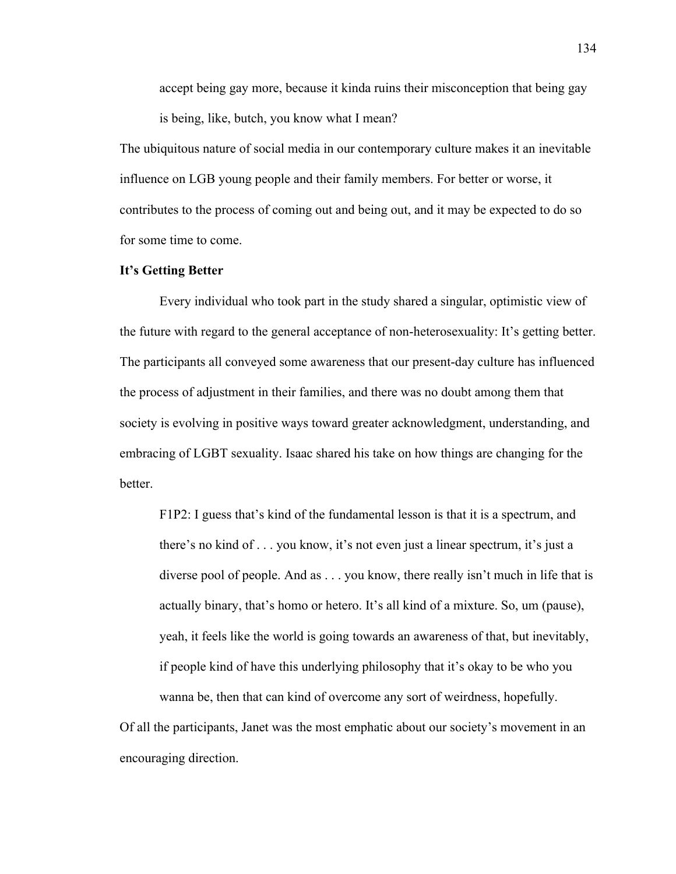accept being gay more, because it kinda ruins their misconception that being gay is being, like, butch, you know what I mean?

The ubiquitous nature of social media in our contemporary culture makes it an inevitable influence on LGB young people and their family members. For better or worse, it contributes to the process of coming out and being out, and it may be expected to do so for some time to come.

### **It's Getting Better**

Every individual who took part in the study shared a singular, optimistic view of the future with regard to the general acceptance of non-heterosexuality: It's getting better. The participants all conveyed some awareness that our present-day culture has influenced the process of adjustment in their families, and there was no doubt among them that society is evolving in positive ways toward greater acknowledgment, understanding, and embracing of LGBT sexuality. Isaac shared his take on how things are changing for the better.

F1P2: I guess that's kind of the fundamental lesson is that it is a spectrum, and there's no kind of . . . you know, it's not even just a linear spectrum, it's just a diverse pool of people. And as . . . you know, there really isn't much in life that is actually binary, that's homo or hetero. It's all kind of a mixture. So, um (pause), yeah, it feels like the world is going towards an awareness of that, but inevitably, if people kind of have this underlying philosophy that it's okay to be who you wanna be, then that can kind of overcome any sort of weirdness, hopefully.

Of all the participants, Janet was the most emphatic about our society's movement in an encouraging direction.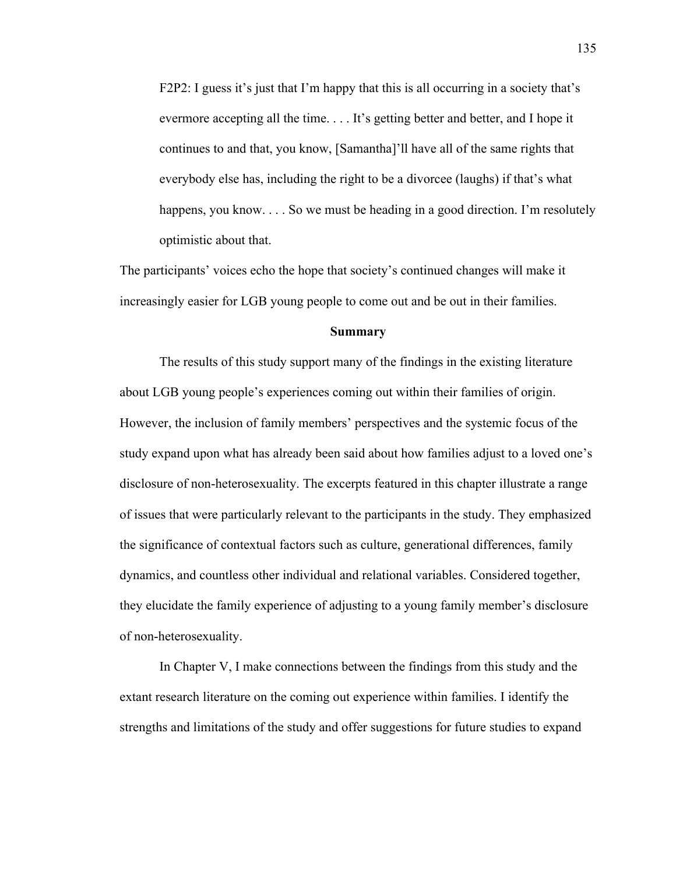F2P2: I guess it's just that I'm happy that this is all occurring in a society that's evermore accepting all the time. . . . It's getting better and better, and I hope it continues to and that, you know, [Samantha]'ll have all of the same rights that everybody else has, including the right to be a divorcee (laughs) if that's what happens, you know. . . . So we must be heading in a good direction. I'm resolutely optimistic about that.

The participants' voices echo the hope that society's continued changes will make it increasingly easier for LGB young people to come out and be out in their families.

### **Summary**

The results of this study support many of the findings in the existing literature about LGB young people's experiences coming out within their families of origin. However, the inclusion of family members' perspectives and the systemic focus of the study expand upon what has already been said about how families adjust to a loved one's disclosure of non-heterosexuality. The excerpts featured in this chapter illustrate a range of issues that were particularly relevant to the participants in the study. They emphasized the significance of contextual factors such as culture, generational differences, family dynamics, and countless other individual and relational variables. Considered together, they elucidate the family experience of adjusting to a young family member's disclosure of non-heterosexuality.

In Chapter V, I make connections between the findings from this study and the extant research literature on the coming out experience within families. I identify the strengths and limitations of the study and offer suggestions for future studies to expand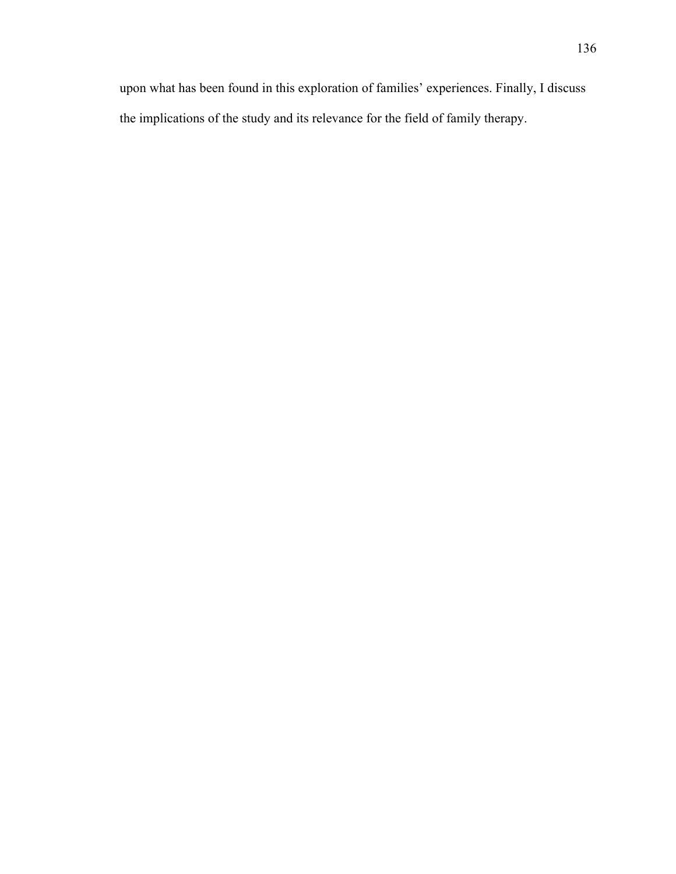upon what has been found in this exploration of families' experiences. Finally, I discuss the implications of the study and its relevance for the field of family therapy.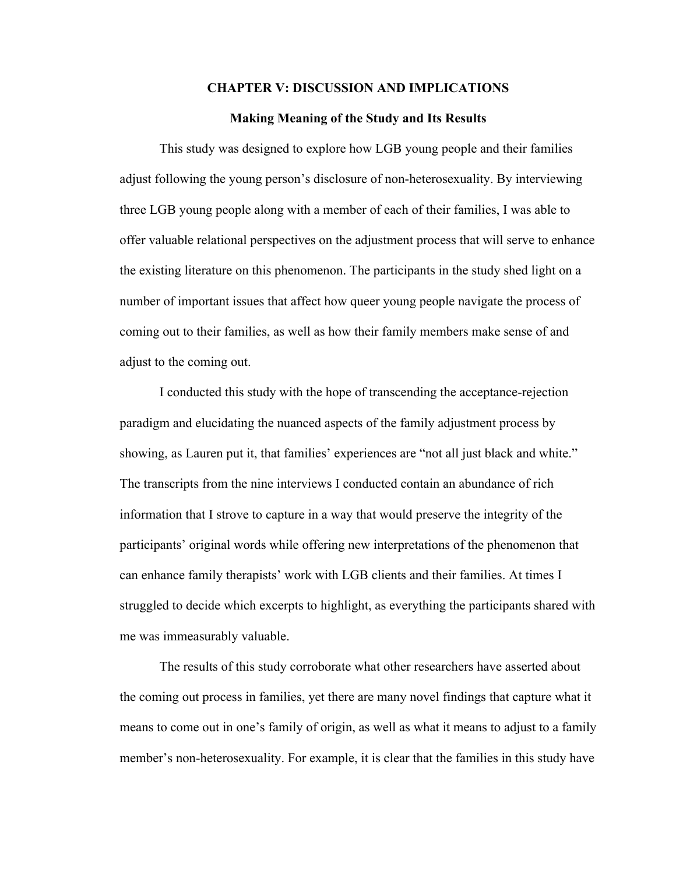## **CHAPTER V: DISCUSSION AND IMPLICATIONS**

### **Making Meaning of the Study and Its Results**

This study was designed to explore how LGB young people and their families adjust following the young person's disclosure of non-heterosexuality. By interviewing three LGB young people along with a member of each of their families, I was able to offer valuable relational perspectives on the adjustment process that will serve to enhance the existing literature on this phenomenon. The participants in the study shed light on a number of important issues that affect how queer young people navigate the process of coming out to their families, as well as how their family members make sense of and adjust to the coming out.

I conducted this study with the hope of transcending the acceptance-rejection paradigm and elucidating the nuanced aspects of the family adjustment process by showing, as Lauren put it, that families' experiences are "not all just black and white." The transcripts from the nine interviews I conducted contain an abundance of rich information that I strove to capture in a way that would preserve the integrity of the participants' original words while offering new interpretations of the phenomenon that can enhance family therapists' work with LGB clients and their families. At times I struggled to decide which excerpts to highlight, as everything the participants shared with me was immeasurably valuable.

The results of this study corroborate what other researchers have asserted about the coming out process in families, yet there are many novel findings that capture what it means to come out in one's family of origin, as well as what it means to adjust to a family member's non-heterosexuality. For example, it is clear that the families in this study have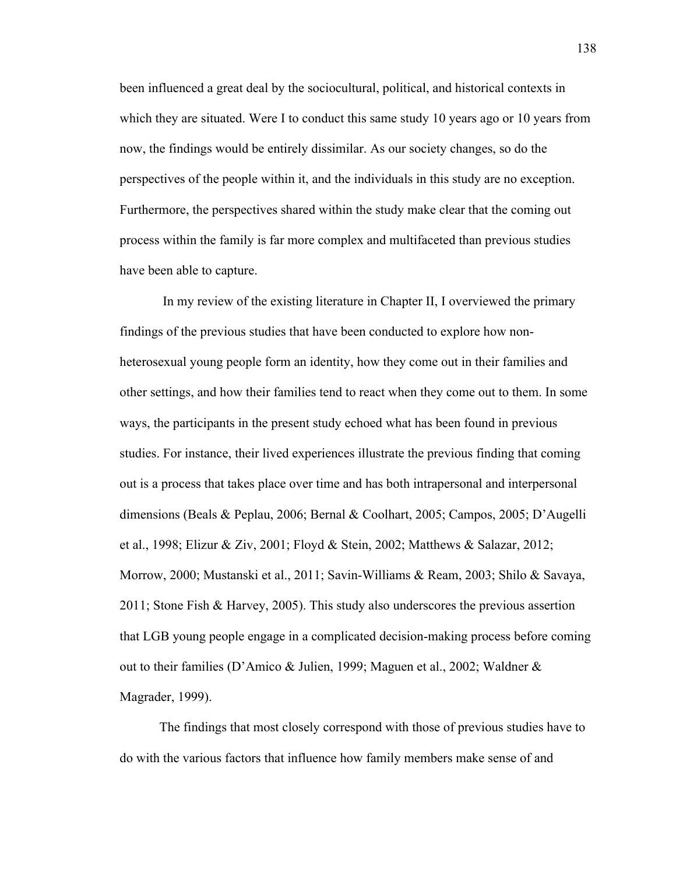been influenced a great deal by the sociocultural, political, and historical contexts in which they are situated. Were I to conduct this same study 10 years ago or 10 years from now, the findings would be entirely dissimilar. As our society changes, so do the perspectives of the people within it, and the individuals in this study are no exception. Furthermore, the perspectives shared within the study make clear that the coming out process within the family is far more complex and multifaceted than previous studies have been able to capture.

In my review of the existing literature in Chapter II, I overviewed the primary findings of the previous studies that have been conducted to explore how nonheterosexual young people form an identity, how they come out in their families and other settings, and how their families tend to react when they come out to them. In some ways, the participants in the present study echoed what has been found in previous studies. For instance, their lived experiences illustrate the previous finding that coming out is a process that takes place over time and has both intrapersonal and interpersonal dimensions (Beals & Peplau, 2006; Bernal & Coolhart, 2005; Campos, 2005; D'Augelli et al., 1998; Elizur & Ziv, 2001; Floyd & Stein, 2002; Matthews & Salazar, 2012; Morrow, 2000; Mustanski et al., 2011; Savin-Williams & Ream, 2003; Shilo & Savaya, 2011; Stone Fish & Harvey, 2005). This study also underscores the previous assertion that LGB young people engage in a complicated decision-making process before coming out to their families (D'Amico & Julien, 1999; Maguen et al., 2002; Waldner & Magrader, 1999).

The findings that most closely correspond with those of previous studies have to do with the various factors that influence how family members make sense of and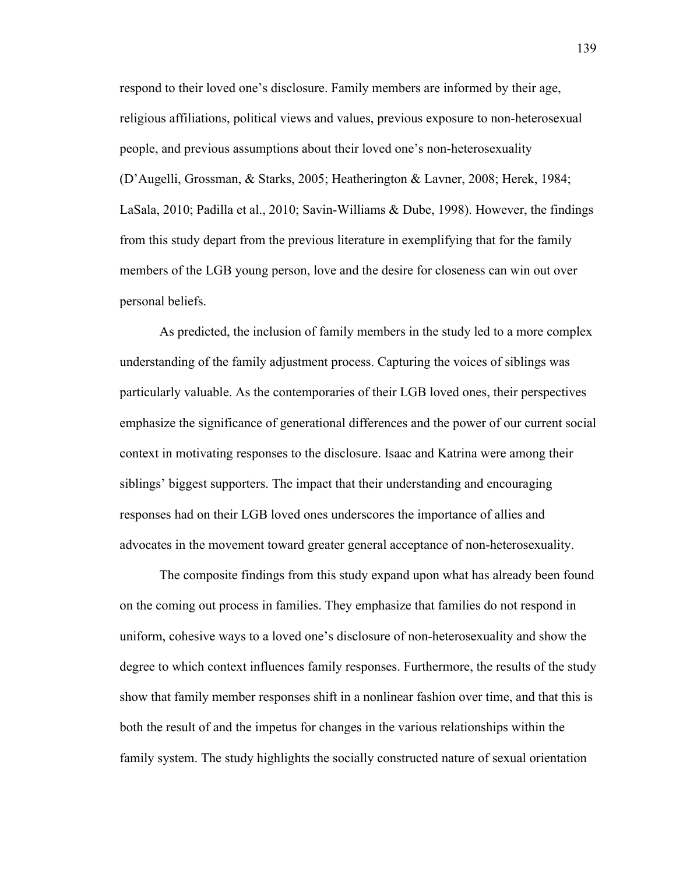respond to their loved one's disclosure. Family members are informed by their age, religious affiliations, political views and values, previous exposure to non-heterosexual people, and previous assumptions about their loved one's non-heterosexuality (D'Augelli, Grossman, & Starks, 2005; Heatherington & Lavner, 2008; Herek, 1984; LaSala, 2010; Padilla et al., 2010; Savin-Williams & Dube, 1998). However, the findings from this study depart from the previous literature in exemplifying that for the family members of the LGB young person, love and the desire for closeness can win out over personal beliefs.

As predicted, the inclusion of family members in the study led to a more complex understanding of the family adjustment process. Capturing the voices of siblings was particularly valuable. As the contemporaries of their LGB loved ones, their perspectives emphasize the significance of generational differences and the power of our current social context in motivating responses to the disclosure. Isaac and Katrina were among their siblings' biggest supporters. The impact that their understanding and encouraging responses had on their LGB loved ones underscores the importance of allies and advocates in the movement toward greater general acceptance of non-heterosexuality.

The composite findings from this study expand upon what has already been found on the coming out process in families. They emphasize that families do not respond in uniform, cohesive ways to a loved one's disclosure of non-heterosexuality and show the degree to which context influences family responses. Furthermore, the results of the study show that family member responses shift in a nonlinear fashion over time, and that this is both the result of and the impetus for changes in the various relationships within the family system. The study highlights the socially constructed nature of sexual orientation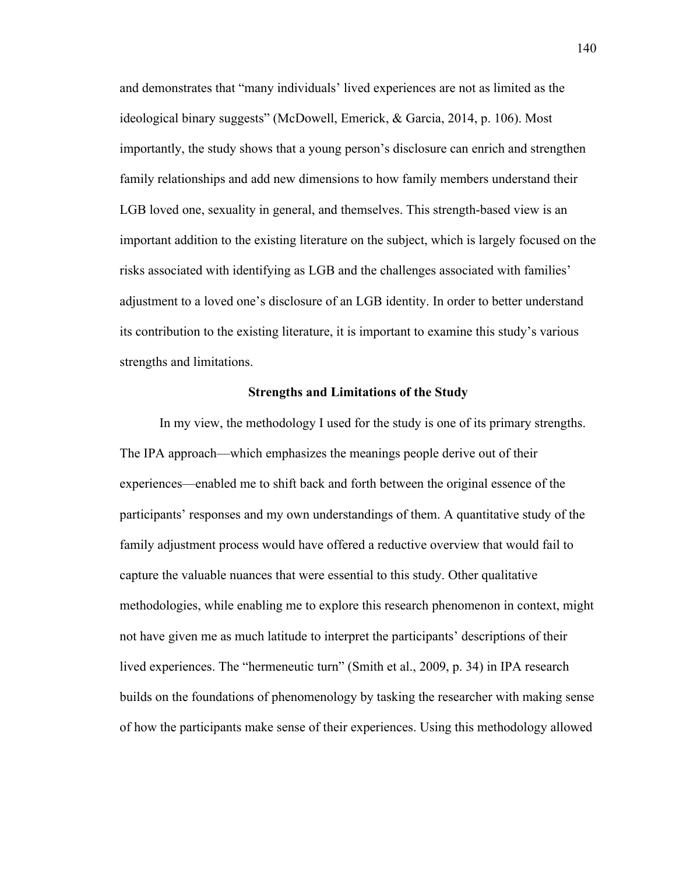and demonstrates that "many individuals' lived experiences are not as limited as the ideological binary suggests" (McDowell, Emerick, & Garcia, 2014, p. 106). Most importantly, the study shows that a young person's disclosure can enrich and strengthen family relationships and add new dimensions to how family members understand their LGB loved one, sexuality in general, and themselves. This strength-based view is an important addition to the existing literature on the subject, which is largely focused on the risks associated with identifying as LGB and the challenges associated with families' adjustment to a loved one's disclosure of an LGB identity. In order to better understand its contribution to the existing literature, it is important to examine this study's various strengths and limitations.

#### **Strengths and Limitations of the Study**

In my view, the methodology I used for the study is one of its primary strengths. The IPA approach—which emphasizes the meanings people derive out of their experiences—enabled me to shift back and forth between the original essence of the participants' responses and my own understandings of them. A quantitative study of the family adjustment process would have offered a reductive overview that would fail to capture the valuable nuances that were essential to this study. Other qualitative methodologies, while enabling me to explore this research phenomenon in context, might not have given me as much latitude to interpret the participants' descriptions of their lived experiences. The "hermeneutic turn" (Smith et al., 2009, p. 34) in IPA research builds on the foundations of phenomenology by tasking the researcher with making sense of how the participants make sense of their experiences. Using this methodology allowed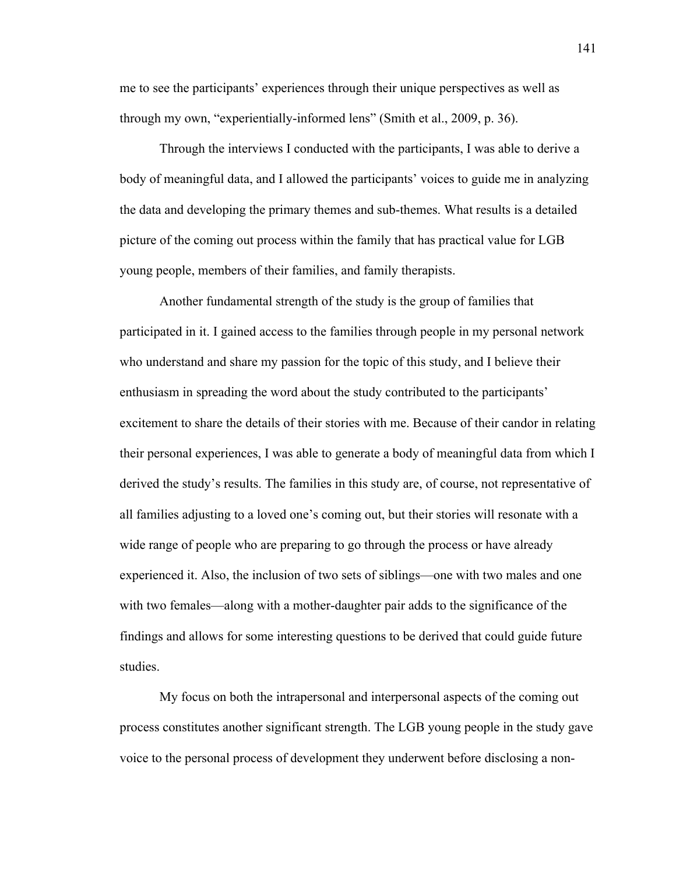me to see the participants' experiences through their unique perspectives as well as through my own, "experientially-informed lens" (Smith et al., 2009, p. 36).

Through the interviews I conducted with the participants, I was able to derive a body of meaningful data, and I allowed the participants' voices to guide me in analyzing the data and developing the primary themes and sub-themes. What results is a detailed picture of the coming out process within the family that has practical value for LGB young people, members of their families, and family therapists.

Another fundamental strength of the study is the group of families that participated in it. I gained access to the families through people in my personal network who understand and share my passion for the topic of this study, and I believe their enthusiasm in spreading the word about the study contributed to the participants' excitement to share the details of their stories with me. Because of their candor in relating their personal experiences, I was able to generate a body of meaningful data from which I derived the study's results. The families in this study are, of course, not representative of all families adjusting to a loved one's coming out, but their stories will resonate with a wide range of people who are preparing to go through the process or have already experienced it. Also, the inclusion of two sets of siblings—one with two males and one with two females—along with a mother-daughter pair adds to the significance of the findings and allows for some interesting questions to be derived that could guide future studies.

My focus on both the intrapersonal and interpersonal aspects of the coming out process constitutes another significant strength. The LGB young people in the study gave voice to the personal process of development they underwent before disclosing a non-

141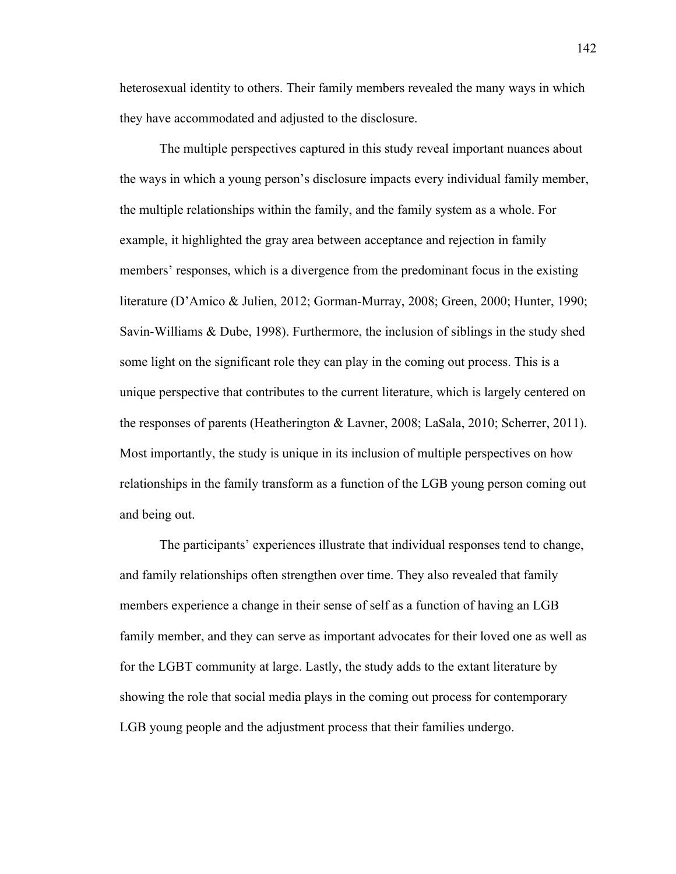heterosexual identity to others. Their family members revealed the many ways in which they have accommodated and adjusted to the disclosure.

The multiple perspectives captured in this study reveal important nuances about the ways in which a young person's disclosure impacts every individual family member, the multiple relationships within the family, and the family system as a whole. For example, it highlighted the gray area between acceptance and rejection in family members' responses, which is a divergence from the predominant focus in the existing literature (D'Amico & Julien, 2012; Gorman-Murray, 2008; Green, 2000; Hunter, 1990; Savin-Williams & Dube, 1998). Furthermore, the inclusion of siblings in the study shed some light on the significant role they can play in the coming out process. This is a unique perspective that contributes to the current literature, which is largely centered on the responses of parents (Heatherington & Lavner, 2008; LaSala, 2010; Scherrer, 2011). Most importantly, the study is unique in its inclusion of multiple perspectives on how relationships in the family transform as a function of the LGB young person coming out and being out.

The participants' experiences illustrate that individual responses tend to change, and family relationships often strengthen over time. They also revealed that family members experience a change in their sense of self as a function of having an LGB family member, and they can serve as important advocates for their loved one as well as for the LGBT community at large. Lastly, the study adds to the extant literature by showing the role that social media plays in the coming out process for contemporary LGB young people and the adjustment process that their families undergo.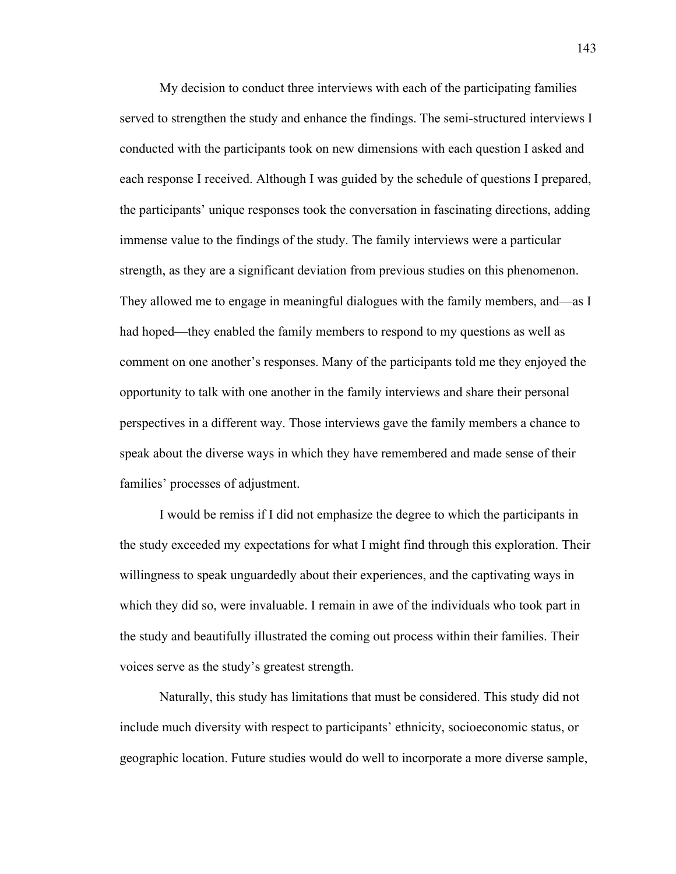My decision to conduct three interviews with each of the participating families served to strengthen the study and enhance the findings. The semi-structured interviews I conducted with the participants took on new dimensions with each question I asked and each response I received. Although I was guided by the schedule of questions I prepared, the participants' unique responses took the conversation in fascinating directions, adding immense value to the findings of the study. The family interviews were a particular strength, as they are a significant deviation from previous studies on this phenomenon. They allowed me to engage in meaningful dialogues with the family members, and—as I had hoped—they enabled the family members to respond to my questions as well as comment on one another's responses. Many of the participants told me they enjoyed the opportunity to talk with one another in the family interviews and share their personal perspectives in a different way. Those interviews gave the family members a chance to speak about the diverse ways in which they have remembered and made sense of their families' processes of adjustment.

I would be remiss if I did not emphasize the degree to which the participants in the study exceeded my expectations for what I might find through this exploration. Their willingness to speak unguardedly about their experiences, and the captivating ways in which they did so, were invaluable. I remain in awe of the individuals who took part in the study and beautifully illustrated the coming out process within their families. Their voices serve as the study's greatest strength.

Naturally, this study has limitations that must be considered. This study did not include much diversity with respect to participants' ethnicity, socioeconomic status, or geographic location. Future studies would do well to incorporate a more diverse sample,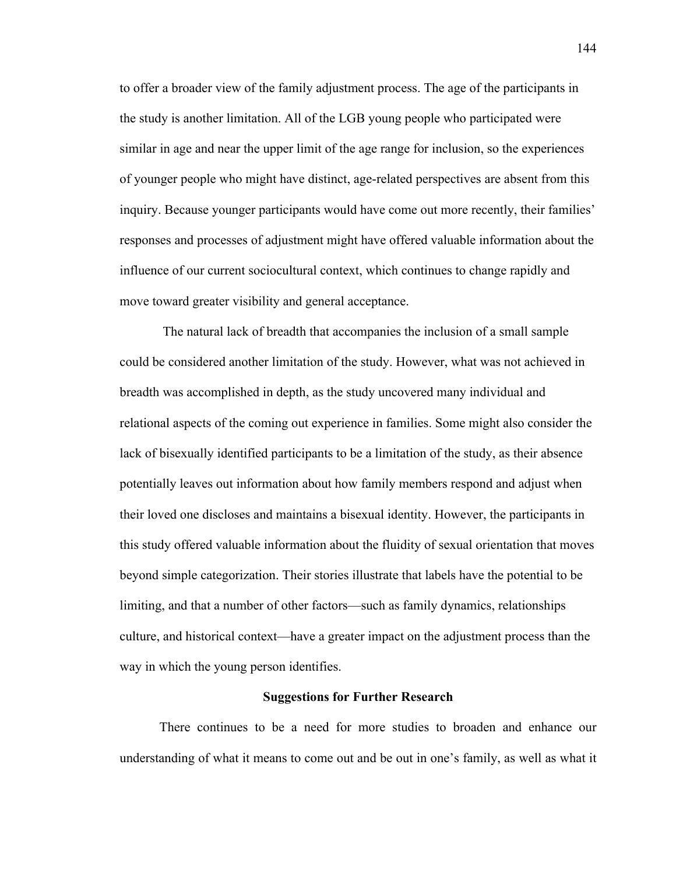to offer a broader view of the family adjustment process. The age of the participants in the study is another limitation. All of the LGB young people who participated were similar in age and near the upper limit of the age range for inclusion, so the experiences of younger people who might have distinct, age-related perspectives are absent from this inquiry. Because younger participants would have come out more recently, their families' responses and processes of adjustment might have offered valuable information about the influence of our current sociocultural context, which continues to change rapidly and move toward greater visibility and general acceptance.

The natural lack of breadth that accompanies the inclusion of a small sample could be considered another limitation of the study. However, what was not achieved in breadth was accomplished in depth, as the study uncovered many individual and relational aspects of the coming out experience in families. Some might also consider the lack of bisexually identified participants to be a limitation of the study, as their absence potentially leaves out information about how family members respond and adjust when their loved one discloses and maintains a bisexual identity. However, the participants in this study offered valuable information about the fluidity of sexual orientation that moves beyond simple categorization. Their stories illustrate that labels have the potential to be limiting, and that a number of other factors—such as family dynamics, relationships culture, and historical context—have a greater impact on the adjustment process than the way in which the young person identifies.

### **Suggestions for Further Research**

There continues to be a need for more studies to broaden and enhance our understanding of what it means to come out and be out in one's family, as well as what it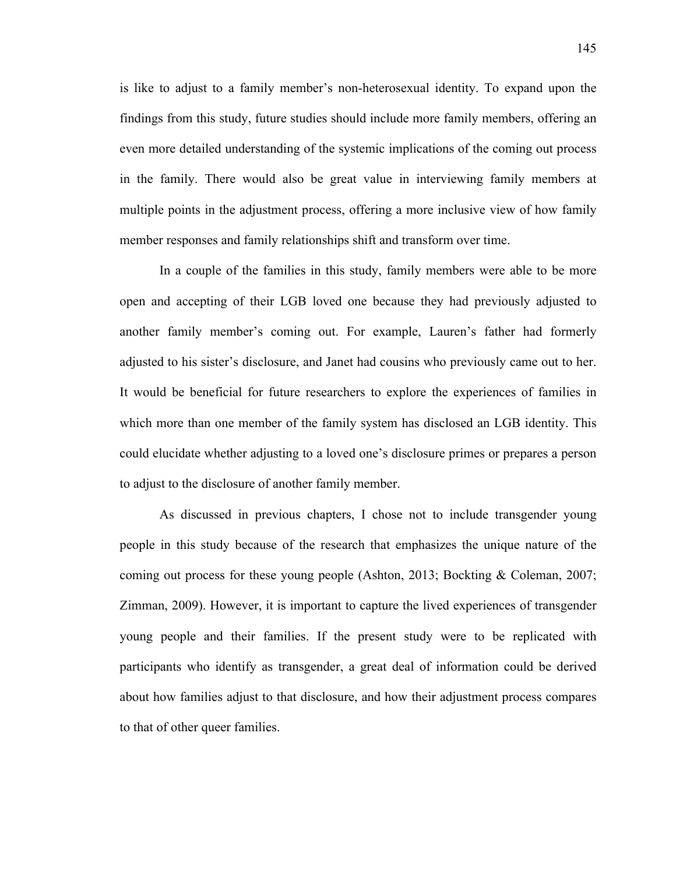is like to adjust to a family member's non-heterosexual identity. To expand upon the findings from this study, future studies should include more family members, offering an even more detailed understanding of the systemic implications of the coming out process in the family. There would also be great value in interviewing family members at multiple points in the adjustment process, offering a more inclusive view of how family member responses and family relationships shift and transform over time.

In a couple of the families in this study, family members were able to be more open and accepting of their LGB loved one because they had previously adjusted to another family member's coming out. For example, Lauren's father had formerly adjusted to his sister's disclosure, and Janet had cousins who previously came out to her. It would be beneficial for future researchers to explore the experiences of families in which more than one member of the family system has disclosed an LGB identity. This could elucidate whether adjusting to a loved one's disclosure primes or prepares a person to adjust to the disclosure of another family member.

As discussed in previous chapters, I chose not to include transgender young people in this study because of the research that emphasizes the unique nature of the coming out process for these young people (Ashton, 2013; Bockting & Coleman, 2007; Zimman, 2009). However, it is important to capture the lived experiences of transgender young people and their families. If the present study were to be replicated with participants who identify as transgender, a great deal of information could be derived about how families adjust to that disclosure, and how their adjustment process compares to that of other queer families.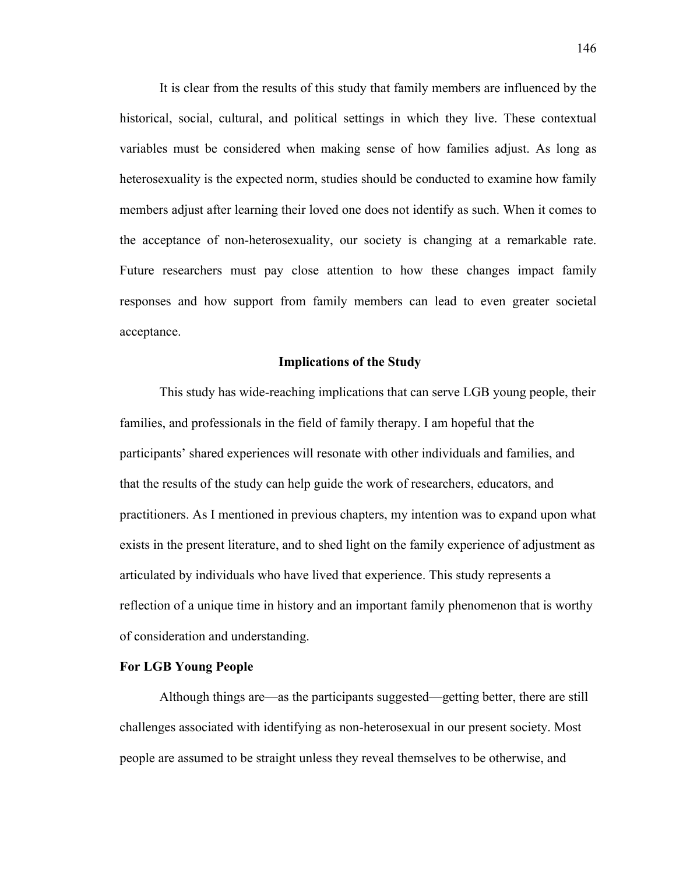It is clear from the results of this study that family members are influenced by the historical, social, cultural, and political settings in which they live. These contextual variables must be considered when making sense of how families adjust. As long as heterosexuality is the expected norm, studies should be conducted to examine how family members adjust after learning their loved one does not identify as such. When it comes to the acceptance of non-heterosexuality, our society is changing at a remarkable rate. Future researchers must pay close attention to how these changes impact family responses and how support from family members can lead to even greater societal acceptance.

### **Implications of the Study**

This study has wide-reaching implications that can serve LGB young people, their families, and professionals in the field of family therapy. I am hopeful that the participants' shared experiences will resonate with other individuals and families, and that the results of the study can help guide the work of researchers, educators, and practitioners. As I mentioned in previous chapters, my intention was to expand upon what exists in the present literature, and to shed light on the family experience of adjustment as articulated by individuals who have lived that experience. This study represents a reflection of a unique time in history and an important family phenomenon that is worthy of consideration and understanding.

# **For LGB Young People**

Although things are—as the participants suggested—getting better, there are still challenges associated with identifying as non-heterosexual in our present society. Most people are assumed to be straight unless they reveal themselves to be otherwise, and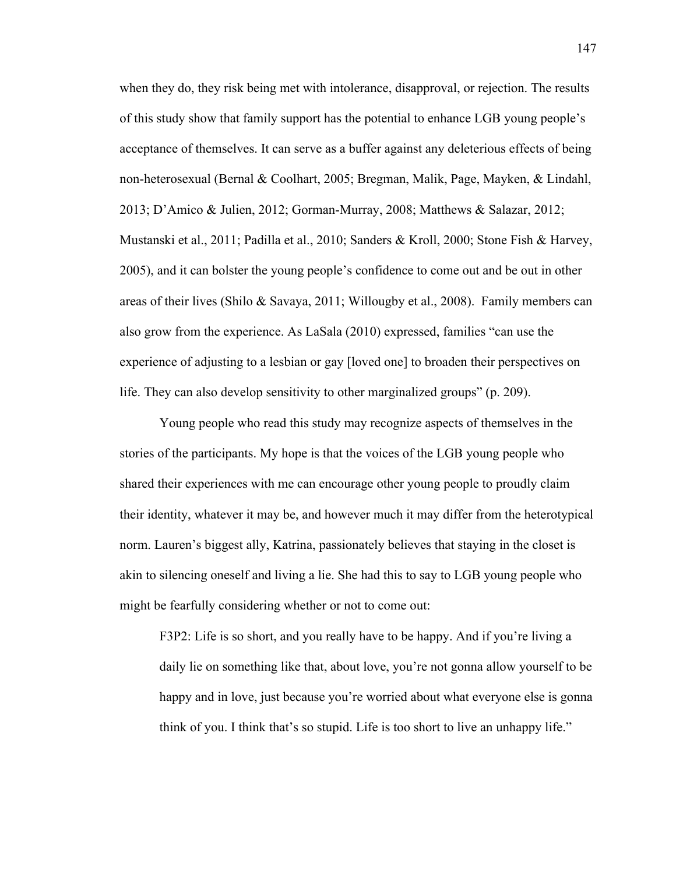when they do, they risk being met with intolerance, disapproval, or rejection. The results of this study show that family support has the potential to enhance LGB young people's acceptance of themselves. It can serve as a buffer against any deleterious effects of being non-heterosexual (Bernal & Coolhart, 2005; Bregman, Malik, Page, Mayken, & Lindahl, 2013; D'Amico & Julien, 2012; Gorman-Murray, 2008; Matthews & Salazar, 2012; Mustanski et al., 2011; Padilla et al., 2010; Sanders & Kroll, 2000; Stone Fish & Harvey, 2005), and it can bolster the young people's confidence to come out and be out in other areas of their lives (Shilo & Savaya, 2011; Willougby et al., 2008). Family members can also grow from the experience. As LaSala (2010) expressed, families "can use the experience of adjusting to a lesbian or gay [loved one] to broaden their perspectives on life. They can also develop sensitivity to other marginalized groups" (p. 209).

Young people who read this study may recognize aspects of themselves in the stories of the participants. My hope is that the voices of the LGB young people who shared their experiences with me can encourage other young people to proudly claim their identity, whatever it may be, and however much it may differ from the heterotypical norm. Lauren's biggest ally, Katrina, passionately believes that staying in the closet is akin to silencing oneself and living a lie. She had this to say to LGB young people who might be fearfully considering whether or not to come out:

F3P2: Life is so short, and you really have to be happy. And if you're living a daily lie on something like that, about love, you're not gonna allow yourself to be happy and in love, just because you're worried about what everyone else is gonna think of you. I think that's so stupid. Life is too short to live an unhappy life."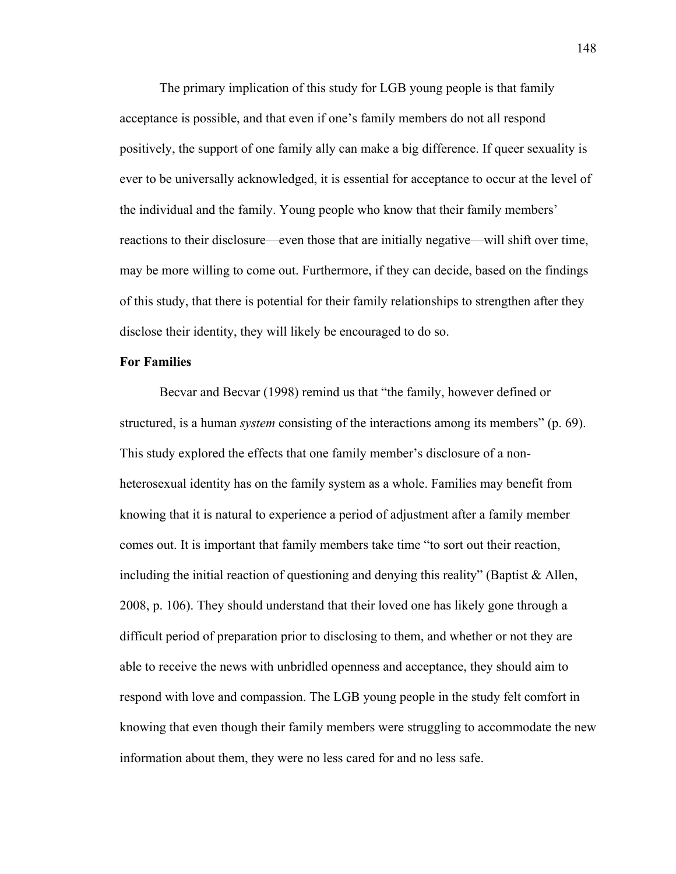The primary implication of this study for LGB young people is that family acceptance is possible, and that even if one's family members do not all respond positively, the support of one family ally can make a big difference. If queer sexuality is ever to be universally acknowledged, it is essential for acceptance to occur at the level of the individual and the family. Young people who know that their family members' reactions to their disclosure—even those that are initially negative—will shift over time, may be more willing to come out. Furthermore, if they can decide, based on the findings of this study, that there is potential for their family relationships to strengthen after they disclose their identity, they will likely be encouraged to do so.

# **For Families**

Becvar and Becvar (1998) remind us that "the family, however defined or structured, is a human *system* consisting of the interactions among its members" (p. 69). This study explored the effects that one family member's disclosure of a nonheterosexual identity has on the family system as a whole. Families may benefit from knowing that it is natural to experience a period of adjustment after a family member comes out. It is important that family members take time "to sort out their reaction, including the initial reaction of questioning and denying this reality" (Baptist  $\&$  Allen, 2008, p. 106). They should understand that their loved one has likely gone through a difficult period of preparation prior to disclosing to them, and whether or not they are able to receive the news with unbridled openness and acceptance, they should aim to respond with love and compassion. The LGB young people in the study felt comfort in knowing that even though their family members were struggling to accommodate the new information about them, they were no less cared for and no less safe.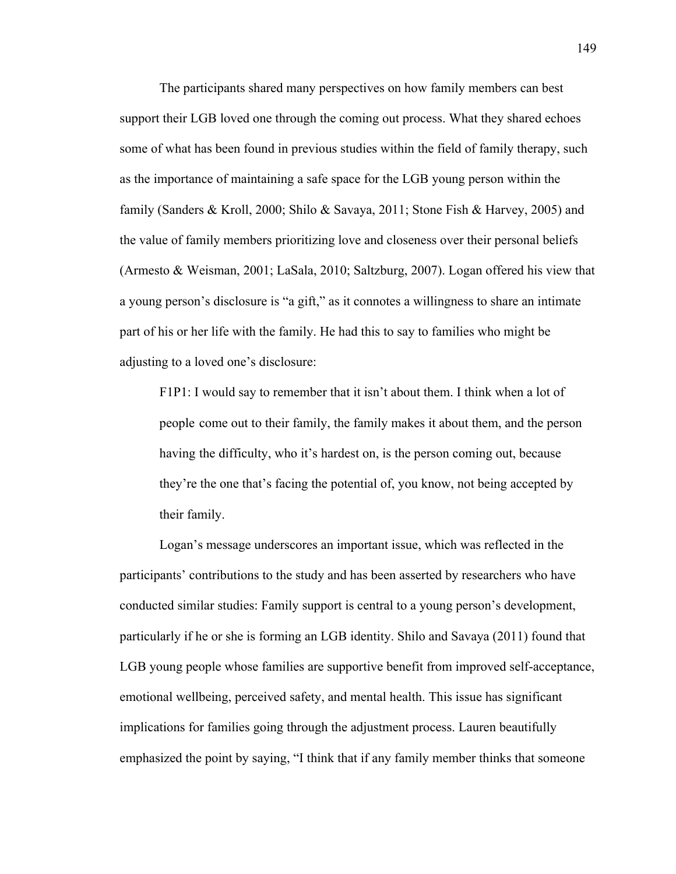The participants shared many perspectives on how family members can best support their LGB loved one through the coming out process. What they shared echoes some of what has been found in previous studies within the field of family therapy, such as the importance of maintaining a safe space for the LGB young person within the family (Sanders & Kroll, 2000; Shilo & Savaya, 2011; Stone Fish & Harvey, 2005) and the value of family members prioritizing love and closeness over their personal beliefs (Armesto & Weisman, 2001; LaSala, 2010; Saltzburg, 2007). Logan offered his view that a young person's disclosure is "a gift," as it connotes a willingness to share an intimate part of his or her life with the family. He had this to say to families who might be adjusting to a loved one's disclosure:

F1P1: I would say to remember that it isn't about them. I think when a lot of people come out to their family, the family makes it about them, and the person having the difficulty, who it's hardest on, is the person coming out, because they're the one that's facing the potential of, you know, not being accepted by their family.

Logan's message underscores an important issue, which was reflected in the participants' contributions to the study and has been asserted by researchers who have conducted similar studies: Family support is central to a young person's development, particularly if he or she is forming an LGB identity. Shilo and Savaya (2011) found that LGB young people whose families are supportive benefit from improved self-acceptance, emotional wellbeing, perceived safety, and mental health. This issue has significant implications for families going through the adjustment process. Lauren beautifully emphasized the point by saying, "I think that if any family member thinks that someone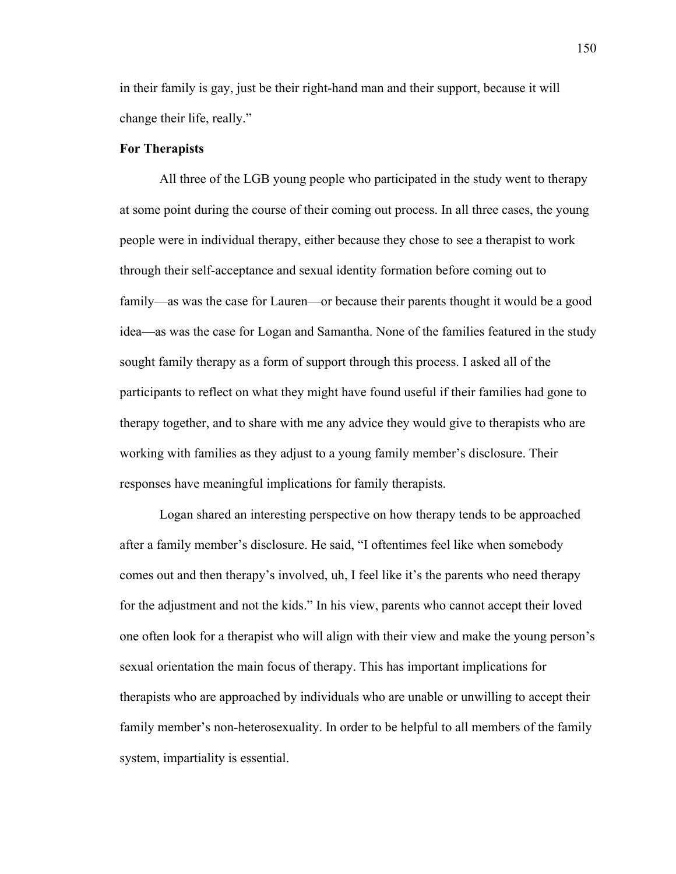in their family is gay, just be their right-hand man and their support, because it will change their life, really."

### **For Therapists**

All three of the LGB young people who participated in the study went to therapy at some point during the course of their coming out process. In all three cases, the young people were in individual therapy, either because they chose to see a therapist to work through their self-acceptance and sexual identity formation before coming out to family—as was the case for Lauren—or because their parents thought it would be a good idea—as was the case for Logan and Samantha. None of the families featured in the study sought family therapy as a form of support through this process. I asked all of the participants to reflect on what they might have found useful if their families had gone to therapy together, and to share with me any advice they would give to therapists who are working with families as they adjust to a young family member's disclosure. Their responses have meaningful implications for family therapists.

Logan shared an interesting perspective on how therapy tends to be approached after a family member's disclosure. He said, "I oftentimes feel like when somebody comes out and then therapy's involved, uh, I feel like it's the parents who need therapy for the adjustment and not the kids." In his view, parents who cannot accept their loved one often look for a therapist who will align with their view and make the young person's sexual orientation the main focus of therapy. This has important implications for therapists who are approached by individuals who are unable or unwilling to accept their family member's non-heterosexuality. In order to be helpful to all members of the family system, impartiality is essential.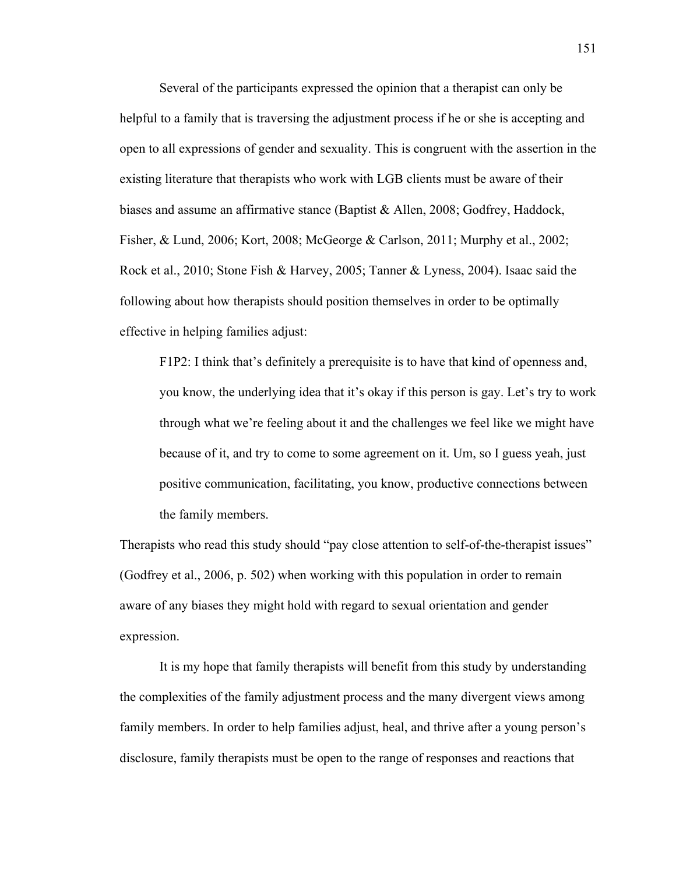Several of the participants expressed the opinion that a therapist can only be helpful to a family that is traversing the adjustment process if he or she is accepting and open to all expressions of gender and sexuality. This is congruent with the assertion in the existing literature that therapists who work with LGB clients must be aware of their biases and assume an affirmative stance (Baptist & Allen, 2008; Godfrey, Haddock, Fisher, & Lund, 2006; Kort, 2008; McGeorge & Carlson, 2011; Murphy et al., 2002; Rock et al., 2010; Stone Fish & Harvey, 2005; Tanner & Lyness, 2004). Isaac said the following about how therapists should position themselves in order to be optimally effective in helping families adjust:

F1P2: I think that's definitely a prerequisite is to have that kind of openness and, you know, the underlying idea that it's okay if this person is gay. Let's try to work through what we're feeling about it and the challenges we feel like we might have because of it, and try to come to some agreement on it. Um, so I guess yeah, just positive communication, facilitating, you know, productive connections between the family members.

Therapists who read this study should "pay close attention to self-of-the-therapist issues" (Godfrey et al., 2006, p. 502) when working with this population in order to remain aware of any biases they might hold with regard to sexual orientation and gender expression.

It is my hope that family therapists will benefit from this study by understanding the complexities of the family adjustment process and the many divergent views among family members. In order to help families adjust, heal, and thrive after a young person's disclosure, family therapists must be open to the range of responses and reactions that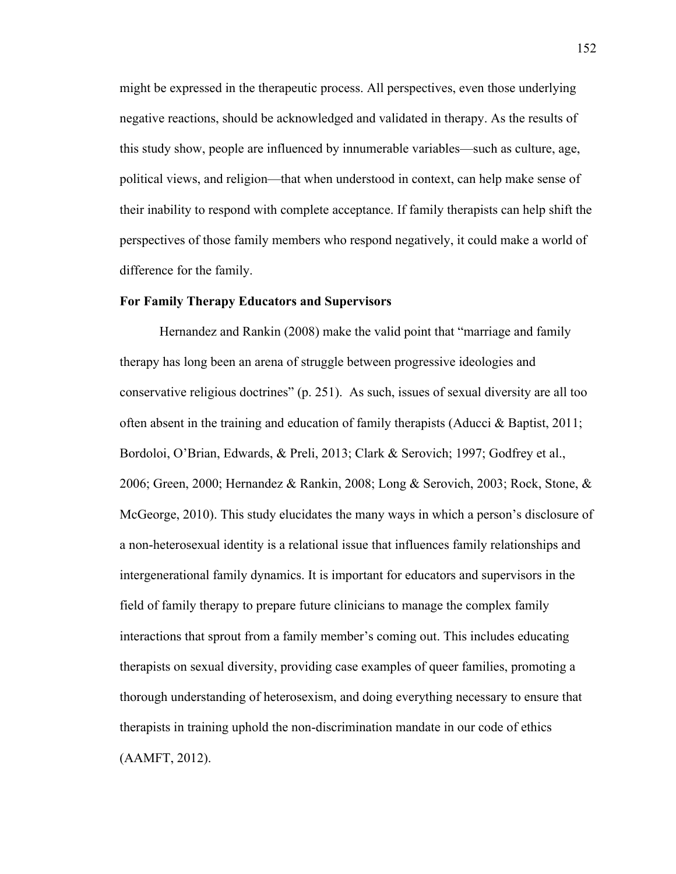might be expressed in the therapeutic process. All perspectives, even those underlying negative reactions, should be acknowledged and validated in therapy. As the results of this study show, people are influenced by innumerable variables—such as culture, age, political views, and religion—that when understood in context, can help make sense of their inability to respond with complete acceptance. If family therapists can help shift the perspectives of those family members who respond negatively, it could make a world of difference for the family.

# **For Family Therapy Educators and Supervisors**

Hernandez and Rankin (2008) make the valid point that "marriage and family therapy has long been an arena of struggle between progressive ideologies and conservative religious doctrines" (p. 251). As such, issues of sexual diversity are all too often absent in the training and education of family therapists (Aducci & Baptist, 2011; Bordoloi, O'Brian, Edwards, & Preli, 2013; Clark & Serovich; 1997; Godfrey et al., 2006; Green, 2000; Hernandez & Rankin, 2008; Long & Serovich, 2003; Rock, Stone, & McGeorge, 2010). This study elucidates the many ways in which a person's disclosure of a non-heterosexual identity is a relational issue that influences family relationships and intergenerational family dynamics. It is important for educators and supervisors in the field of family therapy to prepare future clinicians to manage the complex family interactions that sprout from a family member's coming out. This includes educating therapists on sexual diversity, providing case examples of queer families, promoting a thorough understanding of heterosexism, and doing everything necessary to ensure that therapists in training uphold the non-discrimination mandate in our code of ethics (AAMFT, 2012).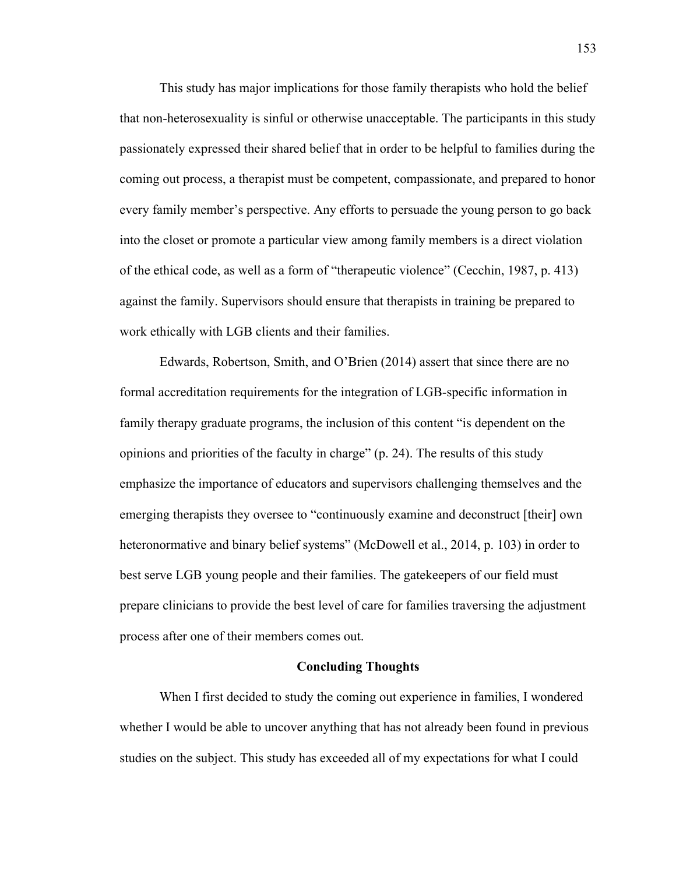This study has major implications for those family therapists who hold the belief that non-heterosexuality is sinful or otherwise unacceptable. The participants in this study passionately expressed their shared belief that in order to be helpful to families during the coming out process, a therapist must be competent, compassionate, and prepared to honor every family member's perspective. Any efforts to persuade the young person to go back into the closet or promote a particular view among family members is a direct violation of the ethical code, as well as a form of "therapeutic violence" (Cecchin, 1987, p. 413) against the family. Supervisors should ensure that therapists in training be prepared to work ethically with LGB clients and their families.

Edwards, Robertson, Smith, and O'Brien (2014) assert that since there are no formal accreditation requirements for the integration of LGB-specific information in family therapy graduate programs, the inclusion of this content "is dependent on the opinions and priorities of the faculty in charge" (p. 24). The results of this study emphasize the importance of educators and supervisors challenging themselves and the emerging therapists they oversee to "continuously examine and deconstruct [their] own heteronormative and binary belief systems" (McDowell et al., 2014, p. 103) in order to best serve LGB young people and their families. The gatekeepers of our field must prepare clinicians to provide the best level of care for families traversing the adjustment process after one of their members comes out.

# **Concluding Thoughts**

When I first decided to study the coming out experience in families, I wondered whether I would be able to uncover anything that has not already been found in previous studies on the subject. This study has exceeded all of my expectations for what I could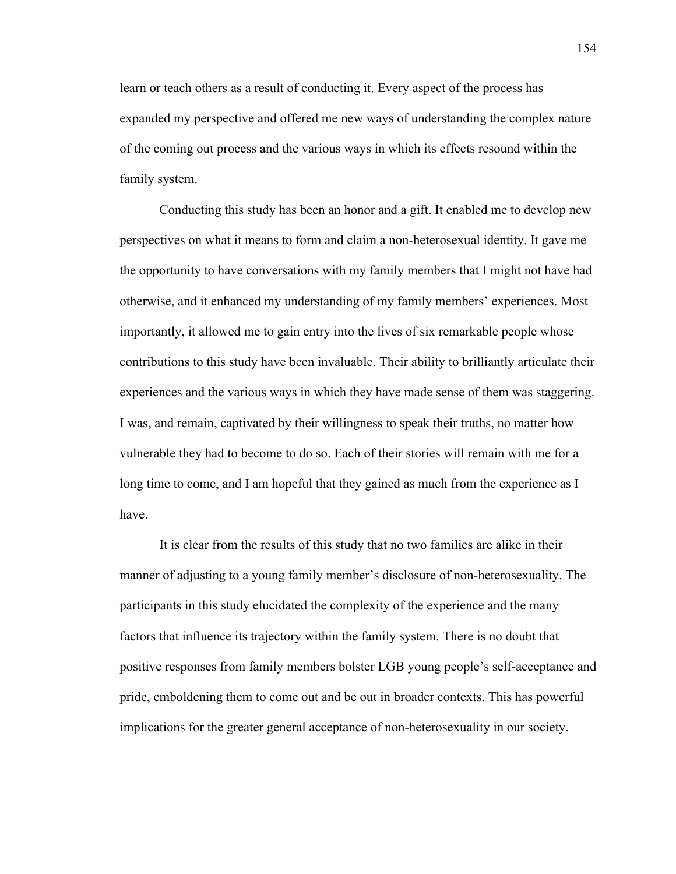learn or teach others as a result of conducting it. Every aspect of the process has expanded my perspective and offered me new ways of understanding the complex nature of the coming out process and the various ways in which its effects resound within the family system.

Conducting this study has been an honor and a gift. It enabled me to develop new perspectives on what it means to form and claim a non-heterosexual identity. It gave me the opportunity to have conversations with my family members that I might not have had otherwise, and it enhanced my understanding of my family members' experiences. Most importantly, it allowed me to gain entry into the lives of six remarkable people whose contributions to this study have been invaluable. Their ability to brilliantly articulate their experiences and the various ways in which they have made sense of them was staggering. I was, and remain, captivated by their willingness to speak their truths, no matter how vulnerable they had to become to do so. Each of their stories will remain with me for a long time to come, and I am hopeful that they gained as much from the experience as I have.

It is clear from the results of this study that no two families are alike in their manner of adjusting to a young family member's disclosure of non-heterosexuality. The participants in this study elucidated the complexity of the experience and the many factors that influence its trajectory within the family system. There is no doubt that positive responses from family members bolster LGB young people's self-acceptance and pride, emboldening them to come out and be out in broader contexts. This has powerful implications for the greater general acceptance of non-heterosexuality in our society.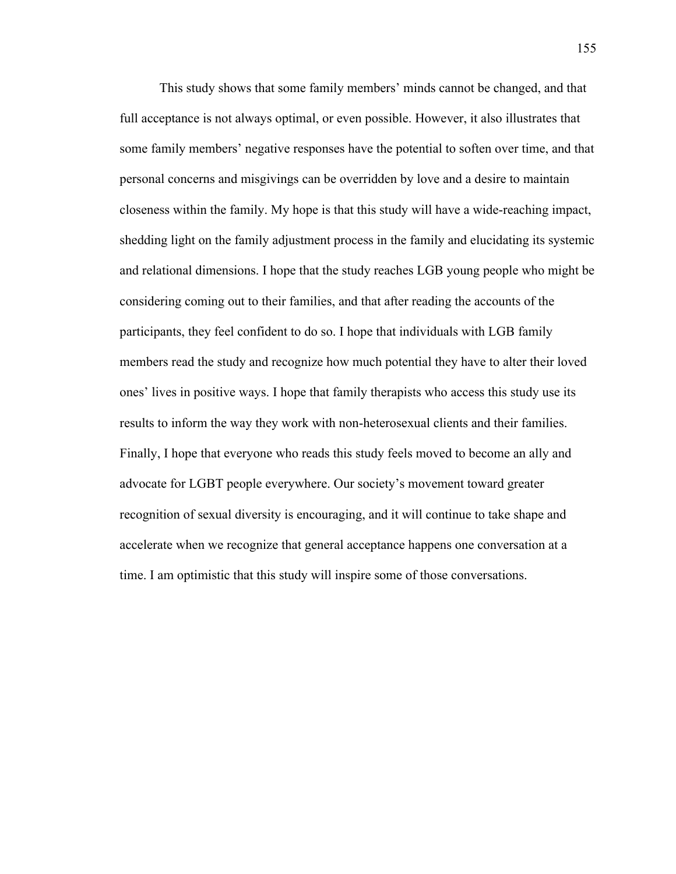This study shows that some family members' minds cannot be changed, and that full acceptance is not always optimal, or even possible. However, it also illustrates that some family members' negative responses have the potential to soften over time, and that personal concerns and misgivings can be overridden by love and a desire to maintain closeness within the family. My hope is that this study will have a wide-reaching impact, shedding light on the family adjustment process in the family and elucidating its systemic and relational dimensions. I hope that the study reaches LGB young people who might be considering coming out to their families, and that after reading the accounts of the participants, they feel confident to do so. I hope that individuals with LGB family members read the study and recognize how much potential they have to alter their loved ones' lives in positive ways. I hope that family therapists who access this study use its results to inform the way they work with non-heterosexual clients and their families. Finally, I hope that everyone who reads this study feels moved to become an ally and advocate for LGBT people everywhere. Our society's movement toward greater recognition of sexual diversity is encouraging, and it will continue to take shape and accelerate when we recognize that general acceptance happens one conversation at a time. I am optimistic that this study will inspire some of those conversations.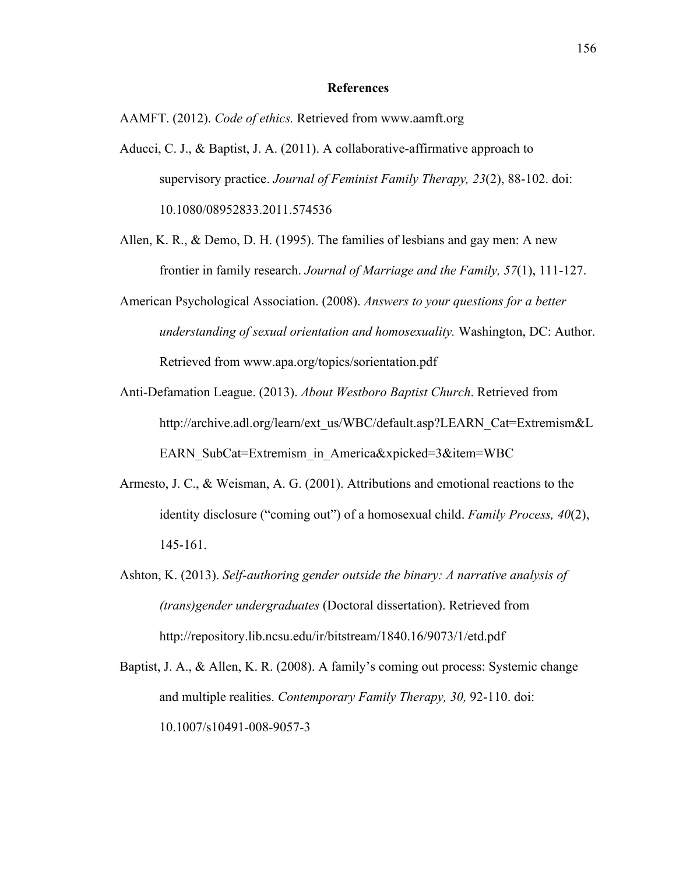## **References**

AAMFT. (2012). *Code of ethics.* Retrieved from www.aamft.org

- Aducci, C. J., & Baptist, J. A. (2011). A collaborative-affirmative approach to supervisory practice. *Journal of Feminist Family Therapy, 23*(2), 88-102. doi: 10.1080/08952833.2011.574536
- Allen, K. R., & Demo, D. H. (1995). The families of lesbians and gay men: A new frontier in family research. *Journal of Marriage and the Family, 57*(1), 111-127.
- American Psychological Association. (2008). *Answers to your questions for a better understanding of sexual orientation and homosexuality.* Washington, DC: Author. Retrieved from www.apa.org/topics/sorientation.pdf
- Anti-Defamation League. (2013). *About Westboro Baptist Church*. Retrieved from http://archive.adl.org/learn/ext\_us/WBC/default.asp?LEARN\_Cat=Extremism&L EARN\_SubCat=Extremism\_in\_America&xpicked=3&item=WBC
- Armesto, J. C., & Weisman, A. G. (2001). Attributions and emotional reactions to the identity disclosure ("coming out") of a homosexual child. *Family Process, 40*(2), 145-161.
- Ashton, K. (2013). *Self-authoring gender outside the binary: A narrative analysis of (trans)gender undergraduates* (Doctoral dissertation). Retrieved from http://repository.lib.ncsu.edu/ir/bitstream/1840.16/9073/1/etd.pdf
- Baptist, J. A., & Allen, K. R. (2008). A family's coming out process: Systemic change and multiple realities. *Contemporary Family Therapy, 30,* 92-110. doi: 10.1007/s10491-008-9057-3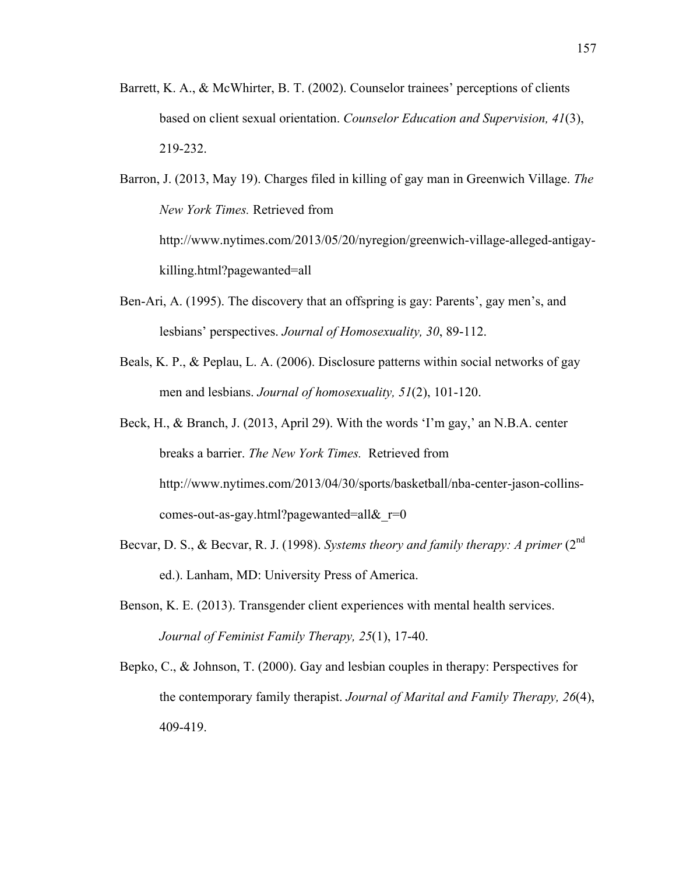Barrett, K. A., & McWhirter, B. T. (2002). Counselor trainees' perceptions of clients based on client sexual orientation. *Counselor Education and Supervision, 41*(3), 219-232.

Barron, J. (2013, May 19). Charges filed in killing of gay man in Greenwich Village. *The New York Times.* Retrieved from http://www.nytimes.com/2013/05/20/nyregion/greenwich-village-alleged-antigaykilling.html?pagewanted=all

- Ben-Ari, A. (1995). The discovery that an offspring is gay: Parents', gay men's, and lesbians' perspectives. *Journal of Homosexuality, 30*, 89-112.
- Beals, K. P., & Peplau, L. A. (2006). Disclosure patterns within social networks of gay men and lesbians. *Journal of homosexuality, 51*(2), 101-120.

Beck, H., & Branch, J. (2013, April 29). With the words 'I'm gay,' an N.B.A. center breaks a barrier. *The New York Times.* Retrieved from http://www.nytimes.com/2013/04/30/sports/basketball/nba-center-jason-collinscomes-out-as-gay.html?pagewanted=all $&$ r=0

- Becvar, D. S., & Becvar, R. J. (1998). *Systems theory and family therapy: A primer* (2<sup>nd</sup>) ed.). Lanham, MD: University Press of America.
- Benson, K. E. (2013). Transgender client experiences with mental health services. *Journal of Feminist Family Therapy, 25*(1), 17-40.
- Bepko, C., & Johnson, T. (2000). Gay and lesbian couples in therapy: Perspectives for the contemporary family therapist. *Journal of Marital and Family Therapy, 26*(4), 409-419.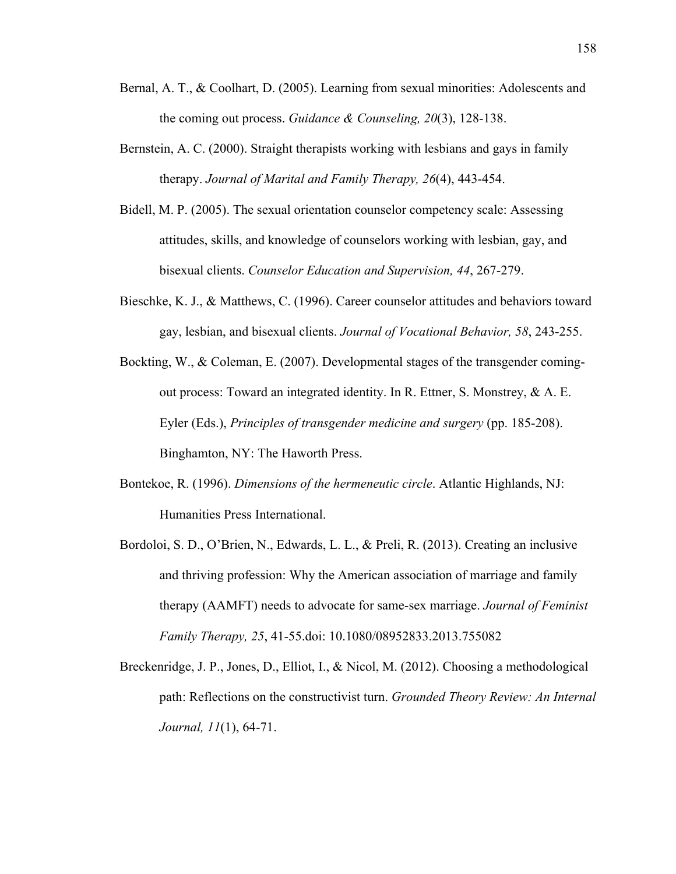- Bernal, A. T., & Coolhart, D. (2005). Learning from sexual minorities: Adolescents and the coming out process. *Guidance & Counseling, 20*(3), 128-138.
- Bernstein, A. C. (2000). Straight therapists working with lesbians and gays in family therapy. *Journal of Marital and Family Therapy, 26*(4), 443-454.
- Bidell, M. P. (2005). The sexual orientation counselor competency scale: Assessing attitudes, skills, and knowledge of counselors working with lesbian, gay, and bisexual clients. *Counselor Education and Supervision, 44*, 267-279.
- Bieschke, K. J., & Matthews, C. (1996). Career counselor attitudes and behaviors toward gay, lesbian, and bisexual clients. *Journal of Vocational Behavior, 58*, 243-255.
- Bockting, W., & Coleman, E. (2007). Developmental stages of the transgender comingout process: Toward an integrated identity. In R. Ettner, S. Monstrey, & A. E. Eyler (Eds.), *Principles of transgender medicine and surgery* (pp. 185-208). Binghamton, NY: The Haworth Press.
- Bontekoe, R. (1996). *Dimensions of the hermeneutic circle*. Atlantic Highlands, NJ: Humanities Press International.
- Bordoloi, S. D., O'Brien, N., Edwards, L. L., & Preli, R. (2013). Creating an inclusive and thriving profession: Why the American association of marriage and family therapy (AAMFT) needs to advocate for same-sex marriage. *Journal of Feminist Family Therapy, 25*, 41-55.doi: 10.1080/08952833.2013.755082
- Breckenridge, J. P., Jones, D., Elliot, I., & Nicol, M. (2012). Choosing a methodological path: Reflections on the constructivist turn. *Grounded Theory Review: An Internal Journal, 11*(1), 64-71.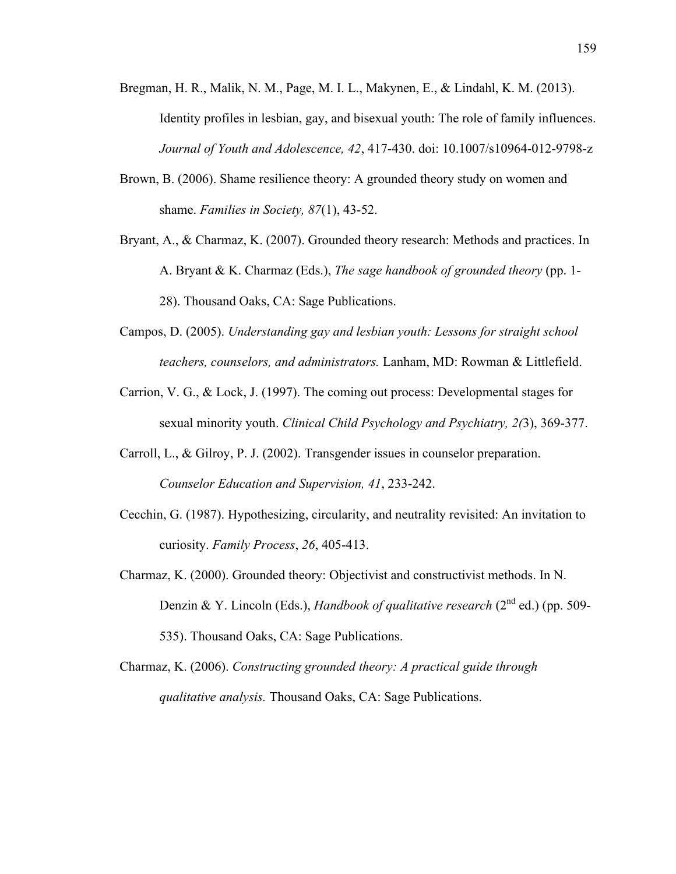- Bregman, H. R., Malik, N. M., Page, M. I. L., Makynen, E., & Lindahl, K. M. (2013). Identity profiles in lesbian, gay, and bisexual youth: The role of family influences. *Journal of Youth and Adolescence, 42*, 417-430. doi: 10.1007/s10964-012-9798-z
- Brown, B. (2006). Shame resilience theory: A grounded theory study on women and shame. *Families in Society, 87*(1), 43-52.
- Bryant, A., & Charmaz, K. (2007). Grounded theory research: Methods and practices. In A. Bryant & K. Charmaz (Eds.), *The sage handbook of grounded theory* (pp. 1- 28). Thousand Oaks, CA: Sage Publications.
- Campos, D. (2005). *Understanding gay and lesbian youth: Lessons for straight school teachers, counselors, and administrators.* Lanham, MD: Rowman & Littlefield.
- Carrion, V. G., & Lock, J. (1997). The coming out process: Developmental stages for sexual minority youth. *Clinical Child Psychology and Psychiatry, 2(*3), 369-377.
- Carroll, L., & Gilroy, P. J. (2002). Transgender issues in counselor preparation. *Counselor Education and Supervision, 41*, 233-242.
- Cecchin, G. (1987). Hypothesizing, circularity, and neutrality revisited: An invitation to curiosity. *Family Process*, *26*, 405-413.
- Charmaz, K. (2000). Grounded theory: Objectivist and constructivist methods. In N. Denzin & Y. Lincoln (Eds.), *Handbook of qualitative research* (2<sup>nd</sup> ed.) (pp. 509-535). Thousand Oaks, CA: Sage Publications.
- Charmaz, K. (2006). *Constructing grounded theory: A practical guide through qualitative analysis.* Thousand Oaks, CA: Sage Publications.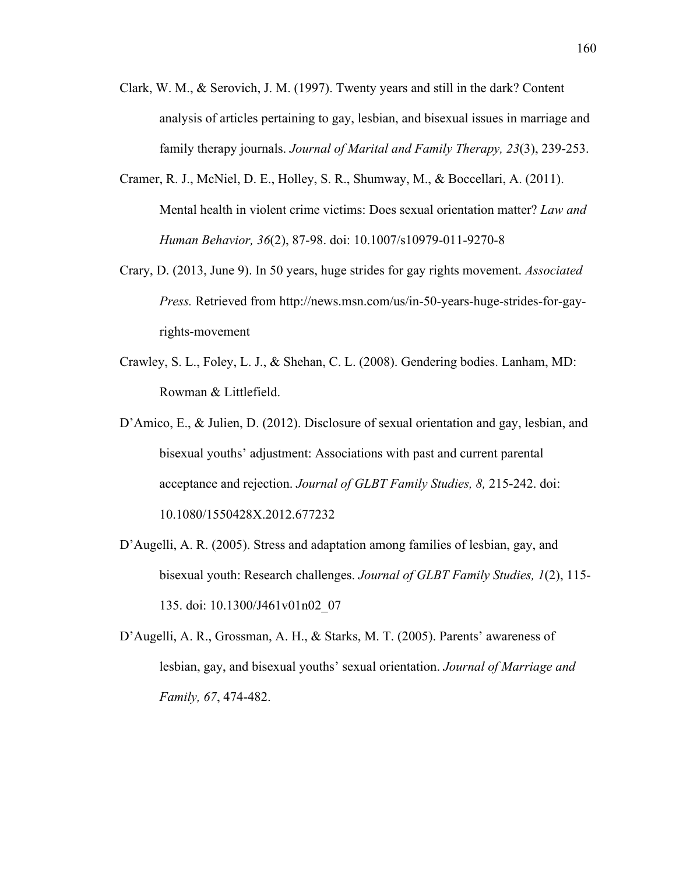- Clark, W. M., & Serovich, J. M. (1997). Twenty years and still in the dark? Content analysis of articles pertaining to gay, lesbian, and bisexual issues in marriage and family therapy journals. *Journal of Marital and Family Therapy, 23*(3), 239-253.
- Cramer, R. J., McNiel, D. E., Holley, S. R., Shumway, M., & Boccellari, A. (2011). Mental health in violent crime victims: Does sexual orientation matter? *Law and Human Behavior, 36*(2), 87-98. doi: 10.1007/s10979-011-9270-8
- Crary, D. (2013, June 9). In 50 years, huge strides for gay rights movement. *Associated Press.* Retrieved from http://news.msn.com/us/in-50-years-huge-strides-for-gayrights-movement
- Crawley, S. L., Foley, L. J., & Shehan, C. L. (2008). Gendering bodies. Lanham, MD: Rowman & Littlefield.
- D'Amico, E., & Julien, D. (2012). Disclosure of sexual orientation and gay, lesbian, and bisexual youths' adjustment: Associations with past and current parental acceptance and rejection. *Journal of GLBT Family Studies, 8,* 215-242. doi: 10.1080/1550428X.2012.677232
- D'Augelli, A. R. (2005). Stress and adaptation among families of lesbian, gay, and bisexual youth: Research challenges. *Journal of GLBT Family Studies, 1*(2), 115- 135. doi: 10.1300/J461v01n02\_07
- D'Augelli, A. R., Grossman, A. H., & Starks, M. T. (2005). Parents' awareness of lesbian, gay, and bisexual youths' sexual orientation. *Journal of Marriage and Family, 67*, 474-482.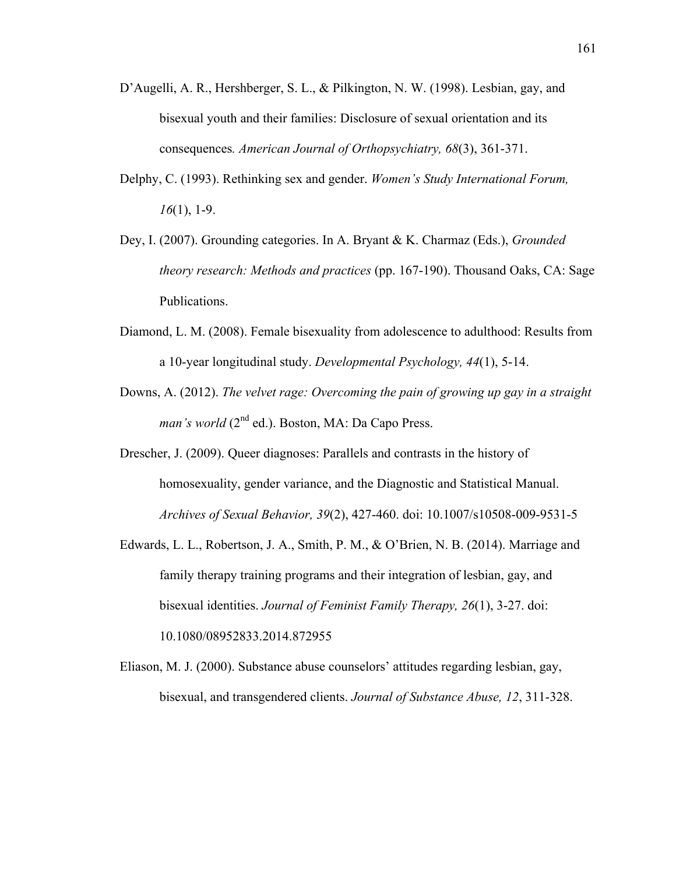- D'Augelli, A. R., Hershberger, S. L., & Pilkington, N. W. (1998). Lesbian, gay, and bisexual youth and their families: Disclosure of sexual orientation and its consequences*. American Journal of Orthopsychiatry, 68*(3), 361-371.
- Delphy, C. (1993). Rethinking sex and gender. *Women's Study International Forum, 16*(1), 1-9.
- Dey, I. (2007). Grounding categories. In A. Bryant & K. Charmaz (Eds.), *Grounded theory research: Methods and practices* (pp. 167-190). Thousand Oaks, CA: Sage Publications.
- Diamond, L. M. (2008). Female bisexuality from adolescence to adulthood: Results from a 10-year longitudinal study. *Developmental Psychology, 44*(1), 5-14.
- Downs, A. (2012). *The velvet rage: Overcoming the pain of growing up gay in a straight man's world* (2<sup>nd</sup> ed.). Boston, MA: Da Capo Press.
- Drescher, J. (2009). Queer diagnoses: Parallels and contrasts in the history of homosexuality, gender variance, and the Diagnostic and Statistical Manual. *Archives of Sexual Behavior, 39*(2), 427-460. doi: 10.1007/s10508-009-9531-5
- Edwards, L. L., Robertson, J. A., Smith, P. M., & O'Brien, N. B. (2014). Marriage and family therapy training programs and their integration of lesbian, gay, and bisexual identities. *Journal of Feminist Family Therapy, 26*(1), 3-27. doi: 10.1080/08952833.2014.872955
- Eliason, M. J. (2000). Substance abuse counselors' attitudes regarding lesbian, gay, bisexual, and transgendered clients. *Journal of Substance Abuse, 12*, 311-328.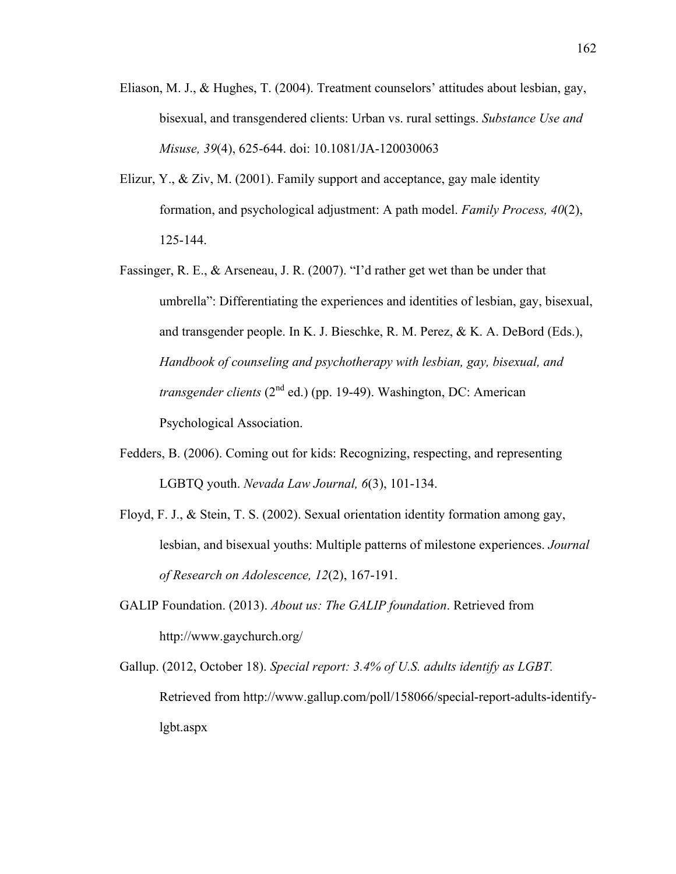- Eliason, M. J., & Hughes, T. (2004). Treatment counselors' attitudes about lesbian, gay, bisexual, and transgendered clients: Urban vs. rural settings. *Substance Use and Misuse, 39*(4), 625-644. doi: 10.1081/JA-120030063
- Elizur, Y., & Ziv, M. (2001). Family support and acceptance, gay male identity formation, and psychological adjustment: A path model. *Family Process, 40*(2), 125-144.
- Fassinger, R. E., & Arseneau, J. R. (2007). "I'd rather get wet than be under that umbrella": Differentiating the experiences and identities of lesbian, gay, bisexual, and transgender people. In K. J. Bieschke, R. M. Perez, & K. A. DeBord (Eds.), *Handbook of counseling and psychotherapy with lesbian, gay, bisexual, and transgender clients* (2<sup>nd</sup> ed.) (pp. 19-49). Washington, DC: American Psychological Association.
- Fedders, B. (2006). Coming out for kids: Recognizing, respecting, and representing LGBTQ youth. *Nevada Law Journal, 6*(3), 101-134.
- Floyd, F. J., & Stein, T. S. (2002). Sexual orientation identity formation among gay, lesbian, and bisexual youths: Multiple patterns of milestone experiences. *Journal of Research on Adolescence, 12*(2), 167-191.
- GALIP Foundation. (2013). *About us: The GALIP foundation*. Retrieved from http://www.gaychurch.org/
- Gallup. (2012, October 18). *Special report: 3.4% of U.S. adults identify as LGBT.* Retrieved from http://www.gallup.com/poll/158066/special-report-adults-identifylgbt.aspx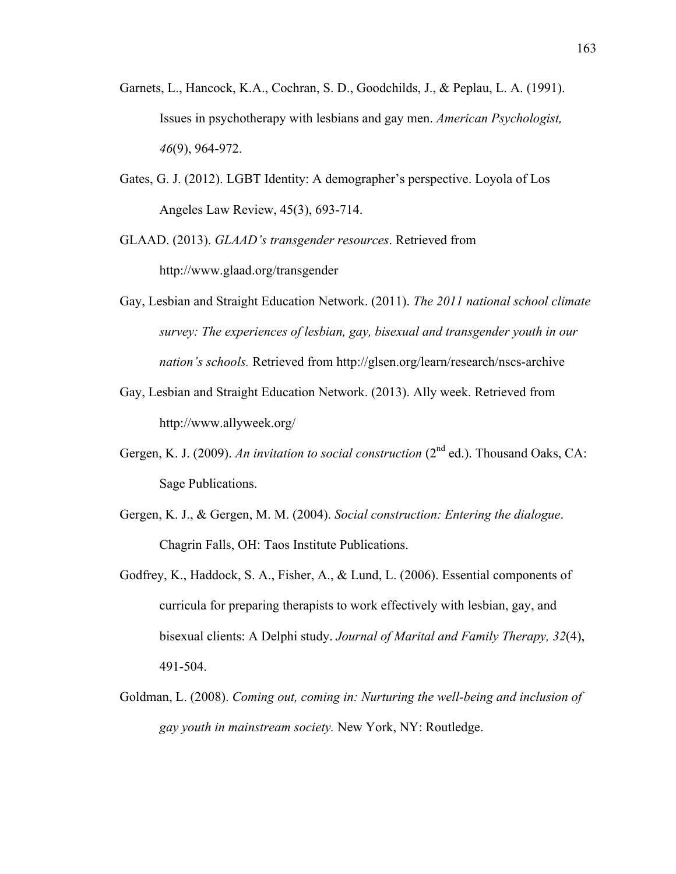- Garnets, L., Hancock, K.A., Cochran, S. D., Goodchilds, J., & Peplau, L. A. (1991). Issues in psychotherapy with lesbians and gay men. *American Psychologist, 46*(9), 964-972.
- Gates, G. J. (2012). LGBT Identity: A demographer's perspective. Loyola of Los Angeles Law Review, 45(3), 693-714.
- GLAAD. (2013). *GLAAD's transgender resources*. Retrieved from http://www.glaad.org/transgender
- Gay, Lesbian and Straight Education Network. (2011). *The 2011 national school climate survey: The experiences of lesbian, gay, bisexual and transgender youth in our nation's schools.* Retrieved from http://glsen.org/learn/research/nscs-archive
- Gay, Lesbian and Straight Education Network. (2013). Ally week. Retrieved from http://www.allyweek.org/
- Gergen, K. J. (2009). *An invitation to social construction* (2<sup>nd</sup> ed.). Thousand Oaks, CA: Sage Publications.
- Gergen, K. J., & Gergen, M. M. (2004). *Social construction: Entering the dialogue*. Chagrin Falls, OH: Taos Institute Publications.
- Godfrey, K., Haddock, S. A., Fisher, A., & Lund, L. (2006). Essential components of curricula for preparing therapists to work effectively with lesbian, gay, and bisexual clients: A Delphi study. *Journal of Marital and Family Therapy, 32*(4), 491-504.
- Goldman, L. (2008). *Coming out, coming in: Nurturing the well-being and inclusion of gay youth in mainstream society.* New York, NY: Routledge.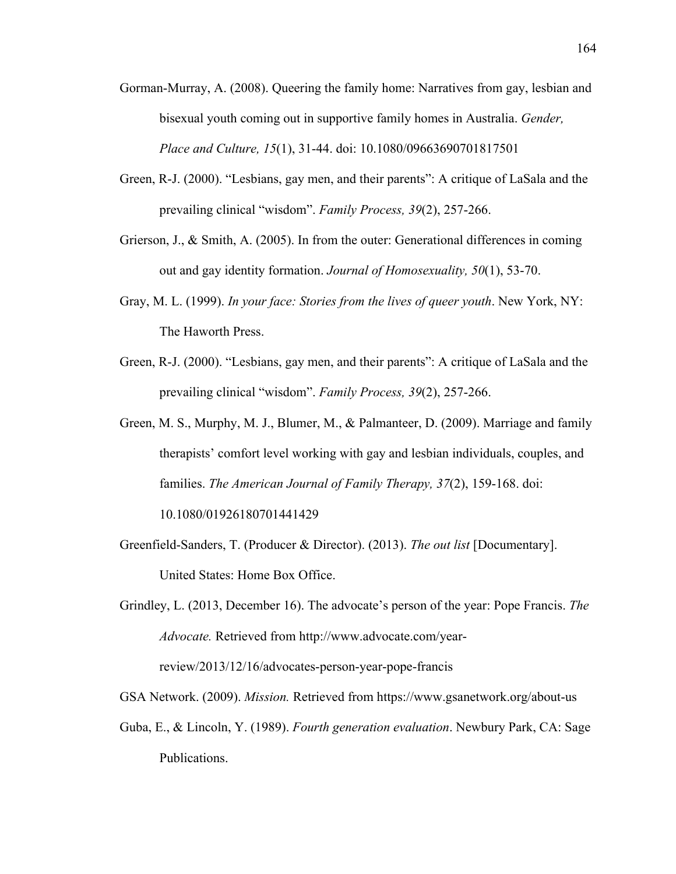- Gorman-Murray, A. (2008). Queering the family home: Narratives from gay, lesbian and bisexual youth coming out in supportive family homes in Australia. *Gender, Place and Culture, 15*(1), 31-44. doi: 10.1080/09663690701817501
- Green, R-J. (2000). "Lesbians, gay men, and their parents": A critique of LaSala and the prevailing clinical "wisdom". *Family Process, 39*(2), 257-266.
- Grierson, J., & Smith, A. (2005). In from the outer: Generational differences in coming out and gay identity formation. *Journal of Homosexuality, 50*(1), 53-70.
- Gray, M. L. (1999). *In your face: Stories from the lives of queer youth*. New York, NY: The Haworth Press.
- Green, R-J. (2000). "Lesbians, gay men, and their parents": A critique of LaSala and the prevailing clinical "wisdom". *Family Process, 39*(2), 257-266.
- Green, M. S., Murphy, M. J., Blumer, M., & Palmanteer, D. (2009). Marriage and family therapists' comfort level working with gay and lesbian individuals, couples, and families. *The American Journal of Family Therapy, 37*(2), 159-168. doi: 10.1080/01926180701441429
- Greenfield-Sanders, T. (Producer & Director). (2013). *The out list* [Documentary]. United States: Home Box Office.
- Grindley, L. (2013, December 16). The advocate's person of the year: Pope Francis. *The Advocate.* Retrieved from http://www.advocate.com/yearreview/2013/12/16/advocates-person-year-pope-francis
- GSA Network. (2009). *Mission.* Retrieved from https://www.gsanetwork.org/about-us
- Guba, E., & Lincoln, Y. (1989). *Fourth generation evaluation*. Newbury Park, CA: Sage Publications.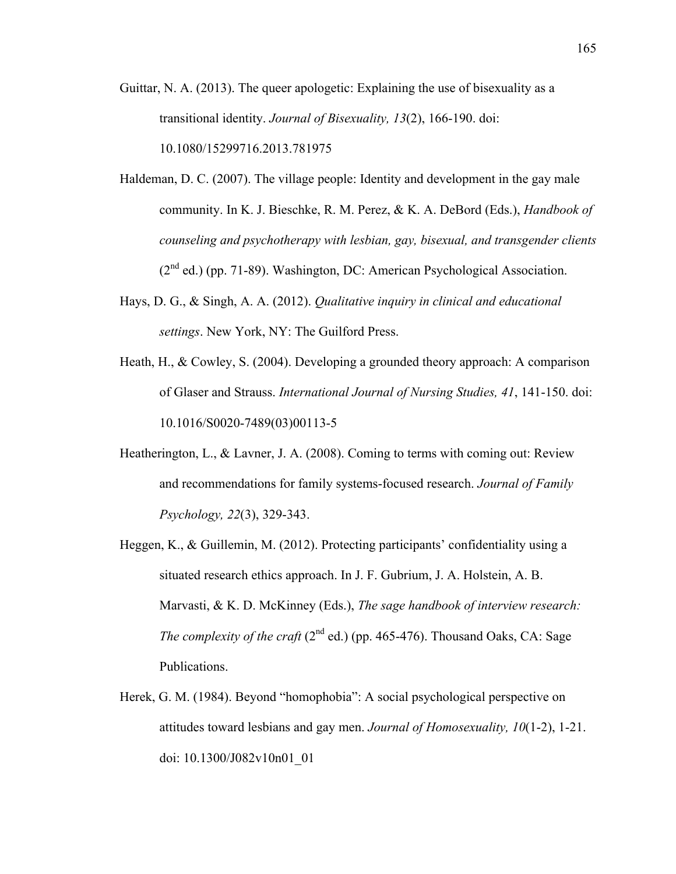- Guittar, N. A. (2013). The queer apologetic: Explaining the use of bisexuality as a transitional identity. *Journal of Bisexuality, 13*(2), 166-190. doi: 10.1080/15299716.2013.781975
- Haldeman, D. C. (2007). The village people: Identity and development in the gay male community. In K. J. Bieschke, R. M. Perez, & K. A. DeBord (Eds.), *Handbook of counseling and psychotherapy with lesbian, gay, bisexual, and transgender clients*  $(2<sup>nd</sup> ed.)$  (pp. 71-89). Washington, DC: American Psychological Association.
- Hays, D. G., & Singh, A. A. (2012). *Qualitative inquiry in clinical and educational settings*. New York, NY: The Guilford Press.
- Heath, H., & Cowley, S. (2004). Developing a grounded theory approach: A comparison of Glaser and Strauss. *International Journal of Nursing Studies, 41*, 141-150. doi: 10.1016/S0020-7489(03)00113-5
- Heatherington, L., & Lavner, J. A. (2008). Coming to terms with coming out: Review and recommendations for family systems-focused research. *Journal of Family Psychology, 22*(3), 329-343.
- Heggen, K., & Guillemin, M. (2012). Protecting participants' confidentiality using a situated research ethics approach. In J. F. Gubrium, J. A. Holstein, A. B. Marvasti, & K. D. McKinney (Eds.), *The sage handbook of interview research: The complexity of the craft*  $(2^{nd}$  ed.) (pp. 465-476). Thousand Oaks, CA: Sage Publications.
- Herek, G. M. (1984). Beyond "homophobia": A social psychological perspective on attitudes toward lesbians and gay men. *Journal of Homosexuality, 10*(1-2), 1-21. doi: 10.1300/J082v10n01\_01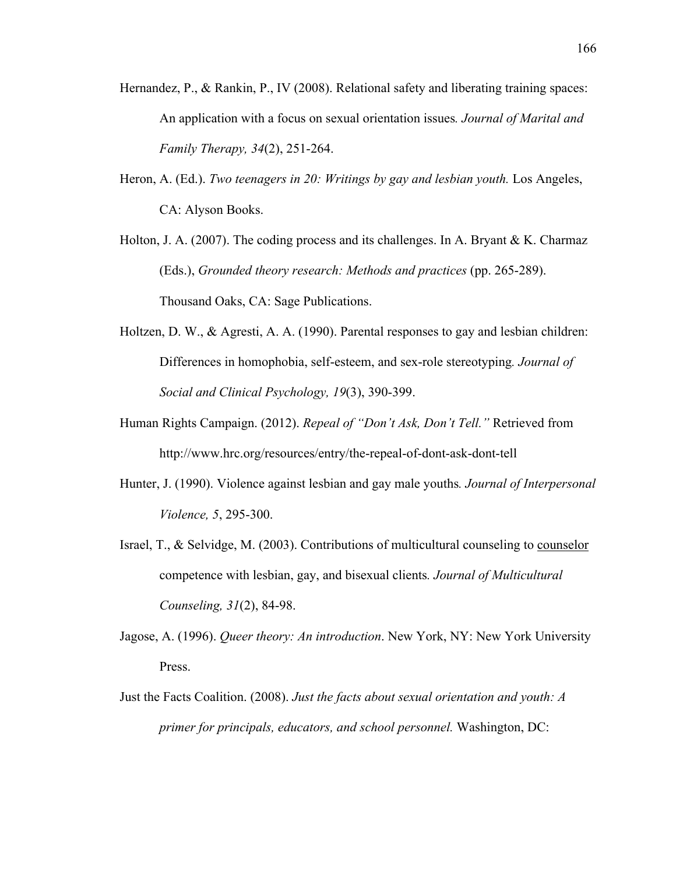- Hernandez, P., & Rankin, P., IV (2008). Relational safety and liberating training spaces: An application with a focus on sexual orientation issues*. Journal of Marital and Family Therapy, 34*(2), 251-264.
- Heron, A. (Ed.). *Two teenagers in 20: Writings by gay and lesbian youth.* Los Angeles, CA: Alyson Books.

Holton, J. A. (2007). The coding process and its challenges. In A. Bryant  $& K$ . Charmaz (Eds.), *Grounded theory research: Methods and practices* (pp. 265-289). Thousand Oaks, CA: Sage Publications.

- Holtzen, D. W., & Agresti, A. A. (1990). Parental responses to gay and lesbian children: Differences in homophobia, self-esteem, and sex-role stereotyping*. Journal of Social and Clinical Psychology, 19*(3), 390-399.
- Human Rights Campaign. (2012). *Repeal of "Don't Ask, Don't Tell."* Retrieved from http://www.hrc.org/resources/entry/the-repeal-of-dont-ask-dont-tell
- Hunter, J. (1990). Violence against lesbian and gay male youths*. Journal of Interpersonal Violence, 5*, 295-300.
- Israel, T., & Selvidge, M. (2003). Contributions of multicultural counseling to counselor competence with lesbian, gay, and bisexual clients*. Journal of Multicultural Counseling, 31*(2), 84-98.
- Jagose, A. (1996). *Queer theory: An introduction*. New York, NY: New York University Press.
- Just the Facts Coalition. (2008). *Just the facts about sexual orientation and youth: A primer for principals, educators, and school personnel.* Washington, DC: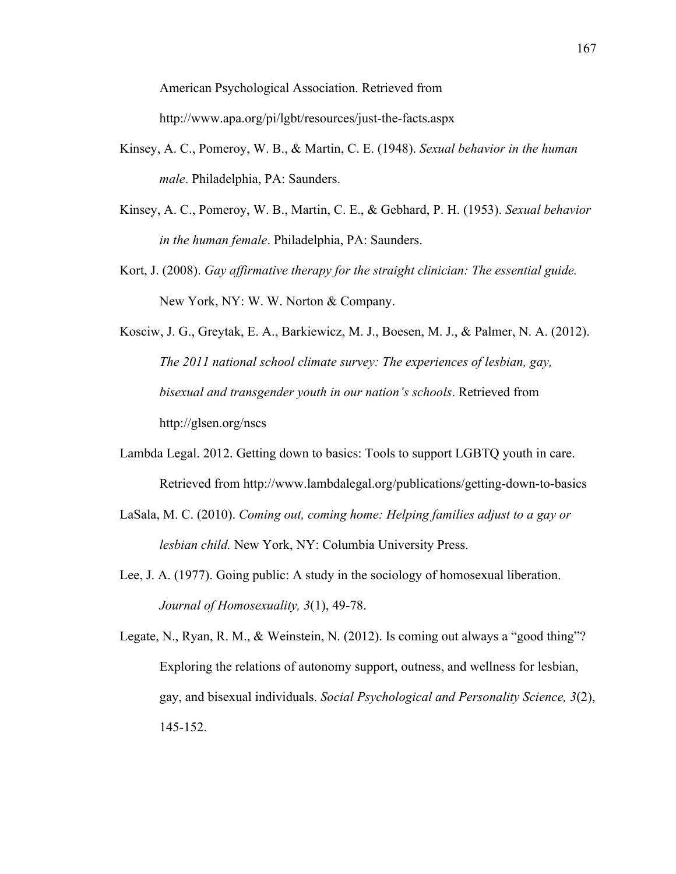American Psychological Association. Retrieved from

http://www.apa.org/pi/lgbt/resources/just-the-facts.aspx

- Kinsey, A. C., Pomeroy, W. B., & Martin, C. E. (1948). *Sexual behavior in the human male*. Philadelphia, PA: Saunders.
- Kinsey, A. C., Pomeroy, W. B., Martin, C. E., & Gebhard, P. H. (1953). *Sexual behavior in the human female*. Philadelphia, PA: Saunders.
- Kort, J. (2008). *Gay affirmative therapy for the straight clinician: The essential guide.*  New York, NY: W. W. Norton & Company.

Kosciw, J. G., Greytak, E. A., Barkiewicz, M. J., Boesen, M. J., & Palmer, N. A. (2012). *The 2011 national school climate survey: The experiences of lesbian, gay, bisexual and transgender youth in our nation's schools*. Retrieved from http://glsen.org/nscs

- Lambda Legal. 2012. Getting down to basics: Tools to support LGBTQ youth in care. Retrieved from http://www.lambdalegal.org/publications/getting-down-to-basics
- LaSala, M. C. (2010). *Coming out, coming home: Helping families adjust to a gay or lesbian child.* New York, NY: Columbia University Press.
- Lee, J. A. (1977). Going public: A study in the sociology of homosexual liberation. *Journal of Homosexuality, 3*(1), 49-78.

Legate, N., Ryan, R. M., & Weinstein, N. (2012). Is coming out always a "good thing"? Exploring the relations of autonomy support, outness, and wellness for lesbian, gay, and bisexual individuals. *Social Psychological and Personality Science, 3*(2), 145-152.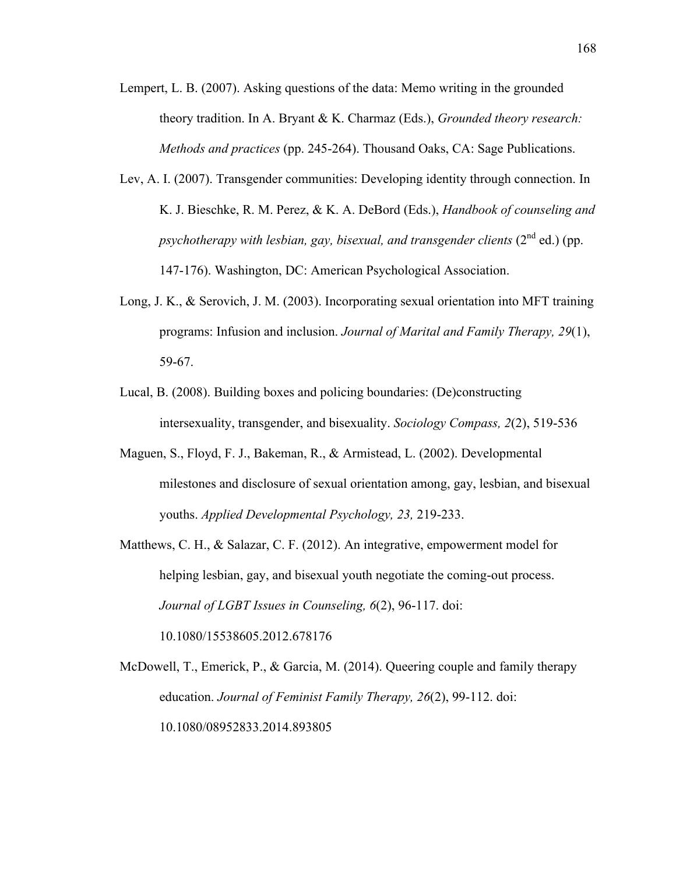- Lempert, L. B. (2007). Asking questions of the data: Memo writing in the grounded theory tradition. In A. Bryant & K. Charmaz (Eds.), *Grounded theory research: Methods and practices* (pp. 245-264). Thousand Oaks, CA: Sage Publications.
- Lev, A. I. (2007). Transgender communities: Developing identity through connection. In K. J. Bieschke, R. M. Perez, & K. A. DeBord (Eds.), *Handbook of counseling and psychotherapy with lesbian, gay, bisexual, and transgender clients* (2<sup>nd</sup> ed.) (pp. 147-176). Washington, DC: American Psychological Association.
- Long, J. K., & Serovich, J. M. (2003). Incorporating sexual orientation into MFT training programs: Infusion and inclusion. *Journal of Marital and Family Therapy, 29*(1), 59-67.
- Lucal, B. (2008). Building boxes and policing boundaries: (De)constructing intersexuality, transgender, and bisexuality. *Sociology Compass, 2*(2), 519-536
- Maguen, S., Floyd, F. J., Bakeman, R., & Armistead, L. (2002). Developmental milestones and disclosure of sexual orientation among, gay, lesbian, and bisexual youths. *Applied Developmental Psychology, 23,* 219-233.
- Matthews, C. H., & Salazar, C. F. (2012). An integrative, empowerment model for helping lesbian, gay, and bisexual youth negotiate the coming-out process. *Journal of LGBT Issues in Counseling, 6*(2), 96-117. doi: 10.1080/15538605.2012.678176
- McDowell, T., Emerick, P., & Garcia, M. (2014). Queering couple and family therapy education. *Journal of Feminist Family Therapy, 26*(2), 99-112. doi: 10.1080/08952833.2014.893805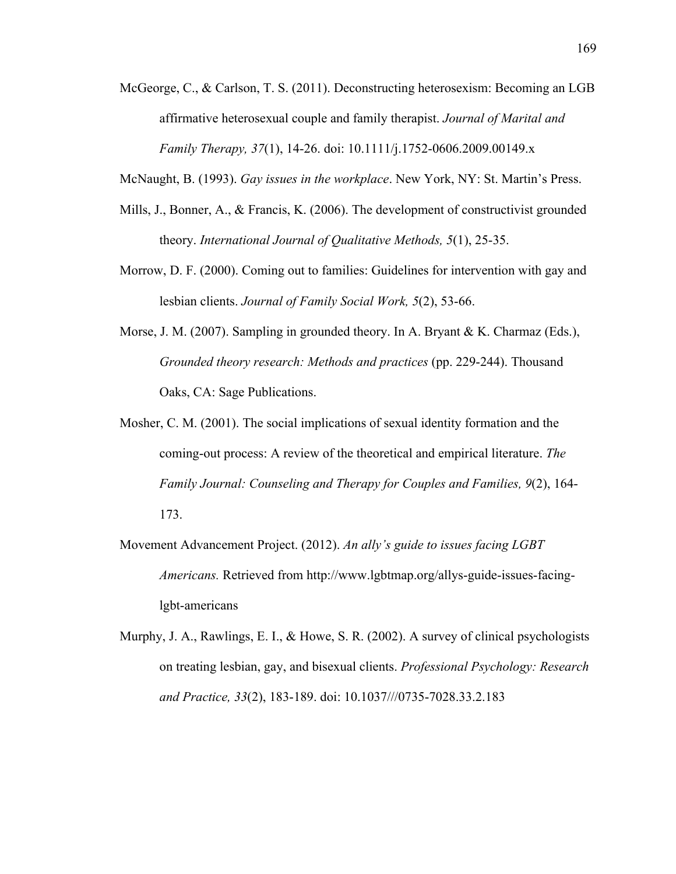- McGeorge, C., & Carlson, T. S. (2011). Deconstructing heterosexism: Becoming an LGB affirmative heterosexual couple and family therapist. *Journal of Marital and Family Therapy, 37*(1), 14-26. doi: 10.1111/j.1752-0606.2009.00149.x
- McNaught, B. (1993). *Gay issues in the workplace*. New York, NY: St. Martin's Press.
- Mills, J., Bonner, A., & Francis, K. (2006). The development of constructivist grounded theory. *International Journal of Qualitative Methods, 5*(1), 25-35.
- Morrow, D. F. (2000). Coming out to families: Guidelines for intervention with gay and lesbian clients. *Journal of Family Social Work, 5*(2), 53-66.
- Morse, J. M. (2007). Sampling in grounded theory. In A. Bryant & K. Charmaz (Eds.), *Grounded theory research: Methods and practices* (pp. 229-244). Thousand Oaks, CA: Sage Publications.
- Mosher, C. M. (2001). The social implications of sexual identity formation and the coming-out process: A review of the theoretical and empirical literature. *The Family Journal: Counseling and Therapy for Couples and Families, 9*(2), 164- 173.
- Movement Advancement Project. (2012). *An ally's guide to issues facing LGBT Americans.* Retrieved from http://www.lgbtmap.org/allys-guide-issues-facinglgbt-americans
- Murphy, J. A., Rawlings, E. I., & Howe, S. R. (2002). A survey of clinical psychologists on treating lesbian, gay, and bisexual clients. *Professional Psychology: Research and Practice, 33*(2), 183-189. doi: 10.1037///0735-7028.33.2.183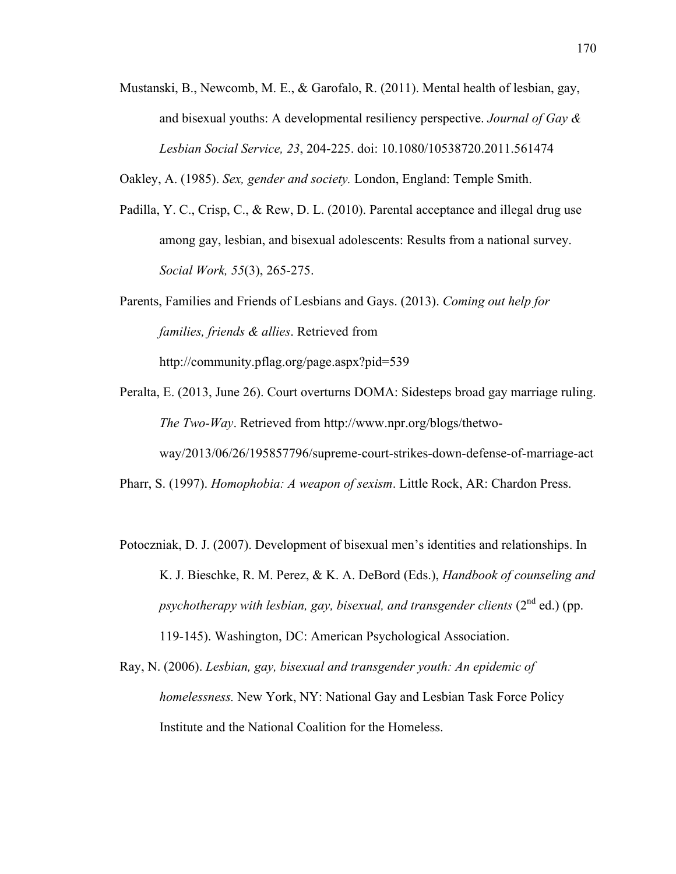Mustanski, B., Newcomb, M. E., & Garofalo, R. (2011). Mental health of lesbian, gay, and bisexual youths: A developmental resiliency perspective. *Journal of Gay & Lesbian Social Service, 23*, 204-225. doi: 10.1080/10538720.2011.561474

Oakley, A. (1985). *Sex, gender and society.* London, England: Temple Smith.

Padilla, Y. C., Crisp, C., & Rew, D. L. (2010). Parental acceptance and illegal drug use among gay, lesbian, and bisexual adolescents: Results from a national survey. *Social Work, 55*(3), 265-275.

Parents, Families and Friends of Lesbians and Gays. (2013). *Coming out help for families, friends & allies*. Retrieved from

http://community.pflag.org/page.aspx?pid=539

Peralta, E. (2013, June 26). Court overturns DOMA: Sidesteps broad gay marriage ruling. *The Two-Way*. Retrieved from http://www.npr.org/blogs/thetwo-

way/2013/06/26/195857796/supreme-court-strikes-down-defense-of-marriage-act

Pharr, S. (1997). *Homophobia: A weapon of sexism*. Little Rock, AR: Chardon Press.

- Potoczniak, D. J. (2007). Development of bisexual men's identities and relationships. In K. J. Bieschke, R. M. Perez, & K. A. DeBord (Eds.), *Handbook of counseling and psychotherapy with lesbian, gay, bisexual, and transgender clients*  $(2^{nd}$  ed.) (pp. 119-145). Washington, DC: American Psychological Association.
- Ray, N. (2006). *Lesbian, gay, bisexual and transgender youth: An epidemic of homelessness.* New York, NY: National Gay and Lesbian Task Force Policy Institute and the National Coalition for the Homeless.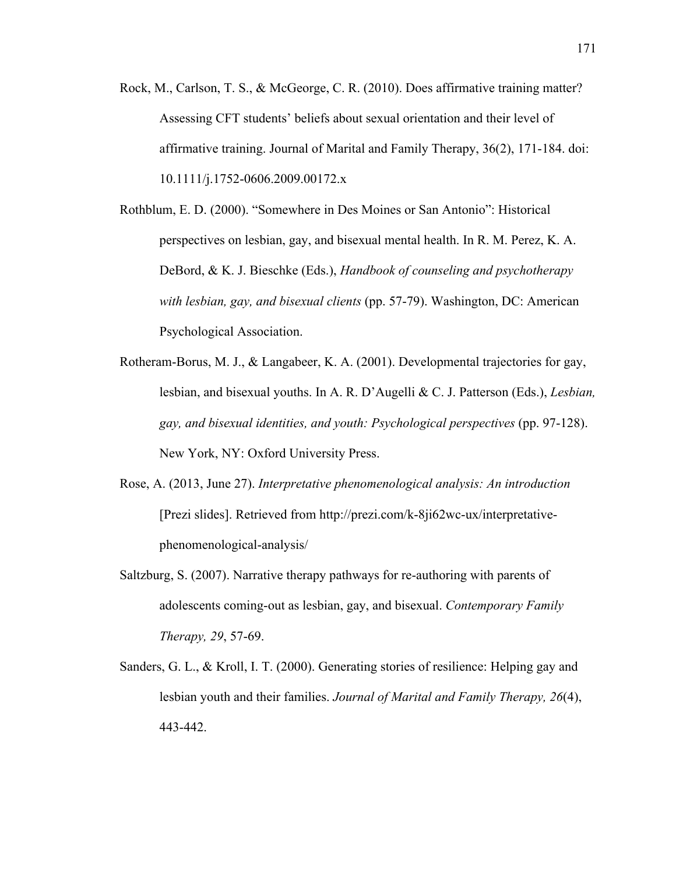- Rock, M., Carlson, T. S., & McGeorge, C. R. (2010). Does affirmative training matter? Assessing CFT students' beliefs about sexual orientation and their level of affirmative training. Journal of Marital and Family Therapy, 36(2), 171-184. doi: 10.1111/j.1752-0606.2009.00172.x
- Rothblum, E. D. (2000). "Somewhere in Des Moines or San Antonio": Historical perspectives on lesbian, gay, and bisexual mental health. In R. M. Perez, K. A. DeBord, & K. J. Bieschke (Eds.), *Handbook of counseling and psychotherapy with lesbian, gay, and bisexual clients* (pp. 57-79). Washington, DC: American Psychological Association.
- Rotheram-Borus, M. J., & Langabeer, K. A. (2001). Developmental trajectories for gay, lesbian, and bisexual youths. In A. R. D'Augelli & C. J. Patterson (Eds.), *Lesbian, gay, and bisexual identities, and youth: Psychological perspectives* (pp. 97-128). New York, NY: Oxford University Press.
- Rose, A. (2013, June 27). *Interpretative phenomenological analysis: An introduction* [Prezi slides]. Retrieved from http://prezi.com/k-8ji62wc-ux/interpretativephenomenological-analysis/
- Saltzburg, S. (2007). Narrative therapy pathways for re-authoring with parents of adolescents coming-out as lesbian, gay, and bisexual. *Contemporary Family Therapy, 29*, 57-69.
- Sanders, G. L., & Kroll, I. T. (2000). Generating stories of resilience: Helping gay and lesbian youth and their families. *Journal of Marital and Family Therapy, 26*(4), 443-442.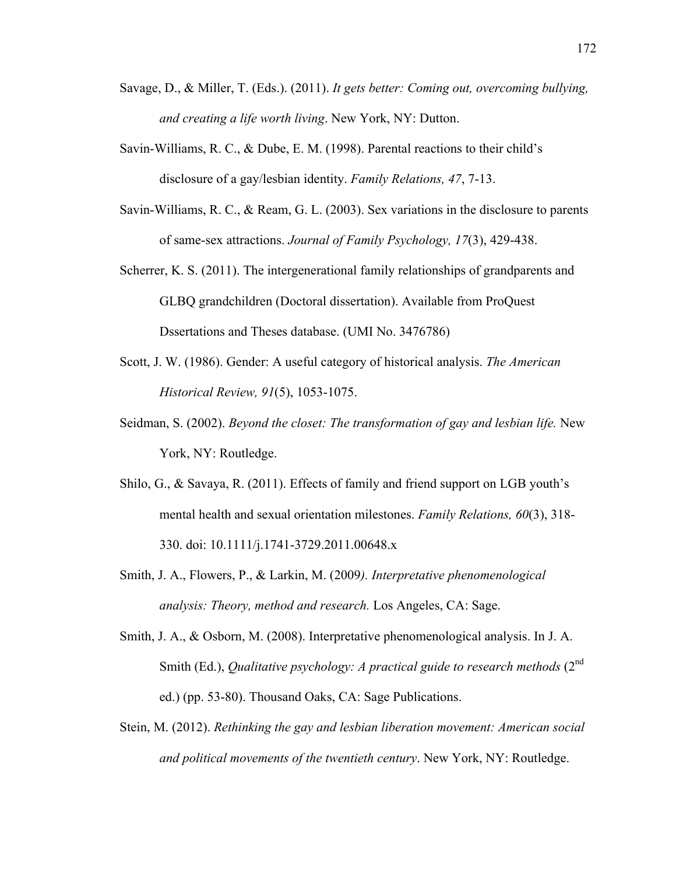- Savage, D., & Miller, T. (Eds.). (2011). *It gets better: Coming out, overcoming bullying, and creating a life worth living*. New York, NY: Dutton.
- Savin-Williams, R. C., & Dube, E. M. (1998). Parental reactions to their child's disclosure of a gay/lesbian identity. *Family Relations, 47*, 7-13.
- Savin-Williams, R. C., & Ream, G. L. (2003). Sex variations in the disclosure to parents of same-sex attractions. *Journal of Family Psychology, 17*(3), 429-438.
- Scherrer, K. S. (2011). The intergenerational family relationships of grandparents and GLBQ grandchildren (Doctoral dissertation). Available from ProQuest Dssertations and Theses database. (UMI No. 3476786)
- Scott, J. W. (1986). Gender: A useful category of historical analysis. *The American Historical Review, 91*(5), 1053-1075.
- Seidman, S. (2002). *Beyond the closet: The transformation of gay and lesbian life.* New York, NY: Routledge.
- Shilo, G., & Savaya, R. (2011). Effects of family and friend support on LGB youth's mental health and sexual orientation milestones. *Family Relations, 60*(3), 318- 330. doi: 10.1111/j.1741-3729.2011.00648.x
- Smith, J. A., Flowers, P., & Larkin, M. (2009*). Interpretative phenomenological analysis: Theory, method and research.* Los Angeles, CA: Sage.
- Smith, J. A., & Osborn, M. (2008). Interpretative phenomenological analysis. In J. A. Smith (Ed.), *Qualitative psychology: A practical guide to research methods* (2<sup>nd</sup>) ed.) (pp. 53-80). Thousand Oaks, CA: Sage Publications.
- Stein, M. (2012). *Rethinking the gay and lesbian liberation movement: American social and political movements of the twentieth century*. New York, NY: Routledge.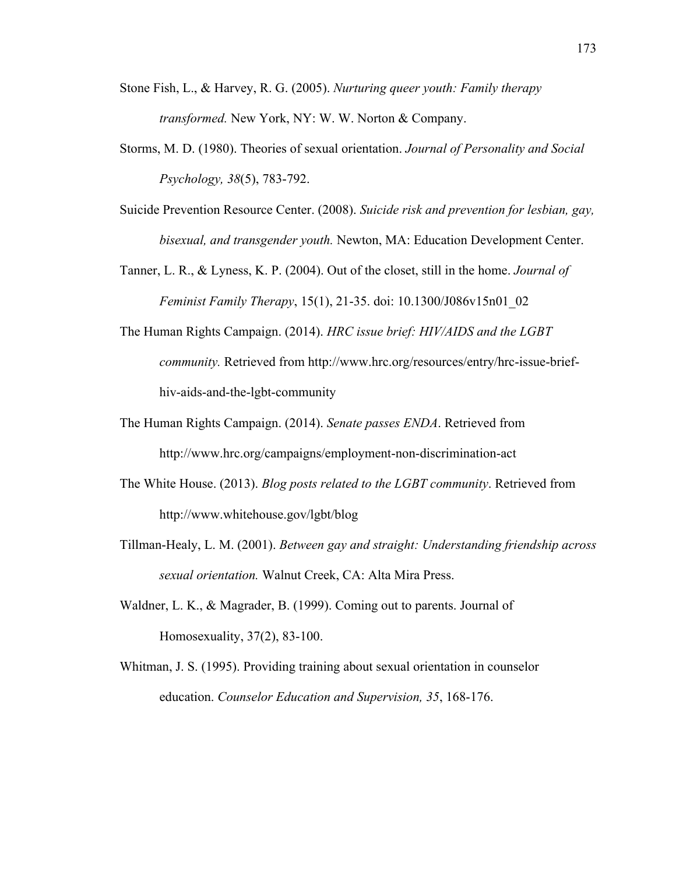- Stone Fish, L., & Harvey, R. G. (2005). *Nurturing queer youth: Family therapy transformed.* New York, NY: W. W. Norton & Company.
- Storms, M. D. (1980). Theories of sexual orientation. *Journal of Personality and Social Psychology, 38*(5), 783-792.
- Suicide Prevention Resource Center. (2008). *Suicide risk and prevention for lesbian, gay, bisexual, and transgender youth.* Newton, MA: Education Development Center.
- Tanner, L. R., & Lyness, K. P. (2004). Out of the closet, still in the home. *Journal of Feminist Family Therapy*, 15(1), 21-35. doi: 10.1300/J086v15n01\_02
- The Human Rights Campaign. (2014). *HRC issue brief: HIV/AIDS and the LGBT community.* Retrieved from http://www.hrc.org/resources/entry/hrc-issue-briefhiv-aids-and-the-lgbt-community
- The Human Rights Campaign. (2014). *Senate passes ENDA*. Retrieved from http://www.hrc.org/campaigns/employment-non-discrimination-act
- The White House. (2013). *Blog posts related to the LGBT community*. Retrieved from http://www.whitehouse.gov/lgbt/blog
- Tillman-Healy, L. M. (2001). *Between gay and straight: Understanding friendship across sexual orientation.* Walnut Creek, CA: Alta Mira Press.
- Waldner, L. K., & Magrader, B. (1999). Coming out to parents. Journal of Homosexuality, 37(2), 83-100.
- Whitman, J. S. (1995). Providing training about sexual orientation in counselor education. *Counselor Education and Supervision, 35*, 168-176.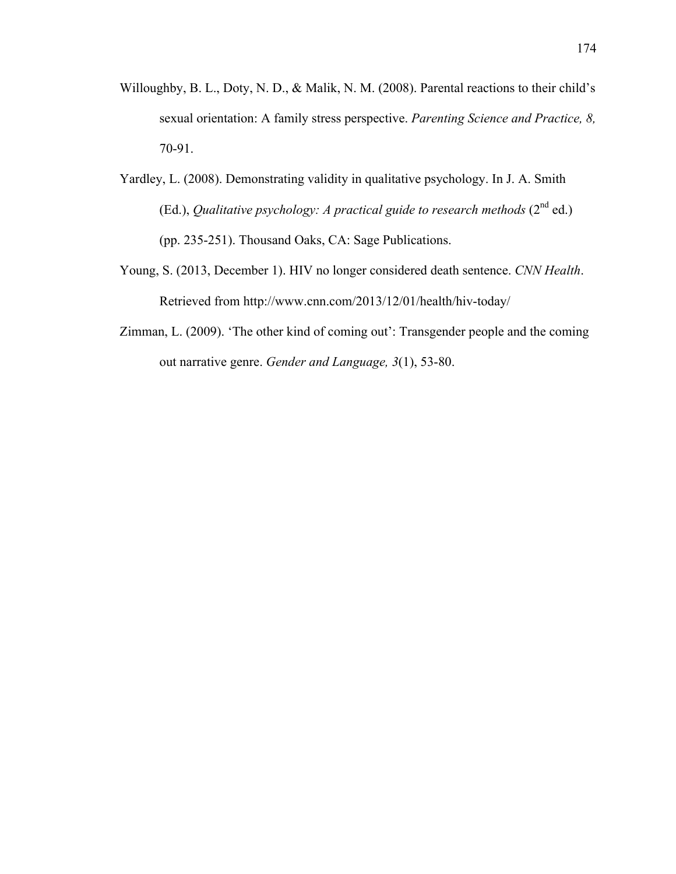- Willoughby, B. L., Doty, N. D., & Malik, N. M. (2008). Parental reactions to their child's sexual orientation: A family stress perspective. *Parenting Science and Practice, 8,* 70-91.
- Yardley, L. (2008). Demonstrating validity in qualitative psychology. In J. A. Smith (Ed.), *Qualitative psychology: A practical guide to research methods*  $(2^{nd}$  ed.) (pp. 235-251). Thousand Oaks, CA: Sage Publications.
- Young, S. (2013, December 1). HIV no longer considered death sentence. *CNN Health*. Retrieved from http://www.cnn.com/2013/12/01/health/hiv-today/
- Zimman, L. (2009). 'The other kind of coming out': Transgender people and the coming out narrative genre. *Gender and Language, 3*(1), 53-80.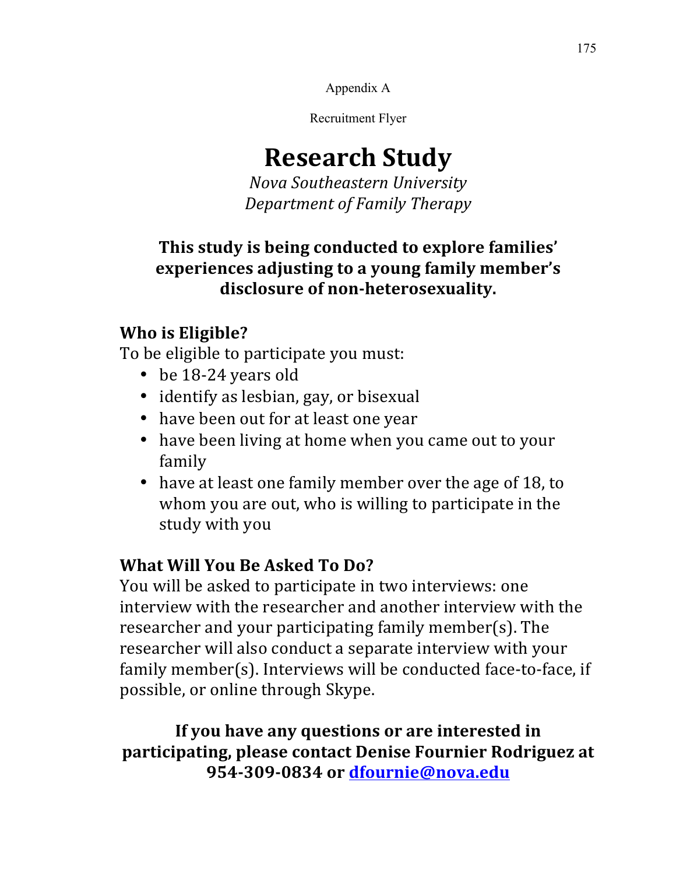Appendix A

**Recruitment Flyer** 

# **Research Study**

Nova Southeastern University Department of Family Therapy

### This study is being conducted to explore families' experiences adjusting to a young family member's disclosure of non-heterosexuality.

### Who is Eligible?

To be eligible to participate you must:

- be 18-24 years old
- identify as lesbian, gay, or bisexual
- have been out for at least one year
- have been living at home when you came out to your family
- have at least one family member over the age of 18, to whom you are out, who is willing to participate in the study with you

## **What Will You Be Asked To Do?**

You will be asked to participate in two interviews: one interview with the researcher and another interview with the researcher and your participating family member(s). The researcher will also conduct a separate interview with your family member(s). Interviews will be conducted face-to-face, if possible, or online through Skype.

If you have any questions or are interested in participating, please contact Denise Fournier Rodriguez at 954-309-0834 or dfournie@nova.edu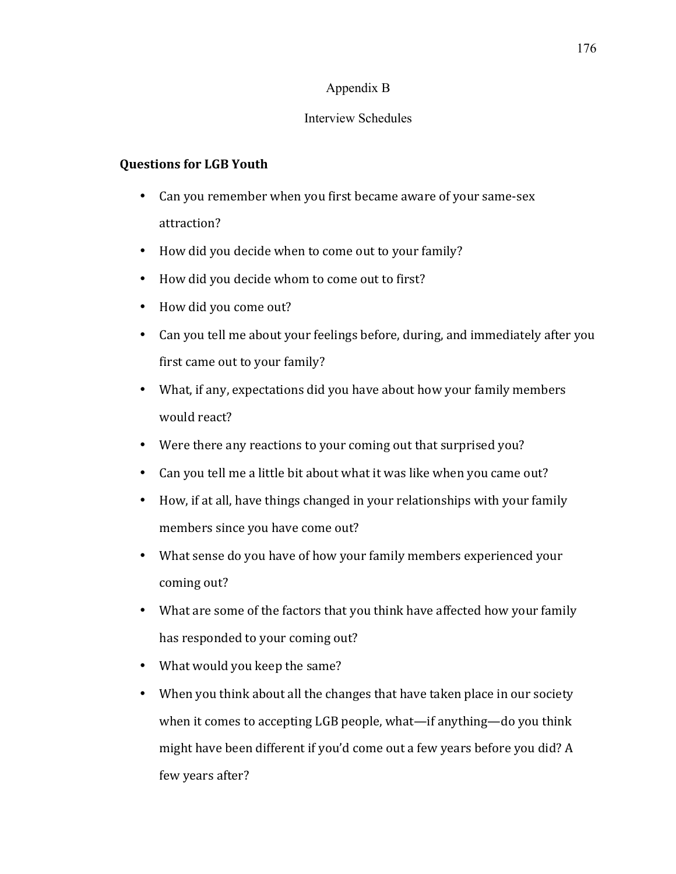#### Appendix B

#### **Interview Schedules**

#### **Questions for LGB Youth**

- Can you remember when you first became aware of your same-sex attraction?
- How did you decide when to come out to your family?
- How did you decide whom to come out to first?
- How did you come out?
- Can you tell me about your feelings before, during, and immediately after you first came out to your family?
- What, if any, expectations did you have about how your family members would react?
- Were there any reactions to your coming out that surprised you?
- Can you tell me a little bit about what it was like when you came out?
- How, if at all, have things changed in your relationships with your family members since you have come out?
- What sense do you have of how your family members experienced your coming out?
- What are some of the factors that you think have affected how your family  $\bullet$ has responded to your coming out?
- What would you keep the same?
- When you think about all the changes that have taken place in our society  $\bullet$ when it comes to accepting LGB people, what—if anything—do you think might have been different if you'd come out a few years before you did? A few years after?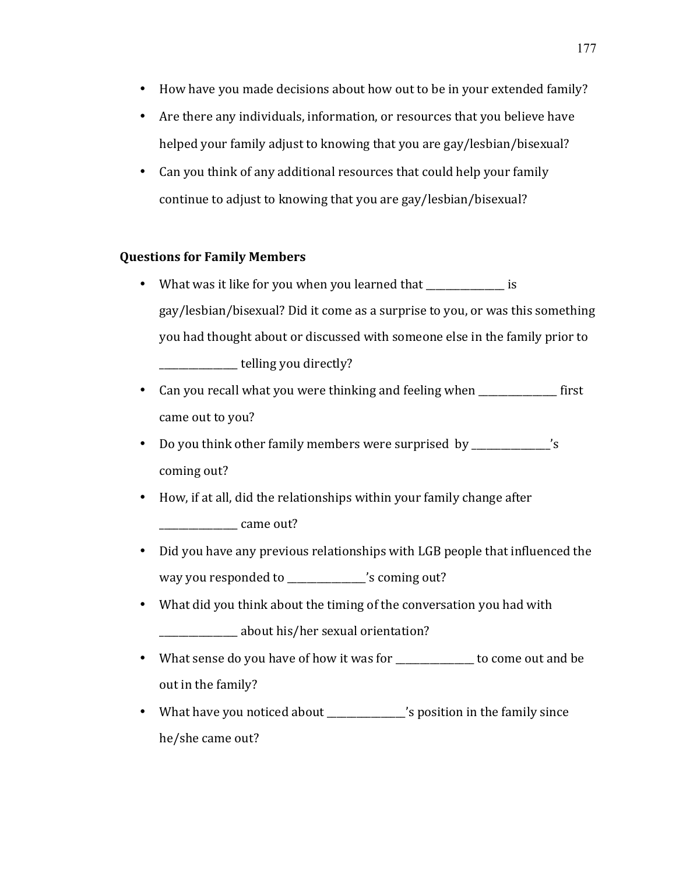- How have you made decisions about how out to be in your extended family?
- Are there any individuals, information, or resources that you believe have helped your family adjust to knowing that you are gay/lesbian/bisexual?
- Can you think of any additional resources that could help your family continue to adjust to knowing that you are gay/lesbian/bisexual?

#### **Questions for Family Members**

- What was it like for you when you learned that is  $\bullet$ gay/lesbian/bisexual? Did it come as a surprise to you, or was this something you had thought about or discussed with someone else in the family prior to telling you directly?
- Can you recall what you were thinking and feeling when first came out to you?
- Do you think other family members were surprised by  $\sim$  's coming out?
- How, if at all, did the relationships within your family change after came out?
- Did you have any previous relationships with LGB people that influenced the way you responded to <br>
x coming out?
- What did you think about the timing of the conversation you had with about his/her sexual orientation?
- What sense do you have of how it was for \_\_\_\_\_\_\_\_\_\_\_ to come out and be out in the family?
- What have you noticed about \_\_\_\_\_\_\_\_\_\_\_\_\_\_\_'s position in the family since he/she came out?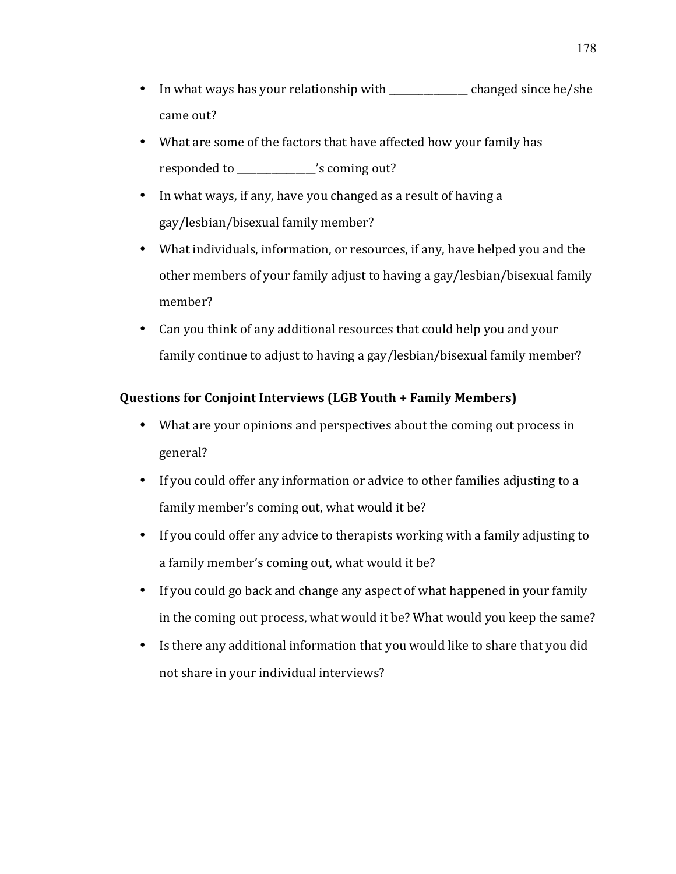- In what ways has your relationship with \_\_\_\_\_\_\_\_\_\_\_\_\_\_ changed since he/she  $\bullet$ came out?
- What are some of the factors that have affected how your family has responded to \_\_\_\_\_\_\_\_\_\_\_\_\_'s coming out?
- In what ways, if any, have you changed as a result of having a  $\bullet$ gay/lesbian/bisexual family member?
- What individuals, information, or resources, if any, have helped you and the  $\bullet$ other members of your family adjust to having a gay/lesbian/bisexual family member?
- Can you think of any additional resources that could help you and your family continue to adjust to having a gay/lesbian/bisexual family member?

### **Questions for Conjoint Interviews (LGB Youth + Family Members)**

- What are your opinions and perspectives about the coming out process in  $\bullet$ general?
- If you could offer any information or advice to other families adjusting to a family member's coming out, what would it be?
- If you could offer any advice to therapists working with a family adjusting to a family member's coming out, what would it be?
- If you could go back and change any aspect of what happened in your family  $\bullet$ in the coming out process, what would it be? What would you keep the same?
- $\bullet$ Is there any additional information that you would like to share that you did not share in your individual interviews?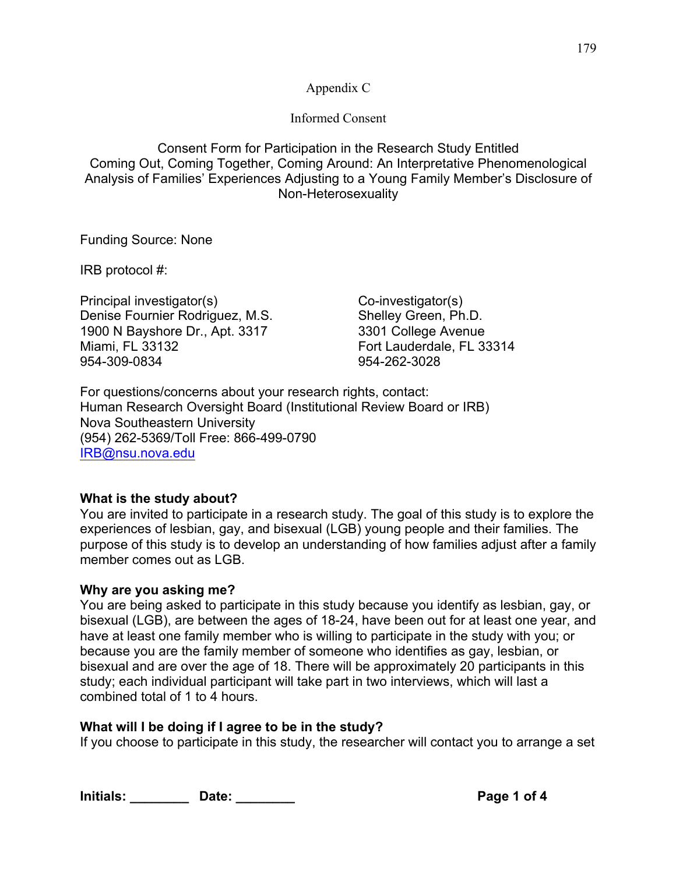Appendix C

Informed Consent

Consent Form for Participation in the Research Study Entitled Coming Out, Coming Together, Coming Around: An Interpretative Phenomenological Analysis of Families' Experiences Adjusting to a Young Family Member's Disclosure of Non-Heterosexuality

Funding Source: None

IRB protocol #:

Principal investigator(s) Co-investigator(s) Denise Fournier Rodriguez, M.S. Shelley Green, Ph.D. 1900 N Bayshore Dr., Apt. 3317 3301 College Avenue Miami, FL 33132 **Fort Lauderdale, FL 33314** 954-309-0834 954-262-3028

For questions/concerns about your research rights, contact: Human Research Oversight Board (Institutional Review Board or IRB) Nova Southeastern University (954) 262-5369/Toll Free: 866-499-0790 IRB@nsu.nova.edu

#### **What is the study about?**

You are invited to participate in a research study. The goal of this study is to explore the experiences of lesbian, gay, and bisexual (LGB) young people and their families. The purpose of this study is to develop an understanding of how families adjust after a family member comes out as LGB.

#### **Why are you asking me?**

You are being asked to participate in this study because you identify as lesbian, gay, or bisexual (LGB), are between the ages of 18-24, have been out for at least one year, and have at least one family member who is willing to participate in the study with you; or because you are the family member of someone who identifies as gay, lesbian, or bisexual and are over the age of 18. There will be approximately 20 participants in this study; each individual participant will take part in two interviews, which will last a combined total of 1 to 4 hours.

#### **What will I be doing if I agree to be in the study?**

If you choose to participate in this study, the researcher will contact you to arrange a set

**Initials: \_\_\_\_\_\_\_\_ Date: \_\_\_\_\_\_\_\_ Page 1 of 4**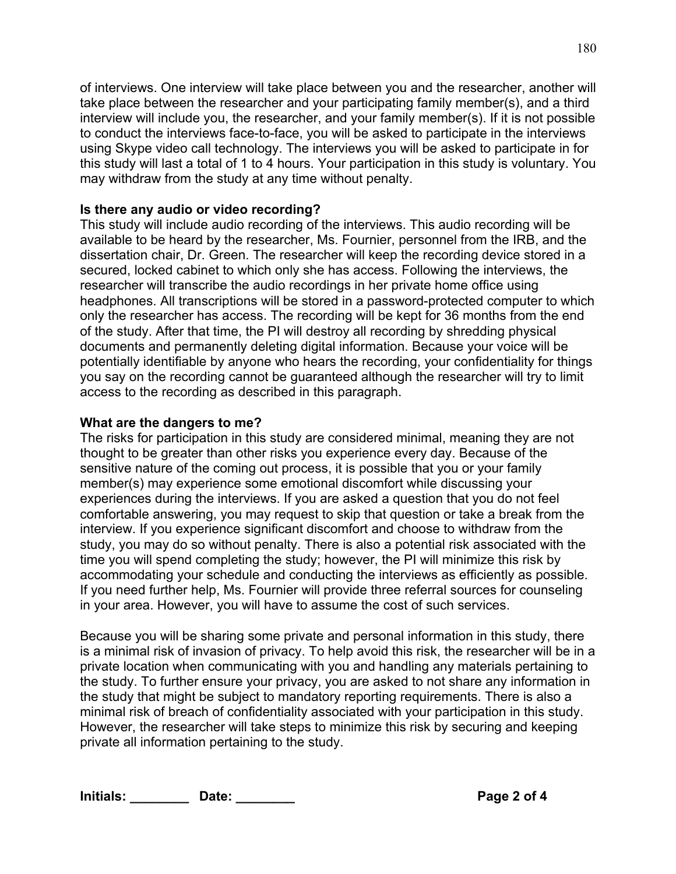of interviews. One interview will take place between you and the researcher, another will take place between the researcher and your participating family member(s), and a third interview will include you, the researcher, and your family member(s). If it is not possible to conduct the interviews face-to-face, you will be asked to participate in the interviews using Skype video call technology. The interviews you will be asked to participate in for this study will last a total of 1 to 4 hours. Your participation in this study is voluntary. You may withdraw from the study at any time without penalty.

#### **Is there any audio or video recording?**

This study will include audio recording of the interviews. This audio recording will be available to be heard by the researcher, Ms. Fournier, personnel from the IRB, and the dissertation chair, Dr. Green. The researcher will keep the recording device stored in a secured, locked cabinet to which only she has access. Following the interviews, the researcher will transcribe the audio recordings in her private home office using headphones. All transcriptions will be stored in a password-protected computer to which only the researcher has access. The recording will be kept for 36 months from the end of the study. After that time, the PI will destroy all recording by shredding physical documents and permanently deleting digital information. Because your voice will be potentially identifiable by anyone who hears the recording, your confidentiality for things you say on the recording cannot be guaranteed although the researcher will try to limit access to the recording as described in this paragraph.

#### **What are the dangers to me?**

The risks for participation in this study are considered minimal, meaning they are not thought to be greater than other risks you experience every day. Because of the sensitive nature of the coming out process, it is possible that you or your family member(s) may experience some emotional discomfort while discussing your experiences during the interviews. If you are asked a question that you do not feel comfortable answering, you may request to skip that question or take a break from the interview. If you experience significant discomfort and choose to withdraw from the study, you may do so without penalty. There is also a potential risk associated with the time you will spend completing the study; however, the PI will minimize this risk by accommodating your schedule and conducting the interviews as efficiently as possible. If you need further help, Ms. Fournier will provide three referral sources for counseling in your area. However, you will have to assume the cost of such services.

Because you will be sharing some private and personal information in this study, there is a minimal risk of invasion of privacy. To help avoid this risk, the researcher will be in a private location when communicating with you and handling any materials pertaining to the study. To further ensure your privacy, you are asked to not share any information in the study that might be subject to mandatory reporting requirements. There is also a minimal risk of breach of confidentiality associated with your participation in this study. However, the researcher will take steps to minimize this risk by securing and keeping private all information pertaining to the study.

| Initials: | Date: |  |
|-----------|-------|--|
|-----------|-------|--|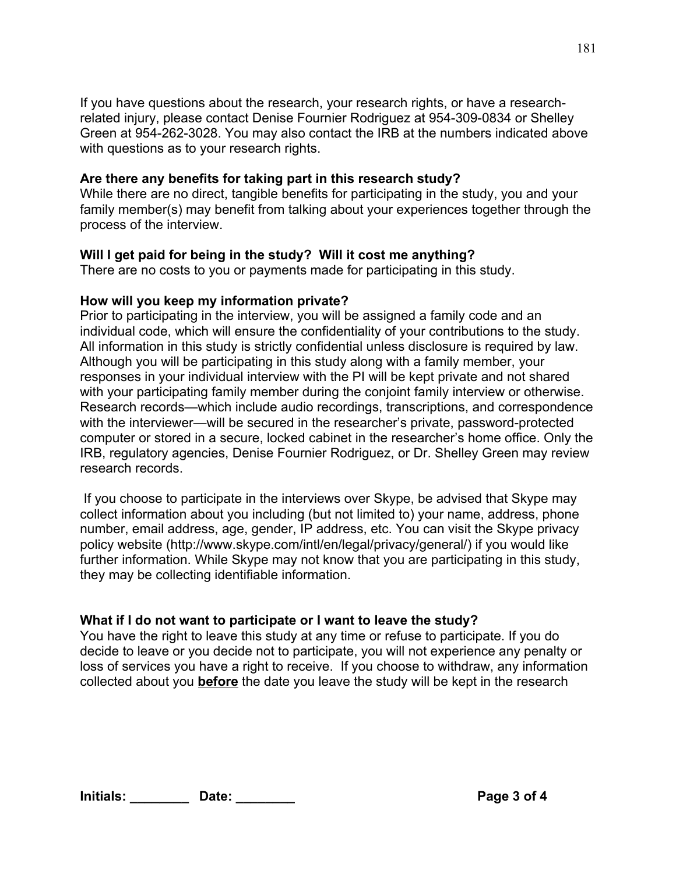If you have questions about the research, your research rights, or have a researchrelated injury, please contact Denise Fournier Rodriguez at 954-309-0834 or Shelley Green at 954-262-3028. You may also contact the IRB at the numbers indicated above with questions as to your research rights.

#### **Are there any benefits for taking part in this research study?**

While there are no direct, tangible benefits for participating in the study, you and your family member(s) may benefit from talking about your experiences together through the process of the interview.

#### **Will I get paid for being in the study? Will it cost me anything?**

There are no costs to you or payments made for participating in this study.

#### **How will you keep my information private?**

Prior to participating in the interview, you will be assigned a family code and an individual code, which will ensure the confidentiality of your contributions to the study. All information in this study is strictly confidential unless disclosure is required by law. Although you will be participating in this study along with a family member, your responses in your individual interview with the PI will be kept private and not shared with your participating family member during the conjoint family interview or otherwise. Research records—which include audio recordings, transcriptions, and correspondence with the interviewer—will be secured in the researcher's private, password-protected computer or stored in a secure, locked cabinet in the researcher's home office. Only the IRB, regulatory agencies, Denise Fournier Rodriguez, or Dr. Shelley Green may review research records.

If you choose to participate in the interviews over Skype, be advised that Skype may collect information about you including (but not limited to) your name, address, phone number, email address, age, gender, IP address, etc. You can visit the Skype privacy policy website (http://www.skype.com/intl/en/legal/privacy/general/) if you would like further information. While Skype may not know that you are participating in this study, they may be collecting identifiable information.

#### **What if I do not want to participate or I want to leave the study?**

You have the right to leave this study at any time or refuse to participate. If you do decide to leave or you decide not to participate, you will not experience any penalty or loss of services you have a right to receive. If you choose to withdraw, any information collected about you **before** the date you leave the study will be kept in the research

| Initials: | Date: |  |
|-----------|-------|--|
|           |       |  |

181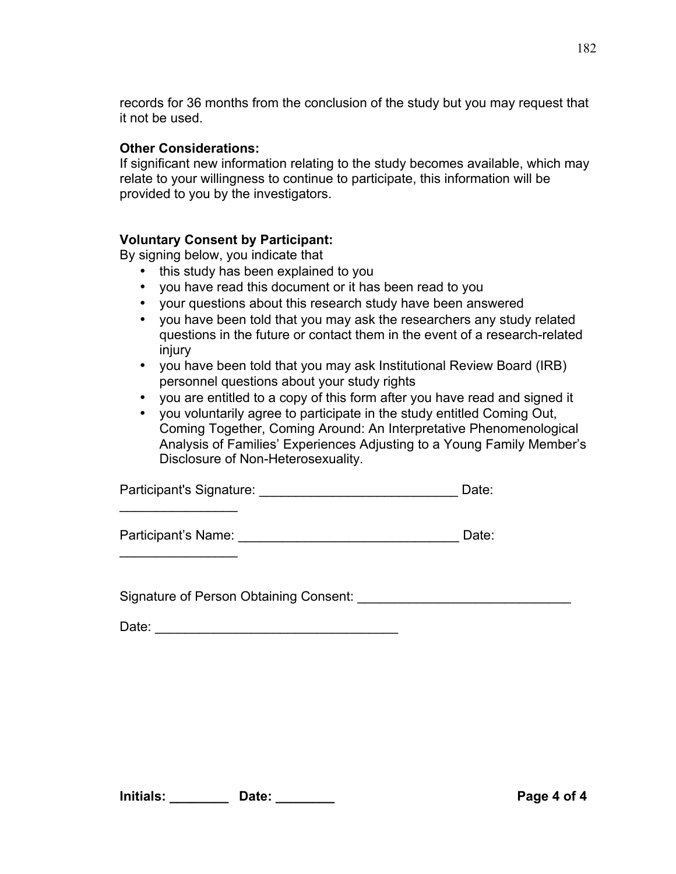records for 36 months from the conclusion of the study but you may request that it not be used.

#### **Other Considerations:**

 $\frac{1}{2}$  ,  $\frac{1}{2}$  ,  $\frac{1}{2}$  ,  $\frac{1}{2}$  ,  $\frac{1}{2}$  ,  $\frac{1}{2}$  ,  $\frac{1}{2}$ 

 $\frac{1}{2}$  ,  $\frac{1}{2}$  ,  $\frac{1}{2}$  ,  $\frac{1}{2}$  ,  $\frac{1}{2}$  ,  $\frac{1}{2}$  ,  $\frac{1}{2}$ 

If significant new information relating to the study becomes available, which may relate to your willingness to continue to participate, this information will be provided to you by the investigators.

#### **Voluntary Consent by Participant:**

By signing below, you indicate that

- this study has been explained to you
- you have read this document or it has been read to you
- your questions about this research study have been answered
- you have been told that you may ask the researchers any study related questions in the future or contact them in the event of a research-related injury
- you have been told that you may ask Institutional Review Board (IRB) personnel questions about your study rights
- you are entitled to a copy of this form after you have read and signed it
- you voluntarily agree to participate in the study entitled Coming Out, Coming Together, Coming Around: An Interpretative Phenomenological Analysis of Families' Experiences Adjusting to a Young Family Member's Disclosure of Non-Heterosexuality.

Participant's Signature: \_\_\_\_\_\_\_\_\_\_\_\_\_\_\_\_\_\_\_\_\_\_\_\_\_\_\_ Date:

Participant's Name: \_\_\_\_\_\_\_\_\_\_\_\_\_\_\_\_\_\_\_\_\_\_\_\_\_\_\_\_\_\_ Date:

Signature of Person Obtaining Consent: \_\_\_\_\_\_\_\_\_\_\_\_\_\_\_\_\_\_\_\_\_\_\_\_\_\_\_\_\_

Date: \_\_\_\_\_\_\_\_\_\_\_\_\_\_\_\_\_\_\_\_\_\_\_\_\_\_\_\_\_\_\_\_\_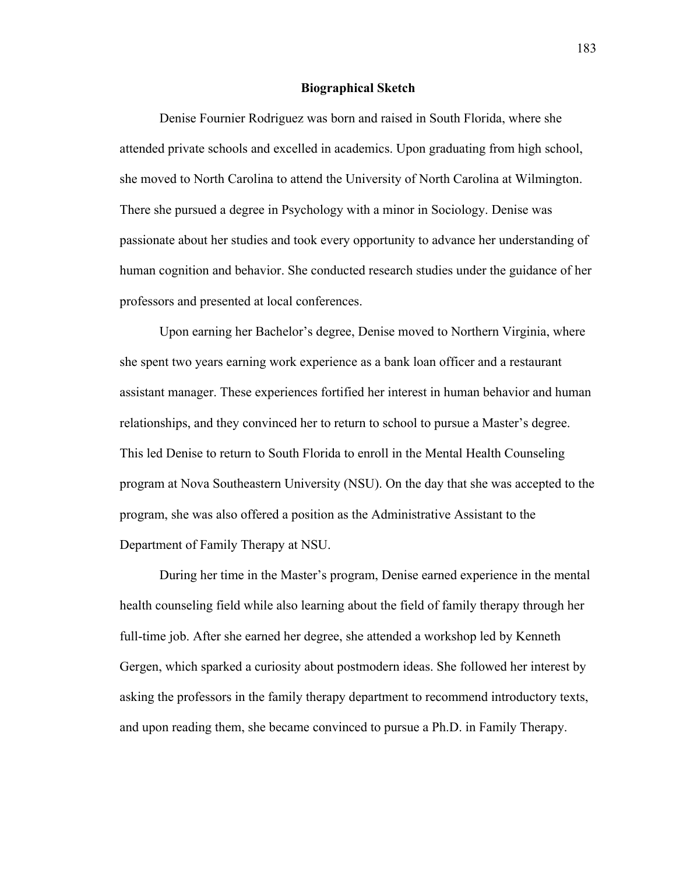#### **Biographical Sketch**

Denise Fournier Rodriguez was born and raised in South Florida, where she attended private schools and excelled in academics. Upon graduating from high school, she moved to North Carolina to attend the University of North Carolina at Wilmington. There she pursued a degree in Psychology with a minor in Sociology. Denise was passionate about her studies and took every opportunity to advance her understanding of human cognition and behavior. She conducted research studies under the guidance of her professors and presented at local conferences.

Upon earning her Bachelor's degree, Denise moved to Northern Virginia, where she spent two years earning work experience as a bank loan officer and a restaurant assistant manager. These experiences fortified her interest in human behavior and human relationships, and they convinced her to return to school to pursue a Master's degree. This led Denise to return to South Florida to enroll in the Mental Health Counseling program at Nova Southeastern University (NSU). On the day that she was accepted to the program, she was also offered a position as the Administrative Assistant to the Department of Family Therapy at NSU.

During her time in the Master's program, Denise earned experience in the mental health counseling field while also learning about the field of family therapy through her full-time job. After she earned her degree, she attended a workshop led by Kenneth Gergen, which sparked a curiosity about postmodern ideas. She followed her interest by asking the professors in the family therapy department to recommend introductory texts, and upon reading them, she became convinced to pursue a Ph.D. in Family Therapy.

183